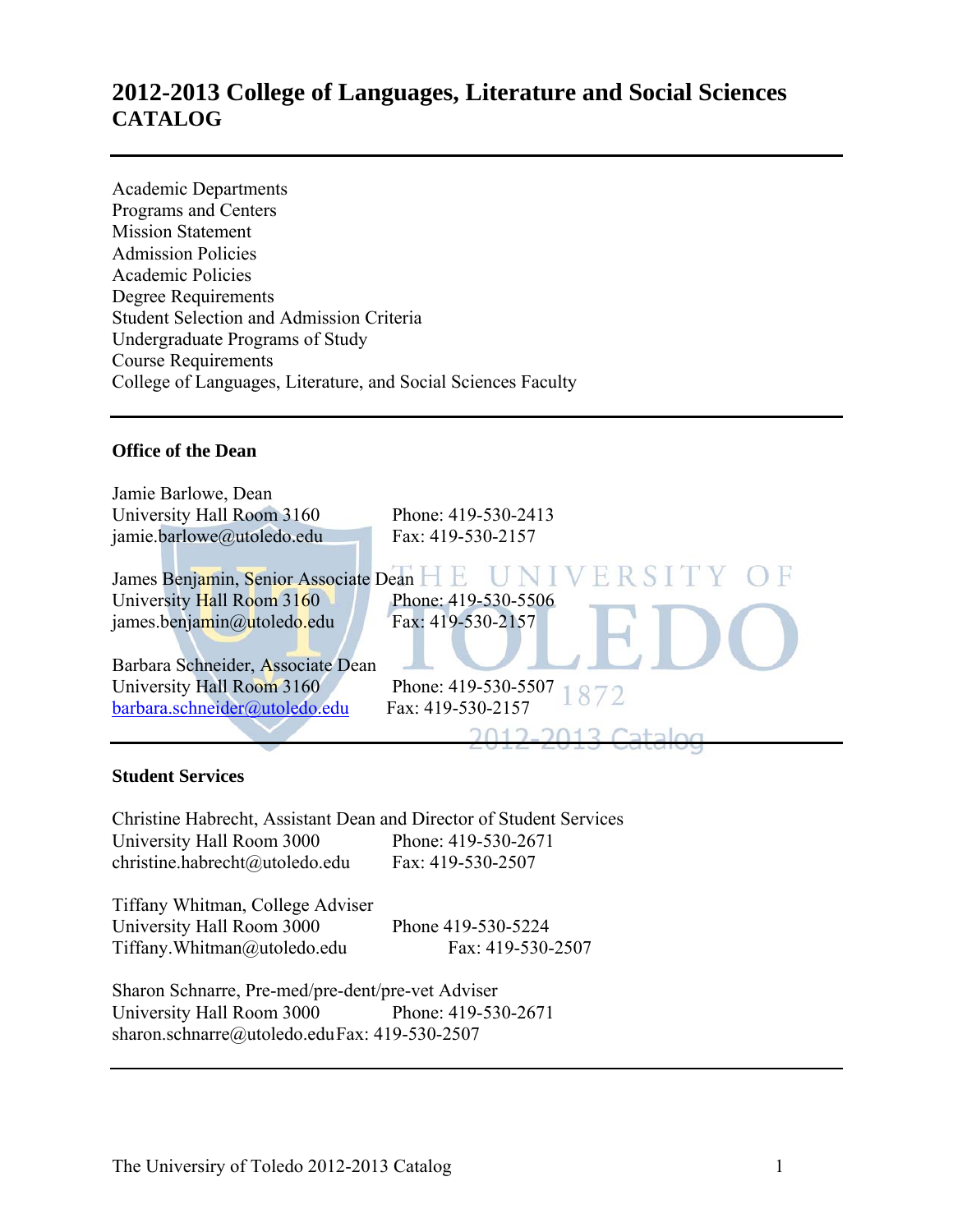### **2012-2013 College of Languages, Literature and Social Sciences CATALOG**

Academic Departments Programs and Centers Mission Statement Admission Policies Academic Policies Degree Requirements Student Selection and Admission Criteria Undergraduate Programs of Study Course Requirements College of Languages, Literature, and Social Sciences Faculty

### **Office of the Dean**

| Jamie Barlowe, Dean               |                                                         |
|-----------------------------------|---------------------------------------------------------|
| University Hall Room 3160         | Phone: 419-530-2413                                     |
| jamie.barlowe@utoledo.edu         | Fax: 419-530-2157                                       |
|                                   | James Benjamin, Senior Associate Dean H E UNIVERSITY OF |
| University Hall Room 3160         | Phone: 419-530-5506                                     |
| james.benjamin@utoledo.edu        | Fax: 419-530-2157                                       |
|                                   |                                                         |
| Barbara Schneider, Associate Dean |                                                         |
| University Hall Room 3160         | Phone: 419-530-5507<br>1872                             |
| barbara.schneider@utoledo.edu     | Fax: 419-530-2157                                       |
|                                   |                                                         |
|                                   |                                                         |

### **Student Services**

Christine Habrecht, Assistant Dean and Director of Student Services University Hall Room 3000 Phone: 419-530-2671 christine.habrecht@utoledo.edu Fax: 419-530-2507

Tiffany Whitman, College Adviser University Hall Room 3000 Phone 419-530-5224 Tiffany.Whitman@utoledo.edu Fax: 419-530-2507

Sharon Schnarre, Pre-med/pre-dent/pre-vet Adviser University Hall Room 3000 Phone: 419-530-2671 sharon.schnarre@utoledo.edu Fax: 419-530-2507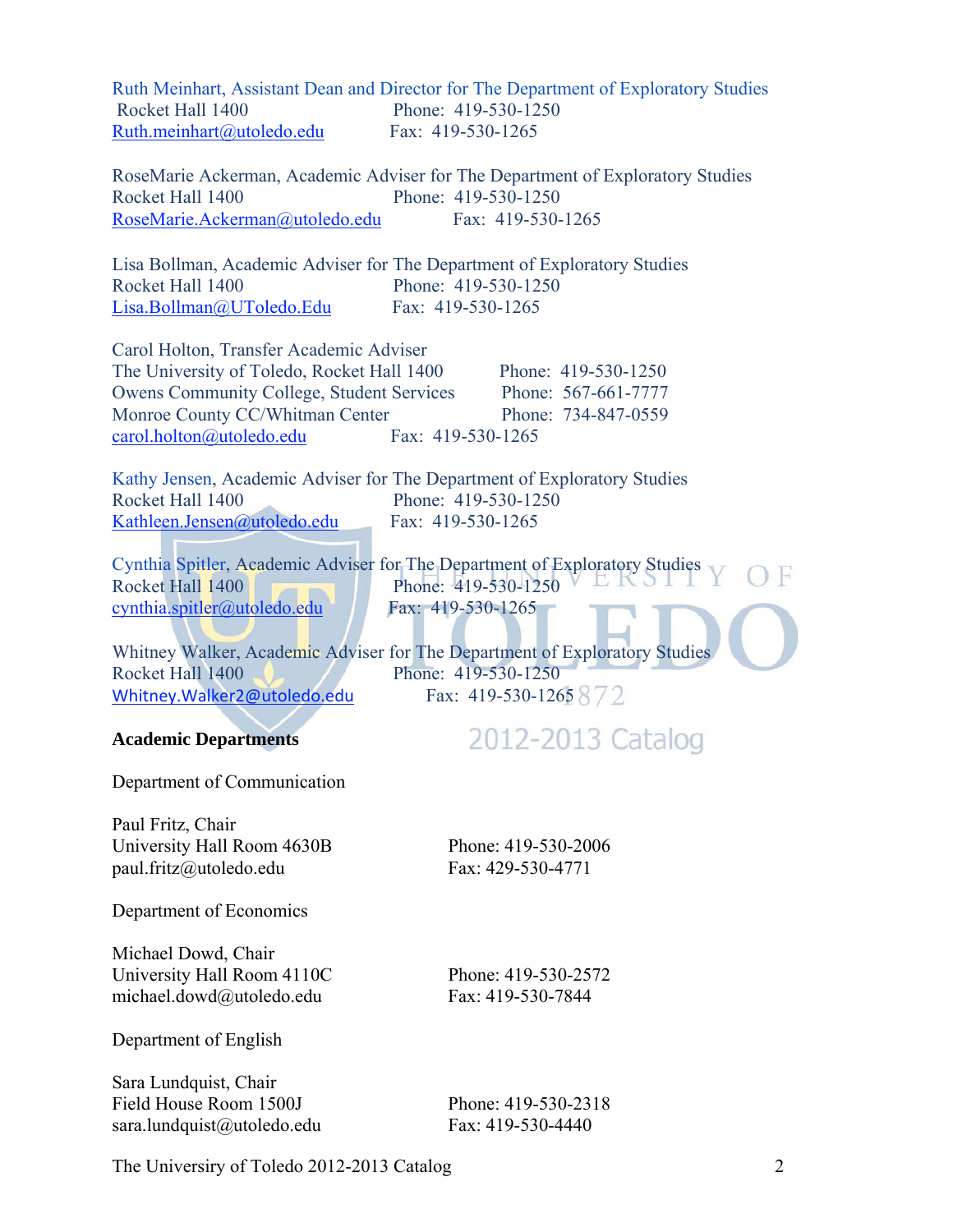| Rocket Hall 1400<br>Ruth.meinhart@utoledo.edu                                                                                                                                                                              | Ruth Meinhart, Assistant Dean and Director for The Department of Exploratory Studies<br>Phone: 419-530-1250<br>Fax: 419-530-1265                                                                                                                      |
|----------------------------------------------------------------------------------------------------------------------------------------------------------------------------------------------------------------------------|-------------------------------------------------------------------------------------------------------------------------------------------------------------------------------------------------------------------------------------------------------|
| Rocket Hall 1400<br>RoseMarie.Ackerman@utoledo.edu                                                                                                                                                                         | RoseMarie Ackerman, Academic Adviser for The Department of Exploratory Studies<br>Phone: 419-530-1250<br>Fax: 419-530-1265                                                                                                                            |
| Rocket Hall 1400<br><u> Lisa.Bollman@UToledo.Edu</u>                                                                                                                                                                       | Lisa Bollman, Academic Adviser for The Department of Exploratory Studies<br>Phone: 419-530-1250<br>Fax: 419-530-1265                                                                                                                                  |
| Carol Holton, Transfer Academic Adviser<br>The University of Toledo, Rocket Hall 1400<br><b>Owens Community College, Student Services</b><br>Monroe County CC/Whitman Center<br>carol.holton@utoledo.edu Fax: 419-530-1265 | Phone: 419-530-1250<br>Phone: 567-661-7777<br>Phone: 734-847-0559                                                                                                                                                                                     |
| Rocket Hall 1400<br>Kathleen.Jensen@utoledo.edu                                                                                                                                                                            | Kathy Jensen, Academic Adviser for The Department of Exploratory Studies<br>Phone: 419-530-1250<br>Fax: 419-530-1265                                                                                                                                  |
| Rocket Hall 1400<br>cynthia.spitler@utoledo.edu<br>Rocket Hall 1400<br>Whitney. Walker 2@utoledo.edu                                                                                                                       | Cynthia Spitler, Academic Adviser for The Department of Exploratory Studies<br>Phone: 419-530-1250<br>Fax: 419-530-1265<br>Whitney Walker, Academic Adviser for The Department of Exploratory Studies<br>Phone: 419-530-1250<br>Fax: 419-530-1265 872 |
| <b>Academic Departments</b>                                                                                                                                                                                                | 2012-2013 Catalog                                                                                                                                                                                                                                     |
| Department of Communication                                                                                                                                                                                                |                                                                                                                                                                                                                                                       |
| Paul Fritz, Chair<br>University Hall Room 4630B<br>paul.fritz@utoledo.edu                                                                                                                                                  | Phone: 419-530-2006<br>Fax: 429-530-4771                                                                                                                                                                                                              |
| Department of Economics                                                                                                                                                                                                    |                                                                                                                                                                                                                                                       |
| Michael Dowd, Chair<br>University Hall Room 4110C<br>michael.dowd@utoledo.edu                                                                                                                                              | Phone: 419-530-2572<br>Fax: 419-530-7844                                                                                                                                                                                                              |
| Department of English                                                                                                                                                                                                      |                                                                                                                                                                                                                                                       |
| Sara Lundquist, Chair<br>Field House Room 1500J<br>sara.lundquist@utoledo.edu                                                                                                                                              | Phone: 419-530-2318<br>Fax: 419-530-4440                                                                                                                                                                                                              |

The Universiry of Toledo 2012-2013 Catalog 2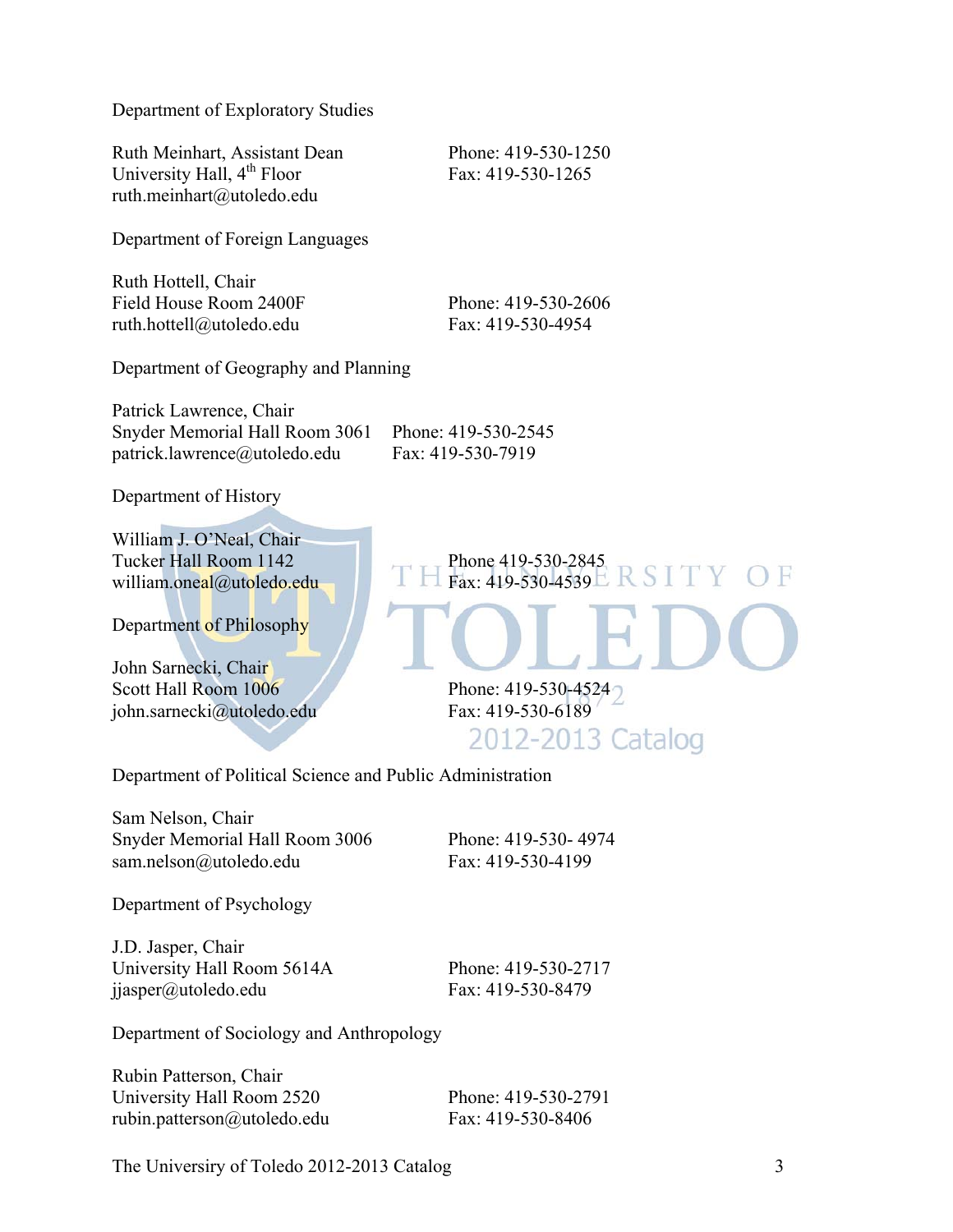Department of Exploratory Studies

Ruth Meinhart, Assistant Dean Phone: 419-530-1250 University Hall,  $4^{\text{th}}$  Floor Fax: 419-530-1265 ruth.meinhart@utoledo.edu

Department of Foreign Languages

Ruth Hottell, Chair Field House Room 2400F Phone: 419-530-2606 ruth.hottell@utoledo.edu Fax: 419-530-4954

Department of Geography and Planning

Patrick Lawrence, Chair Snyder Memorial Hall Room 3061 Phone: 419-530-2545 patrick.lawrence@utoledo.edu Fax: 419-530-7919

Department of History

William J. O'Neal, Chair Tucker Hall Room 1142 Phone 419-530-2845 william.oneal@utoledo.edu Fax: 419-530-4539

Department of Philosophy

John Sarnecki, Chair Scott Hall Room 1006 Phone: 419-530-4524 john.sarnecki@utoledo.edu Fax: 419-530-6189

2012-2013 Catalog

Department of Political Science and Public Administration

Sam Nelson, Chair Snyder Memorial Hall Room 3006 Phone: 419-530- 4974 sam.nelson@utoledo.edu Fax: 419-530-4199

Department of Psychology

J.D. Jasper, Chair University Hall Room 5614A Phone: 419-530-2717 jjasper@utoledo.edu Fax: 419-530-8479

Department of Sociology and Anthropology

Rubin Patterson, Chair University Hall Room 2520 Phone: 419-530-2791 rubin.patterson@utoledo.edu Fax: 419-530-8406

The Universiry of Toledo 2012-2013 Catalog 3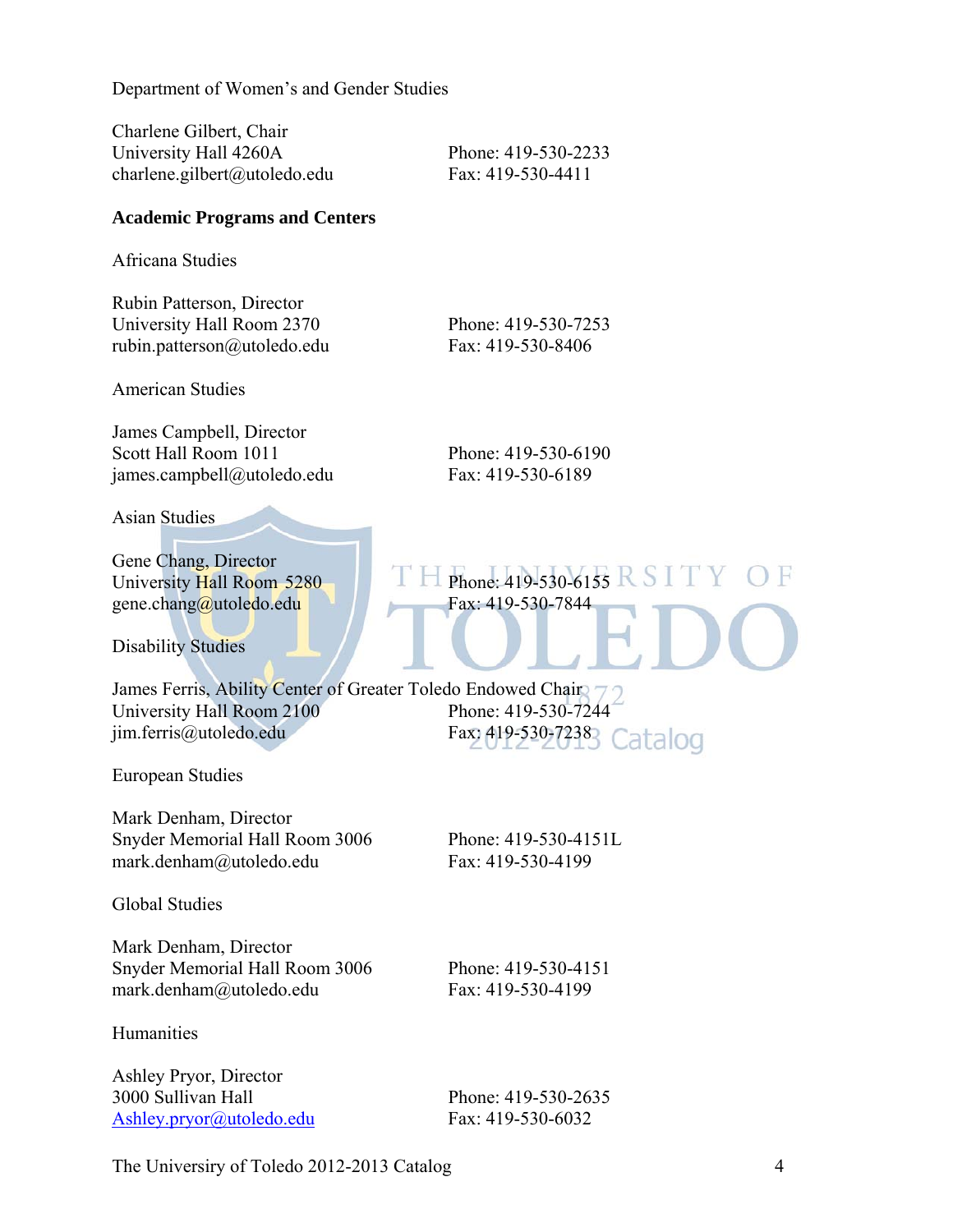Department of Women's and Gender Studies

Charlene Gilbert, Chair University Hall 4260A Phone: 419-530-2233 charlene.gilbert@utoledo.edu Fax: 419-530-4411

### **Academic Programs and Centers**

Africana Studies

Rubin Patterson, Director University Hall Room 2370 Phone: 419-530-7253 rubin.patterson@utoledo.edu Fax: 419-530-8406

American Studies

James Campbell, Director Scott Hall Room 1011 Phone: 419-530-6190 james.campbell@utoledo.edu Fax: 419-530-6189

Asian Studies

Gene Chang, Director University Hall Room 5280  $\Box$  Phone: 419-530-6155 R S I gene.chang $\omega$ utoledo.edu Fax: 419-530-7844

Disability Studies

James Ferris, Ability Center of Greater Toledo Endowed Chair University Hall Room 2100<br>
im.ferris@utoledo.edu<br>
Fax: 419-530-7238<br>
Catalog jim.ferris@utoledo.edu

European Studies

Mark Denham, Director Snyder Memorial Hall Room 3006 Phone: 419-530-4151L mark.denham@utoledo.edu Fax: 419-530-4199

Global Studies

Mark Denham, Director Snyder Memorial Hall Room 3006 Phone: 419-530-4151 mark.denham@utoledo.edu Fax: 419-530-4199

Humanities

Ashley Pryor, Director 3000 Sullivan Hall Phone: 419-530-2635 Ashley.pryor@utoledo.edu Fax: 419-530-6032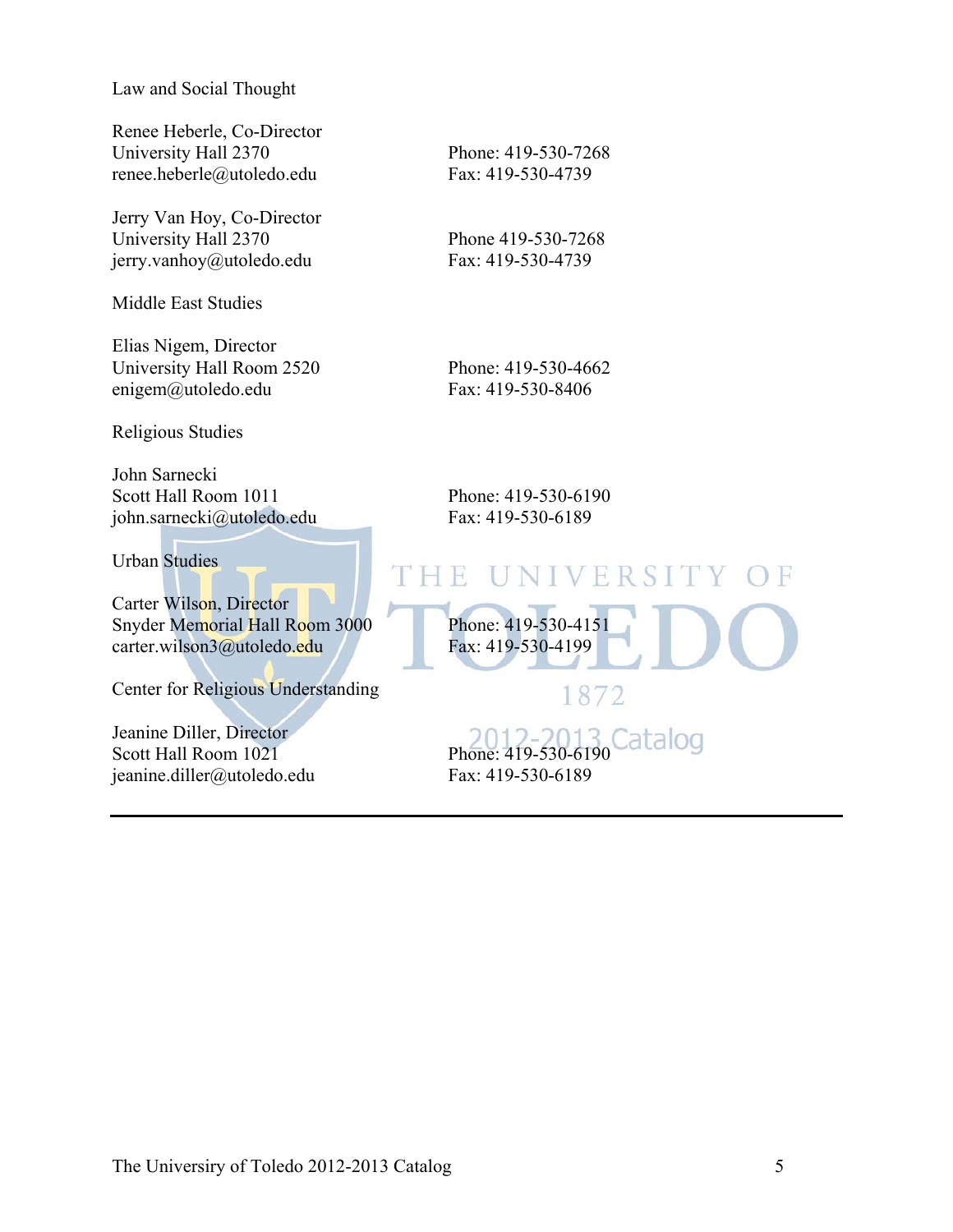Law and Social Thought

Renee Heberle, Co-Director University Hall 2370 Phone: 419-530-7268 renee.heberle@utoledo.edu Fax: 419-530-4739

Jerry Van Hoy, Co-Director University Hall 2370 Phone 419-530-7268 jerry.vanhoy@utoledo.edu Fax: 419-530-4739

Middle East Studies

Elias Nigem, Director University Hall Room 2520 Phone: 419-530-4662 enigem@utoledo.edu Fax: 419-530-8406

Religious Studies

John Sarnecki Scott Hall Room 1011 Phone: 419-530-6190 john.sarnecki@utoledo.edu Fax: 419-530-6189

Urban Studies

Carter Wilson, Director Snyder Memorial Hall Room 3000<br>
carter wilson3@utoledo.edu Fax: 419-530-4199 carter.wilson3@utoledo.edu

Center for Religious Understanding

Jeanine Diller, Director Scott Hall Room 1021<br>
Scott Hall Room 1021<br>
Phone: 419-530-6190 jeanine.diller@utoledo.edu Fax: 419-530-6189

## THE **NIVERSITY**

1872

Catalog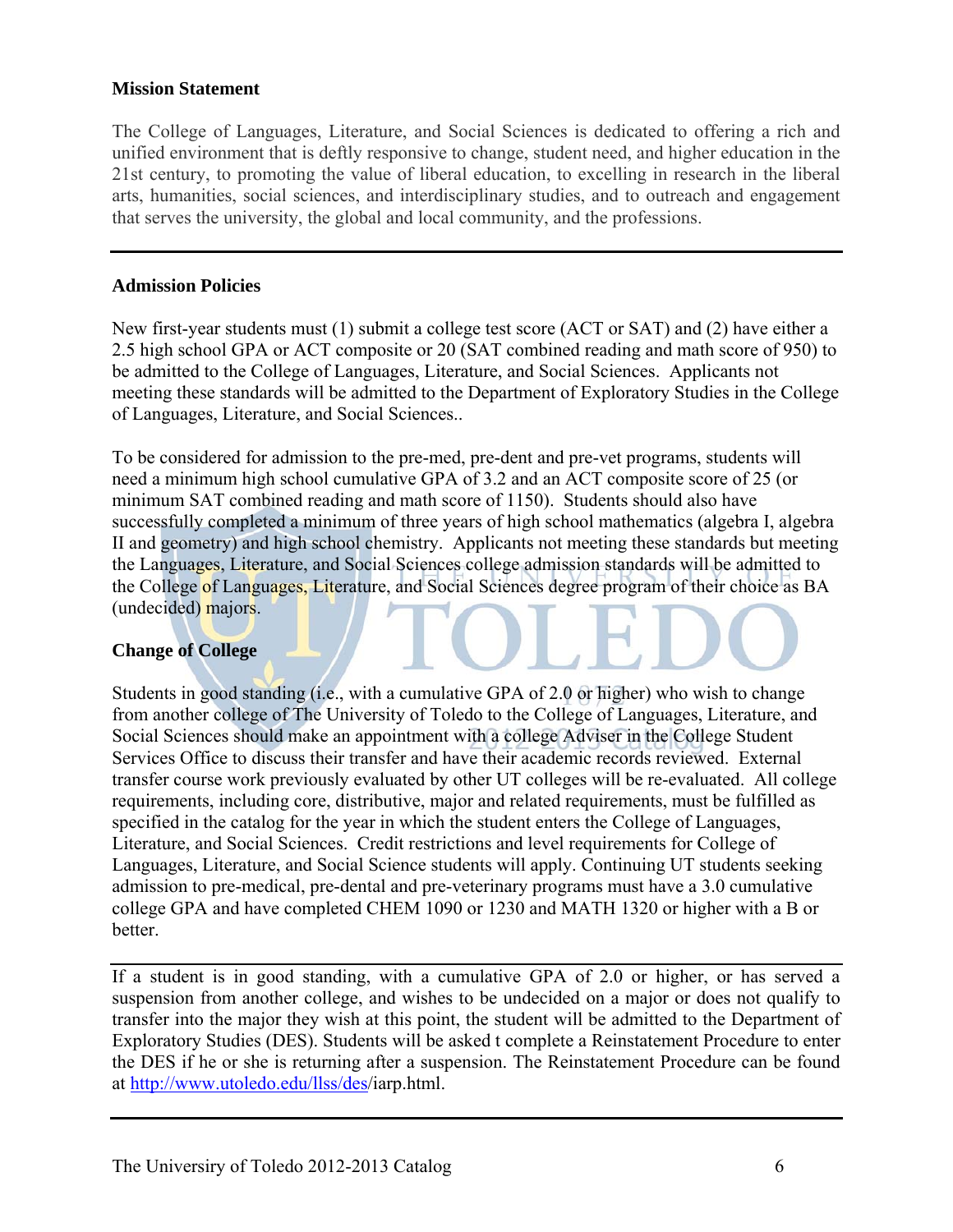### **Mission Statement**

The College of Languages, Literature, and Social Sciences is dedicated to offering a rich and unified environment that is deftly responsive to change, student need, and higher education in the 21st century, to promoting the value of liberal education, to excelling in research in the liberal arts, humanities, social sciences, and interdisciplinary studies, and to outreach and engagement that serves the university, the global and local community, and the professions.

### **Admission Policies**

New first-year students must (1) submit a college test score (ACT or SAT) and (2) have either a 2.5 high school GPA or ACT composite or 20 (SAT combined reading and math score of 950) to be admitted to the College of Languages, Literature, and Social Sciences. Applicants not meeting these standards will be admitted to the Department of Exploratory Studies in the College of Languages, Literature, and Social Sciences..

To be considered for admission to the pre-med, pre-dent and pre-vet programs, students will need a minimum high school cumulative GPA of 3.2 and an ACT composite score of 25 (or minimum SAT combined reading and math score of 1150). Students should also have successfully completed a minimum of three years of high school mathematics (algebra I, algebra II and geometry) and high school chemistry. Applicants not meeting these standards but meeting the Languages, Literature, and Social Sciences college admission standards will be admitted to the College of Languages, Literature, and Social Sciences degree program of their choice as BA (undecided) majors.

### **Change of College**

Students in good standing (i.e., with a cumulative GPA of 2.0 or higher) who wish to change from another college of The University of Toledo to the College of Languages, Literature, and Social Sciences should make an appointment with a college Adviser in the College Student Services Office to discuss their transfer and have their academic records reviewed. External transfer course work previously evaluated by other UT colleges will be re-evaluated. All college requirements, including core, distributive, major and related requirements, must be fulfilled as specified in the catalog for the year in which the student enters the College of Languages, Literature, and Social Sciences. Credit restrictions and level requirements for College of Languages, Literature, and Social Science students will apply. Continuing UT students seeking admission to pre-medical, pre-dental and pre-veterinary programs must have a 3.0 cumulative college GPA and have completed CHEM 1090 or 1230 and MATH 1320 or higher with a B or better.

If a student is in good standing, with a cumulative GPA of 2.0 or higher, or has served a suspension from another college, and wishes to be undecided on a major or does not qualify to transfer into the major they wish at this point, the student will be admitted to the Department of Exploratory Studies (DES). Students will be asked t complete a Reinstatement Procedure to enter the DES if he or she is returning after a suspension. The Reinstatement Procedure can be found at http://www.utoledo.edu/llss/des/iarp.html.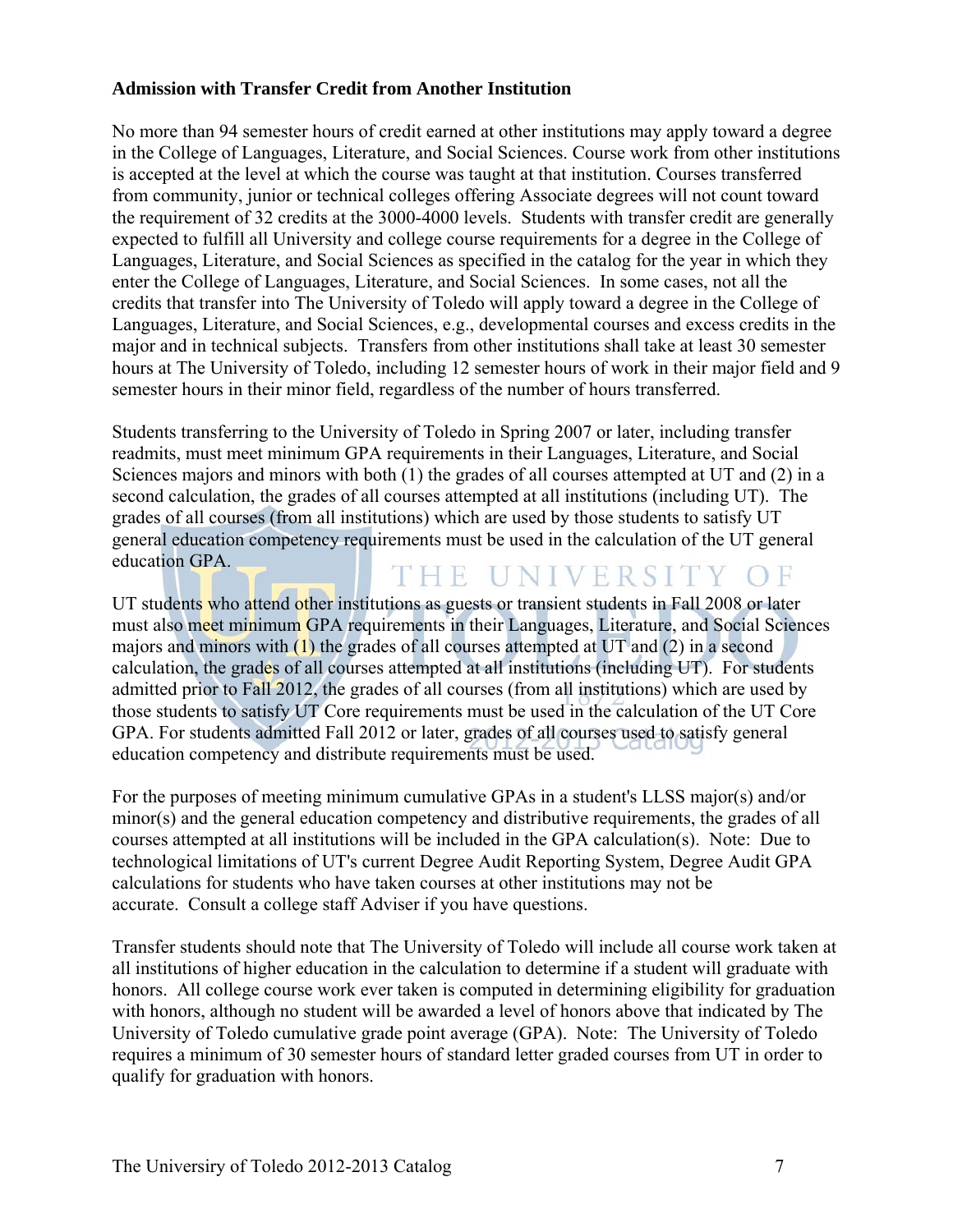### **Admission with Transfer Credit from Another Institution**

No more than 94 semester hours of credit earned at other institutions may apply toward a degree in the College of Languages, Literature, and Social Sciences. Course work from other institutions is accepted at the level at which the course was taught at that institution. Courses transferred from community, junior or technical colleges offering Associate degrees will not count toward the requirement of 32 credits at the 3000-4000 levels. Students with transfer credit are generally expected to fulfill all University and college course requirements for a degree in the College of Languages, Literature, and Social Sciences as specified in the catalog for the year in which they enter the College of Languages, Literature, and Social Sciences. In some cases, not all the credits that transfer into The University of Toledo will apply toward a degree in the College of Languages, Literature, and Social Sciences, e.g., developmental courses and excess credits in the major and in technical subjects. Transfers from other institutions shall take at least 30 semester hours at The University of Toledo, including 12 semester hours of work in their major field and 9 semester hours in their minor field, regardless of the number of hours transferred.

Students transferring to the University of Toledo in Spring 2007 or later, including transfer readmits, must meet minimum GPA requirements in their Languages, Literature, and Social Sciences majors and minors with both (1) the grades of all courses attempted at UT and (2) in a second calculation, the grades of all courses attempted at all institutions (including UT). The grades of all courses (from all institutions) which are used by those students to satisfy UT general education competency requirements must be used in the calculation of the UT general education GPA. THE UNIVERSITY OF

UT students who attend other institutions as guests or transient students in Fall 2008 or later must also meet minimum GPA requirements in their Languages, Literature, and Social Sciences majors and minors with (1) the grades of all courses attempted at UT and (2) in a second calculation, the grades of all courses attempted at all institutions (including UT). For students admitted prior to Fall 2012, the grades of all courses (from all institutions) which are used by those students to satisfy UT Core requirements must be used in the calculation of the UT Core GPA. For students admitted Fall 2012 or later, grades of all courses used to satisfy general education competency and distribute requirements must be used.

For the purposes of meeting minimum cumulative GPAs in a student's LLSS major(s) and/or minor(s) and the general education competency and distributive requirements, the grades of all courses attempted at all institutions will be included in the GPA calculation(s). Note: Due to technological limitations of UT's current Degree Audit Reporting System, Degree Audit GPA calculations for students who have taken courses at other institutions may not be accurate. Consult a college staff Adviser if you have questions.

Transfer students should note that The University of Toledo will include all course work taken at all institutions of higher education in the calculation to determine if a student will graduate with honors. All college course work ever taken is computed in determining eligibility for graduation with honors, although no student will be awarded a level of honors above that indicated by The University of Toledo cumulative grade point average (GPA). Note: The University of Toledo requires a minimum of 30 semester hours of standard letter graded courses from UT in order to qualify for graduation with honors.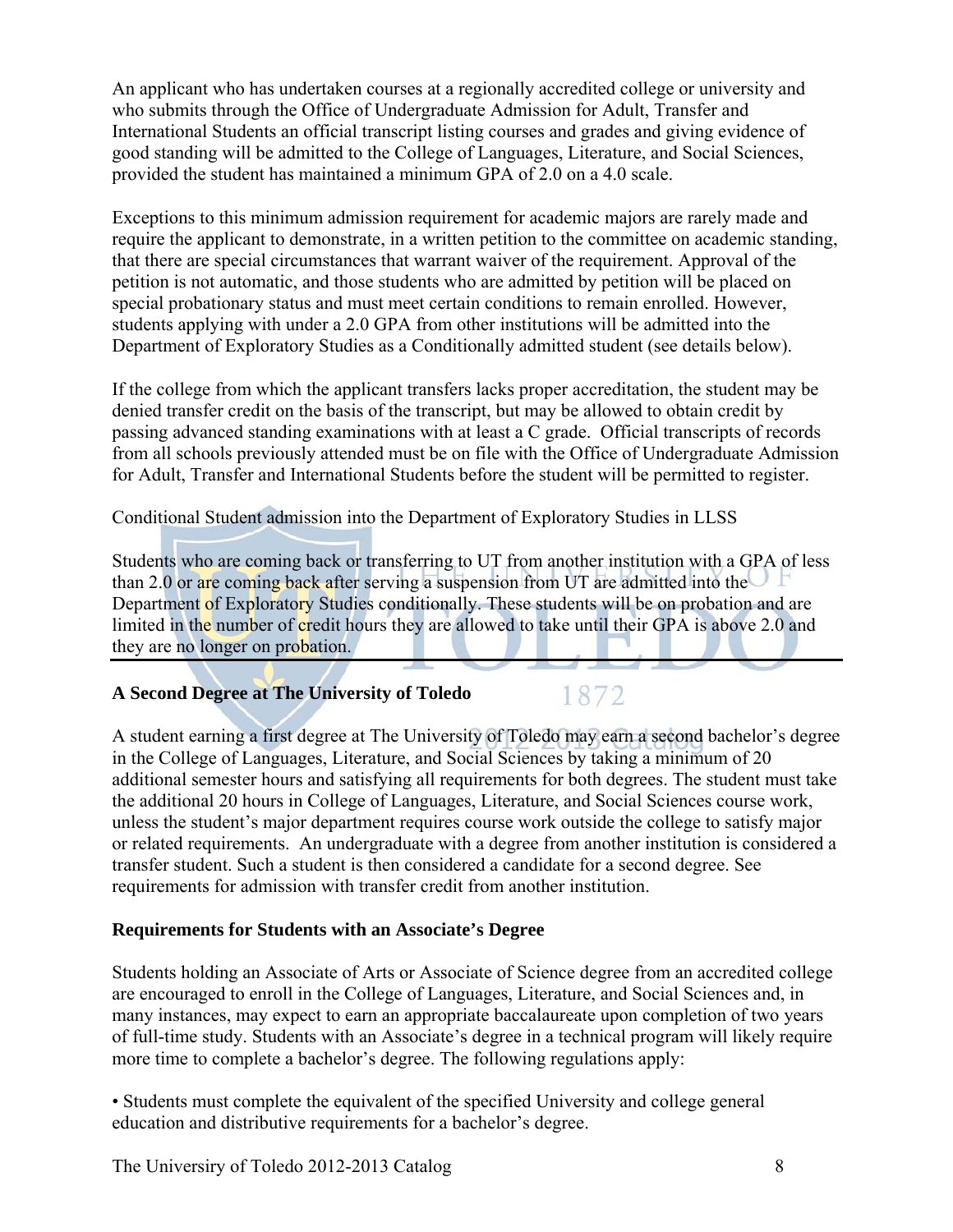An applicant who has undertaken courses at a regionally accredited college or university and who submits through the Office of Undergraduate Admission for Adult, Transfer and International Students an official transcript listing courses and grades and giving evidence of good standing will be admitted to the College of Languages, Literature, and Social Sciences, provided the student has maintained a minimum GPA of 2.0 on a 4.0 scale.

Exceptions to this minimum admission requirement for academic majors are rarely made and require the applicant to demonstrate, in a written petition to the committee on academic standing, that there are special circumstances that warrant waiver of the requirement. Approval of the petition is not automatic, and those students who are admitted by petition will be placed on special probationary status and must meet certain conditions to remain enrolled. However, students applying with under a 2.0 GPA from other institutions will be admitted into the Department of Exploratory Studies as a Conditionally admitted student (see details below).

If the college from which the applicant transfers lacks proper accreditation, the student may be denied transfer credit on the basis of the transcript, but may be allowed to obtain credit by passing advanced standing examinations with at least a C grade. Official transcripts of records from all schools previously attended must be on file with the Office of Undergraduate Admission for Adult, Transfer and International Students before the student will be permitted to register.

Conditional Student admission into the Department of Exploratory Studies in LLSS

Students who are coming back or transferring to UT from another institution with a GPA of less than 2.0 or are coming back after serving a suspension from UT are admitted into the Department of Exploratory Studies conditionally. These students will be on probation and are limited in the number of credit hours they are allowed to take until their GPA is above 2.0 and they are no longer on probation.

### **A Second Degree at The University of Toledo**

1872

A student earning a first degree at The University of Toledo may earn a second bachelor's degree in the College of Languages, Literature, and Social Sciences by taking a minimum of 20 additional semester hours and satisfying all requirements for both degrees. The student must take the additional 20 hours in College of Languages, Literature, and Social Sciences course work, unless the student's major department requires course work outside the college to satisfy major or related requirements. An undergraduate with a degree from another institution is considered a transfer student. Such a student is then considered a candidate for a second degree. See requirements for admission with transfer credit from another institution.

### **Requirements for Students with an Associate's Degree**

Students holding an Associate of Arts or Associate of Science degree from an accredited college are encouraged to enroll in the College of Languages, Literature, and Social Sciences and, in many instances, may expect to earn an appropriate baccalaureate upon completion of two years of full-time study. Students with an Associate's degree in a technical program will likely require more time to complete a bachelor's degree. The following regulations apply:

• Students must complete the equivalent of the specified University and college general education and distributive requirements for a bachelor's degree.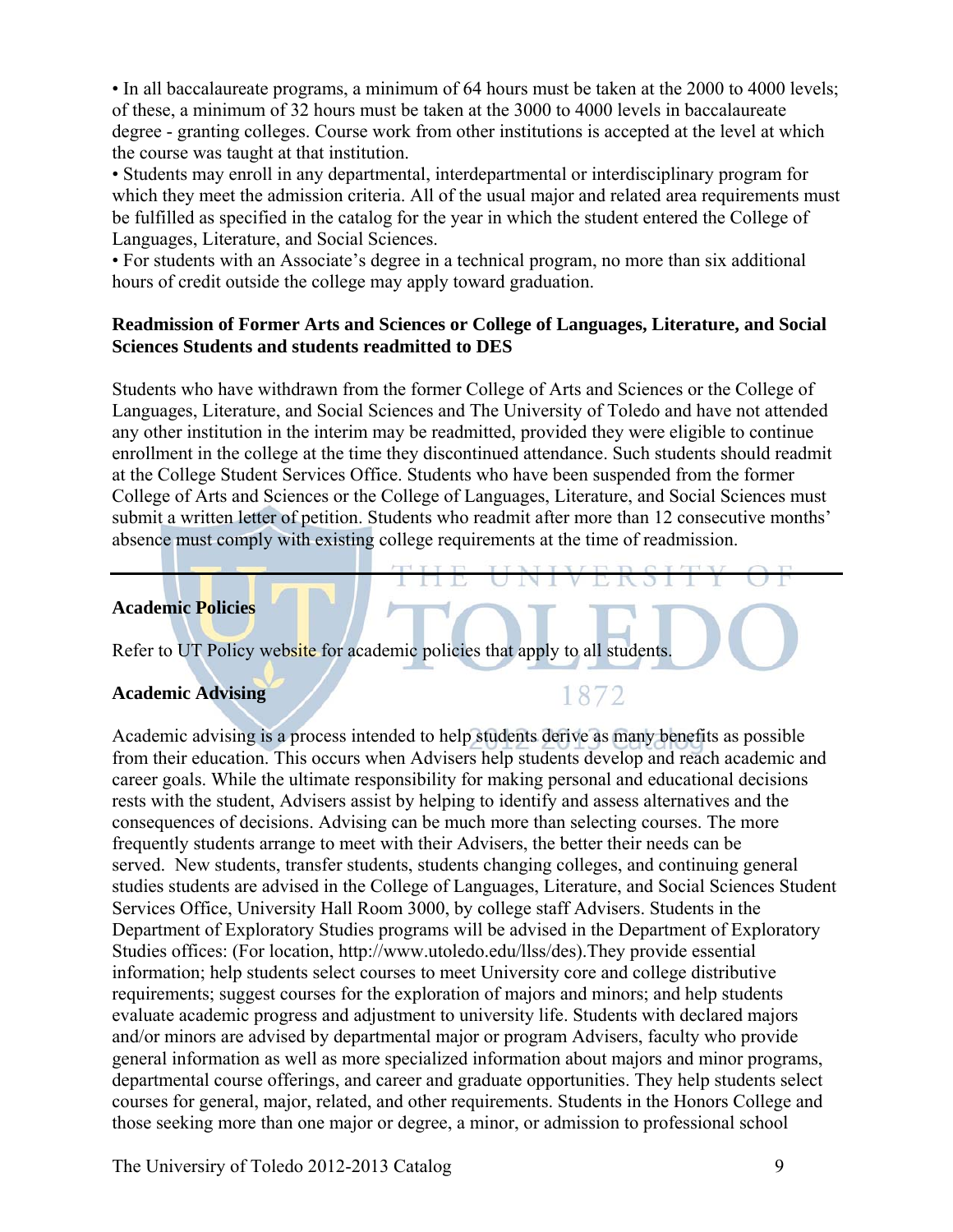• In all baccalaureate programs, a minimum of 64 hours must be taken at the 2000 to 4000 levels; of these, a minimum of 32 hours must be taken at the 3000 to 4000 levels in baccalaureate degree - granting colleges. Course work from other institutions is accepted at the level at which the course was taught at that institution.

• Students may enroll in any departmental, interdepartmental or interdisciplinary program for which they meet the admission criteria. All of the usual major and related area requirements must be fulfilled as specified in the catalog for the year in which the student entered the College of Languages, Literature, and Social Sciences.

• For students with an Associate's degree in a technical program, no more than six additional hours of credit outside the college may apply toward graduation.

### **Readmission of Former Arts and Sciences or College of Languages, Literature, and Social Sciences Students and students readmitted to DES**

Students who have withdrawn from the former College of Arts and Sciences or the College of Languages, Literature, and Social Sciences and The University of Toledo and have not attended any other institution in the interim may be readmitted, provided they were eligible to continue enrollment in the college at the time they discontinued attendance. Such students should readmit at the College Student Services Office. Students who have been suspended from the former College of Arts and Sciences or the College of Languages, Literature, and Social Sciences must submit a written letter of petition. Students who readmit after more than 12 consecutive months' absence must comply with existing college requirements at the time of readmission.

### **Academic Policies**

Refer to UT Policy website for academic policies that apply to all students.

### **Academic Advising**

### 1872

Academic advising is a process intended to help students derive as many benefits as possible from their education. This occurs when Advisers help students develop and reach academic and career goals. While the ultimate responsibility for making personal and educational decisions rests with the student, Advisers assist by helping to identify and assess alternatives and the consequences of decisions. Advising can be much more than selecting courses. The more frequently students arrange to meet with their Advisers, the better their needs can be served. New students, transfer students, students changing colleges, and continuing general studies students are advised in the College of Languages, Literature, and Social Sciences Student Services Office, University Hall Room 3000, by college staff Advisers. Students in the Department of Exploratory Studies programs will be advised in the Department of Exploratory Studies offices: (For location, http://www.utoledo.edu/llss/des).They provide essential information; help students select courses to meet University core and college distributive requirements; suggest courses for the exploration of majors and minors; and help students evaluate academic progress and adjustment to university life. Students with declared majors and/or minors are advised by departmental major or program Advisers, faculty who provide general information as well as more specialized information about majors and minor programs, departmental course offerings, and career and graduate opportunities. They help students select courses for general, major, related, and other requirements. Students in the Honors College and those seeking more than one major or degree, a minor, or admission to professional school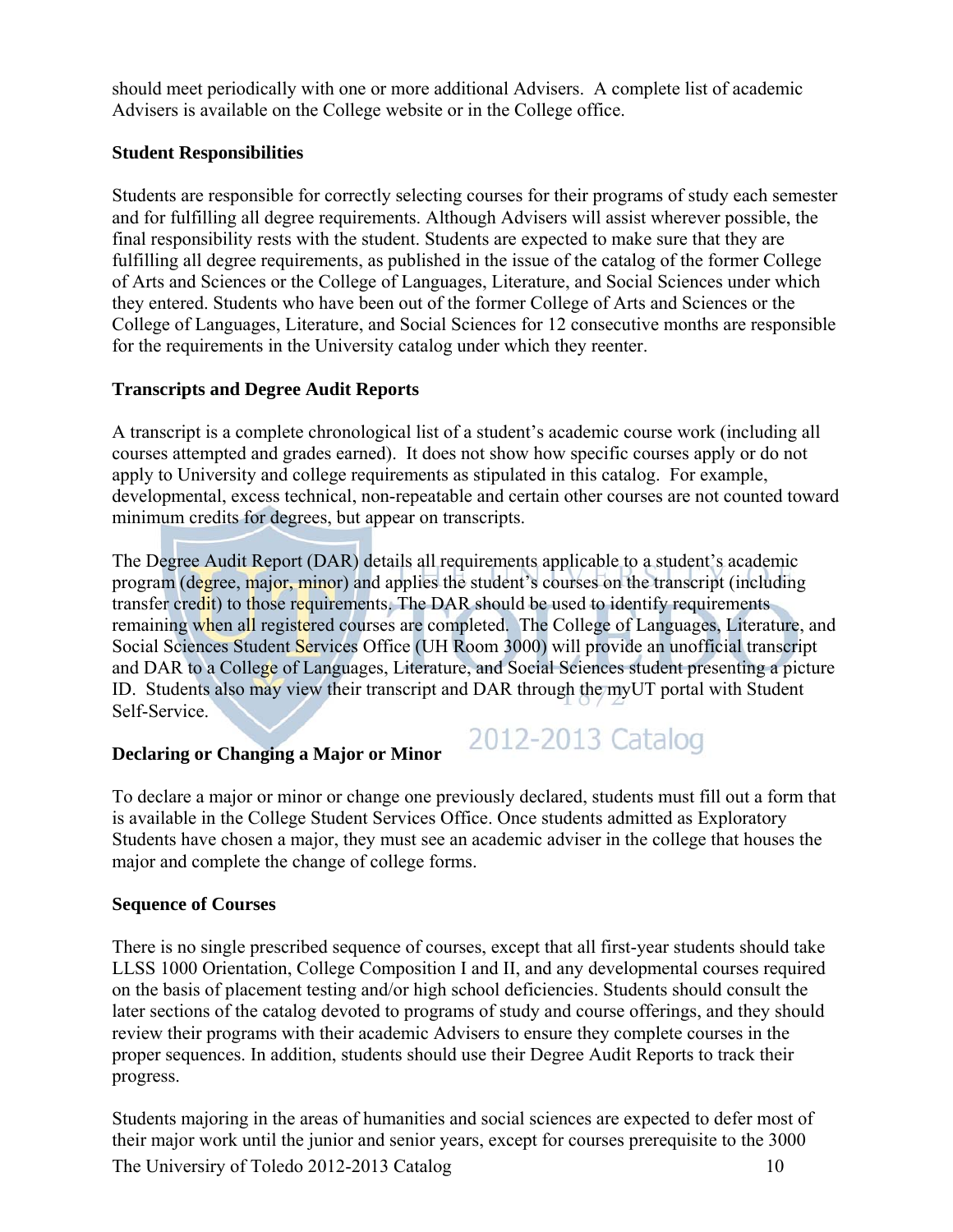should meet periodically with one or more additional Advisers. A complete list of academic Advisers is available on the College website or in the College office.

### **Student Responsibilities**

Students are responsible for correctly selecting courses for their programs of study each semester and for fulfilling all degree requirements. Although Advisers will assist wherever possible, the final responsibility rests with the student. Students are expected to make sure that they are fulfilling all degree requirements, as published in the issue of the catalog of the former College of Arts and Sciences or the College of Languages, Literature, and Social Sciences under which they entered. Students who have been out of the former College of Arts and Sciences or the College of Languages, Literature, and Social Sciences for 12 consecutive months are responsible for the requirements in the University catalog under which they reenter.

### **Transcripts and Degree Audit Reports**

A transcript is a complete chronological list of a student's academic course work (including all courses attempted and grades earned). It does not show how specific courses apply or do not apply to University and college requirements as stipulated in this catalog. For example, developmental, excess technical, non-repeatable and certain other courses are not counted toward minimum credits for degrees, but appear on transcripts.

The Degree Audit Report (DAR) details all requirements applicable to a student's academic program (degree, major, minor) and applies the student's courses on the transcript (including transfer credit) to those requirements. The DAR should be used to identify requirements remaining when all registered courses are completed. The College of Languages, Literature, and Social Sciences Student Services Office (UH Room 3000) will provide an unofficial transcript and DAR to a College of Languages, Literature, and Social Sciences student presenting a picture ID. Students also may view their transcript and DAR through the myUT portal with Student Self-Service.

### **Declaring or Changing a Major or Minor**

To declare a major or minor or change one previously declared, students must fill out a form that is available in the College Student Services Office. Once students admitted as Exploratory Students have chosen a major, they must see an academic adviser in the college that houses the major and complete the change of college forms.

2012-2013 Catalog

### **Sequence of Courses**

There is no single prescribed sequence of courses, except that all first-year students should take LLSS 1000 Orientation, College Composition I and II, and any developmental courses required on the basis of placement testing and/or high school deficiencies. Students should consult the later sections of the catalog devoted to programs of study and course offerings, and they should review their programs with their academic Advisers to ensure they complete courses in the proper sequences. In addition, students should use their Degree Audit Reports to track their progress.

The Universiry of Toledo 2012-2013 Catalog 10 Students majoring in the areas of humanities and social sciences are expected to defer most of their major work until the junior and senior years, except for courses prerequisite to the 3000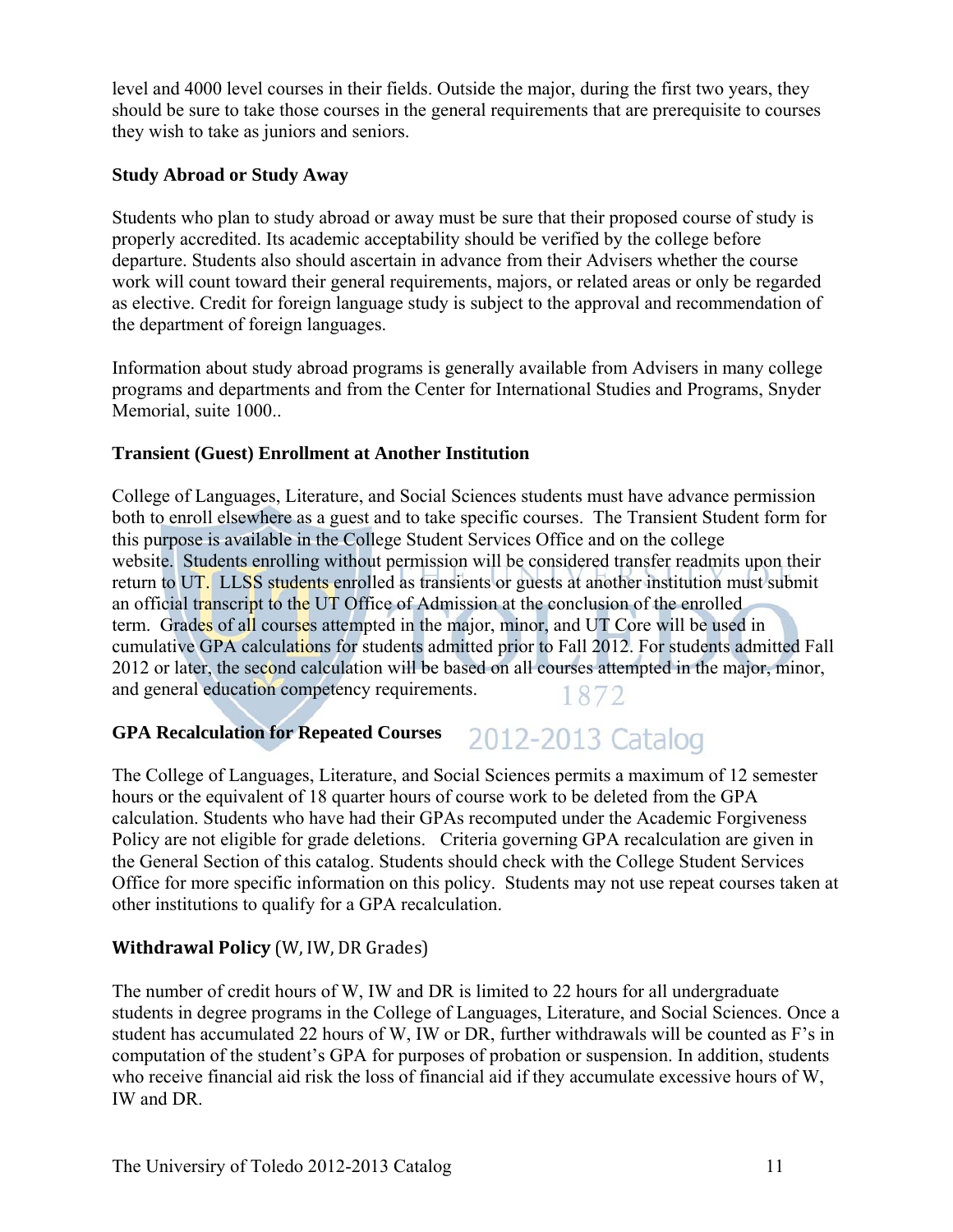level and 4000 level courses in their fields. Outside the major, during the first two years, they should be sure to take those courses in the general requirements that are prerequisite to courses they wish to take as juniors and seniors.

### **Study Abroad or Study Away**

Students who plan to study abroad or away must be sure that their proposed course of study is properly accredited. Its academic acceptability should be verified by the college before departure. Students also should ascertain in advance from their Advisers whether the course work will count toward their general requirements, majors, or related areas or only be regarded as elective. Credit for foreign language study is subject to the approval and recommendation of the department of foreign languages.

Information about study abroad programs is generally available from Advisers in many college programs and departments and from the Center for International Studies and Programs, Snyder Memorial, suite 1000..

### **Transient (Guest) Enrollment at Another Institution**

College of Languages, Literature, and Social Sciences students must have advance permission both to enroll elsewhere as a guest and to take specific courses. The Transient Student form for this purpose is available in the College Student Services Office and on the college website. Students enrolling without permission will be considered transfer readmits upon their return to UT. LLSS students enrolled as transients or guests at another institution must submit an official transcript to the UT Office of Admission at the conclusion of the enrolled term. Grades of all courses attempted in the major, minor, and UT Core will be used in cumulative GPA calculations for students admitted prior to Fall 2012. For students admitted Fall 2012 or later, the second calculation will be based on all courses attempted in the major, minor, and general education competency requirements. 1872

#### **GPA Recalculation for Repeated Courses**  2012-2013 Catalog

The College of Languages, Literature, and Social Sciences permits a maximum of 12 semester hours or the equivalent of 18 quarter hours of course work to be deleted from the GPA calculation. Students who have had their GPAs recomputed under the Academic Forgiveness Policy are not eligible for grade deletions. Criteria governing GPA recalculation are given in the General Section of this catalog. Students should check with the College Student Services Office for more specific information on this policy. Students may not use repeat courses taken at other institutions to qualify for a GPA recalculation.

### **Withdrawal Policy** (W, IW, DR Grades)

The number of credit hours of W, IW and DR is limited to 22 hours for all undergraduate students in degree programs in the College of Languages, Literature, and Social Sciences. Once a student has accumulated 22 hours of W, IW or DR, further withdrawals will be counted as F's in computation of the student's GPA for purposes of probation or suspension. In addition, students who receive financial aid risk the loss of financial aid if they accumulate excessive hours of W, IW and DR.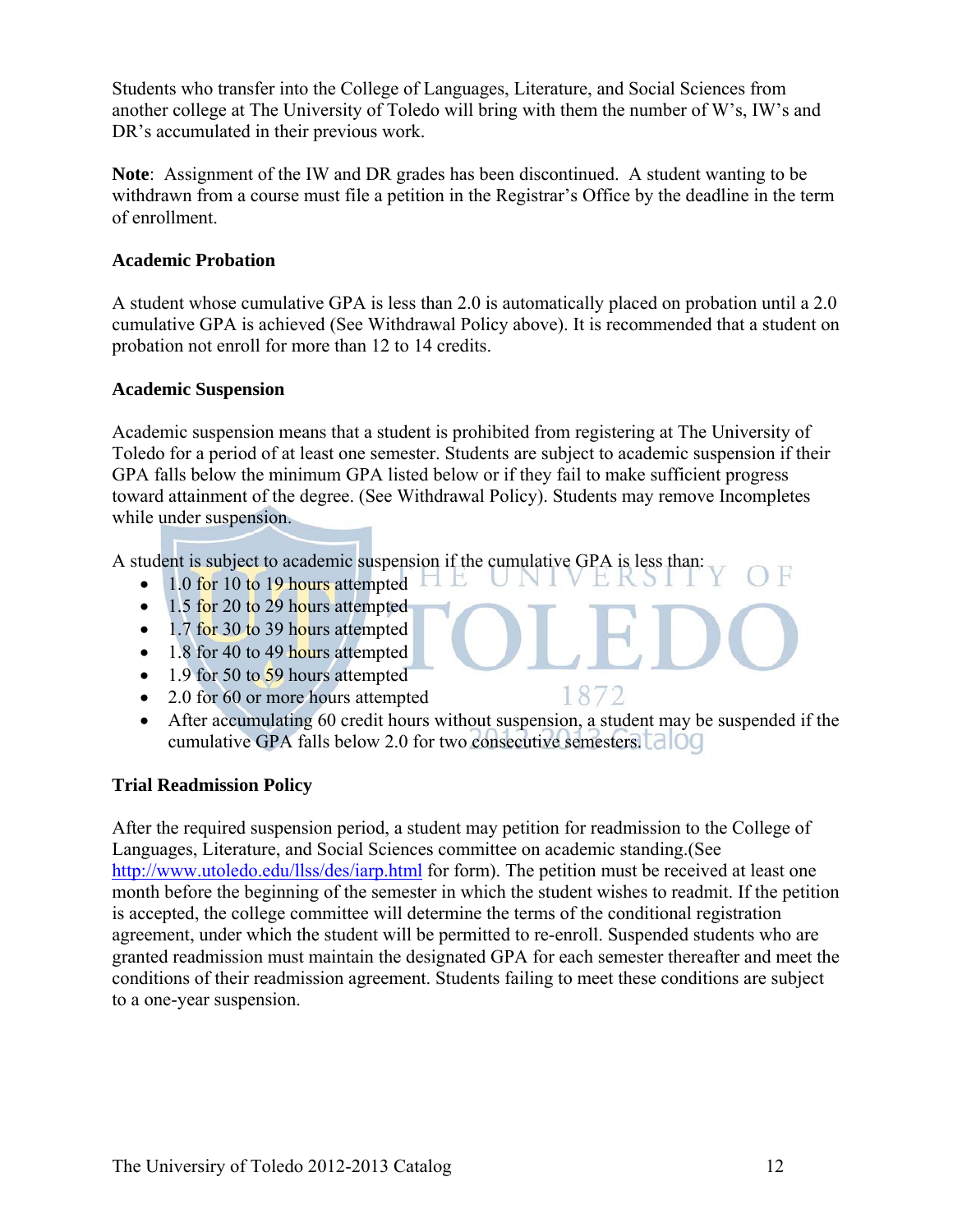Students who transfer into the College of Languages, Literature, and Social Sciences from another college at The University of Toledo will bring with them the number of W's, IW's and DR's accumulated in their previous work.

**Note**: Assignment of the IW and DR grades has been discontinued. A student wanting to be withdrawn from a course must file a petition in the Registrar's Office by the deadline in the term of enrollment.

### **Academic Probation**

A student whose cumulative GPA is less than 2.0 is automatically placed on probation until a 2.0 cumulative GPA is achieved (See Withdrawal Policy above). It is recommended that a student on probation not enroll for more than 12 to 14 credits.

### **Academic Suspension**

Academic suspension means that a student is prohibited from registering at The University of Toledo for a period of at least one semester. Students are subject to academic suspension if their GPA falls below the minimum GPA listed below or if they fail to make sufficient progress toward attainment of the degree. (See Withdrawal Policy). Students may remove Incompletes while under suspension.

A student is subject to academic suspension if the cumulative GPA is less than: B

- 1.0 for 10 to 19 hours attempted
- $\bullet$  1.5 for 20 to 29 hours attempted
- $\bullet$  1.7 for 30 to 39 hours attempted
- $\bullet$  1.8 for 40 to 49 hours attempted
- $\bullet$  1.9 for 50 to 59 hours attempted
- 2.0 for 60 or more hours attempted
- After accumulating 60 credit hours without suspension, a student may be suspended if the cumulative GPA falls below 2.0 for two consecutive semesters.

1872

### **Trial Readmission Policy**

After the required suspension period, a student may petition for readmission to the College of Languages, Literature, and Social Sciences committee on academic standing.(See http://www.utoledo.edu/llss/des/iarp.html for form). The petition must be received at least one month before the beginning of the semester in which the student wishes to readmit. If the petition is accepted, the college committee will determine the terms of the conditional registration agreement, under which the student will be permitted to re-enroll. Suspended students who are granted readmission must maintain the designated GPA for each semester thereafter and meet the conditions of their readmission agreement. Students failing to meet these conditions are subject to a one-year suspension.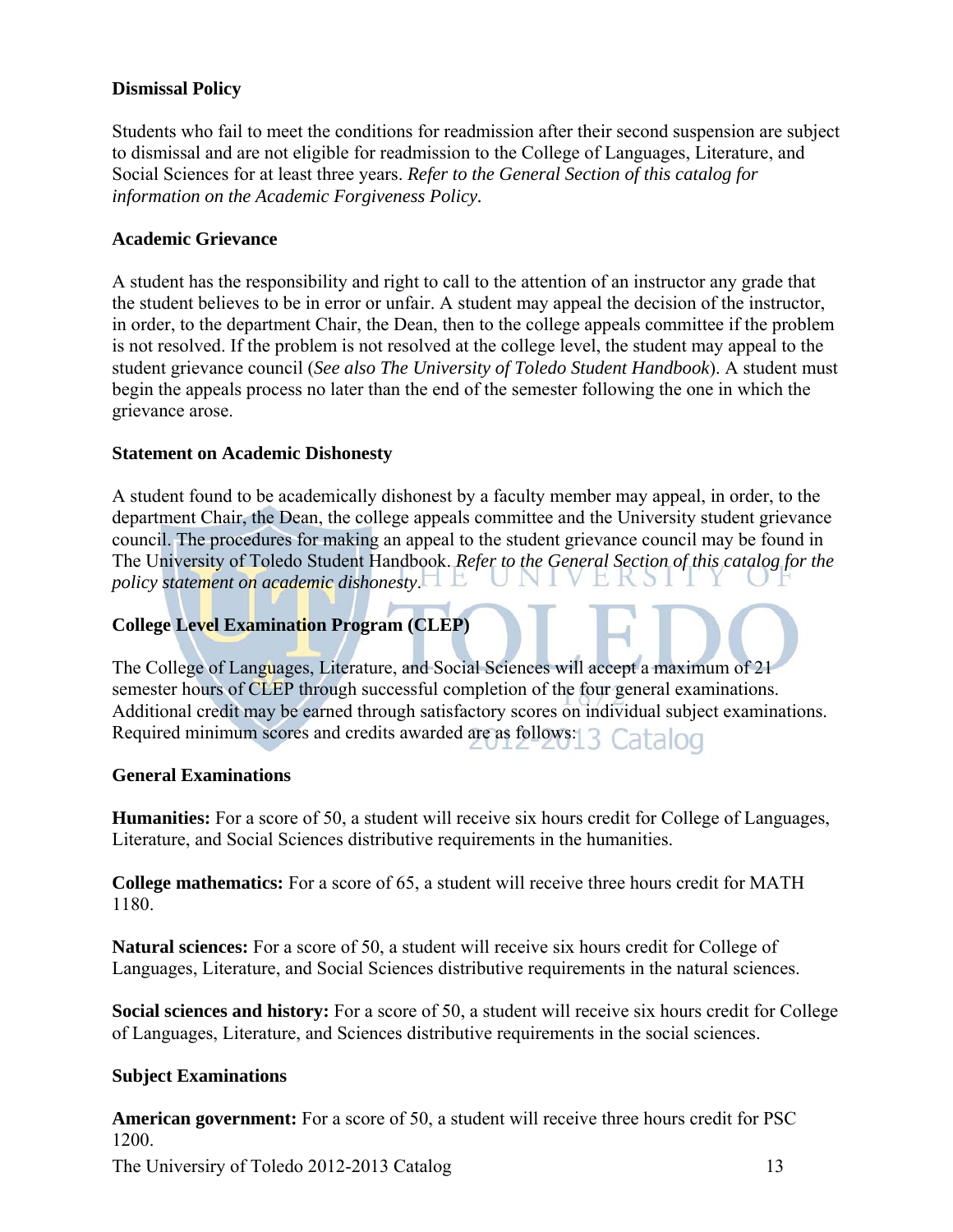### **Dismissal Policy**

Students who fail to meet the conditions for readmission after their second suspension are subject to dismissal and are not eligible for readmission to the College of Languages, Literature, and Social Sciences for at least three years. *Refer to the General Section of this catalog for information on the Academic Forgiveness Policy.* 

### **Academic Grievance**

A student has the responsibility and right to call to the attention of an instructor any grade that the student believes to be in error or unfair. A student may appeal the decision of the instructor, in order, to the department Chair, the Dean, then to the college appeals committee if the problem is not resolved. If the problem is not resolved at the college level, the student may appeal to the student grievance council (*See also The University of Toledo Student Handbook*). A student must begin the appeals process no later than the end of the semester following the one in which the grievance arose.

### **Statement on Academic Dishonesty**

A student found to be academically dishonest by a faculty member may appeal, in order, to the department Chair, the Dean, the college appeals committee and the University student grievance council. The procedures for making an appeal to the student grievance council may be found in The University of Toledo Student Handbook. *Refer to the General Section of this catalog for the policy statement on academic dishonesty*.

### **College Level Examination Program (CLEP)**

The College of Languages, Literature, and Social Sciences will accept a maximum of 21 semester hours of CLEP through successful completion of the four general examinations. Additional credit may be earned through satisfactory scores on individual subject examinations. Required minimum scores and credits awarded are as follows: 3 Catalog

### **General Examinations**

**Humanities:** For a score of 50, a student will receive six hours credit for College of Languages, Literature, and Social Sciences distributive requirements in the humanities.

**College mathematics:** For a score of 65, a student will receive three hours credit for MATH 1180.

**Natural sciences:** For a score of 50, a student will receive six hours credit for College of Languages, Literature, and Social Sciences distributive requirements in the natural sciences.

**Social sciences and history:** For a score of 50, a student will receive six hours credit for College of Languages, Literature, and Sciences distributive requirements in the social sciences.

### **Subject Examinations**

**American government:** For a score of 50, a student will receive three hours credit for PSC 1200.

The University of Toledo 2012-2013 Catalog 13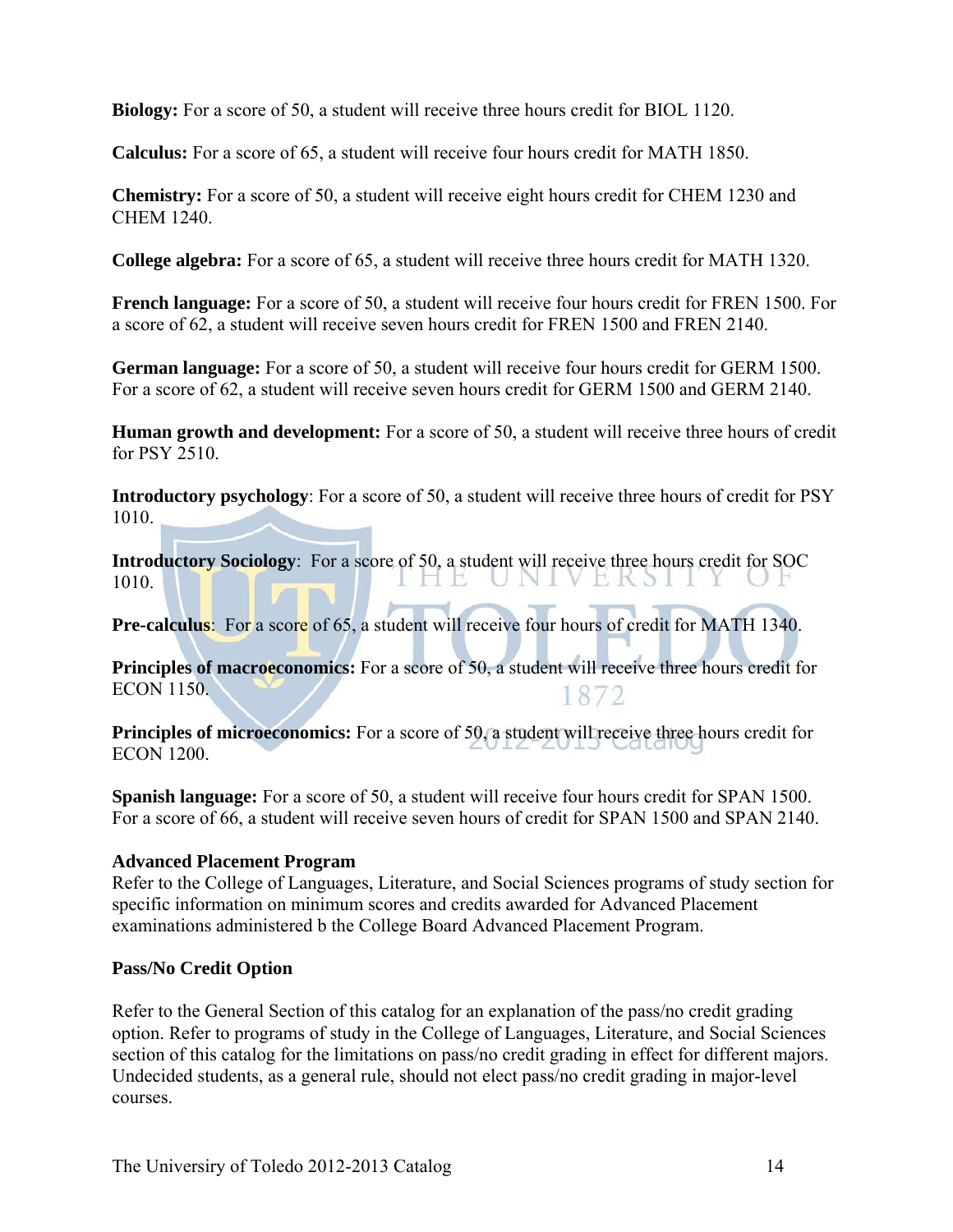**Biology:** For a score of 50, a student will receive three hours credit for BIOL 1120.

**Calculus:** For a score of 65, a student will receive four hours credit for MATH 1850.

**Chemistry:** For a score of 50, a student will receive eight hours credit for CHEM 1230 and CHEM 1240.

**College algebra:** For a score of 65, a student will receive three hours credit for MATH 1320.

**French language:** For a score of 50, a student will receive four hours credit for FREN 1500. For a score of 62, a student will receive seven hours credit for FREN 1500 and FREN 2140.

**German language:** For a score of 50, a student will receive four hours credit for GERM 1500. For a score of 62, a student will receive seven hours credit for GERM 1500 and GERM 2140.

**Human growth and development:** For a score of 50, a student will receive three hours of credit for PSY 2510.

**Introductory psychology**: For a score of 50, a student will receive three hours of credit for PSY 1010.

**Introductory Sociology**: For a score of 50, a student will receive three hours credit for SOC 1010. I HE UNIVERSII Y OF

**Pre-calculus:** For a score of 65, a student will receive four hours of credit for MATH 1340.

**Principles of macroeconomics:** For a score of 50, a student will receive three hours credit for ECON 1150. 1872

**Principles of microeconomics:** For a score of 50, a student will receive three hours credit for ECON 1200.

**Spanish language:** For a score of 50, a student will receive four hours credit for SPAN 1500. For a score of 66, a student will receive seven hours of credit for SPAN 1500 and SPAN 2140.

### **Advanced Placement Program**

Refer to the College of Languages, Literature, and Social Sciences programs of study section for specific information on minimum scores and credits awarded for Advanced Placement examinations administered b the College Board Advanced Placement Program.

### **Pass/No Credit Option**

Refer to the General Section of this catalog for an explanation of the pass/no credit grading option. Refer to programs of study in the College of Languages, Literature, and Social Sciences section of this catalog for the limitations on pass/no credit grading in effect for different majors. Undecided students, as a general rule, should not elect pass/no credit grading in major-level courses.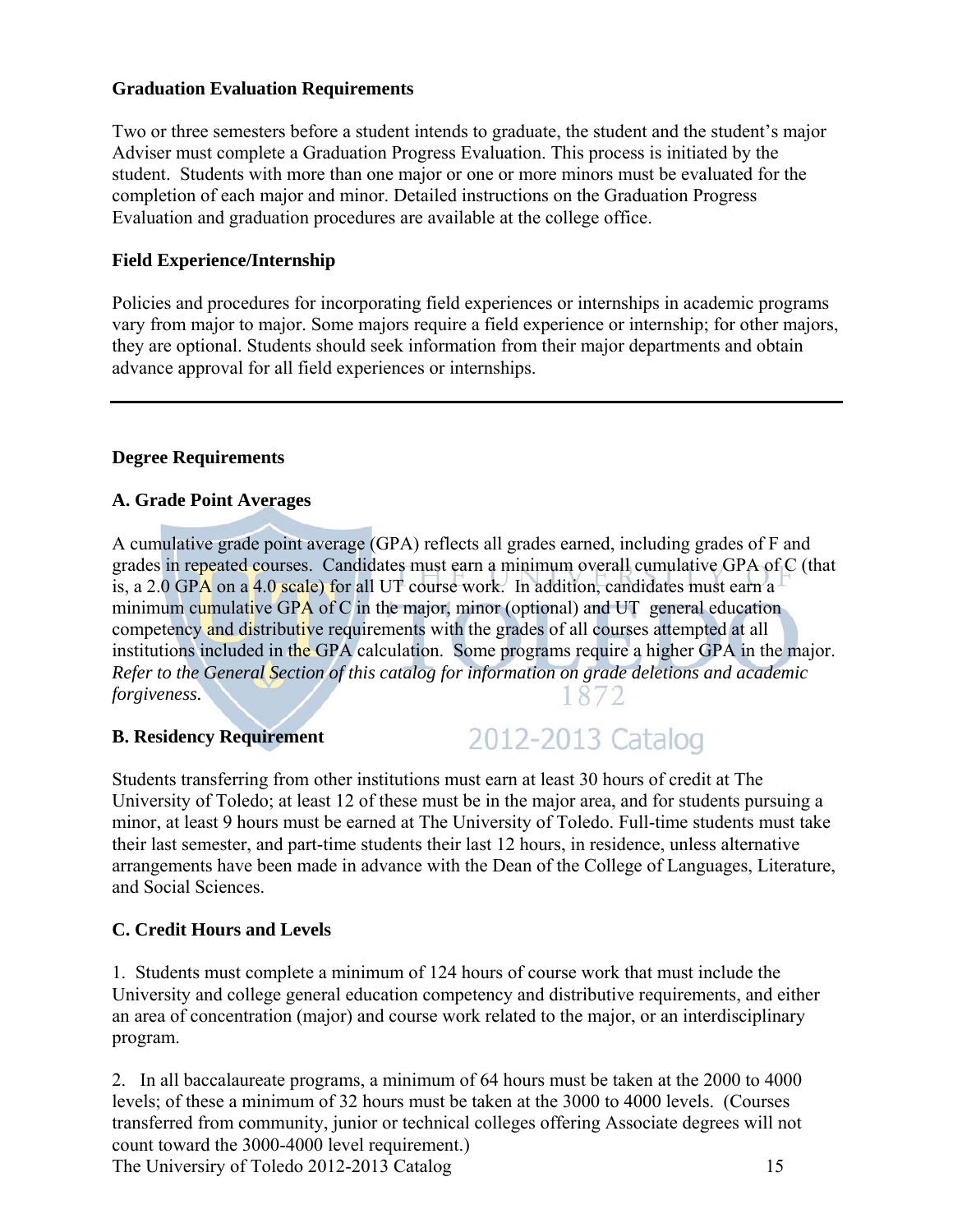### **Graduation Evaluation Requirements**

Two or three semesters before a student intends to graduate, the student and the student's major Adviser must complete a Graduation Progress Evaluation. This process is initiated by the student. Students with more than one major or one or more minors must be evaluated for the completion of each major and minor. Detailed instructions on the Graduation Progress Evaluation and graduation procedures are available at the college office.

### **Field Experience/Internship**

Policies and procedures for incorporating field experiences or internships in academic programs vary from major to major. Some majors require a field experience or internship; for other majors, they are optional. Students should seek information from their major departments and obtain advance approval for all field experiences or internships.

### **Degree Requirements**

### **A. Grade Point Averages**

A cumulative grade point average (GPA) reflects all grades earned, including grades of F and grades in repeated courses. Candidates must earn a minimum overall cumulative GPA of C (that is, a 2.0 GPA on a 4.0 scale) for all UT course work. In addition, candidates must earn a minimum cumulative GPA of C in the major, minor (optional) and UT general education competency and distributive requirements with the grades of all courses attempted at all institutions included in the GPA calculation. Some programs require a higher GPA in the major. *Refer to the General Section of this catalog for information on grade deletions and academic forgiveness.* 1872

### **B. Residency Requirement**

## 2012-2013 Catalog

Students transferring from other institutions must earn at least 30 hours of credit at The University of Toledo; at least 12 of these must be in the major area, and for students pursuing a minor, at least 9 hours must be earned at The University of Toledo. Full-time students must take their last semester, and part-time students their last 12 hours, in residence, unless alternative arrangements have been made in advance with the Dean of the College of Languages, Literature, and Social Sciences.

### **C. Credit Hours and Levels**

1. Students must complete a minimum of 124 hours of course work that must include the University and college general education competency and distributive requirements, and either an area of concentration (major) and course work related to the major, or an interdisciplinary program.

2. In all baccalaureate programs, a minimum of 64 hours must be taken at the 2000 to 4000 levels; of these a minimum of 32 hours must be taken at the 3000 to 4000 levels. (Courses transferred from community, junior or technical colleges offering Associate degrees will not count toward the 3000-4000 level requirement.)

The Universiry of Toledo 2012-2013 Catalog 15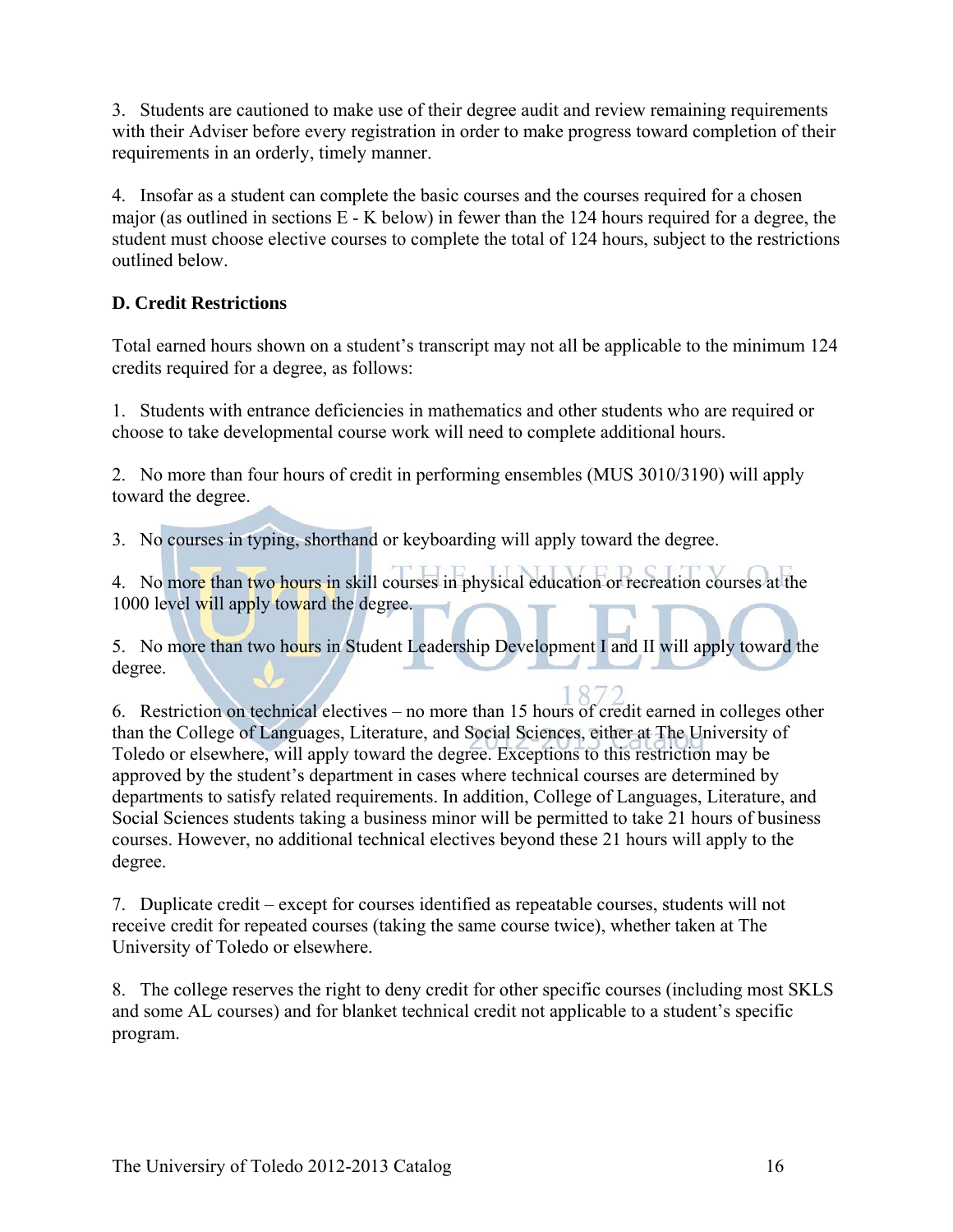3. Students are cautioned to make use of their degree audit and review remaining requirements with their Adviser before every registration in order to make progress toward completion of their requirements in an orderly, timely manner.

4. Insofar as a student can complete the basic courses and the courses required for a chosen major (as outlined in sections E - K below) in fewer than the 124 hours required for a degree, the student must choose elective courses to complete the total of 124 hours, subject to the restrictions outlined below.

### **D. Credit Restrictions**

Total earned hours shown on a student's transcript may not all be applicable to the minimum 124 credits required for a degree, as follows:

1. Students with entrance deficiencies in mathematics and other students who are required or choose to take developmental course work will need to complete additional hours.

2. No more than four hours of credit in performing ensembles (MUS 3010/3190) will apply toward the degree.

3. No courses in typing, shorthand or keyboarding will apply toward the degree.

4. No more than two hours in skill courses in physical education or recreation courses at the 1000 level will apply toward the degree.

5. No more than two hours in Student Leadership Development I and II will apply toward the degree.

6. Restriction on technical electives – no more than 15 hours of credit earned in colleges other than the College of Languages, Literature, and Social Sciences, either at The University of Toledo or elsewhere, will apply toward the degree. Exceptions to this restriction may be approved by the student's department in cases where technical courses are determined by departments to satisfy related requirements. In addition, College of Languages, Literature, and Social Sciences students taking a business minor will be permitted to take 21 hours of business courses. However, no additional technical electives beyond these 21 hours will apply to the degree.

7. Duplicate credit – except for courses identified as repeatable courses, students will not receive credit for repeated courses (taking the same course twice), whether taken at The University of Toledo or elsewhere.

8. The college reserves the right to deny credit for other specific courses (including most SKLS and some AL courses) and for blanket technical credit not applicable to a student's specific program.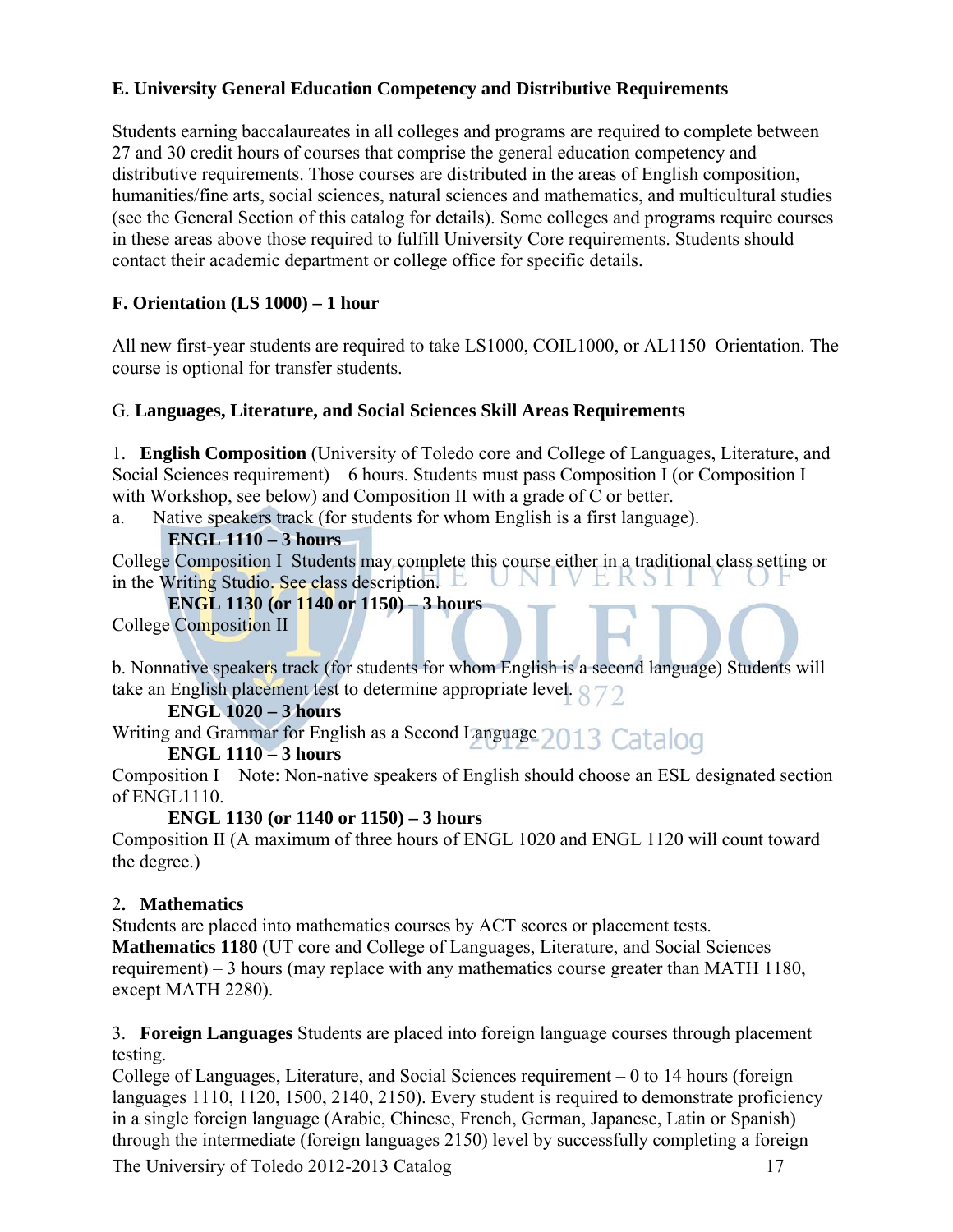### **E. University General Education Competency and Distributive Requirements**

Students earning baccalaureates in all colleges and programs are required to complete between 27 and 30 credit hours of courses that comprise the general education competency and distributive requirements. Those courses are distributed in the areas of English composition, humanities/fine arts, social sciences, natural sciences and mathematics, and multicultural studies (see the General Section of this catalog for details). Some colleges and programs require courses in these areas above those required to fulfill University Core requirements. Students should contact their academic department or college office for specific details.

### **F. Orientation (LS 1000) – 1 hour**

All new first-year students are required to take LS1000, COIL1000, or AL1150 Orientation. The course is optional for transfer students.

### G. **Languages, Literature, and Social Sciences Skill Areas Requirements**

1. **English Composition** (University of Toledo core and College of Languages, Literature, and Social Sciences requirement) – 6 hours. Students must pass Composition I (or Composition I with Workshop, see below) and Composition II with a grade of C or better.

a. Native speakers track (for students for whom English is a first language).

### **ENGL 1110 – 3 hours**

College Composition I Students may complete this course either in a traditional class setting or<br>in the Writing Studio. See class description in the Writing Studio. See class description.

**ENGL 1130 (or 1140 or 1150) – 3 hours** 

College Composition II

b. Nonnative speakers track (for students for whom English is a second language) Students will take an English placement test to determine appropriate level.

### **ENGL 1020 – 3 hours**

Writing and Grammar for English as a Second Language 2013 Catalog

### **ENGL 1110 – 3 hours**

Composition I Note: Non-native speakers of English should choose an ESL designated section of ENGL1110.

### **ENGL 1130 (or 1140 or 1150) – 3 hours**

Composition II (A maximum of three hours of ENGL 1020 and ENGL 1120 will count toward the degree.)

### 2**. Mathematics**

Students are placed into mathematics courses by ACT scores or placement tests. **Mathematics 1180** (UT core and College of Languages, Literature, and Social Sciences requirement) – 3 hours (may replace with any mathematics course greater than MATH 1180, except MATH 2280).

3. **Foreign Languages** Students are placed into foreign language courses through placement testing.

College of Languages, Literature, and Social Sciences requirement – 0 to 14 hours (foreign languages 1110, 1120, 1500, 2140, 2150). Every student is required to demonstrate proficiency in a single foreign language (Arabic, Chinese, French, German, Japanese, Latin or Spanish) through the intermediate (foreign languages 2150) level by successfully completing a foreign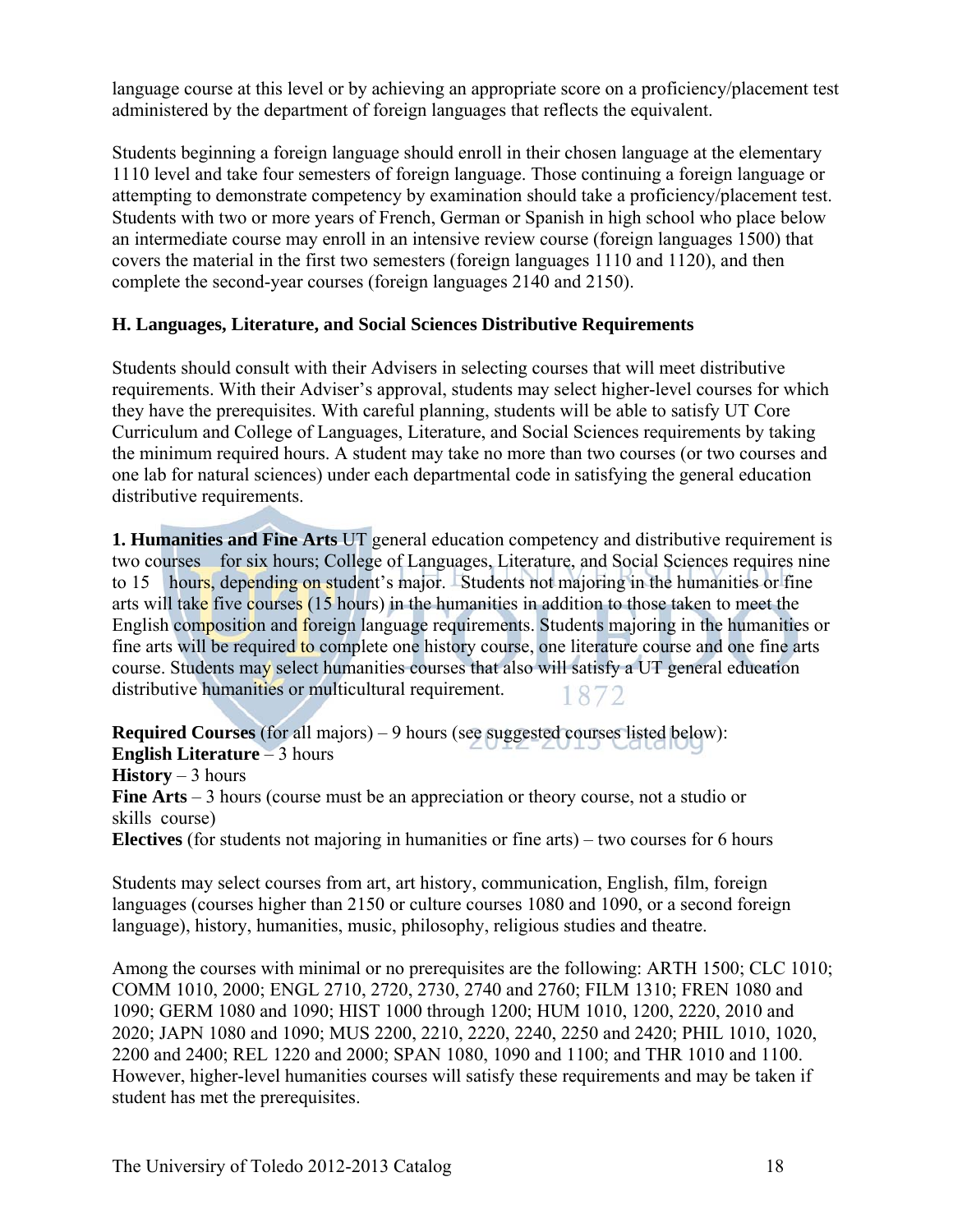language course at this level or by achieving an appropriate score on a proficiency/placement test administered by the department of foreign languages that reflects the equivalent.

Students beginning a foreign language should enroll in their chosen language at the elementary 1110 level and take four semesters of foreign language. Those continuing a foreign language or attempting to demonstrate competency by examination should take a proficiency/placement test. Students with two or more years of French, German or Spanish in high school who place below an intermediate course may enroll in an intensive review course (foreign languages 1500) that covers the material in the first two semesters (foreign languages 1110 and 1120), and then complete the second-year courses (foreign languages 2140 and 2150).

### **H. Languages, Literature, and Social Sciences Distributive Requirements**

Students should consult with their Advisers in selecting courses that will meet distributive requirements. With their Adviser's approval, students may select higher-level courses for which they have the prerequisites. With careful planning, students will be able to satisfy UT Core Curriculum and College of Languages, Literature, and Social Sciences requirements by taking the minimum required hours. A student may take no more than two courses (or two courses and one lab for natural sciences) under each departmental code in satisfying the general education distributive requirements.

**1. Humanities and Fine Arts** UT general education competency and distributive requirement is two courses for six hours; College of Languages, Literature, and Social Sciences requires nine to 15 hours, depending on student's major. Students not majoring in the humanities or fine arts will take five courses (15 hours) in the humanities in addition to those taken to meet the English composition and foreign language requirements. Students majoring in the humanities or fine arts will be required to complete one history course, one literature course and one fine arts course. Students may select humanities courses that also will satisfy a UT general education distributive humanities or multicultural requirement. 1872

**Required Courses** (for all majors) – 9 hours (see suggested courses listed below): **English Literature** – 3 hours **History** – 3 hours **Fine Arts** – 3 hours (course must be an appreciation or theory course, not a studio or skills course) **Electives** (for students not majoring in humanities or fine arts) – two courses for 6 hours

Students may select courses from art, art history, communication, English, film, foreign languages (courses higher than 2150 or culture courses 1080 and 1090, or a second foreign language), history, humanities, music, philosophy, religious studies and theatre.

Among the courses with minimal or no prerequisites are the following: ARTH 1500; CLC 1010; COMM 1010, 2000; ENGL 2710, 2720, 2730, 2740 and 2760; FILM 1310; FREN 1080 and 1090; GERM 1080 and 1090; HIST 1000 through 1200; HUM 1010, 1200, 2220, 2010 and 2020; JAPN 1080 and 1090; MUS 2200, 2210, 2220, 2240, 2250 and 2420; PHIL 1010, 1020, 2200 and 2400; REL 1220 and 2000; SPAN 1080, 1090 and 1100; and THR 1010 and 1100. However, higher-level humanities courses will satisfy these requirements and may be taken if student has met the prerequisites.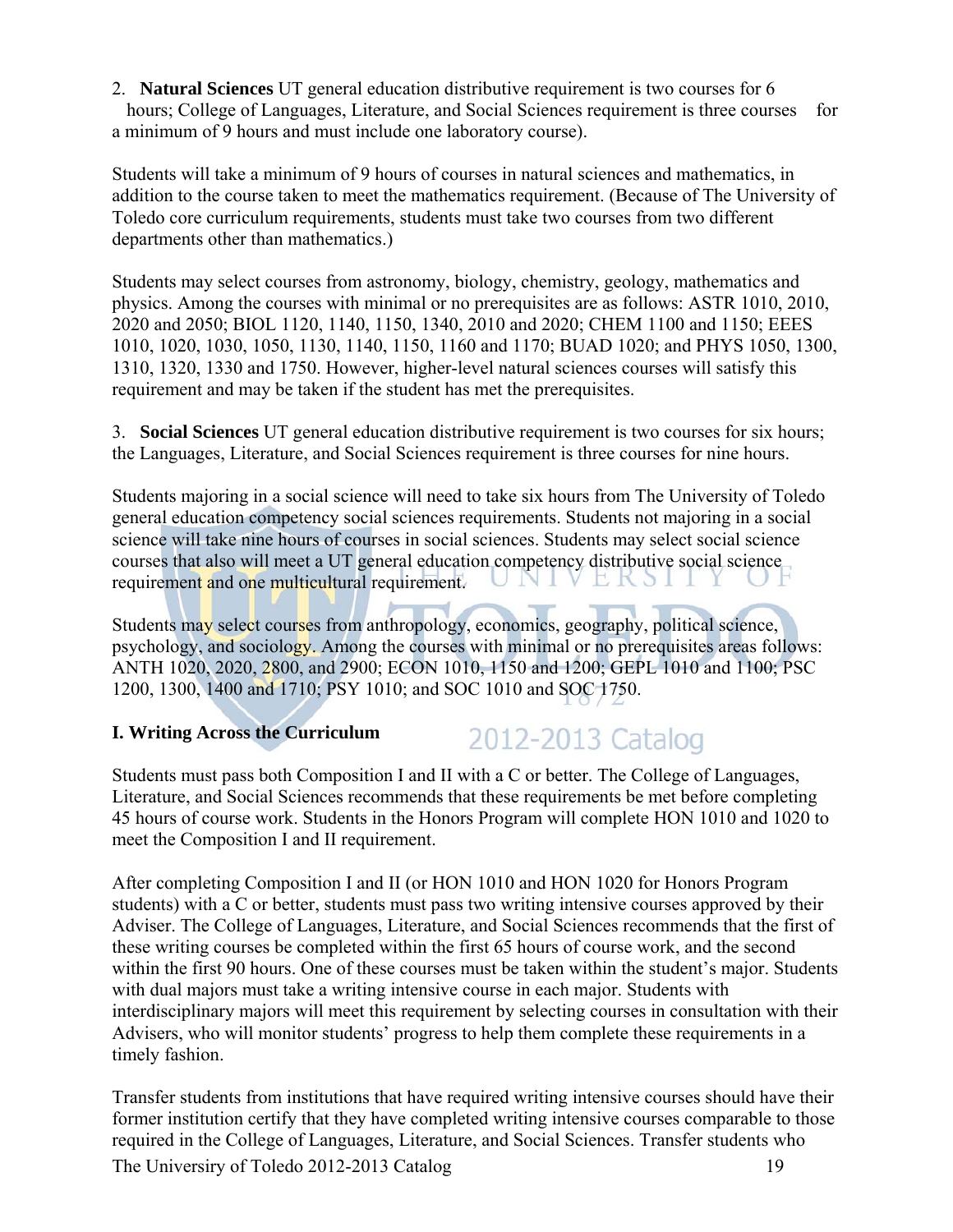2. **Natural Sciences** UT general education distributive requirement is two courses for 6 hours; College of Languages, Literature, and Social Sciences requirement is three courses for a minimum of 9 hours and must include one laboratory course).

Students will take a minimum of 9 hours of courses in natural sciences and mathematics, in addition to the course taken to meet the mathematics requirement. (Because of The University of Toledo core curriculum requirements, students must take two courses from two different departments other than mathematics.)

Students may select courses from astronomy, biology, chemistry, geology, mathematics and physics. Among the courses with minimal or no prerequisites are as follows: ASTR 1010, 2010, 2020 and 2050; BIOL 1120, 1140, 1150, 1340, 2010 and 2020; CHEM 1100 and 1150; EEES 1010, 1020, 1030, 1050, 1130, 1140, 1150, 1160 and 1170; BUAD 1020; and PHYS 1050, 1300, 1310, 1320, 1330 and 1750. However, higher-level natural sciences courses will satisfy this requirement and may be taken if the student has met the prerequisites.

3. **Social Sciences** UT general education distributive requirement is two courses for six hours; the Languages, Literature, and Social Sciences requirement is three courses for nine hours.

Students majoring in a social science will need to take six hours from The University of Toledo general education competency social sciences requirements. Students not majoring in a social science will take nine hours of courses in social sciences. Students may select social science courses that also will meet a UT general education competency distributive social science requirement and one multicultural requirement. E K S I

Students may select courses from anthropology, economics, geography, political science, psychology, and sociology. Among the courses with minimal or no prerequisites areas follows: ANTH 1020, 2020, 2800, and 2900; ECON 1010, 1150 and 1200; GEPL 1010 and 1100; PSC 1200, 1300, 1400 and 1710; PSY 1010; and SOC 1010 and SOC 1750.

### **I. Writing Across the Curriculum**

### 2012-2013 Catalog

Students must pass both Composition I and II with a C or better. The College of Languages, Literature, and Social Sciences recommends that these requirements be met before completing 45 hours of course work. Students in the Honors Program will complete HON 1010 and 1020 to meet the Composition I and II requirement.

After completing Composition I and II (or HON 1010 and HON 1020 for Honors Program students) with a C or better, students must pass two writing intensive courses approved by their Adviser. The College of Languages, Literature, and Social Sciences recommends that the first of these writing courses be completed within the first 65 hours of course work, and the second within the first 90 hours. One of these courses must be taken within the student's major. Students with dual majors must take a writing intensive course in each major. Students with interdisciplinary majors will meet this requirement by selecting courses in consultation with their Advisers, who will monitor students' progress to help them complete these requirements in a timely fashion.

The Universiry of Toledo 2012-2013 Catalog 19 Transfer students from institutions that have required writing intensive courses should have their former institution certify that they have completed writing intensive courses comparable to those required in the College of Languages, Literature, and Social Sciences. Transfer students who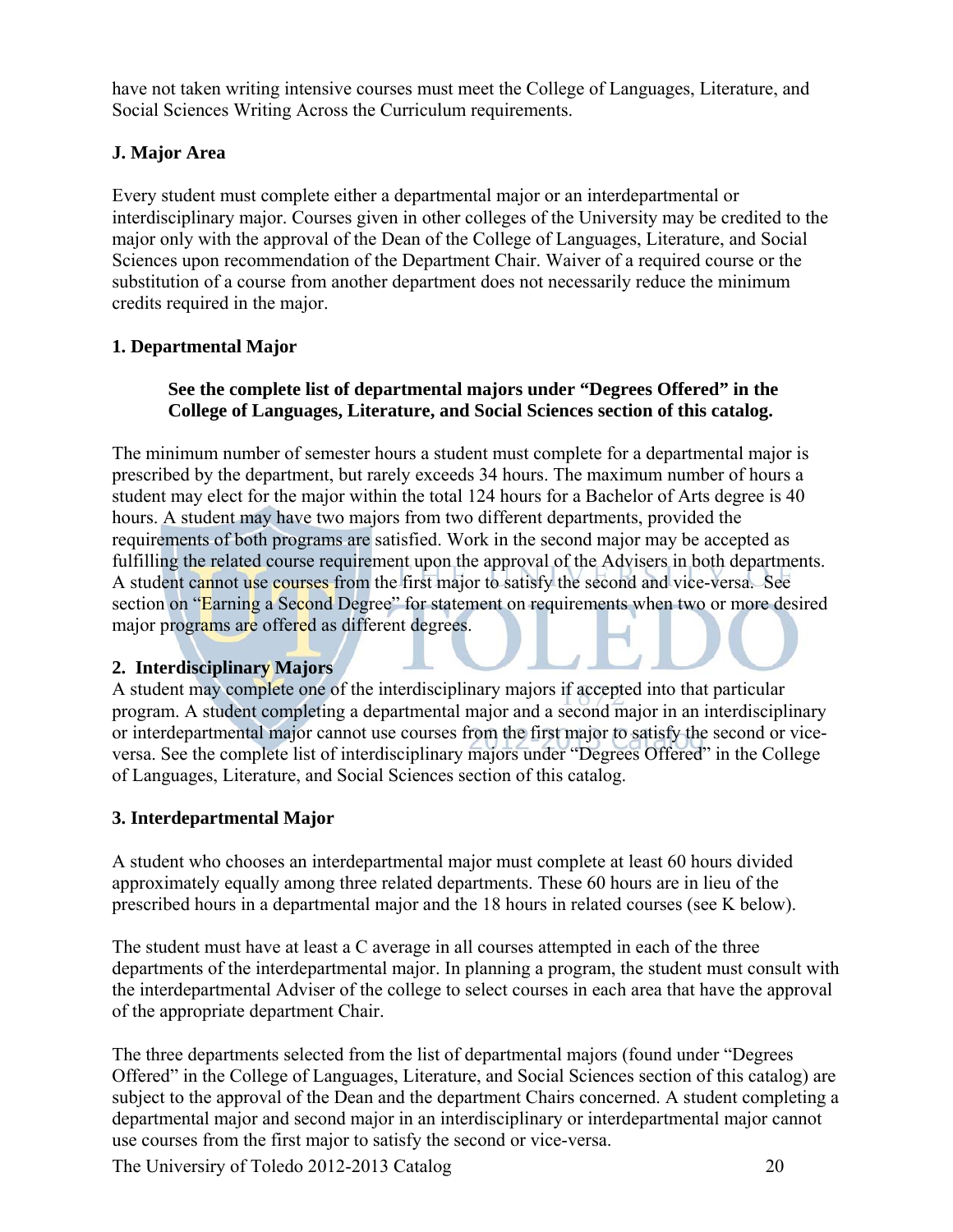have not taken writing intensive courses must meet the College of Languages, Literature, and Social Sciences Writing Across the Curriculum requirements.

### **J. Major Area**

Every student must complete either a departmental major or an interdepartmental or interdisciplinary major. Courses given in other colleges of the University may be credited to the major only with the approval of the Dean of the College of Languages, Literature, and Social Sciences upon recommendation of the Department Chair. Waiver of a required course or the substitution of a course from another department does not necessarily reduce the minimum credits required in the major.

### **1. Departmental Major**

### **See the complete list of departmental majors under "Degrees Offered" in the College of Languages, Literature, and Social Sciences section of this catalog.**

The minimum number of semester hours a student must complete for a departmental major is prescribed by the department, but rarely exceeds 34 hours. The maximum number of hours a student may elect for the major within the total 124 hours for a Bachelor of Arts degree is 40 hours. A student may have two majors from two different departments, provided the requirements of both programs are satisfied. Work in the second major may be accepted as fulfilling the related course requirement upon the approval of the Advisers in both departments. A student cannot use courses from the first major to satisfy the second and vice-versa. See section on "Earning a Second Degree" for statement on requirements when two or more desired major programs are offered as different degrees.

### **2. Interdisciplinary Majors**

A student may complete one of the interdisciplinary majors if accepted into that particular program. A student completing a departmental major and a second major in an interdisciplinary or interdepartmental major cannot use courses from the first major to satisfy the second or viceversa. See the complete list of interdisciplinary majors under "Degrees Offered" in the College of Languages, Literature, and Social Sciences section of this catalog.

### **3. Interdepartmental Major**

A student who chooses an interdepartmental major must complete at least 60 hours divided approximately equally among three related departments. These 60 hours are in lieu of the prescribed hours in a departmental major and the 18 hours in related courses (see K below).

The student must have at least a C average in all courses attempted in each of the three departments of the interdepartmental major. In planning a program, the student must consult with the interdepartmental Adviser of the college to select courses in each area that have the approval of the appropriate department Chair.

The three departments selected from the list of departmental majors (found under "Degrees Offered" in the College of Languages, Literature, and Social Sciences section of this catalog) are subject to the approval of the Dean and the department Chairs concerned. A student completing a departmental major and second major in an interdisciplinary or interdepartmental major cannot use courses from the first major to satisfy the second or vice-versa.

The Universiry of Toledo 2012-2013 Catalog 20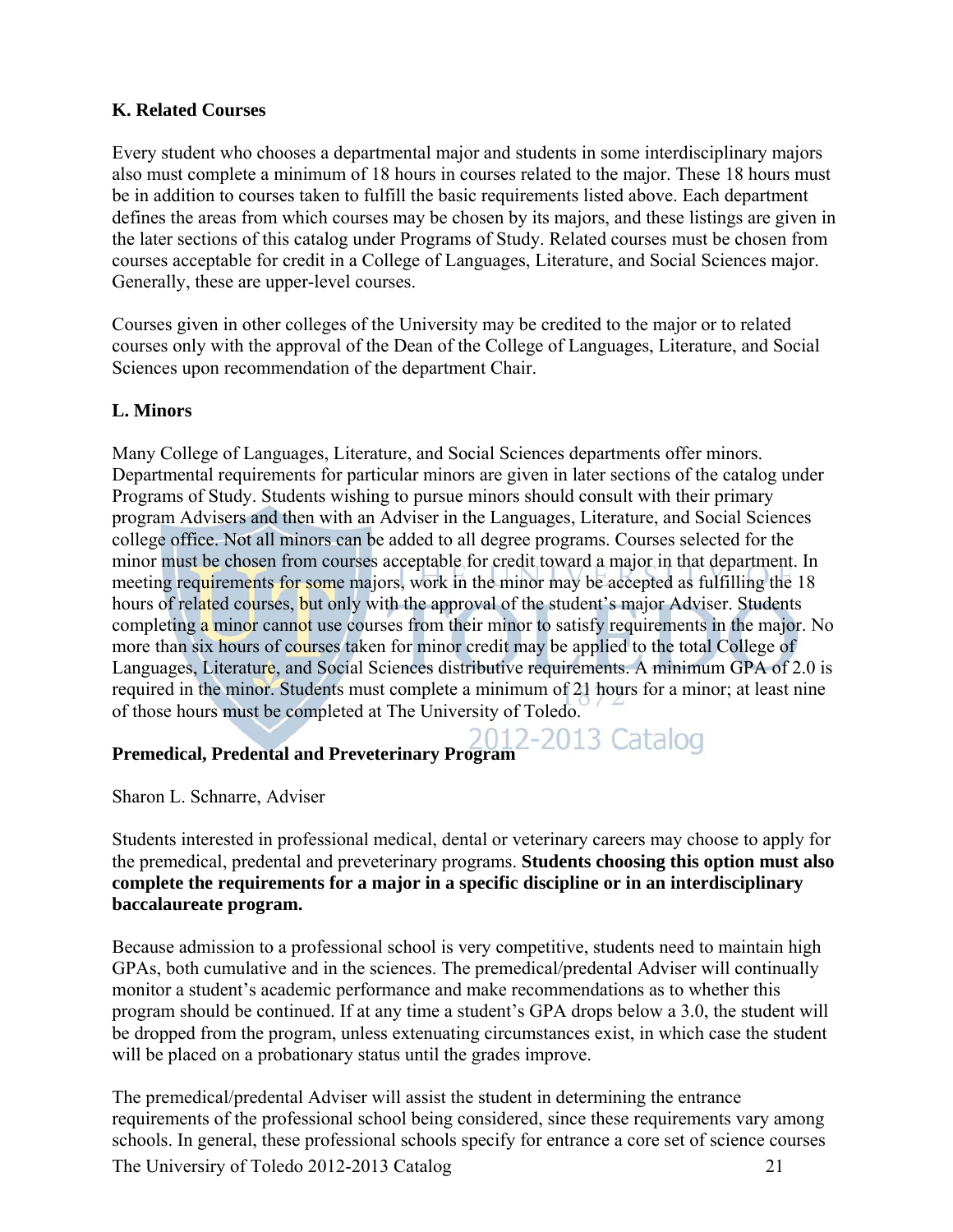### **K. Related Courses**

Every student who chooses a departmental major and students in some interdisciplinary majors also must complete a minimum of 18 hours in courses related to the major. These 18 hours must be in addition to courses taken to fulfill the basic requirements listed above. Each department defines the areas from which courses may be chosen by its majors, and these listings are given in the later sections of this catalog under Programs of Study. Related courses must be chosen from courses acceptable for credit in a College of Languages, Literature, and Social Sciences major. Generally, these are upper-level courses.

Courses given in other colleges of the University may be credited to the major or to related courses only with the approval of the Dean of the College of Languages, Literature, and Social Sciences upon recommendation of the department Chair.

### **L. Minors**

Many College of Languages, Literature, and Social Sciences departments offer minors. Departmental requirements for particular minors are given in later sections of the catalog under Programs of Study. Students wishing to pursue minors should consult with their primary program Advisers and then with an Adviser in the Languages, Literature, and Social Sciences college office. Not all minors can be added to all degree programs. Courses selected for the minor must be chosen from courses acceptable for credit toward a major in that department. In meeting requirements for some majors, work in the minor may be accepted as fulfilling the 18 hours of related courses, but only with the approval of the student's major Adviser. Students completing a minor cannot use courses from their minor to satisfy requirements in the major. No more than six hours of courses taken for minor credit may be applied to the total College of Languages, Literature, and Social Sciences distributive requirements. A minimum GPA of 2.0 is required in the minor. Students must complete a minimum of 21 hours for a minor; at least nine of those hours must be completed at The University of Toledo.

# **Premedical, Predental and Preveterinary Program**

Sharon L. Schnarre, Adviser

Students interested in professional medical, dental or veterinary careers may choose to apply for the premedical, predental and preveterinary programs. **Students choosing this option must also complete the requirements for a major in a specific discipline or in an interdisciplinary baccalaureate program.** 

Because admission to a professional school is very competitive, students need to maintain high GPAs, both cumulative and in the sciences. The premedical/predental Adviser will continually monitor a student's academic performance and make recommendations as to whether this program should be continued. If at any time a student's GPA drops below a 3.0, the student will be dropped from the program, unless extenuating circumstances exist, in which case the student will be placed on a probationary status until the grades improve.

The Universiry of Toledo 2012-2013 Catalog 21 The premedical/predental Adviser will assist the student in determining the entrance requirements of the professional school being considered, since these requirements vary among schools. In general, these professional schools specify for entrance a core set of science courses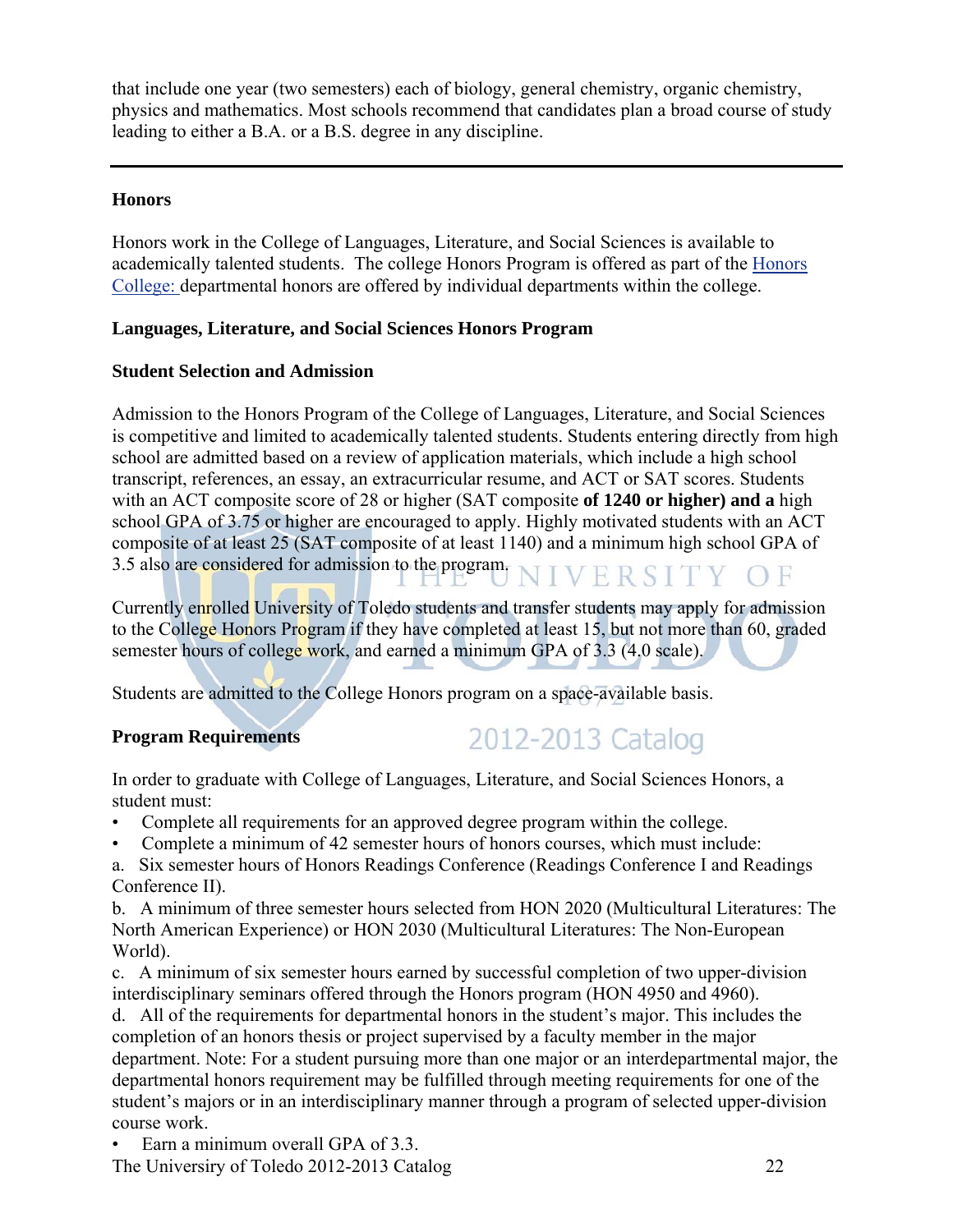that include one year (two semesters) each of biology, general chemistry, organic chemistry, physics and mathematics. Most schools recommend that candidates plan a broad course of study leading to either a B.A. or a B.S. degree in any discipline.

### **Honors**

Honors work in the College of Languages, Literature, and Social Sciences is available to academically talented students. The college Honors Program is offered as part of the Honors College: departmental honors are offered by individual departments within the college.

### **Languages, Literature, and Social Sciences Honors Program**

### **Student Selection and Admission**

Admission to the Honors Program of the College of Languages, Literature, and Social Sciences is competitive and limited to academically talented students. Students entering directly from high school are admitted based on a review of application materials, which include a high school transcript, references, an essay, an extracurricular resume, and ACT or SAT scores. Students with an ACT composite score of 28 or higher (SAT composite **of 1240 or higher) and a** high school GPA of 3.75 or higher are encouraged to apply. Highly motivated students with an ACT composite of at least 25 (SAT composite of at least 1140) and a minimum high school GPA of 3.5 also are considered for admission to the program. NIVERSITY OF **L** 

Currently enrolled University of Toledo students and transfer students may apply for admission to the College Honors Program if they have completed at least 15, but not more than 60, graded semester hours of college work, and earned a minimum GPA of 3.3 (4.0 scale).

Students are admitted to the College Honors program on a space-available basis.

### **Program Requirements**

## 2012-2013 Catalog

In order to graduate with College of Languages, Literature, and Social Sciences Honors, a student must:

- Complete all requirements for an approved degree program within the college.
- Complete a minimum of 42 semester hours of honors courses, which must include:

a. Six semester hours of Honors Readings Conference (Readings Conference I and Readings Conference II).

b. A minimum of three semester hours selected from HON 2020 (Multicultural Literatures: The North American Experience) or HON 2030 (Multicultural Literatures: The Non-European World).

c. A minimum of six semester hours earned by successful completion of two upper-division interdisciplinary seminars offered through the Honors program (HON 4950 and 4960).

d. All of the requirements for departmental honors in the student's major. This includes the completion of an honors thesis or project supervised by a faculty member in the major department. Note: For a student pursuing more than one major or an interdepartmental major, the departmental honors requirement may be fulfilled through meeting requirements for one of the student's majors or in an interdisciplinary manner through a program of selected upper-division course work.

Earn a minimum overall GPA of 3.3.

The Universiry of Toledo 2012-2013 Catalog 22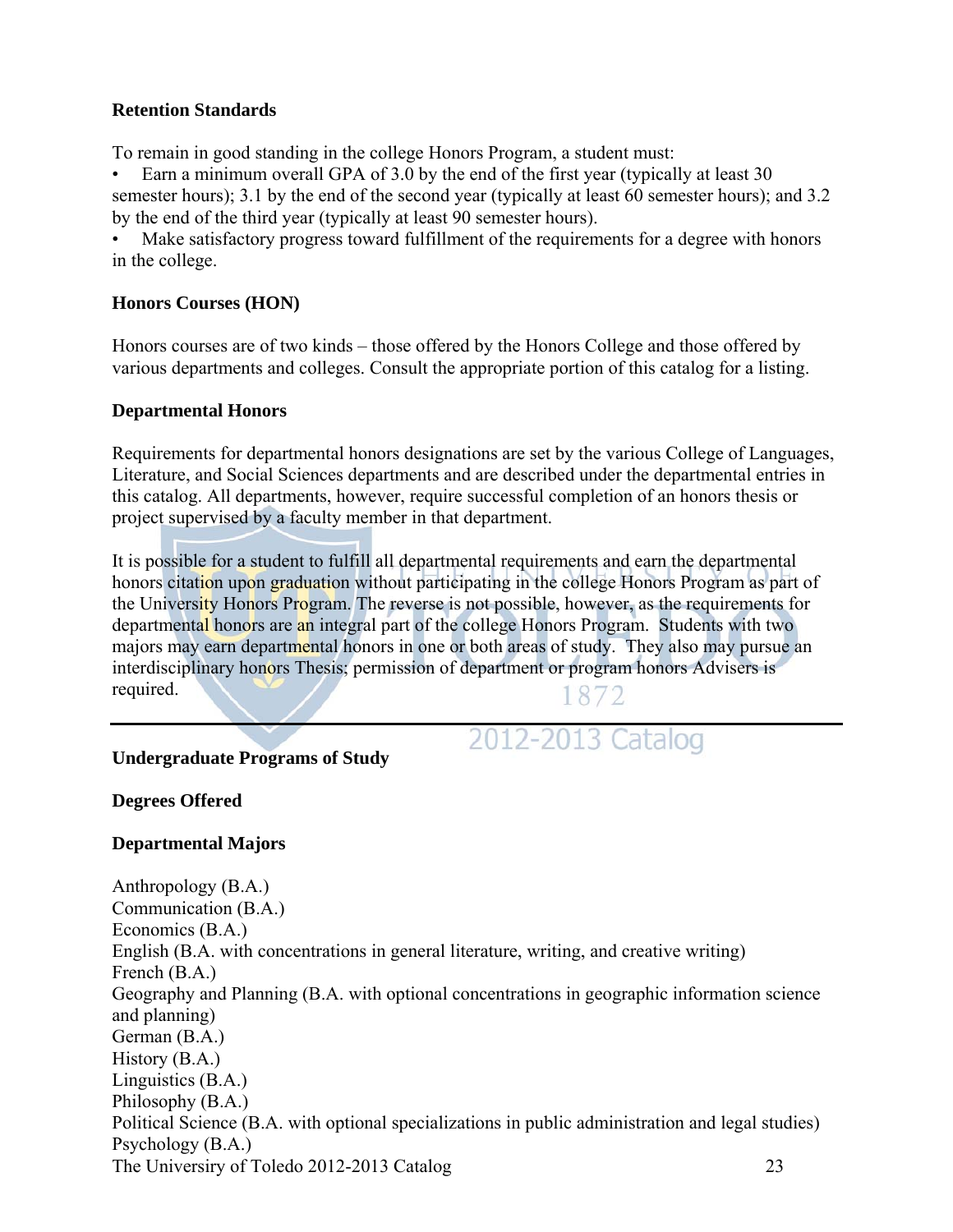### **Retention Standards**

To remain in good standing in the college Honors Program, a student must:

• Earn a minimum overall GPA of 3.0 by the end of the first year (typically at least 30 semester hours); 3.1 by the end of the second year (typically at least 60 semester hours); and 3.2 by the end of the third year (typically at least 90 semester hours).

Make satisfactory progress toward fulfillment of the requirements for a degree with honors in the college.

### **Honors Courses (HON)**

Honors courses are of two kinds – those offered by the Honors College and those offered by various departments and colleges. Consult the appropriate portion of this catalog for a listing.

### **Departmental Honors**

Requirements for departmental honors designations are set by the various College of Languages, Literature, and Social Sciences departments and are described under the departmental entries in this catalog. All departments, however, require successful completion of an honors thesis or project supervised by a faculty member in that department.

It is possible for a student to fulfill all departmental requirements and earn the departmental honors citation upon graduation without participating in the college Honors Program as part of the University Honors Program. The reverse is not possible, however, as the requirements for departmental honors are an integral part of the college Honors Program. Students with two majors may earn departmental honors in one or both areas of study. They also may pursue an interdisciplinary honors Thesis; permission of department or program honors Advisers is required. 1872

### 2012-2013 Catalog

### **Undergraduate Programs of Study**

**Degrees Offered** 

### **Departmental Majors**

The Universiry of Toledo 2012-2013 Catalog 23 Anthropology (B.A.) Communication (B.A.) Economics (B.A.) English (B.A. with concentrations in general literature, writing, and creative writing) French (B.A.) Geography and Planning (B.A. with optional concentrations in geographic information science and planning) German (B.A.) History (B.A.) Linguistics (B.A.) Philosophy (B.A.) Political Science (B.A. with optional specializations in public administration and legal studies) Psychology (B.A.)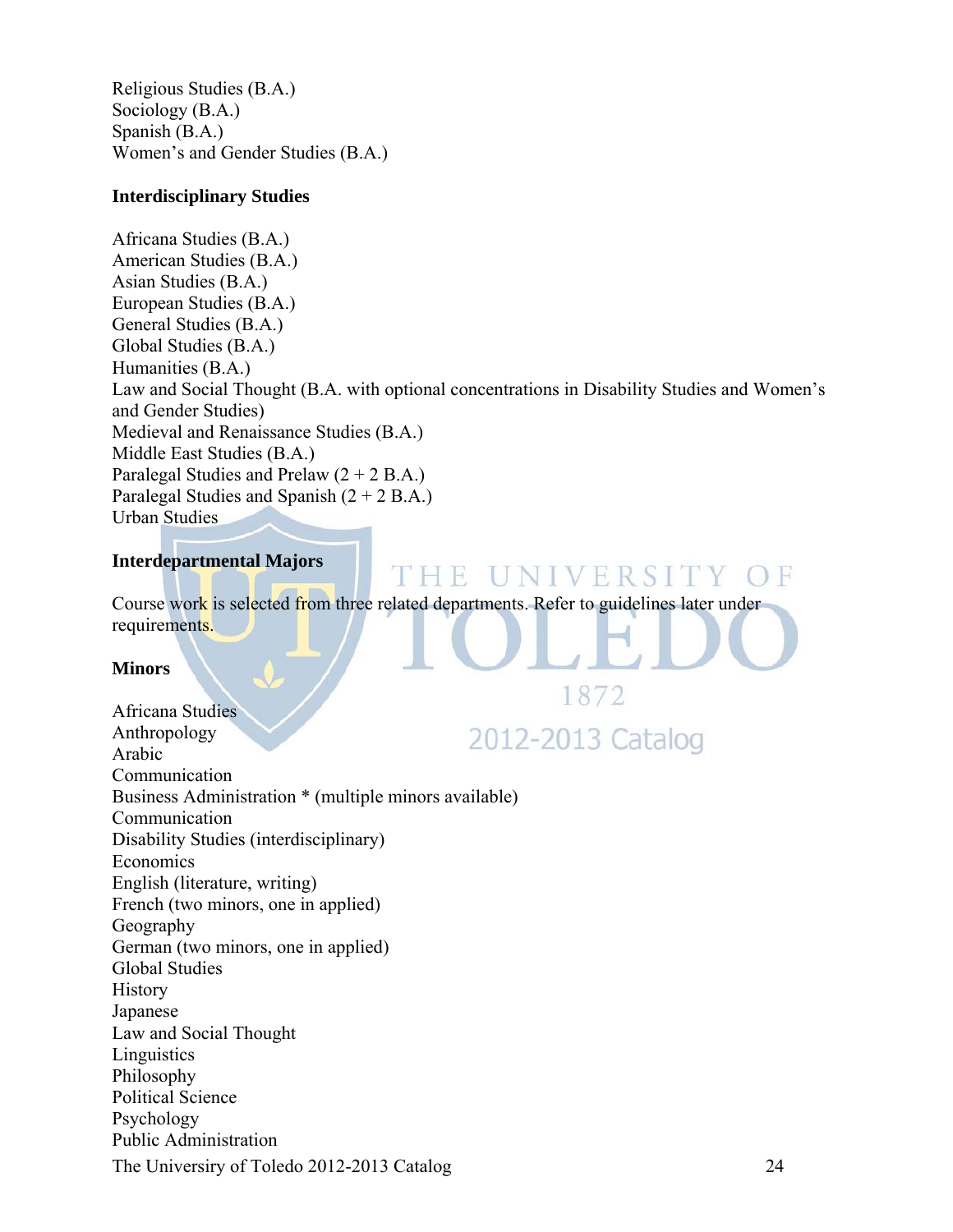Religious Studies (B.A.) Sociology (B.A.) Spanish (B.A.) Women's and Gender Studies (B.A.)

### **Interdisciplinary Studies**

Africana Studies (B.A.) American Studies (B.A.) Asian Studies (B.A.) European Studies (B.A.) General Studies (B.A.) Global Studies (B.A.) Humanities (B.A.) Law and Social Thought (B.A. with optional concentrations in Disability Studies and Women's and Gender Studies) Medieval and Renaissance Studies (B.A.) Middle East Studies (B.A.) Paralegal Studies and Prelaw  $(2 + 2 B.A.)$ Paralegal Studies and Spanish  $(2 + 2 B.A.)$ Urban Studies

### **Interdepartmental Majors**

Course work is selected from three related departments. Refer to guidelines later under requirements.

THE UNIVERSITY OF

### **Minors**

1872 Africana Studies Anthropology 2012-2013 Catalog Arabic Communication Business Administration \* (multiple minors available) Communication Disability Studies (interdisciplinary) Economics English (literature, writing) French (two minors, one in applied) Geography German (two minors, one in applied) Global Studies History Japanese Law and Social Thought **Linguistics** Philosophy Political Science Psychology Public Administration The Universiry of Toledo 2012-2013 Catalog 24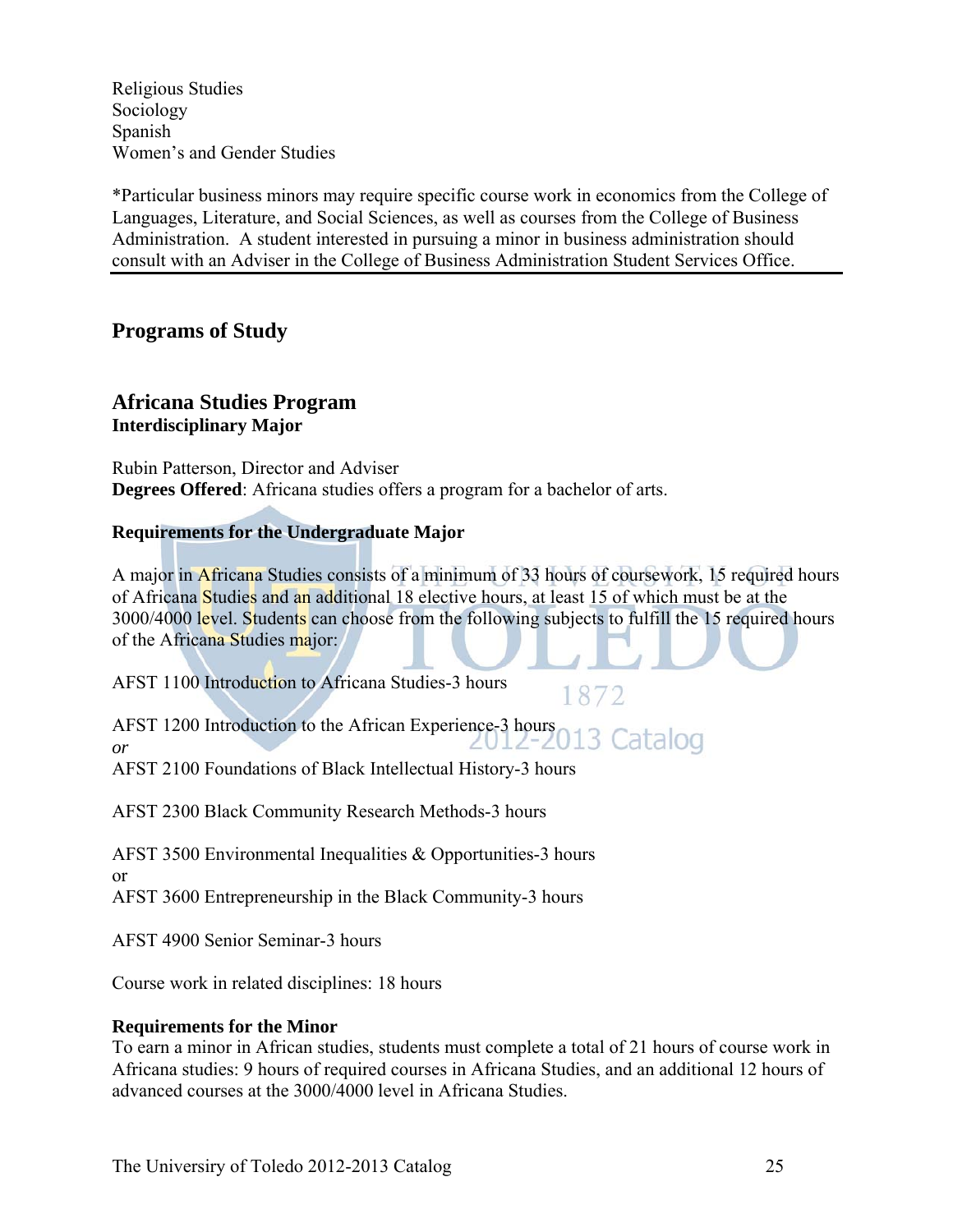Religious Studies Sociology Spanish Women's and Gender Studies

\*Particular business minors may require specific course work in economics from the College of Languages, Literature, and Social Sciences, as well as courses from the College of Business Administration. A student interested in pursuing a minor in business administration should consult with an Adviser in the College of Business Administration Student Services Office.

### **Programs of Study**

### **Africana Studies Program Interdisciplinary Major**

Rubin Patterson, Director and Adviser **Degrees Offered**: Africana studies offers a program for a bachelor of arts.

### **Requirements for the Undergraduate Major**

A major in Africana Studies consists of a minimum of 33 hours of coursework, 15 required hours of Africana Studies and an additional 18 elective hours, at least 15 of which must be at the 3000/4000 level. Students can choose from the following subjects to fulfill the 15 required hours of the Africana Studies major:

1872

AFST 1100 Introduction to Africana Studies-3 hours

AFST 1200 Introduction to the African Experience-3 hours 013 Catalog *or*

AFST 2100 Foundations of Black Intellectual History-3 hours

AFST 2300 Black Community Research Methods-3 hours

AFST 3500 Environmental Inequalities & Opportunities-3 hours or

AFST 3600 Entrepreneurship in the Black Community-3 hours

AFST 4900 Senior Seminar-3 hours

Course work in related disciplines: 18 hours

### **Requirements for the Minor**

To earn a minor in African studies, students must complete a total of 21 hours of course work in Africana studies: 9 hours of required courses in Africana Studies, and an additional 12 hours of advanced courses at the 3000/4000 level in Africana Studies.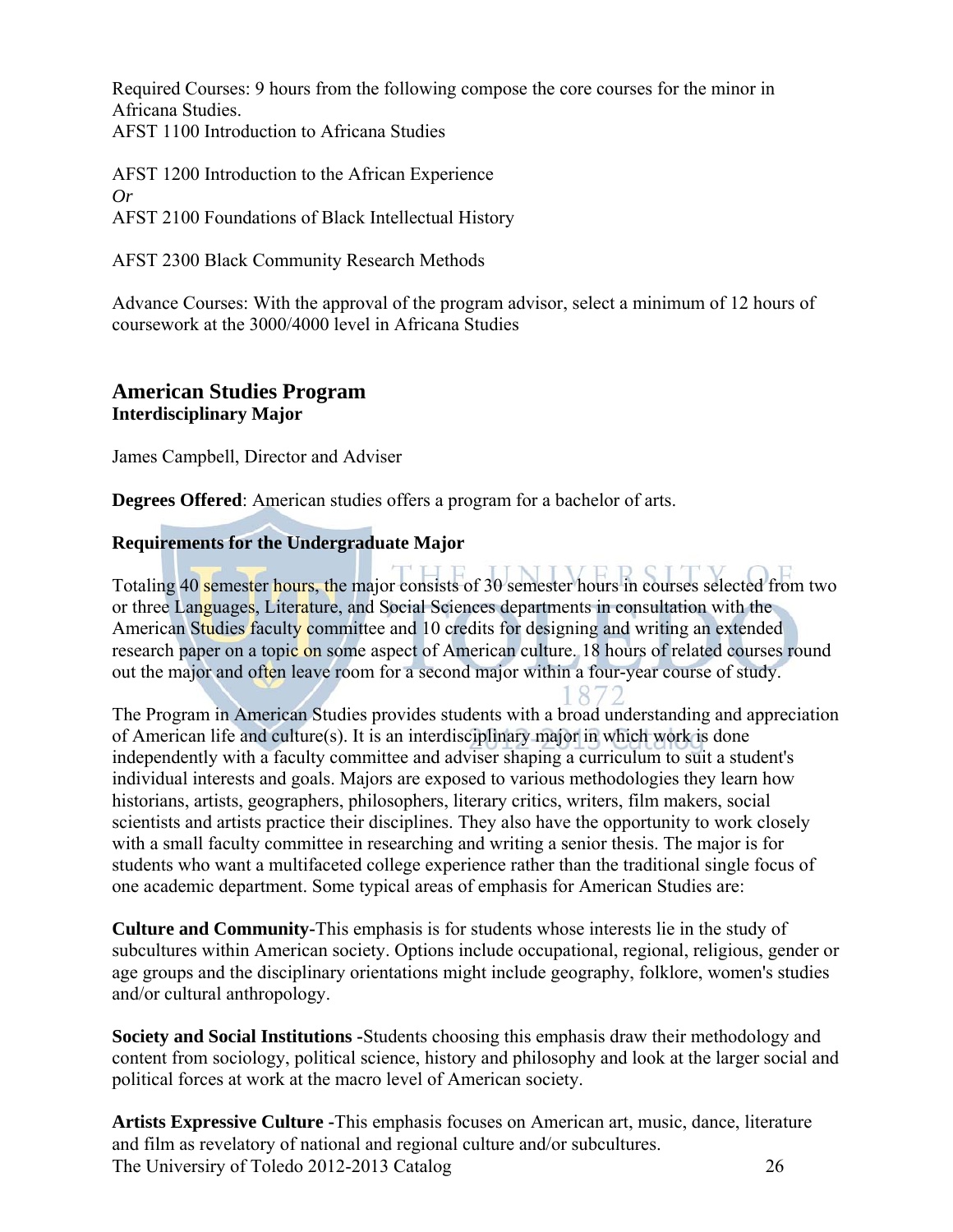Required Courses: 9 hours from the following compose the core courses for the minor in Africana Studies. AFST 1100 Introduction to Africana Studies

AFST 1200 Introduction to the African Experience *Or*  AFST 2100 Foundations of Black Intellectual History

AFST 2300 Black Community Research Methods

Advance Courses: With the approval of the program advisor, select a minimum of 12 hours of coursework at the 3000/4000 level in Africana Studies

### **American Studies Program Interdisciplinary Major**

James Campbell, Director and Adviser

**Degrees Offered**: American studies offers a program for a bachelor of arts.

### **Requirements for the Undergraduate Major**

Totaling 40 semester hours, the major consists of 30 semester hours in courses selected from two or three Languages, Literature, and Social Sciences departments in consultation with the American Studies faculty committee and 10 credits for designing and writing an extended research paper on a topic on some aspect of American culture. 18 hours of related courses round out the major and often leave room for a second major within a four-year course of study.

87

The Program in American Studies provides students with a broad understanding and appreciation of American life and culture(s). It is an interdisciplinary major in which work is done independently with a faculty committee and adviser shaping a curriculum to suit a student's individual interests and goals. Majors are exposed to various methodologies they learn how historians, artists, geographers, philosophers, literary critics, writers, film makers, social scientists and artists practice their disciplines. They also have the opportunity to work closely with a small faculty committee in researching and writing a senior thesis. The major is for students who want a multifaceted college experience rather than the traditional single focus of one academic department. Some typical areas of emphasis for American Studies are:

**Culture and Community-**This emphasis is for students whose interests lie in the study of subcultures within American society. Options include occupational, regional, religious, gender or age groups and the disciplinary orientations might include geography, folklore, women's studies and/or cultural anthropology.

**Society and Social Institutions -**Students choosing this emphasis draw their methodology and content from sociology, political science, history and philosophy and look at the larger social and political forces at work at the macro level of American society.

The Universiry of Toledo 2012-2013 Catalog 26 **Artists Expressive Culture -**This emphasis focuses on American art, music, dance, literature and film as revelatory of national and regional culture and/or subcultures.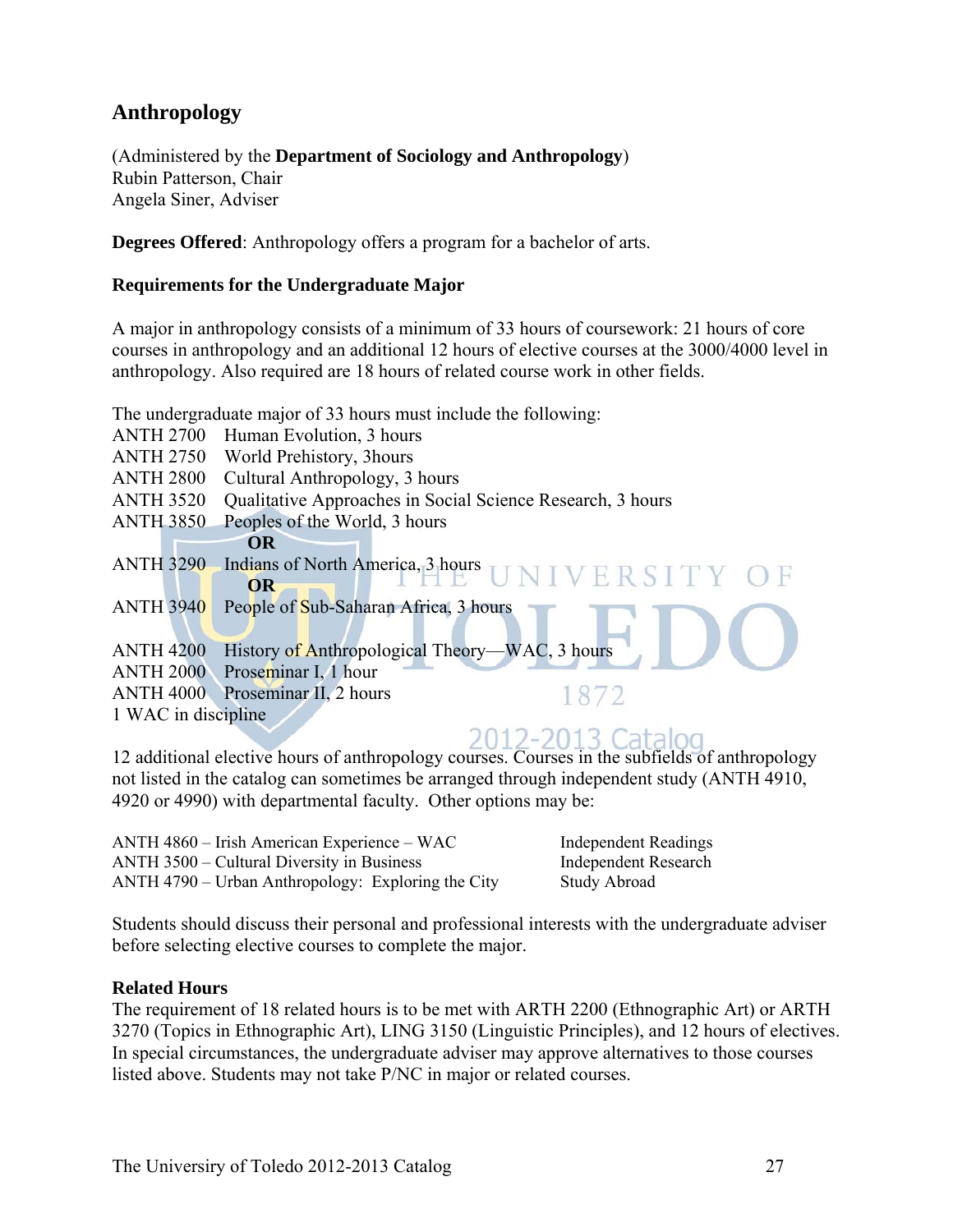### **Anthropology**

(Administered by the **Department of Sociology and Anthropology**) Rubin Patterson, Chair Angela Siner, Adviser

**Degrees Offered**: Anthropology offers a program for a bachelor of arts.

### **Requirements for the Undergraduate Major**

A major in anthropology consists of a minimum of 33 hours of coursework: 21 hours of core courses in anthropology and an additional 12 hours of elective courses at the 3000/4000 level in anthropology. Also required are 18 hours of related course work in other fields.

The undergraduate major of 33 hours must include the following:

- ANTH 2700 Human Evolution, 3 hours
- ANTH 2750 World Prehistory, 3hours
- ANTH 2800 Cultural Anthropology, 3 hours
- ANTH 3520 Qualitative Approaches in Social Science Research, 3 hours
- ANTH 3850 Peoples of the World, 3 hours

**OR**

- ANTH 3290 Indians of North America, 3 hours VERS **OR**  ANTH 3940 People of Sub-Saharan Africa, 3 hours ANTH 4200 History of Anthropological Theory—WAC, 3 hours ANTH 2000 Proseminar I, 1 hour 1872
- ANTH 4000 Proseminar II, 2 hours
- 1 WAC in discipline

### 2012-2013 Catalog

12 additional elective hours of anthropology courses. Courses in the subfields of anthropology not listed in the catalog can sometimes be arranged through independent study (ANTH 4910, 4920 or 4990) with departmental faculty. Other options may be:

ANTH 4860 – Irish American Experience – WAC Independent Readings ANTH 3500 – Cultural Diversity in Business Independent Research ANTH 4790 – Urban Anthropology: Exploring the City Study Abroad

Students should discuss their personal and professional interests with the undergraduate adviser before selecting elective courses to complete the major.

### **Related Hours**

The requirement of 18 related hours is to be met with ARTH 2200 (Ethnographic Art) or ARTH 3270 (Topics in Ethnographic Art), LING 3150 (Linguistic Principles), and 12 hours of electives. In special circumstances, the undergraduate adviser may approve alternatives to those courses listed above. Students may not take P/NC in major or related courses.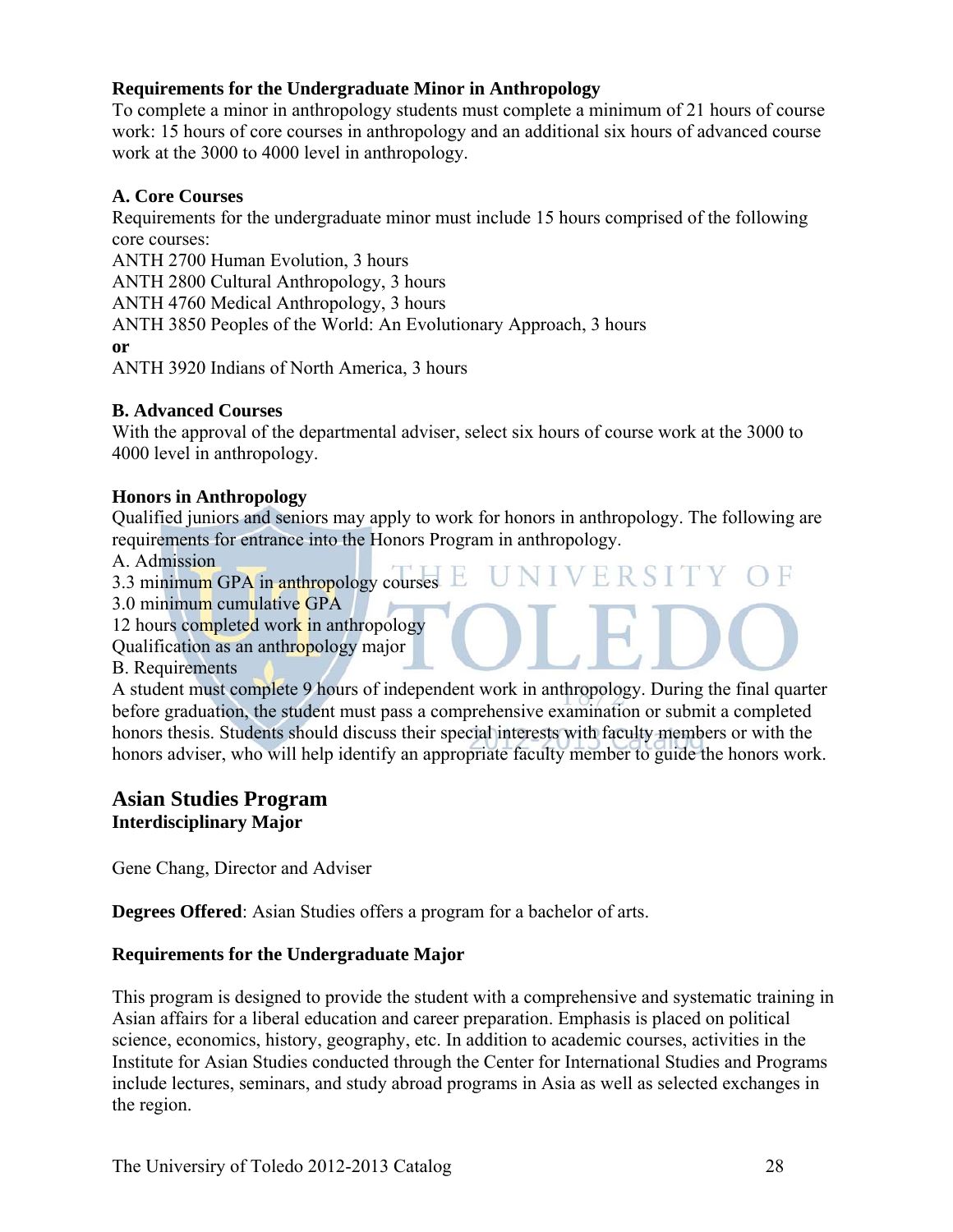### **Requirements for the Undergraduate Minor in Anthropology**

To complete a minor in anthropology students must complete a minimum of 21 hours of course work: 15 hours of core courses in anthropology and an additional six hours of advanced course work at the 3000 to 4000 level in anthropology.

### **A. Core Courses**

Requirements for the undergraduate minor must include 15 hours comprised of the following core courses:

ANTH 2700 Human Evolution, 3 hours

ANTH 2800 Cultural Anthropology, 3 hours

ANTH 4760 Medical Anthropology, 3 hours

ANTH 3850 Peoples of the World: An Evolutionary Approach, 3 hours

**or**

ANTH 3920 Indians of North America, 3 hours

### **B. Advanced Courses**

With the approval of the departmental adviser, select six hours of course work at the 3000 to 4000 level in anthropology.

### **Honors in Anthropology**

Qualified juniors and seniors may apply to work for honors in anthropology. The following are requirements for entrance into the Honors Program in anthropology.

ERSI

 $\vee$ 

A. Admission

3.3 minimum GPA in anthropology courses

3.0 minimum cumulative GPA

12 hours completed work in anthropology

Qualification as an anthropology major

B. Requirements

A student must complete 9 hours of independent work in anthropology. During the final quarter before graduation, the student must pass a comprehensive examination or submit a completed honors thesis. Students should discuss their special interests with faculty members or with the honors adviser, who will help identify an appropriate faculty member to guide the honors work.

### **Asian Studies Program Interdisciplinary Major**

Gene Chang, Director and Adviser

**Degrees Offered**: Asian Studies offers a program for a bachelor of arts.

### **Requirements for the Undergraduate Major**

This program is designed to provide the student with a comprehensive and systematic training in Asian affairs for a liberal education and career preparation. Emphasis is placed on political science, economics, history, geography, etc. In addition to academic courses, activities in the Institute for Asian Studies conducted through the Center for International Studies and Programs include lectures, seminars, and study abroad programs in Asia as well as selected exchanges in the region.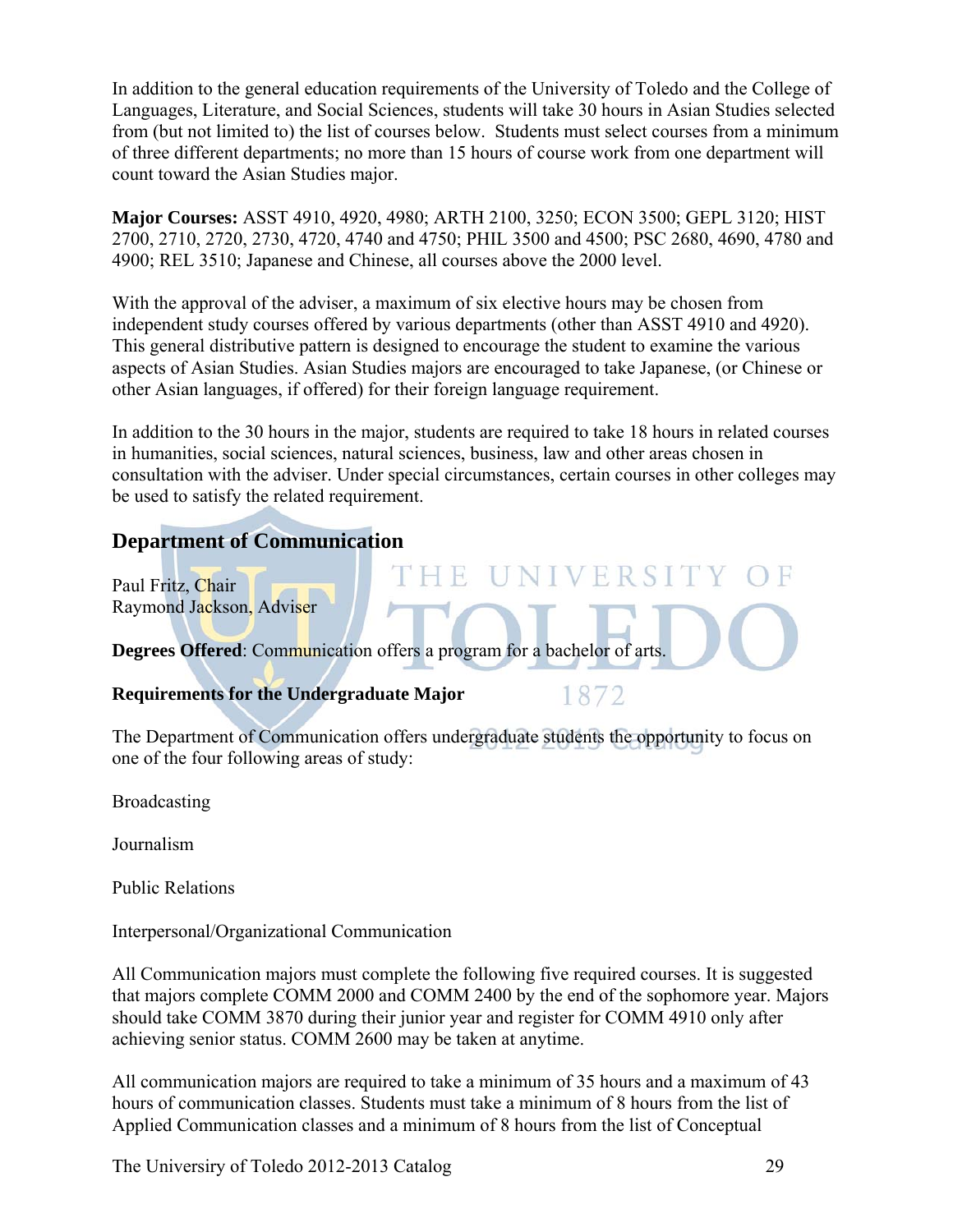In addition to the general education requirements of the University of Toledo and the College of Languages, Literature, and Social Sciences, students will take 30 hours in Asian Studies selected from (but not limited to) the list of courses below. Students must select courses from a minimum of three different departments; no more than 15 hours of course work from one department will count toward the Asian Studies major.

**Major Courses:** ASST 4910, 4920, 4980; ARTH 2100, 3250; ECON 3500; GEPL 3120; HIST 2700, 2710, 2720, 2730, 4720, 4740 and 4750; PHIL 3500 and 4500; PSC 2680, 4690, 4780 and 4900; REL 3510; Japanese and Chinese, all courses above the 2000 level.

With the approval of the adviser, a maximum of six elective hours may be chosen from independent study courses offered by various departments (other than ASST 4910 and 4920). This general distributive pattern is designed to encourage the student to examine the various aspects of Asian Studies. Asian Studies majors are encouraged to take Japanese, (or Chinese or other Asian languages, if offered) for their foreign language requirement.

In addition to the 30 hours in the major, students are required to take 18 hours in related courses in humanities, social sciences, natural sciences, business, law and other areas chosen in consultation with the adviser. Under special circumstances, certain courses in other colleges may be used to satisfy the related requirement.

### **Department of Communication**

Paul Fritz, Chair Raymond Jackson, Adviser

**Degrees Offered**: Communication offers a program for a bachelor of arts.

THE

### **Requirements for the Undergraduate Major**

1872

**NIVERSI** 

The Department of Communication offers undergraduate students the opportunity to focus on one of the four following areas of study:

Broadcasting

Journalism

Public Relations

Interpersonal/Organizational Communication

All Communication majors must complete the following five required courses. It is suggested that majors complete COMM 2000 and COMM 2400 by the end of the sophomore year. Majors should take COMM 3870 during their junior year and register for COMM 4910 only after achieving senior status. COMM 2600 may be taken at anytime.

All communication majors are required to take a minimum of 35 hours and a maximum of 43 hours of communication classes. Students must take a minimum of 8 hours from the list of Applied Communication classes and a minimum of 8 hours from the list of Conceptual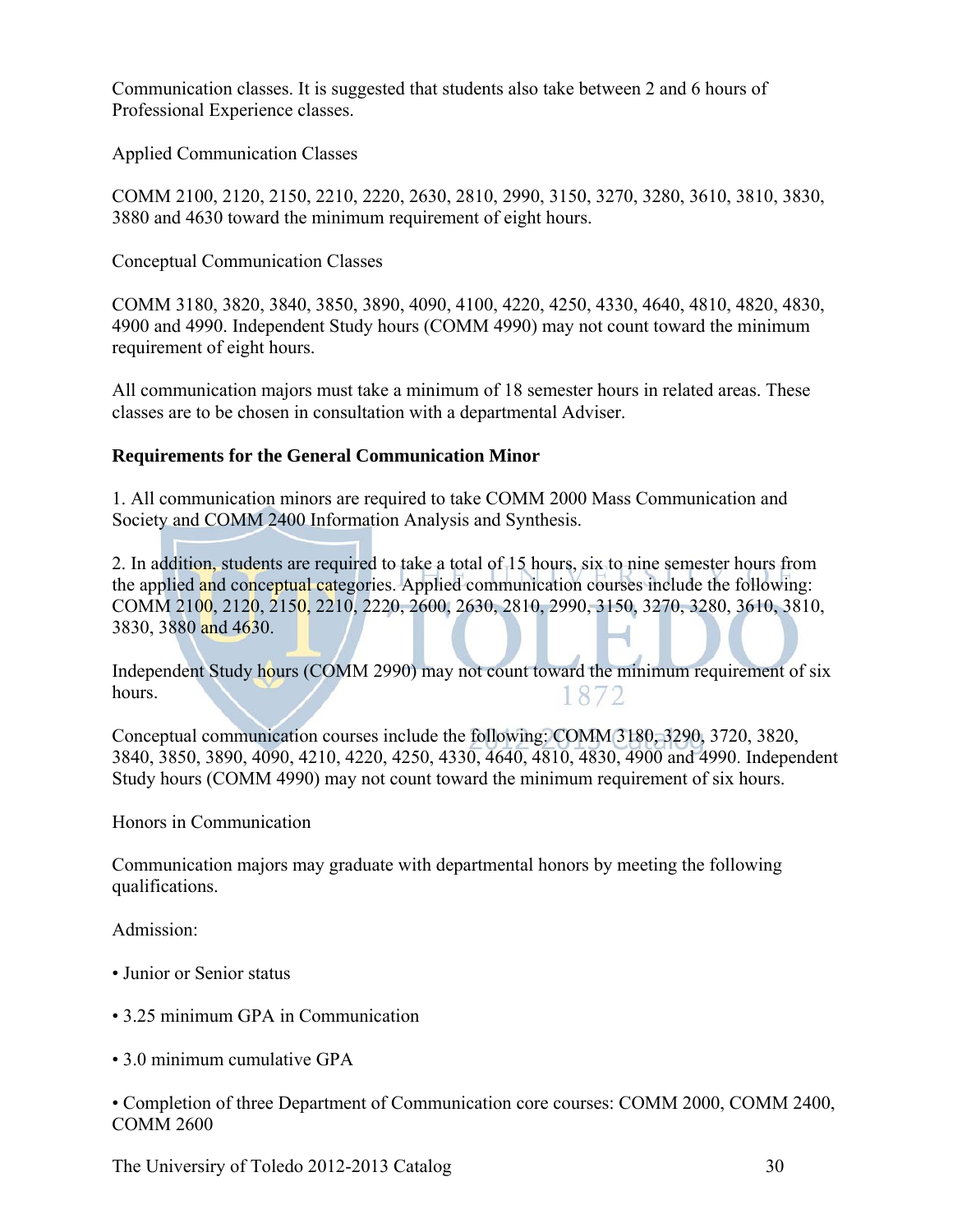Communication classes. It is suggested that students also take between 2 and 6 hours of Professional Experience classes.

Applied Communication Classes

COMM 2100, 2120, 2150, 2210, 2220, 2630, 2810, 2990, 3150, 3270, 3280, 3610, 3810, 3830, 3880 and 4630 toward the minimum requirement of eight hours.

Conceptual Communication Classes

COMM 3180, 3820, 3840, 3850, 3890, 4090, 4100, 4220, 4250, 4330, 4640, 4810, 4820, 4830, 4900 and 4990. Independent Study hours (COMM 4990) may not count toward the minimum requirement of eight hours.

All communication majors must take a minimum of 18 semester hours in related areas. These classes are to be chosen in consultation with a departmental Adviser.

### **Requirements for the General Communication Minor**

1. All communication minors are required to take COMM 2000 Mass Communication and Society and COMM 2400 Information Analysis and Synthesis.

2. In addition, students are required to take a total of 15 hours, six to nine semester hours from the applied and conceptual categories. Applied communication courses include the following: COMM 2100, 2120, 2150, 2210, 2220, 2600, 2630, 2810, 2990, 3150, 3270, 3280, 3610, 3810, 3830, 3880 and 4630.

Independent Study hours (COMM 2990) may not count toward the minimum requirement of six hours. 1872

Conceptual communication courses include the following: COMM 3180, 3290, 3720, 3820, 3840, 3850, 3890, 4090, 4210, 4220, 4250, 4330, 4640, 4810, 4830, 4900 and 4990. Independent Study hours (COMM 4990) may not count toward the minimum requirement of six hours.

Honors in Communication

Communication majors may graduate with departmental honors by meeting the following qualifications.

Admission:

- Junior or Senior status
- 3.25 minimum GPA in Communication
- 3.0 minimum cumulative GPA

• Completion of three Department of Communication core courses: COMM 2000, COMM 2400, COMM 2600

The Universiry of Toledo 2012-2013 Catalog 30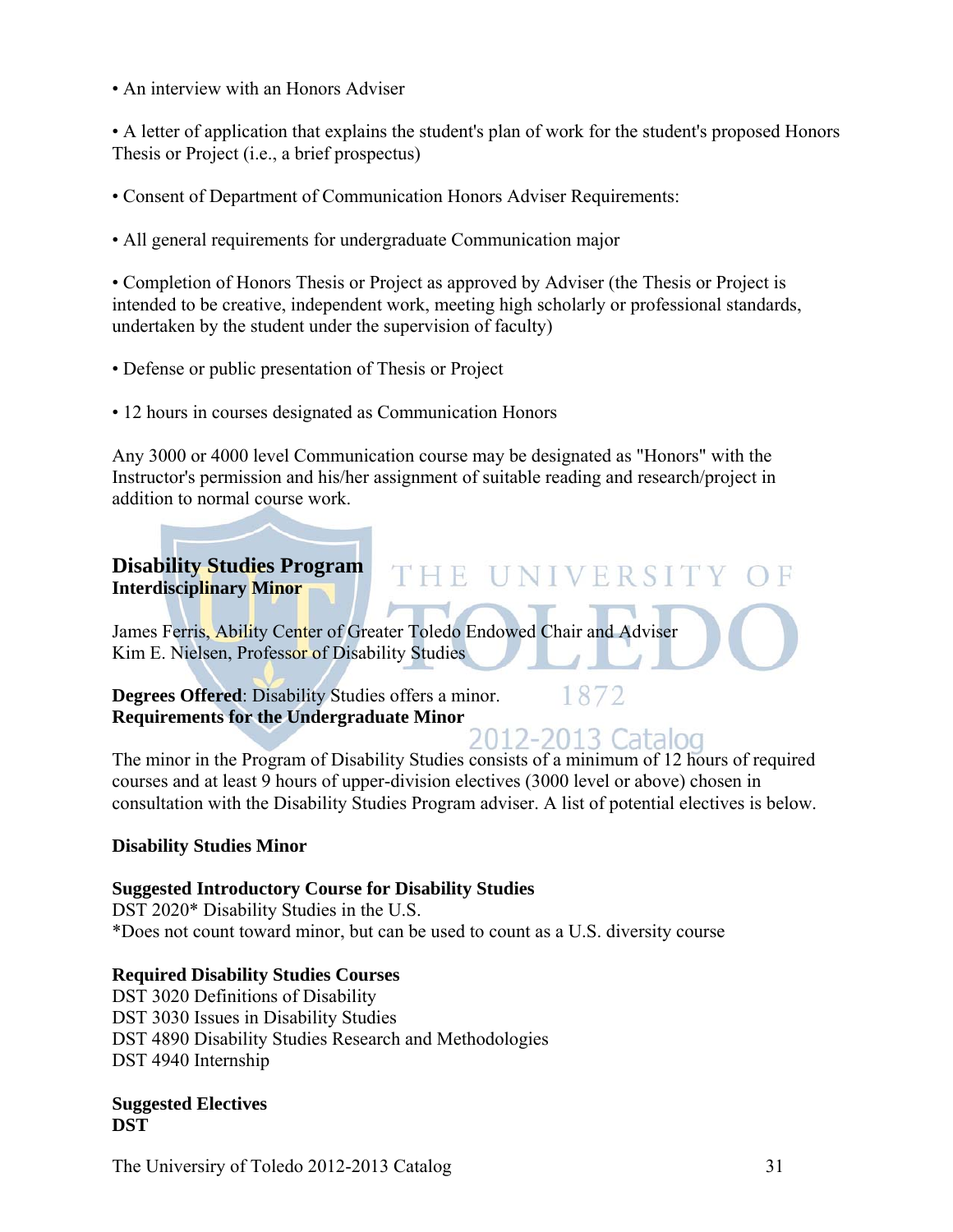• An interview with an Honors Adviser

• A letter of application that explains the student's plan of work for the student's proposed Honors Thesis or Project (i.e., a brief prospectus)

- Consent of Department of Communication Honors Adviser Requirements:
- All general requirements for undergraduate Communication major

• Completion of Honors Thesis or Project as approved by Adviser (the Thesis or Project is intended to be creative, independent work, meeting high scholarly or professional standards, undertaken by the student under the supervision of faculty)

- Defense or public presentation of Thesis or Project
- 12 hours in courses designated as Communication Honors

Any 3000 or 4000 level Communication course may be designated as "Honors" with the Instructor's permission and his/her assignment of suitable reading and research/project in addition to normal course work.

THE 18

### **Disability Studies Program Interdisciplinary Minor**

James Ferris, Ability Center of Greater Toledo Endowed Chair and Adviser Kim E. Nielsen, Professor of Disability Studies

**Degrees Offered**: Disability Studies offers a minor. **Requirements for the Undergraduate Minor** 

1872

NIVERSIT

The minor in the Program of Disability Studies consists of a minimum of 12 hours of required courses and at least 9 hours of upper-division electives (3000 level or above) chosen in consultation with the Disability Studies Program adviser. A list of potential electives is below.

### **Disability Studies Minor**

### **Suggested Introductory Course for Disability Studies**

DST 2020\* Disability Studies in the U.S. \*Does not count toward minor, but can be used to count as a U.S. diversity course

### **Required Disability Studies Courses**

DST 3020 Definitions of Disability DST 3030 Issues in Disability Studies DST 4890 Disability Studies Research and Methodologies DST 4940 Internship

**Suggested Electives DST** 

The University of Toledo 2012-2013 Catalog 31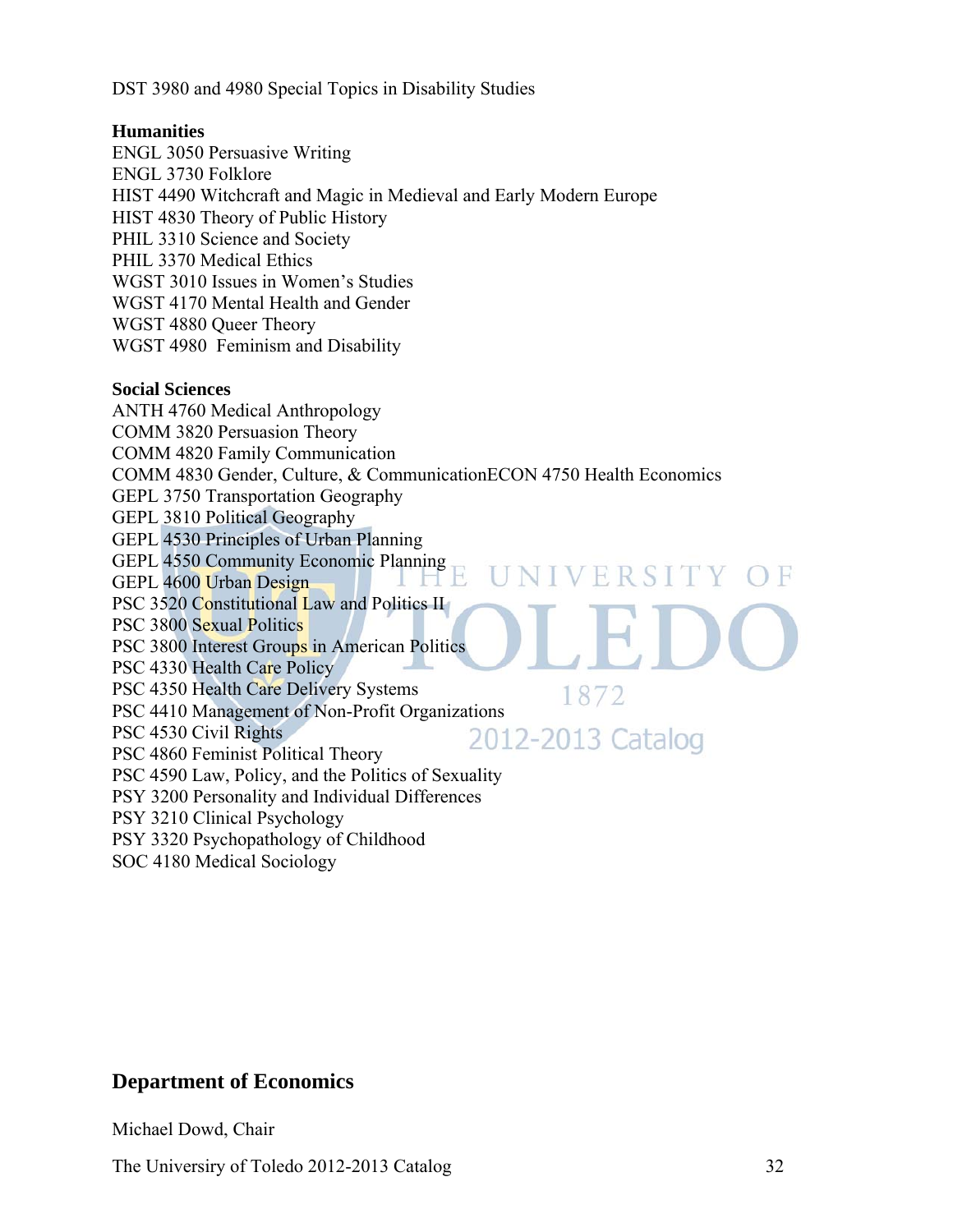DST 3980 and 4980 Special Topics in Disability Studies

### **Humanities**

ENGL 3050 Persuasive Writing ENGL 3730 Folklore HIST 4490 Witchcraft and Magic in Medieval and Early Modern Europe HIST 4830 Theory of Public History PHIL 3310 Science and Society PHIL 3370 Medical Ethics WGST 3010 Issues in Women's Studies WGST 4170 Mental Health and Gender WGST 4880 Queer Theory WGST 4980 Feminism and Disability

#### **Social Sciences**

ANTH 4760 Medical Anthropology COMM 3820 Persuasion Theory COMM 4820 Family Communication COMM 4830 Gender, Culture, & CommunicationECON 4750 Health Economics GEPL 3750 Transportation Geography GEPL 3810 Political Geography GEPL 4530 Principles of Urban Planning GEPL 4550 Community Economic Planning<br>GEPL 4600 Lirban Design NIVERSITY OF GEPL 4600 Urban Design PSC 3520 Constitutional Law and Politics II PSC 3800 Sexual Politics PSC 3800 Interest Groups in American Politics PSC 4330 Health Care Policy PSC 4350 Health Care Delivery Systems 1872 PSC 4410 Management of Non-Profit Organizations PSC 4530 Civil Rights 2012-2013 Catalog PSC 4860 Feminist Political Theory PSC 4590 Law, Policy, and the Politics of Sexuality PSY 3200 Personality and Individual Differences PSY 3210 Clinical Psychology PSY 3320 Psychopathology of Childhood

SOC 4180 Medical Sociology

### **Department of Economics**

Michael Dowd, Chair

The University of Toledo 2012-2013 Catalog 32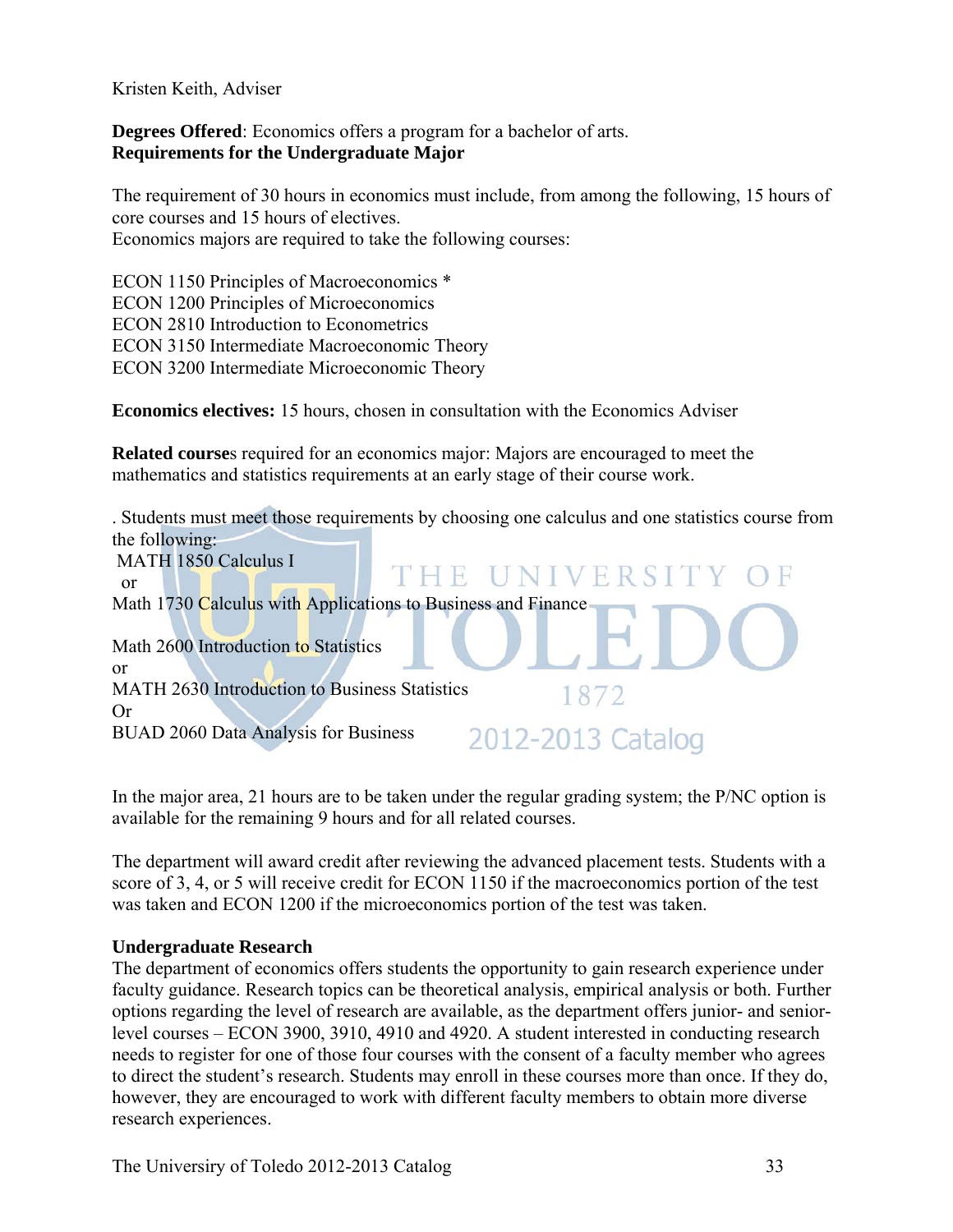Kristen Keith, Adviser

**Degrees Offered**: Economics offers a program for a bachelor of arts. **Requirements for the Undergraduate Major**

The requirement of 30 hours in economics must include, from among the following, 15 hours of core courses and 15 hours of electives. Economics majors are required to take the following courses:

ECON 1150 Principles of Macroeconomics \* ECON 1200 Principles of Microeconomics ECON 2810 Introduction to Econometrics ECON 3150 Intermediate Macroeconomic Theory ECON 3200 Intermediate Microeconomic Theory

**Economics electives:** 15 hours, chosen in consultation with the Economics Adviser

**Related course**s required for an economics major: Majors are encouraged to meet the mathematics and statistics requirements at an early stage of their course work.

. Students must meet those requirements by choosing one calculus and one statistics course from the following: MATH 1850 Calculus I THE UNIVER or Math 1730 Calculus with Applications to Business and Finance Math 2600 Introduction to Statistics or MATH 2630 Introduction to Business Statistics 1872 Or 2012-2013 Catalog BUAD 2060 Data Analysis for Business

In the major area, 21 hours are to be taken under the regular grading system; the P/NC option is available for the remaining 9 hours and for all related courses.

The department will award credit after reviewing the advanced placement tests. Students with a score of 3, 4, or 5 will receive credit for ECON 1150 if the macroeconomics portion of the test was taken and ECON 1200 if the microeconomics portion of the test was taken.

### **Undergraduate Research**

The department of economics offers students the opportunity to gain research experience under faculty guidance. Research topics can be theoretical analysis, empirical analysis or both. Further options regarding the level of research are available, as the department offers junior- and seniorlevel courses – ECON 3900, 3910, 4910 and 4920. A student interested in conducting research needs to register for one of those four courses with the consent of a faculty member who agrees to direct the student's research. Students may enroll in these courses more than once. If they do, however, they are encouraged to work with different faculty members to obtain more diverse research experiences.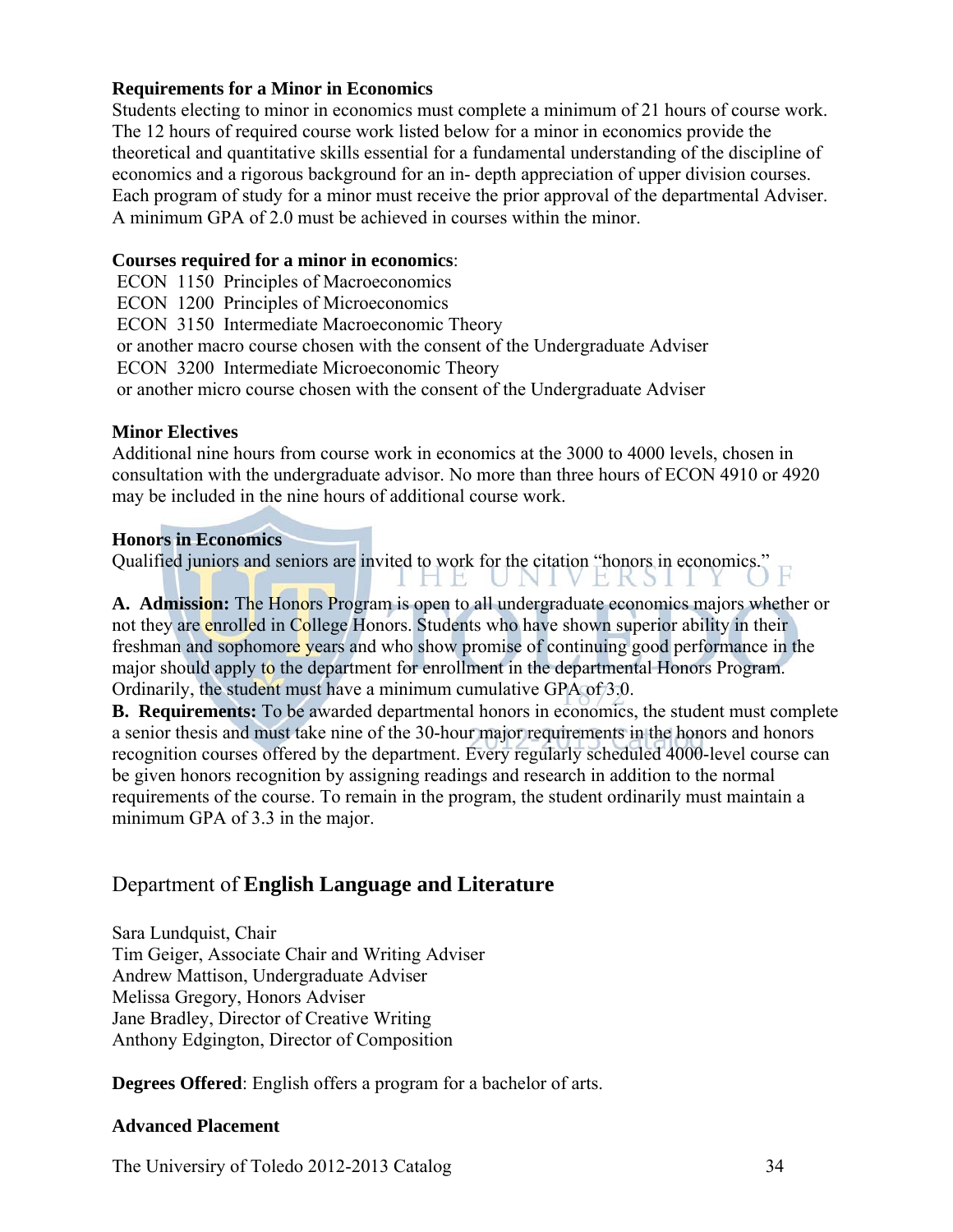### **Requirements for a Minor in Economics**

Students electing to minor in economics must complete a minimum of 21 hours of course work. The 12 hours of required course work listed below for a minor in economics provide the theoretical and quantitative skills essential for a fundamental understanding of the discipline of economics and a rigorous background for an in- depth appreciation of upper division courses. Each program of study for a minor must receive the prior approval of the departmental Adviser. A minimum GPA of 2.0 must be achieved in courses within the minor.

### **Courses required for a minor in economics**:

 ECON 1150 Principles of Macroeconomics ECON 1200 Principles of Microeconomics ECON 3150 Intermediate Macroeconomic Theory or another macro course chosen with the consent of the Undergraduate Adviser ECON 3200 Intermediate Microeconomic Theory or another micro course chosen with the consent of the Undergraduate Adviser

### **Minor Electives**

Additional nine hours from course work in economics at the 3000 to 4000 levels, chosen in consultation with the undergraduate advisor. No more than three hours of ECON 4910 or 4920 may be included in the nine hours of additional course work.

### **Honors in Economics**

Qualified juniors and seniors are invited to work for the citation "honors in economics." HIL. UNI VEKSI

**A. Admission:** The Honors Program is open to all undergraduate economics majors whether or not they are enrolled in College Honors. Students who have shown superior ability in their freshman and sophomore years and who show promise of continuing good performance in the major should apply to the department for enrollment in the departmental Honors Program. Ordinarily, the student must have a minimum cumulative GPA of 3.0.

**B. Requirements:** To be awarded departmental honors in economics, the student must complete a senior thesis and must take nine of the 30-hour major requirements in the honors and honors recognition courses offered by the department. Every regularly scheduled 4000-level course can be given honors recognition by assigning readings and research in addition to the normal requirements of the course. To remain in the program, the student ordinarily must maintain a minimum GPA of 3.3 in the major.

### Department of **English Language and Literature**

Sara Lundquist, Chair Tim Geiger, Associate Chair and Writing Adviser Andrew Mattison, Undergraduate Adviser Melissa Gregory, Honors Adviser Jane Bradley, Director of Creative Writing Anthony Edgington, Director of Composition

**Degrees Offered**: English offers a program for a bachelor of arts.

### **Advanced Placement**

The University of Toledo 2012-2013 Catalog 34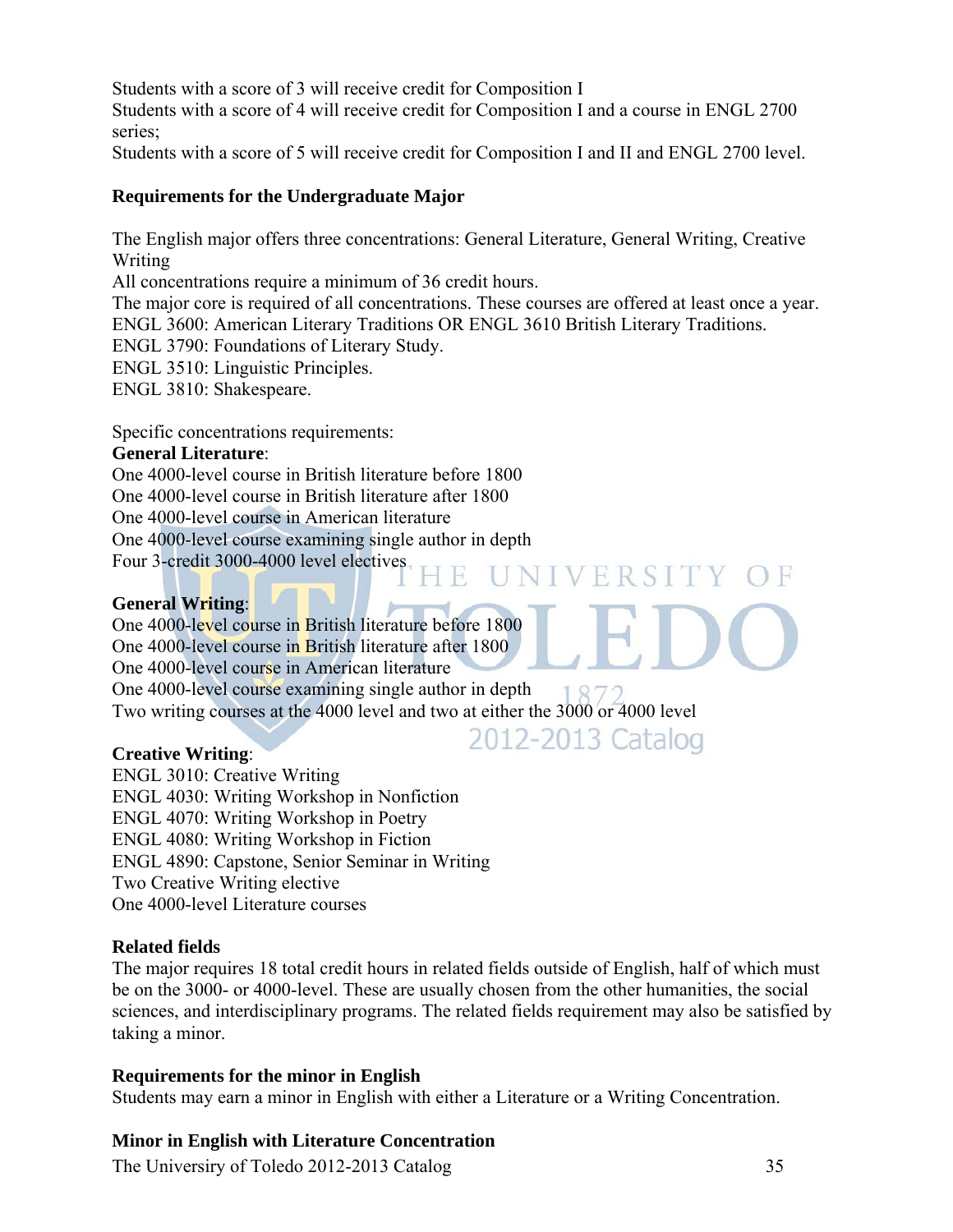Students with a score of 3 will receive credit for Composition I Students with a score of 4 will receive credit for Composition I and a course in ENGL 2700 series;

Students with a score of 5 will receive credit for Composition I and II and ENGL 2700 level.

### **Requirements for the Undergraduate Major**

The English major offers three concentrations: General Literature, General Writing, Creative Writing

All concentrations require a minimum of 36 credit hours.

The major core is required of all concentrations. These courses are offered at least once a year. ENGL 3600: American Literary Traditions OR ENGL 3610 British Literary Traditions.

 $H$ 

ENGL 3790: Foundations of Literary Study.

ENGL 3510: Linguistic Principles.

ENGL 3810: Shakespeare.

Specific concentrations requirements:

### **General Literature**:

One 4000-level course in British literature before 1800 One 4000-level course in British literature after 1800 One 4000-level course in American literature One 4000-level course examining single author in depth Four 3-credit 3000-4000 level electives

### **General Writing**:

One 4000-level course in British literature before 1800 One 4000-level course in British literature after 1800 One 4000-level course in American literature One 4000-level course examining single author in depth Two writing courses at the 4000 level and two at either the 3000 or 4000 level

### **Creative Writing**:

ENGL 3010: Creative Writing ENGL 4030: Writing Workshop in Nonfiction ENGL 4070: Writing Workshop in Poetry ENGL 4080: Writing Workshop in Fiction ENGL 4890: Capstone, Senior Seminar in Writing Two Creative Writing elective One 4000-level Literature courses

### **Related fields**

The major requires 18 total credit hours in related fields outside of English, half of which must be on the 3000- or 4000-level. These are usually chosen from the other humanities, the social sciences, and interdisciplinary programs. The related fields requirement may also be satisfied by taking a minor.

### **Requirements for the minor in English**

Students may earn a minor in English with either a Literature or a Writing Concentration.

### **Minor in English with Literature Concentration**

The Universiry of Toledo 2012-2013 Catalog 35

ERSITY OF

2012-2013 Catalog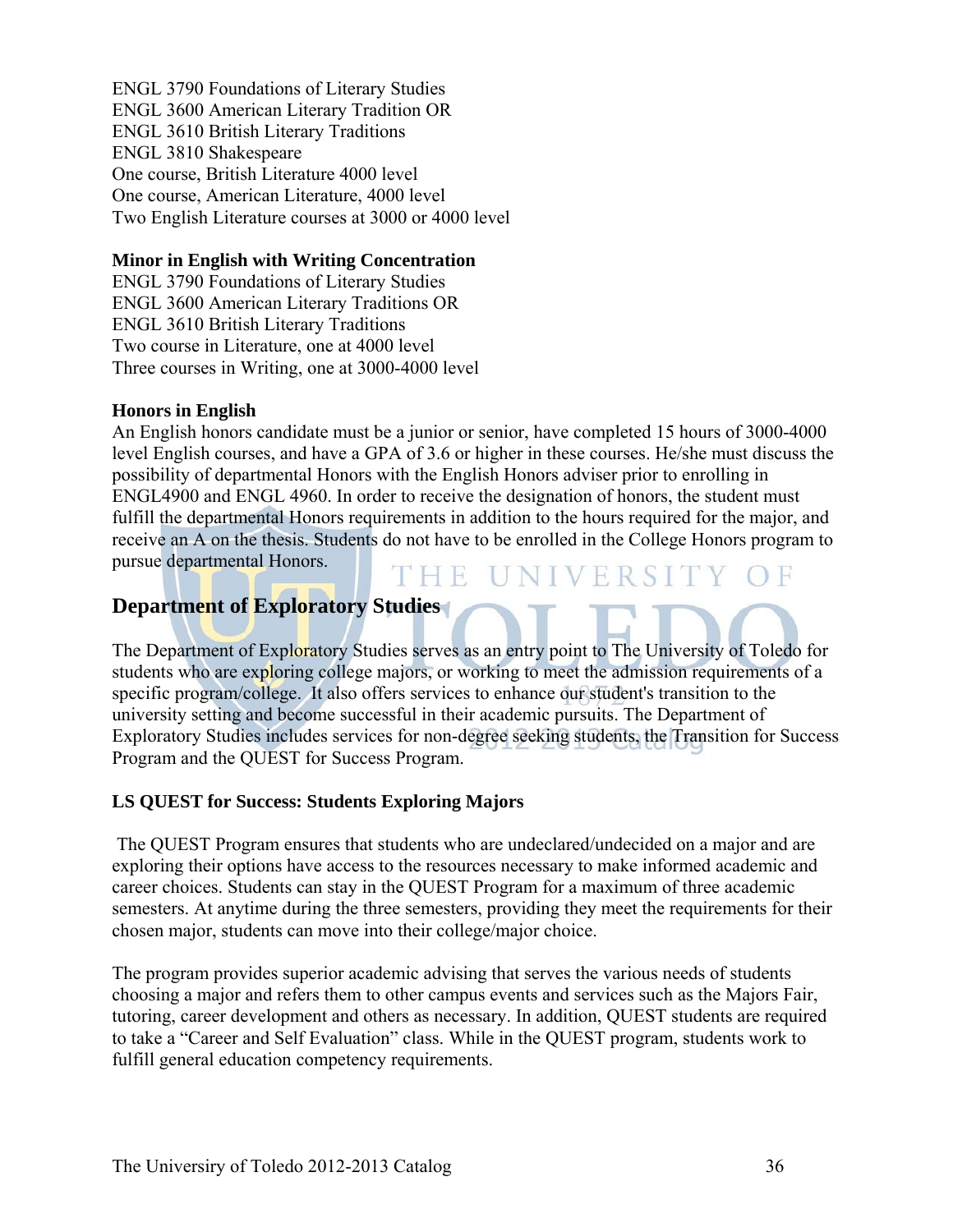ENGL 3790 Foundations of Literary Studies ENGL 3600 American Literary Tradition OR ENGL 3610 British Literary Traditions ENGL 3810 Shakespeare One course, British Literature 4000 level One course, American Literature, 4000 level Two English Literature courses at 3000 or 4000 level

### **Minor in English with Writing Concentration**

ENGL 3790 Foundations of Literary Studies ENGL 3600 American Literary Traditions OR ENGL 3610 British Literary Traditions Two course in Literature, one at 4000 level Three courses in Writing, one at 3000-4000 level

### **Honors in English**

An English honors candidate must be a junior or senior, have completed 15 hours of 3000-4000 level English courses, and have a GPA of 3.6 or higher in these courses. He/she must discuss the possibility of departmental Honors with the English Honors adviser prior to enrolling in ENGL4900 and ENGL 4960. In order to receive the designation of honors, the student must fulfill the departmental Honors requirements in addition to the hours required for the major, and receive an A on the thesis. Students do not have to be enrolled in the College Honors program to pursue departmental Honors. THE UNIVERSITY

### **Department of Exploratory Studies**

The Department of Exploratory Studies serves as an entry point to The University of Toledo for students who are exploring college majors, or working to meet the admission requirements of a specific program/college. It also offers services to enhance our student's transition to the university setting and become successful in their academic pursuits. The Department of Exploratory Studies includes services for non-degree seeking students, the Transition for Success Program and the QUEST for Success Program.

### **LS QUEST for Success: Students Exploring Majors**

 The QUEST Program ensures that students who are undeclared/undecided on a major and are exploring their options have access to the resources necessary to make informed academic and career choices. Students can stay in the QUEST Program for a maximum of three academic semesters. At anytime during the three semesters, providing they meet the requirements for their chosen major, students can move into their college/major choice.

The program provides superior academic advising that serves the various needs of students choosing a major and refers them to other campus events and services such as the Majors Fair, tutoring, career development and others as necessary. In addition, QUEST students are required to take a "Career and Self Evaluation" class. While in the QUEST program, students work to fulfill general education competency requirements.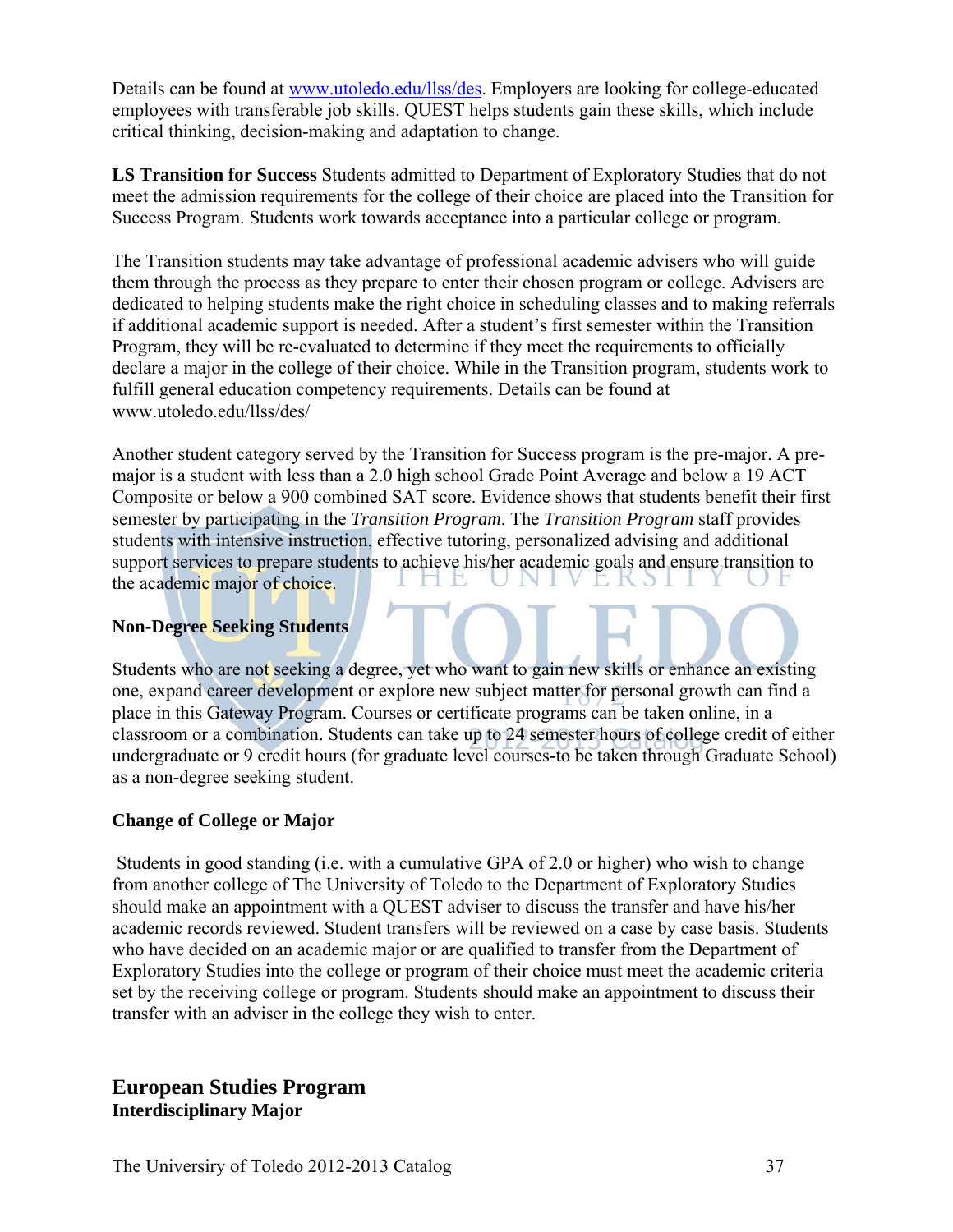Details can be found at www.utoledo.edu/llss/des. Employers are looking for college-educated employees with transferable job skills. QUEST helps students gain these skills, which include critical thinking, decision-making and adaptation to change.

**LS Transition for Success** Students admitted to Department of Exploratory Studies that do not meet the admission requirements for the college of their choice are placed into the Transition for Success Program. Students work towards acceptance into a particular college or program.

The Transition students may take advantage of professional academic advisers who will guide them through the process as they prepare to enter their chosen program or college. Advisers are dedicated to helping students make the right choice in scheduling classes and to making referrals if additional academic support is needed. After a student's first semester within the Transition Program, they will be re-evaluated to determine if they meet the requirements to officially declare a major in the college of their choice. While in the Transition program, students work to fulfill general education competency requirements. Details can be found at www.utoledo.edu/llss/des/

Another student category served by the Transition for Success program is the pre-major. A premajor is a student with less than a 2.0 high school Grade Point Average and below a 19 ACT Composite or below a 900 combined SAT score. Evidence shows that students benefit their first semester by participating in the *Transition Program*. The *Transition Program* staff provides students with intensive instruction, effective tutoring, personalized advising and additional support services to prepare students to achieve his/her academic goals and ensure transition to 1 E the academic major of choice.

#### **Non-Degree Seeking Students**

Students who are not seeking a degree, yet who want to gain new skills or enhance an existing one, expand career development or explore new subject matter for personal growth can find a place in this Gateway Program. Courses or certificate programs can be taken online, in a classroom or a combination. Students can take up to 24 semester hours of college credit of either undergraduate or 9 credit hours (for graduate level courses-to be taken through Graduate School) as a non-degree seeking student.

#### **Change of College or Major**

 Students in good standing (i.e. with a cumulative GPA of 2.0 or higher) who wish to change from another college of The University of Toledo to the Department of Exploratory Studies should make an appointment with a QUEST adviser to discuss the transfer and have his/her academic records reviewed. Student transfers will be reviewed on a case by case basis. Students who have decided on an academic major or are qualified to transfer from the Department of Exploratory Studies into the college or program of their choice must meet the academic criteria set by the receiving college or program. Students should make an appointment to discuss their transfer with an adviser in the college they wish to enter.

## **European Studies Program Interdisciplinary Major**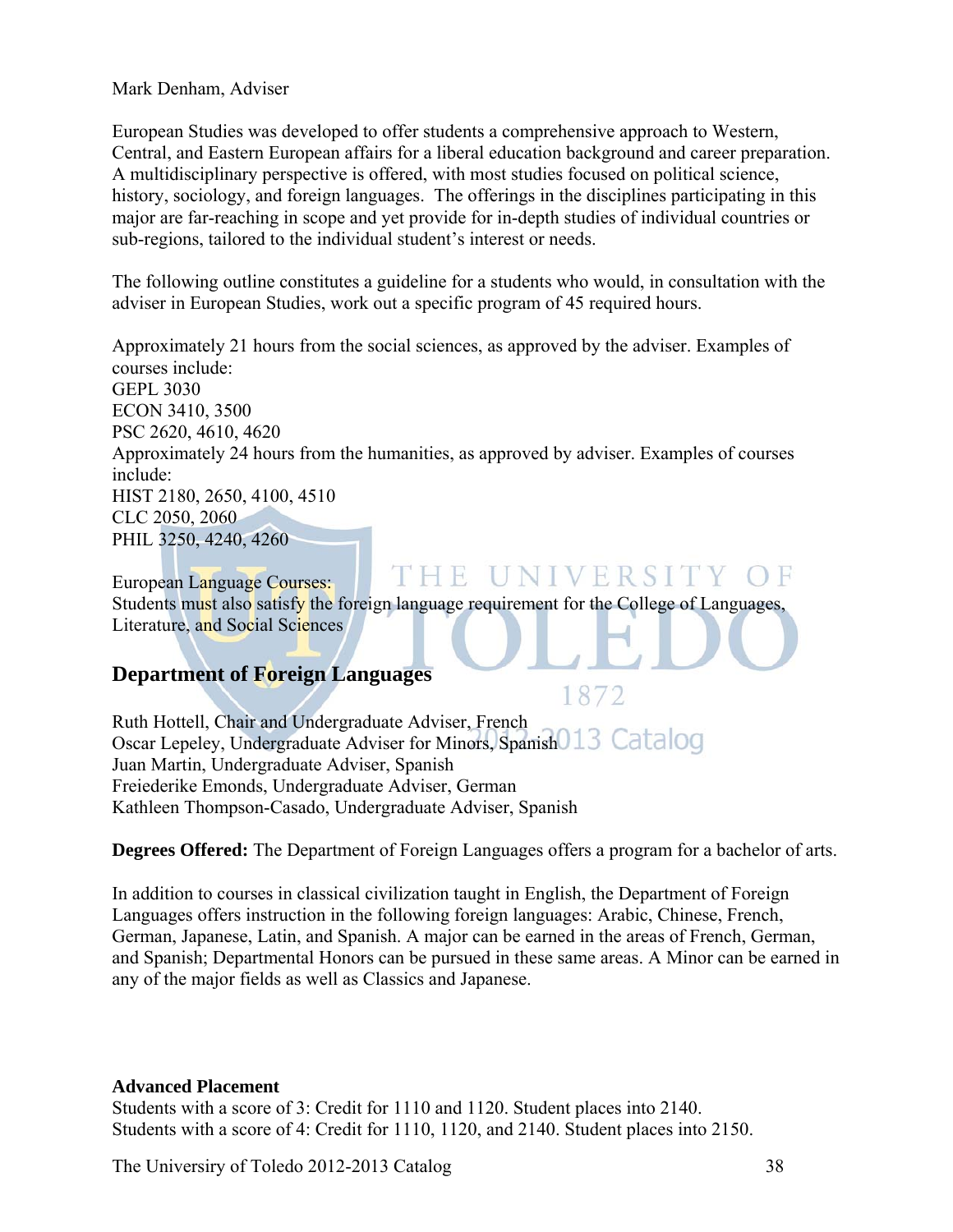Mark Denham, Adviser

European Studies was developed to offer students a comprehensive approach to Western, Central, and Eastern European affairs for a liberal education background and career preparation. A multidisciplinary perspective is offered, with most studies focused on political science, history, sociology, and foreign languages. The offerings in the disciplines participating in this major are far-reaching in scope and yet provide for in-depth studies of individual countries or sub-regions, tailored to the individual student's interest or needs.

The following outline constitutes a guideline for a students who would, in consultation with the adviser in European Studies, work out a specific program of 45 required hours.

Approximately 21 hours from the social sciences, as approved by the adviser. Examples of courses include: GEPL 3030 ECON 3410, 3500 PSC 2620, 4610, 4620 Approximately 24 hours from the humanities, as approved by adviser. Examples of courses include: HIST 2180, 2650, 4100, 4510 CLC 2050, 2060 PHIL 3250, 4240, 4260

THE UNIVERSITY OF European Language Courses: Students must also satisfy the foreign language requirement for the College of Languages, Literature, and Social Sciences

# **Department of Foreign Languages**

Ruth Hottell, Chair and Undergraduate Adviser, French Oscar Lepeley, Undergraduate Adviser for Minors, Spanish 013 Catalog Juan Martin, Undergraduate Adviser, Spanish Freiederike Emonds, Undergraduate Adviser, German Kathleen Thompson-Casado, Undergraduate Adviser, Spanish

**Degrees Offered:** The Department of Foreign Languages offers a program for a bachelor of arts.

1872

In addition to courses in classical civilization taught in English, the Department of Foreign Languages offers instruction in the following foreign languages: Arabic, Chinese, French, German, Japanese, Latin, and Spanish. A major can be earned in the areas of French, German, and Spanish; Departmental Honors can be pursued in these same areas. A Minor can be earned in any of the major fields as well as Classics and Japanese.

#### **Advanced Placement**

Students with a score of 3: Credit for 1110 and 1120. Student places into 2140. Students with a score of 4: Credit for 1110, 1120, and 2140. Student places into 2150.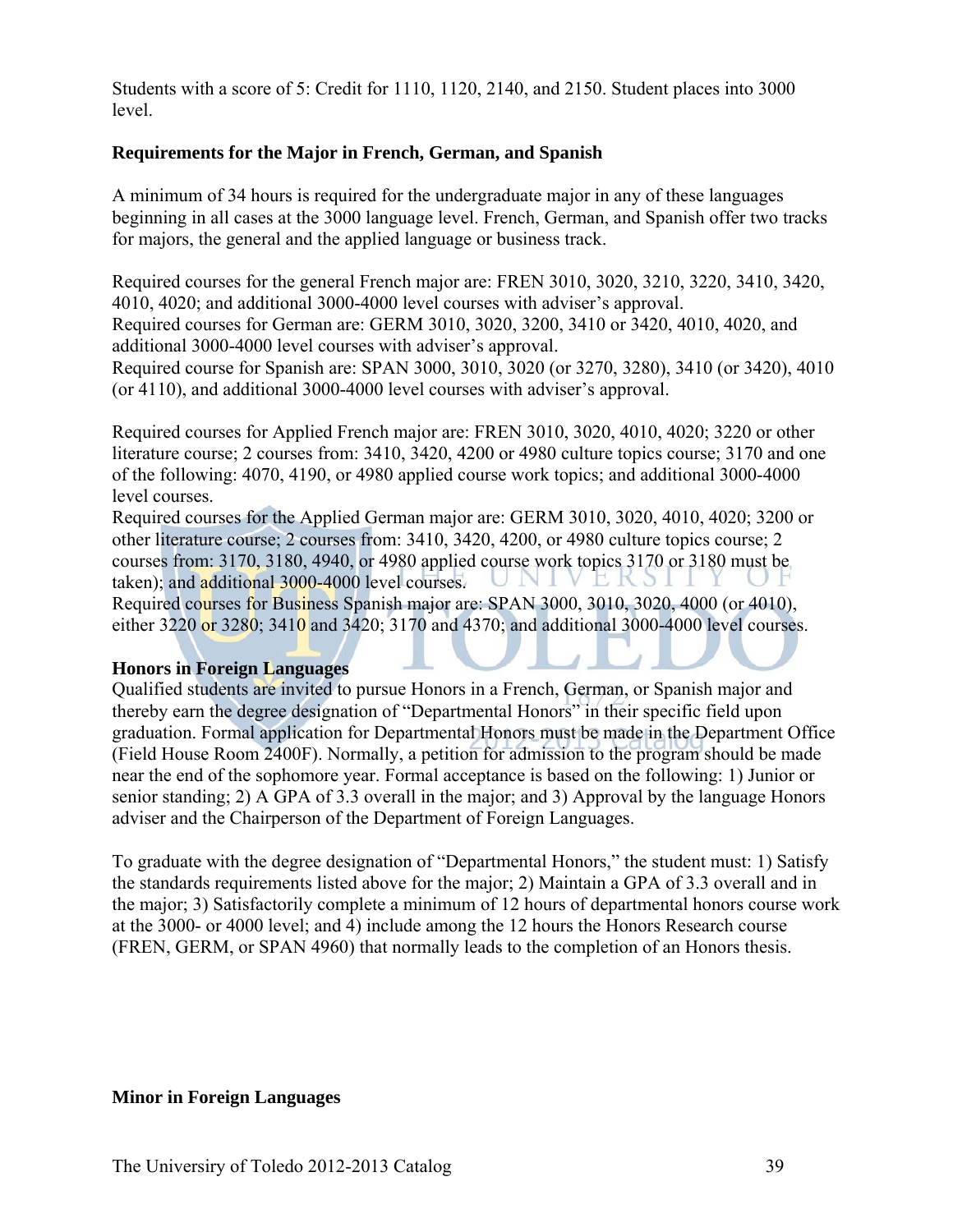Students with a score of 5: Credit for 1110, 1120, 2140, and 2150. Student places into 3000 level.

#### **Requirements for the Major in French, German, and Spanish**

A minimum of 34 hours is required for the undergraduate major in any of these languages beginning in all cases at the 3000 language level. French, German, and Spanish offer two tracks for majors, the general and the applied language or business track.

Required courses for the general French major are: FREN 3010, 3020, 3210, 3220, 3410, 3420, 4010, 4020; and additional 3000-4000 level courses with adviser's approval. Required courses for German are: GERM 3010, 3020, 3200, 3410 or 3420, 4010, 4020, and additional 3000-4000 level courses with adviser's approval.

Required course for Spanish are: SPAN 3000, 3010, 3020 (or 3270, 3280), 3410 (or 3420), 4010 (or 4110), and additional 3000-4000 level courses with adviser's approval.

Required courses for Applied French major are: FREN 3010, 3020, 4010, 4020; 3220 or other literature course; 2 courses from: 3410, 3420, 4200 or 4980 culture topics course; 3170 and one of the following: 4070, 4190, or 4980 applied course work topics; and additional 3000-4000 level courses.

Required courses for the Applied German major are: GERM 3010, 3020, 4010, 4020; 3200 or other literature course; 2 courses from: 3410, 3420, 4200, or 4980 culture topics course; 2 courses from: 3170, 3180, 4940, or 4980 applied course work topics 3170 or 3180 must be taken); and additional 3000-4000 level courses. E K S I

Required courses for Business Spanish major are: SPAN 3000, 3010, 3020, 4000 (or 4010), either 3220 or 3280; 3410 and 3420; 3170 and 4370; and additional 3000-4000 level courses.

#### **Honors in Foreign Languages**

Qualified students are invited to pursue Honors in a French, German, or Spanish major and thereby earn the degree designation of "Departmental Honors" in their specific field upon graduation. Formal application for Departmental Honors must be made in the Department Office (Field House Room 2400F). Normally, a petition for admission to the program should be made near the end of the sophomore year. Formal acceptance is based on the following: 1) Junior or senior standing; 2) A GPA of 3.3 overall in the major; and 3) Approval by the language Honors adviser and the Chairperson of the Department of Foreign Languages.

To graduate with the degree designation of "Departmental Honors," the student must: 1) Satisfy the standards requirements listed above for the major; 2) Maintain a GPA of 3.3 overall and in the major; 3) Satisfactorily complete a minimum of 12 hours of departmental honors course work at the 3000- or 4000 level; and 4) include among the 12 hours the Honors Research course (FREN, GERM, or SPAN 4960) that normally leads to the completion of an Honors thesis.

#### **Minor in Foreign Languages**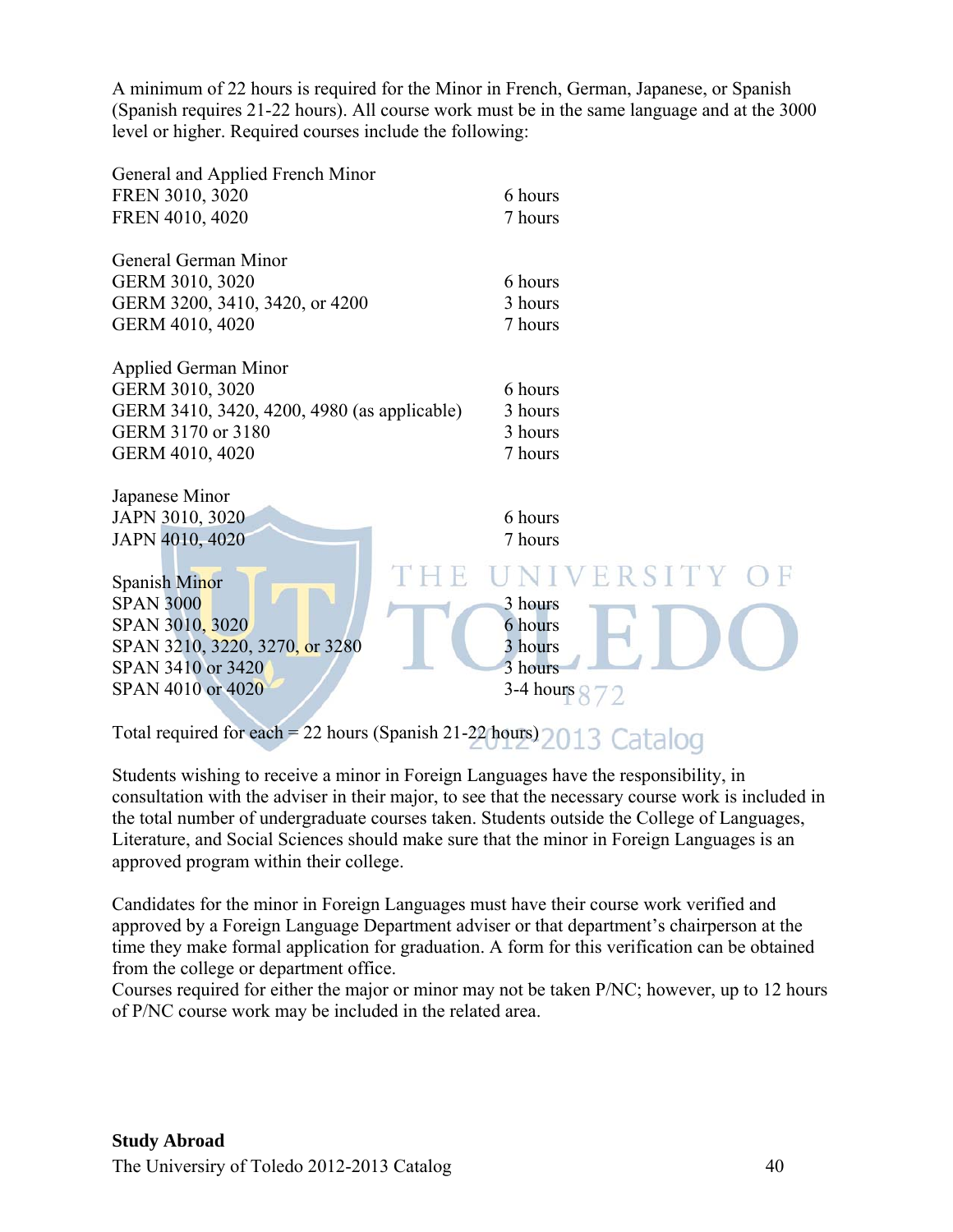A minimum of 22 hours is required for the Minor in French, German, Japanese, or Spanish (Spanish requires 21-22 hours). All course work must be in the same language and at the 3000 level or higher. Required courses include the following:

| General and Applied French Minor<br>FREN 3010, 3020<br>FREN 4010, 4020                                                                | 6 hours<br>7 hours                                                     |
|---------------------------------------------------------------------------------------------------------------------------------------|------------------------------------------------------------------------|
| General German Minor<br>GERM 3010, 3020<br>GERM 3200, 3410, 3420, or 4200<br>GERM 4010, 4020                                          | 6 hours<br>3 hours<br>7 hours                                          |
| <b>Applied German Minor</b><br>GERM 3010, 3020<br>GERM 3410, 3420, 4200, 4980 (as applicable)<br>GERM 3170 or 3180<br>GERM 4010, 4020 | 6 hours<br>3 hours<br>3 hours<br>7 hours                               |
| Japanese Minor                                                                                                                        |                                                                        |
| JAPN 3010, 3020                                                                                                                       | 6 hours                                                                |
| JAPN 4010, 4020                                                                                                                       | 7 hours                                                                |
| Spanish Minor<br><b>SPAN 3000</b><br>SPAN 3010, 3020<br>SPAN 3210, 3220, 3270, or 3280<br>SPAN 3410 or 3420<br>SPAN 4010 or 4020      | UNIVERSITY OF<br>3 hours<br>6 hours<br>3 hours<br>3 hours<br>3-4 hours |

Total required for each = 22 hours (Spanish 21-22 hours) 2013 Catalog

Students wishing to receive a minor in Foreign Languages have the responsibility, in consultation with the adviser in their major, to see that the necessary course work is included in the total number of undergraduate courses taken. Students outside the College of Languages, Literature, and Social Sciences should make sure that the minor in Foreign Languages is an approved program within their college.

Candidates for the minor in Foreign Languages must have their course work verified and approved by a Foreign Language Department adviser or that department's chairperson at the time they make formal application for graduation. A form for this verification can be obtained from the college or department office.

Courses required for either the major or minor may not be taken P/NC; however, up to 12 hours of P/NC course work may be included in the related area.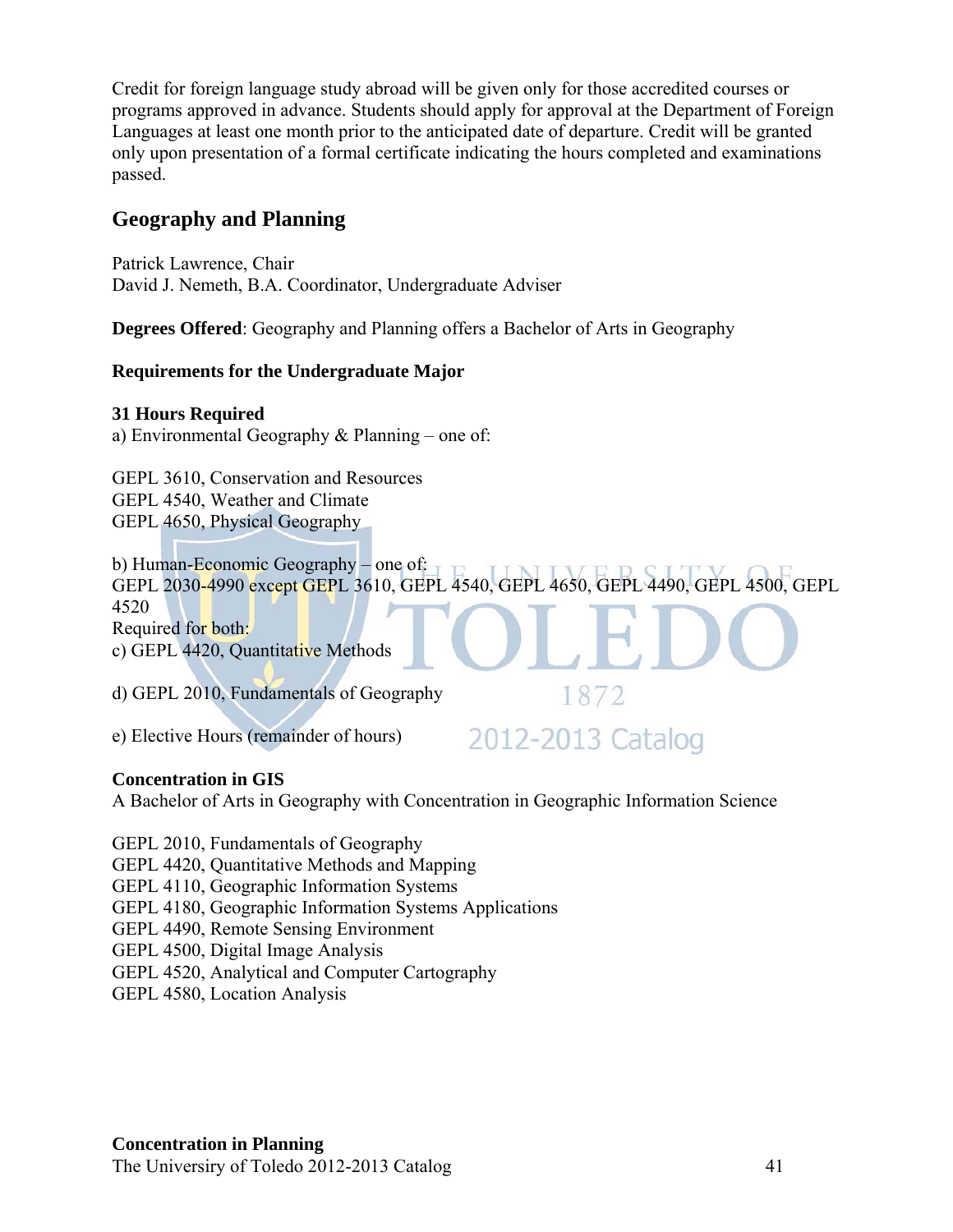Credit for foreign language study abroad will be given only for those accredited courses or programs approved in advance. Students should apply for approval at the Department of Foreign Languages at least one month prior to the anticipated date of departure. Credit will be granted only upon presentation of a formal certificate indicating the hours completed and examinations passed.

# **Geography and Planning**

Patrick Lawrence, Chair David J. Nemeth, B.A. Coordinator, Undergraduate Adviser

**Degrees Offered**: Geography and Planning offers a Bachelor of Arts in Geography

#### **Requirements for the Undergraduate Major**

#### **31 Hours Required**

a) Environmental Geography & Planning – one of:

GEPL 3610, Conservation and Resources GEPL 4540, Weather and Climate GEPL 4650, Physical Geography

b) Human-Economic Geography – one of: GEPL 2030-4990 except GEPL 3610, GEPL 4540, GEPL 4650, GEPL 4490, GEPL 4500, GEPL 4520 Required for both: c) GEPL 4420, Quantitative Methods

d) GEPL 2010, Fundamentals of Geography

e) Elective Hours (remainder of hours)

2012-2013 Catalog

1872

#### **Concentration in GIS**

A Bachelor of Arts in Geography with Concentration in Geographic Information Science

GEPL 2010, Fundamentals of Geography

GEPL 4420, Quantitative Methods and Mapping

GEPL 4110, Geographic Information Systems

GEPL 4180, Geographic Information Systems Applications

GEPL 4490, Remote Sensing Environment

GEPL 4500, Digital Image Analysis

GEPL 4520, Analytical and Computer Cartography

GEPL 4580, Location Analysis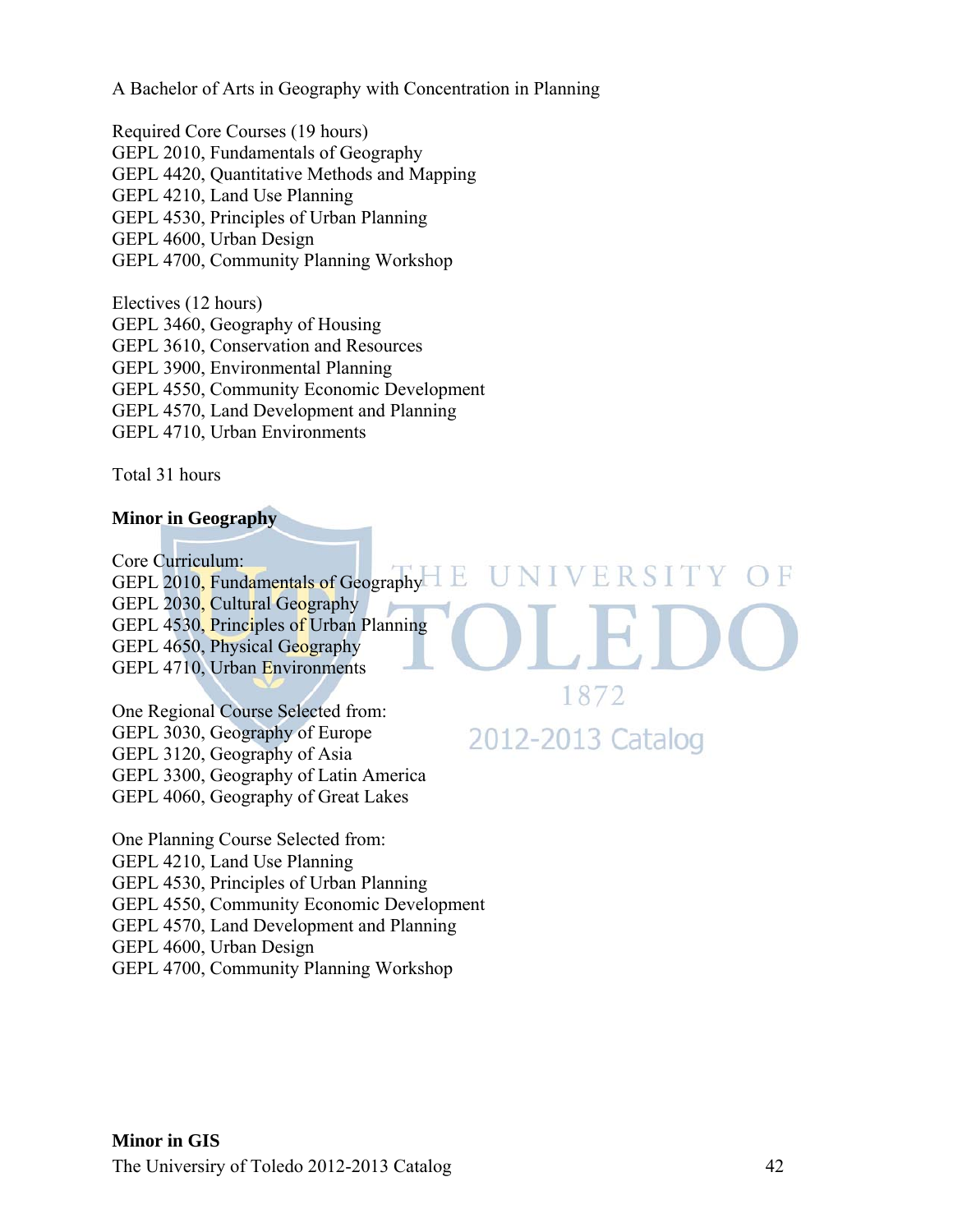A Bachelor of Arts in Geography with Concentration in Planning

Required Core Courses (19 hours) GEPL 2010, Fundamentals of Geography GEPL 4420, Quantitative Methods and Mapping GEPL 4210, Land Use Planning GEPL 4530, Principles of Urban Planning GEPL 4600, Urban Design GEPL 4700, Community Planning Workshop

Electives (12 hours) GEPL 3460, Geography of Housing GEPL 3610, Conservation and Resources GEPL 3900, Environmental Planning GEPL 4550, Community Economic Development GEPL 4570, Land Development and Planning GEPL 4710, Urban Environments

Total 31 hours

#### **Minor in Geography**

Core Curriculum: GEPL 2010, Fundamentals of Geography GEPL 2030, Cultural Geography GEPL 4530, Principles of Urban Planning GEPL 4650, Physical Geography GEPL 4710, Urban Environments

H,

One Regional Course Selected from: GEPL 3030, Geography of Europe GEPL 3120, Geography of Asia GEPL 3300, Geography of Latin America GEPL 4060, Geography of Great Lakes

One Planning Course Selected from: GEPL 4210, Land Use Planning GEPL 4530, Principles of Urban Planning GEPL 4550, Community Economic Development GEPL 4570, Land Development and Planning GEPL 4600, Urban Design GEPL 4700, Community Planning Workshop

ERSITY OF

1872

2012-2013 Catalog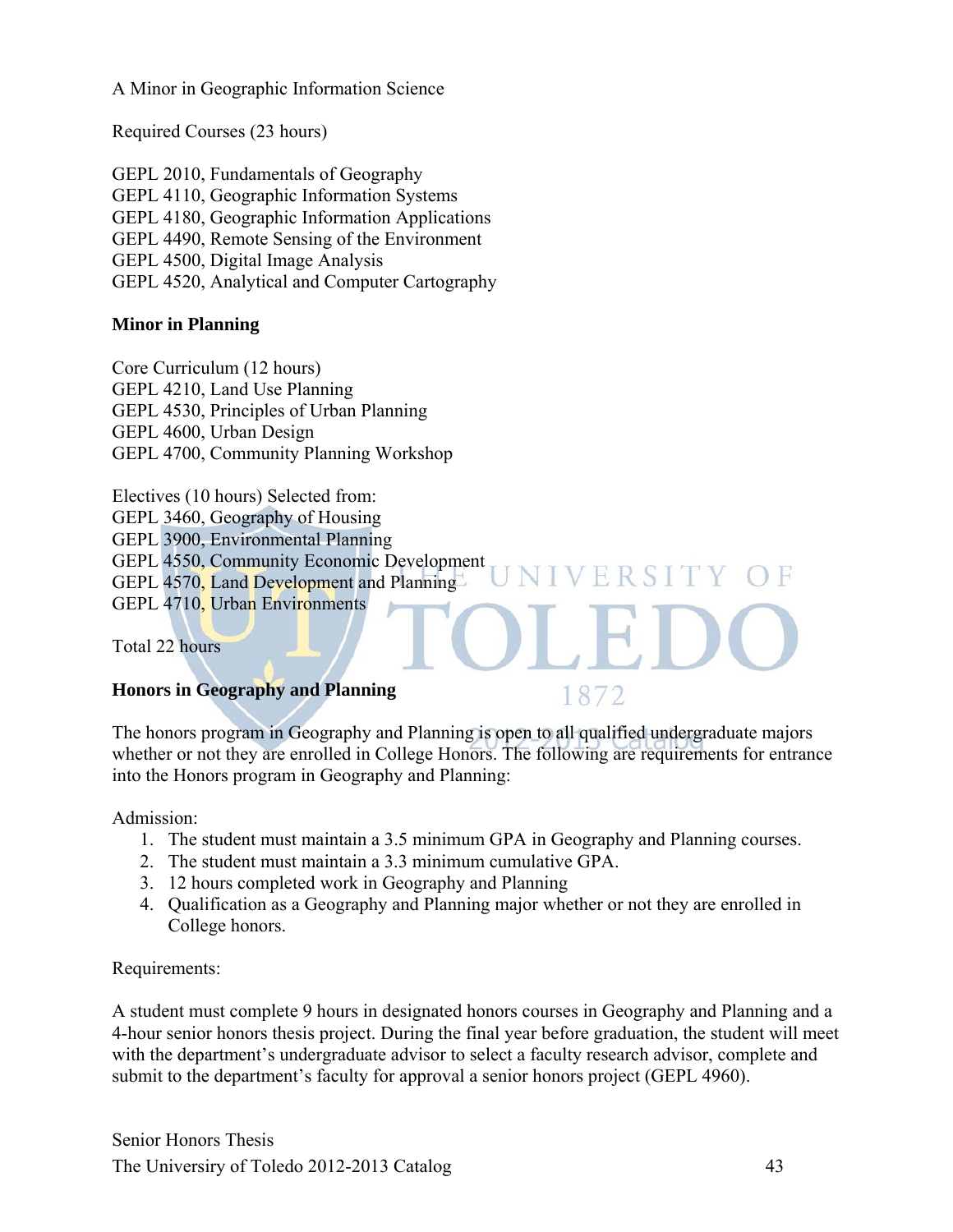A Minor in Geographic Information Science

Required Courses (23 hours)

GEPL 2010, Fundamentals of Geography GEPL 4110, Geographic Information Systems GEPL 4180, Geographic Information Applications GEPL 4490, Remote Sensing of the Environment GEPL 4500, Digital Image Analysis GEPL 4520, Analytical and Computer Cartography

#### **Minor in Planning**

Core Curriculum (12 hours) GEPL 4210, Land Use Planning GEPL 4530, Principles of Urban Planning GEPL 4600, Urban Design GEPL 4700, Community Planning Workshop

Electives (10 hours) Selected from: GEPL 3460, Geography of Housing GEPL 3900, Environmental Planning GEPL 4550, Community Economic Development GEPL 4570, Land Development and Planning GEPL 4710, Urban Environments

Total 22 hours

#### **Honors in Geography and Planning**

The honors program in Geography and Planning is open to all qualified undergraduate majors whether or not they are enrolled in College Honors. The following are requirements for entrance into the Honors program in Geography and Planning:

FRS

1872

Admission:

- 1. The student must maintain a 3.5 minimum GPA in Geography and Planning courses.
- 2. The student must maintain a 3.3 minimum cumulative GPA.
- 3. 12 hours completed work in Geography and Planning
- 4. Qualification as a Geography and Planning major whether or not they are enrolled in College honors.

Requirements:

A student must complete 9 hours in designated honors courses in Geography and Planning and a 4-hour senior honors thesis project. During the final year before graduation, the student will meet with the department's undergraduate advisor to select a faculty research advisor, complete and submit to the department's faculty for approval a senior honors project (GEPL 4960).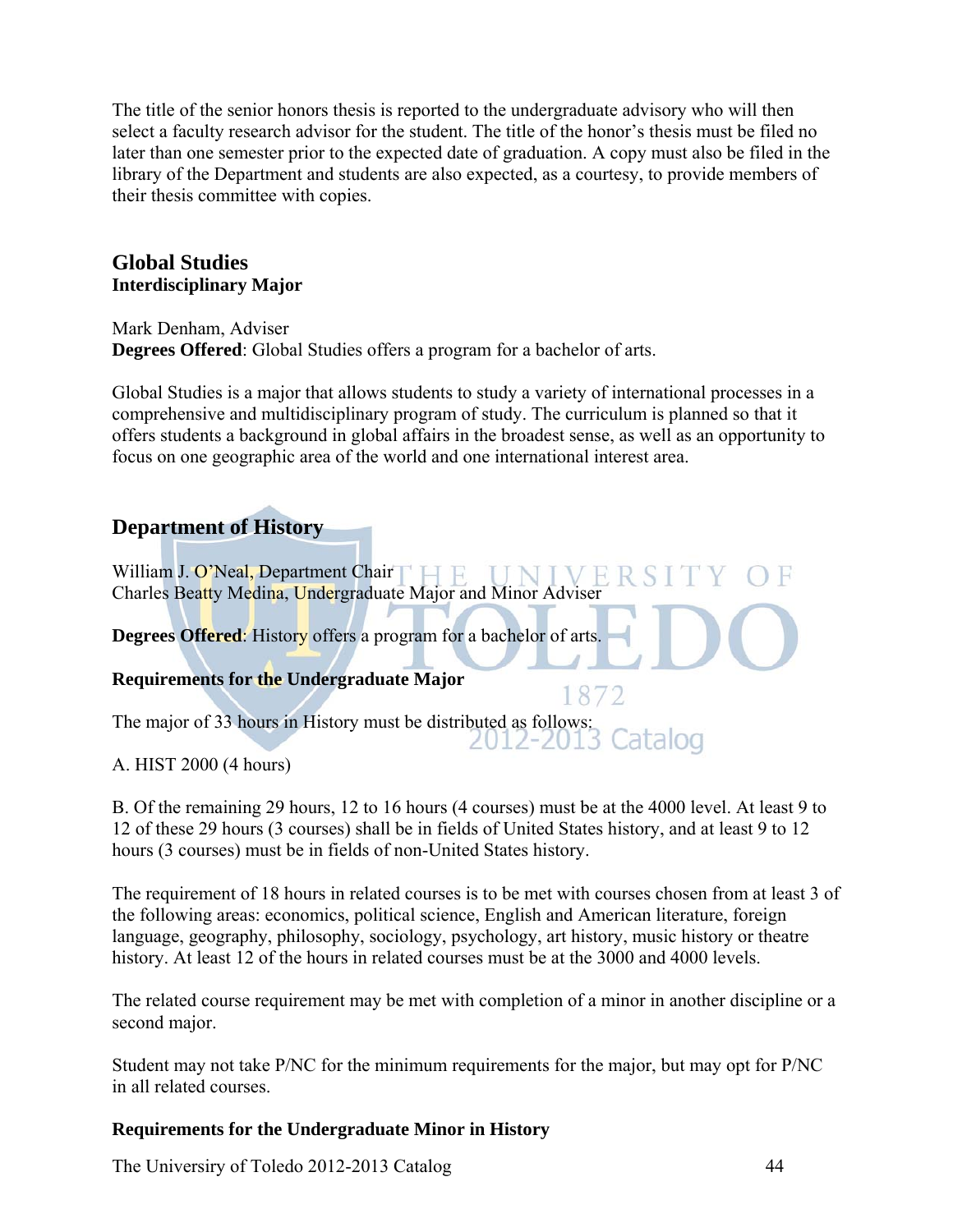The title of the senior honors thesis is reported to the undergraduate advisory who will then select a faculty research advisor for the student. The title of the honor's thesis must be filed no later than one semester prior to the expected date of graduation. A copy must also be filed in the library of the Department and students are also expected, as a courtesy, to provide members of their thesis committee with copies.

## **Global Studies Interdisciplinary Major**

Mark Denham, Adviser **Degrees Offered**: Global Studies offers a program for a bachelor of arts.

Global Studies is a major that allows students to study a variety of international processes in a comprehensive and multidisciplinary program of study. The curriculum is planned so that it offers students a background in global affairs in the broadest sense, as well as an opportunity to focus on one geographic area of the world and one international interest area.

# **Department of History**

William J. O'Neal, Department Chair | H. F. IJ N J V E R Charles Beatty Medina, Undergraduate Major and Minor Adviser **Degrees Offered:** History offers a program for a bachelor of arts.

#### **Requirements for the Undergraduate Major**

The major of 33 hours in History must be distributed as follows: Catalog 2012-2013

A. HIST 2000 (4 hours)

B. Of the remaining 29 hours, 12 to 16 hours (4 courses) must be at the 4000 level. At least 9 to 12 of these 29 hours (3 courses) shall be in fields of United States history, and at least 9 to 12 hours (3 courses) must be in fields of non-United States history.

1872

The requirement of 18 hours in related courses is to be met with courses chosen from at least 3 of the following areas: economics, political science, English and American literature, foreign language, geography, philosophy, sociology, psychology, art history, music history or theatre history. At least 12 of the hours in related courses must be at the 3000 and 4000 levels.

The related course requirement may be met with completion of a minor in another discipline or a second major.

Student may not take P/NC for the minimum requirements for the major, but may opt for P/NC in all related courses.

#### **Requirements for the Undergraduate Minor in History**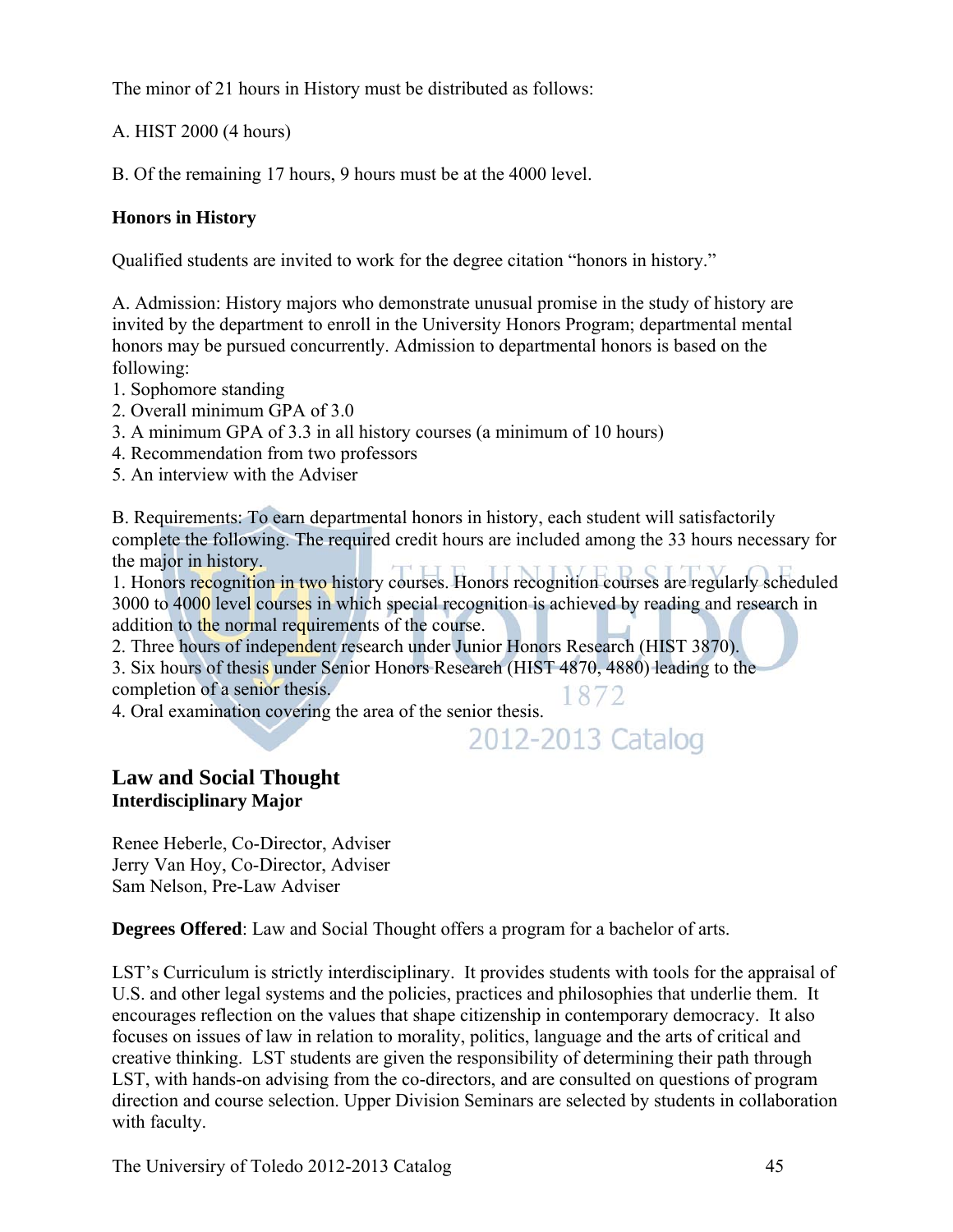The minor of 21 hours in History must be distributed as follows:

A. HIST 2000 (4 hours)

B. Of the remaining 17 hours, 9 hours must be at the 4000 level.

## **Honors in History**

Qualified students are invited to work for the degree citation "honors in history."

A. Admission: History majors who demonstrate unusual promise in the study of history are invited by the department to enroll in the University Honors Program; departmental mental honors may be pursued concurrently. Admission to departmental honors is based on the following:

- 1. Sophomore standing
- 2. Overall minimum GPA of 3.0
- 3. A minimum GPA of 3.3 in all history courses (a minimum of 10 hours)
- 4. Recommendation from two professors
- 5. An interview with the Adviser

B. Requirements: To earn departmental honors in history, each student will satisfactorily complete the following. The required credit hours are included among the 33 hours necessary for the major in history.

1. Honors recognition in two history courses. Honors recognition courses are regularly scheduled 3000 to 4000 level courses in which special recognition is achieved by reading and research in addition to the normal requirements of the course.

2. Three hours of independent research under Junior Honors Research (HIST 3870). 3. Six hours of thesis under Senior Honors Research (HIST 4870, 4880) leading to the

completion of a senior thesis.

4. Oral examination covering the area of the senior thesis.

2012-2013 Catalog

1872

# **Law and Social Thought Interdisciplinary Major**

Renee Heberle, Co-Director, Adviser Jerry Van Hoy, Co-Director, Adviser Sam Nelson, Pre-Law Adviser

**Degrees Offered**: Law and Social Thought offers a program for a bachelor of arts.

LST's Curriculum is strictly interdisciplinary. It provides students with tools for the appraisal of U.S. and other legal systems and the policies, practices and philosophies that underlie them. It encourages reflection on the values that shape citizenship in contemporary democracy. It also focuses on issues of law in relation to morality, politics, language and the arts of critical and creative thinking. LST students are given the responsibility of determining their path through LST, with hands-on advising from the co-directors, and are consulted on questions of program direction and course selection. Upper Division Seminars are selected by students in collaboration with faculty.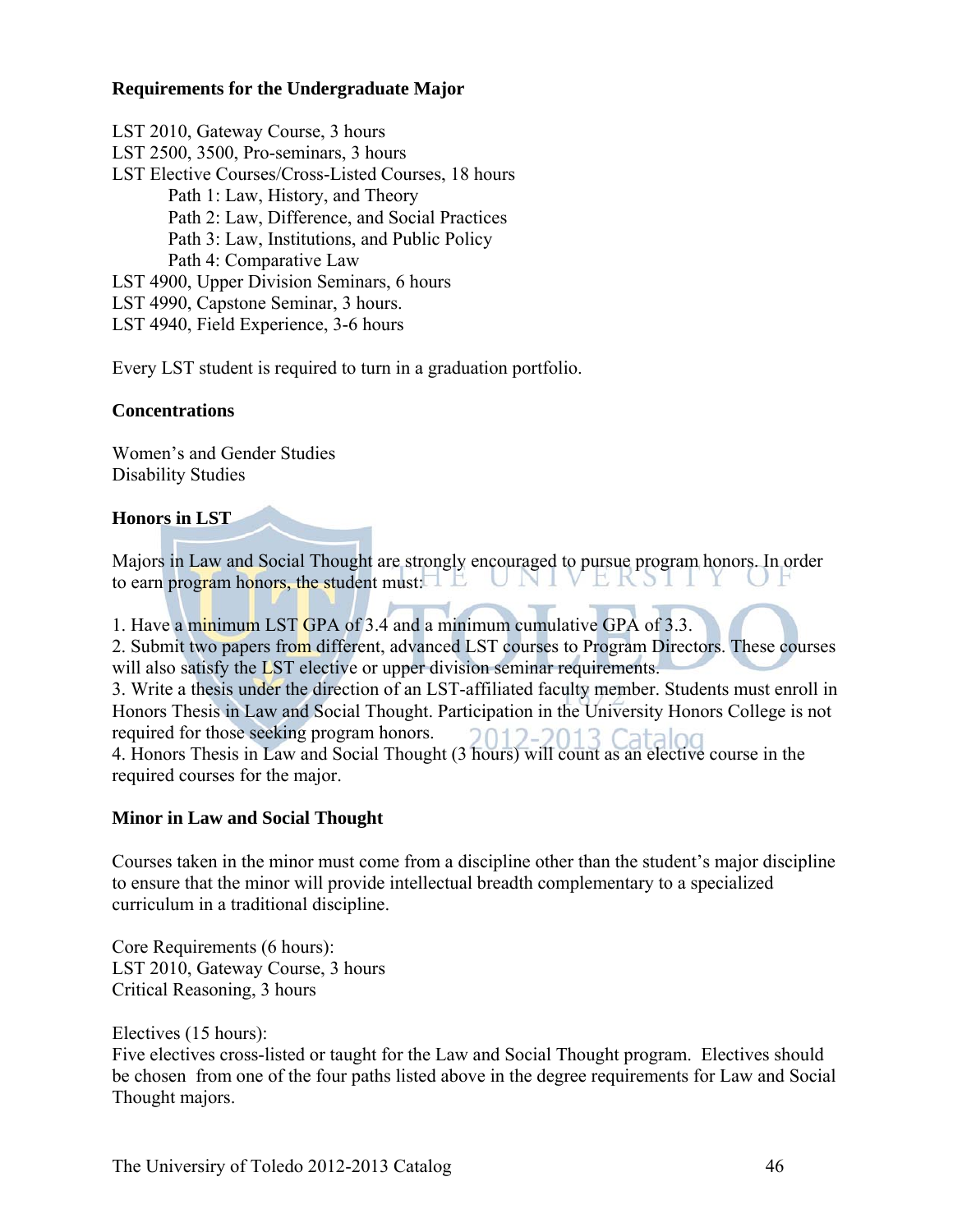#### **Requirements for the Undergraduate Major**

LST 2010, Gateway Course, 3 hours LST 2500, 3500, Pro-seminars, 3 hours LST Elective Courses/Cross-Listed Courses, 18 hours Path 1: Law, History, and Theory Path 2: Law, Difference, and Social Practices Path 3: Law, Institutions, and Public Policy Path 4: Comparative Law LST 4900, Upper Division Seminars, 6 hours LST 4990, Capstone Seminar, 3 hours. LST 4940, Field Experience, 3-6 hours

Every LST student is required to turn in a graduation portfolio.

#### **Concentrations**

Women's and Gender Studies Disability Studies

#### **Honors in LST**

Majors in Law and Social Thought are strongly encouraged to pursue program honors. In order to earn program honors, the student must:  $\Box$ VEKSII

1. Have a minimum LST GPA of 3.4 and a minimum cumulative GPA of 3.3.

2. Submit two papers from different, advanced LST courses to Program Directors. These courses will also satisfy the LST elective or upper division seminar requirements. 3. Write a thesis under the direction of an LST-affiliated faculty member. Students must enroll in Honors Thesis in Law and Social Thought. Participation in the University Honors College is not required for those seeking program honors.  $201$ 2-2013 Catalog 4. Honors Thesis in Law and Social Thought (3 hours) will count as an elective course in the required courses for the major.

#### **Minor in Law and Social Thought**

Courses taken in the minor must come from a discipline other than the student's major discipline to ensure that the minor will provide intellectual breadth complementary to a specialized curriculum in a traditional discipline.

Core Requirements (6 hours): LST 2010, Gateway Course, 3 hours Critical Reasoning, 3 hours

Electives (15 hours):

Five electives cross-listed or taught for the Law and Social Thought program. Electives should be chosen from one of the four paths listed above in the degree requirements for Law and Social Thought majors.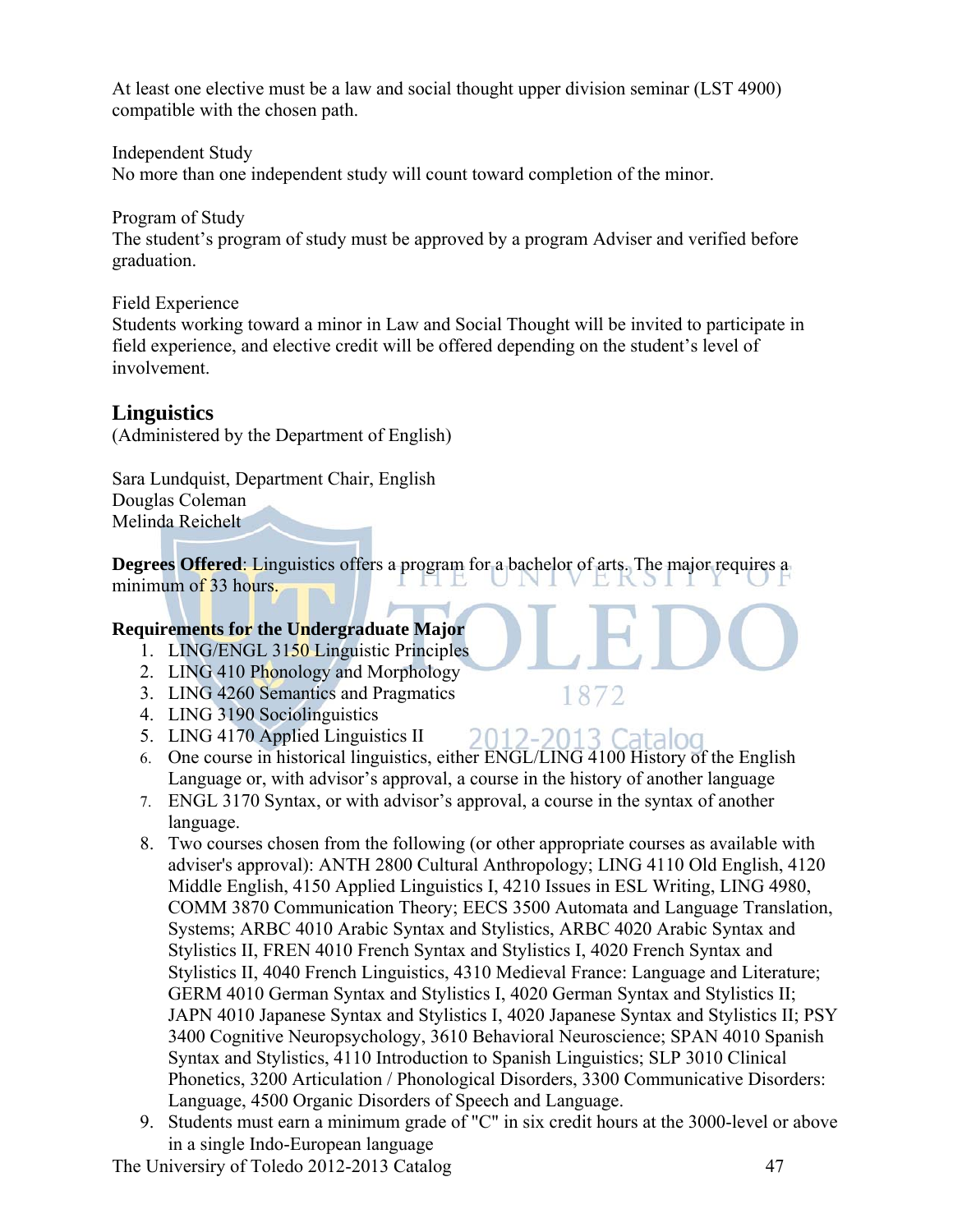At least one elective must be a law and social thought upper division seminar (LST 4900) compatible with the chosen path.

Independent Study No more than one independent study will count toward completion of the minor.

Program of Study

The student's program of study must be approved by a program Adviser and verified before graduation.

Field Experience

Students working toward a minor in Law and Social Thought will be invited to participate in field experience, and elective credit will be offered depending on the student's level of involvement.

# **Linguistics**

(Administered by the Department of English)

Sara Lundquist, Department Chair, English Douglas Coleman Melinda Reichelt

**Degrees Offered:** Linguistics offers a program for a bachelor of arts. The major requires a minimum of 33 hours minimum of 33 hours.

# **Requirements for the Undergraduate Major**

- 1. LING/ENGL 3150 Linguistic Principles
- 2. LING 410 Phonology and Morphology
- 3. LING 4260 Semantics and Pragmatics
- 4. LING 3190 Sociolinguistics
- 5. LING 4170 Applied Linguistics II
- 2012-2013 Catalog 6. One course in historical linguistics, either ENGL/LING 4100 History of the English Language or, with advisor's approval, a course in the history of another language
- 7. ENGL 3170 Syntax, or with advisor's approval, a course in the syntax of another language.
- 8. Two courses chosen from the following (or other appropriate courses as available with adviser's approval): ANTH 2800 Cultural Anthropology; LING 4110 Old English, 4120 Middle English, 4150 Applied Linguistics I, 4210 Issues in ESL Writing, LING 4980, COMM 3870 Communication Theory; EECS 3500 Automata and Language Translation, Systems; ARBC 4010 Arabic Syntax and Stylistics, ARBC 4020 Arabic Syntax and Stylistics II, FREN 4010 French Syntax and Stylistics I, 4020 French Syntax and Stylistics II, 4040 French Linguistics, 4310 Medieval France: Language and Literature; GERM 4010 German Syntax and Stylistics I, 4020 German Syntax and Stylistics II; JAPN 4010 Japanese Syntax and Stylistics I, 4020 Japanese Syntax and Stylistics II; PSY 3400 Cognitive Neuropsychology, 3610 Behavioral Neuroscience; SPAN 4010 Spanish Syntax and Stylistics, 4110 Introduction to Spanish Linguistics; SLP 3010 Clinical Phonetics, 3200 Articulation / Phonological Disorders, 3300 Communicative Disorders: Language, 4500 Organic Disorders of Speech and Language.
- 9. Students must earn a minimum grade of "C" in six credit hours at the 3000-level or above in a single Indo-European language

1872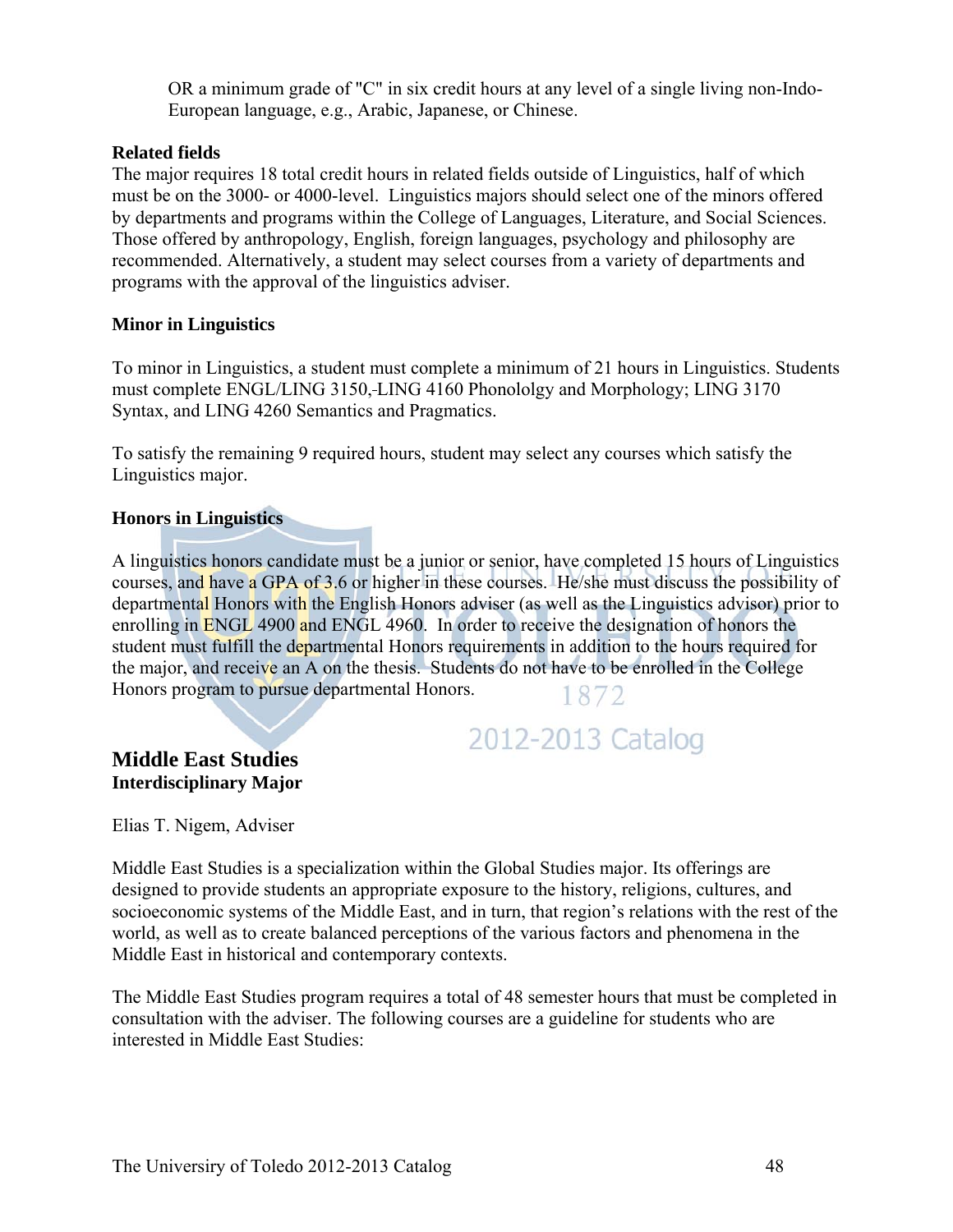OR a minimum grade of "C" in six credit hours at any level of a single living non-Indo-European language, e.g., Arabic, Japanese, or Chinese.

#### **Related fields**

The major requires 18 total credit hours in related fields outside of Linguistics, half of which must be on the 3000- or 4000-level. Linguistics majors should select one of the minors offered by departments and programs within the College of Languages, Literature, and Social Sciences. Those offered by anthropology, English, foreign languages, psychology and philosophy are recommended. Alternatively, a student may select courses from a variety of departments and programs with the approval of the linguistics adviser.

#### **Minor in Linguistics**

To minor in Linguistics, a student must complete a minimum of 21 hours in Linguistics. Students must complete ENGL/LING 3150, LING 4160 Phonololgy and Morphology; LING 3170 Syntax, and LING 4260 Semantics and Pragmatics.

To satisfy the remaining 9 required hours, student may select any courses which satisfy the Linguistics major.

#### **Honors in Linguistics**

A linguistics honors candidate must be a junior or senior, have completed 15 hours of Linguistics courses, and have a GPA of 3.6 or higher in these courses. He/she must discuss the possibility of departmental Honors with the English Honors adviser (as well as the Linguistics advisor) prior to enrolling in ENGL 4900 and ENGL 4960. In order to receive the designation of honors the student must fulfill the departmental Honors requirements in addition to the hours required for the major, and receive an A on the thesis. Students do not have to be enrolled in the College Honors program to pursue departmental Honors. 1872

# 2012-2013 Catalog

#### **Middle East Studies Interdisciplinary Major**

Elias T. Nigem, Adviser

Middle East Studies is a specialization within the Global Studies major. Its offerings are designed to provide students an appropriate exposure to the history, religions, cultures, and socioeconomic systems of the Middle East, and in turn, that region's relations with the rest of the world, as well as to create balanced perceptions of the various factors and phenomena in the Middle East in historical and contemporary contexts.

The Middle East Studies program requires a total of 48 semester hours that must be completed in consultation with the adviser. The following courses are a guideline for students who are interested in Middle East Studies: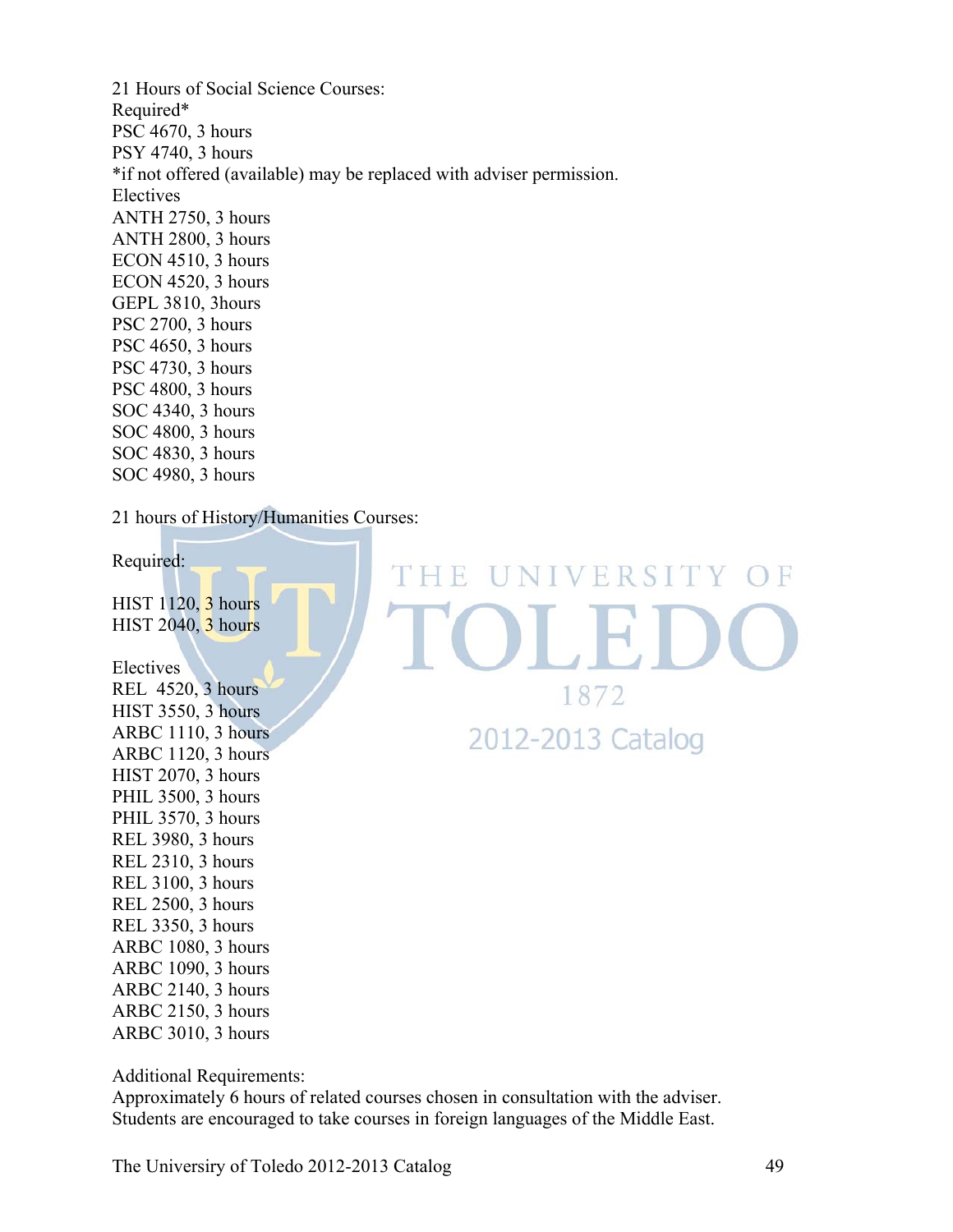21 Hours of Social Science Courses: Required\* PSC 4670, 3 hours PSY 4740, 3 hours \*if not offered (available) may be replaced with adviser permission. Electives ANTH 2750, 3 hours ANTH 2800, 3 hours ECON 4510, 3 hours ECON 4520, 3 hours GEPL 3810, 3hours PSC 2700, 3 hours PSC 4650, 3 hours PSC 4730, 3 hours PSC 4800, 3 hours SOC 4340, 3 hours SOC 4800, 3 hours SOC 4830, 3 hours SOC 4980, 3 hours

21 hours of History/Humanities Courses:

Required:

HIST 1120, 3 hours **HIST 2040**, 3 hours

Electives REL 4520, 3 hours HIST 3550, 3 hours ARBC 1110, 3 hours ARBC 1120, 3 hours HIST 2070, 3 hours PHIL 3500, 3 hours PHIL 3570, 3 hours REL 3980, 3 hours REL 2310, 3 hours REL 3100, 3 hours REL 2500, 3 hours REL 3350, 3 hours ARBC 1080, 3 hours ARBC 1090, 3 hours ARBC 2140, 3 hours ARBC 2150, 3 hours ARBC 3010, 3 hours

THE UNIVERSITY OF 1872 2012-2013 Catalog

Additional Requirements:

Approximately 6 hours of related courses chosen in consultation with the adviser. Students are encouraged to take courses in foreign languages of the Middle East.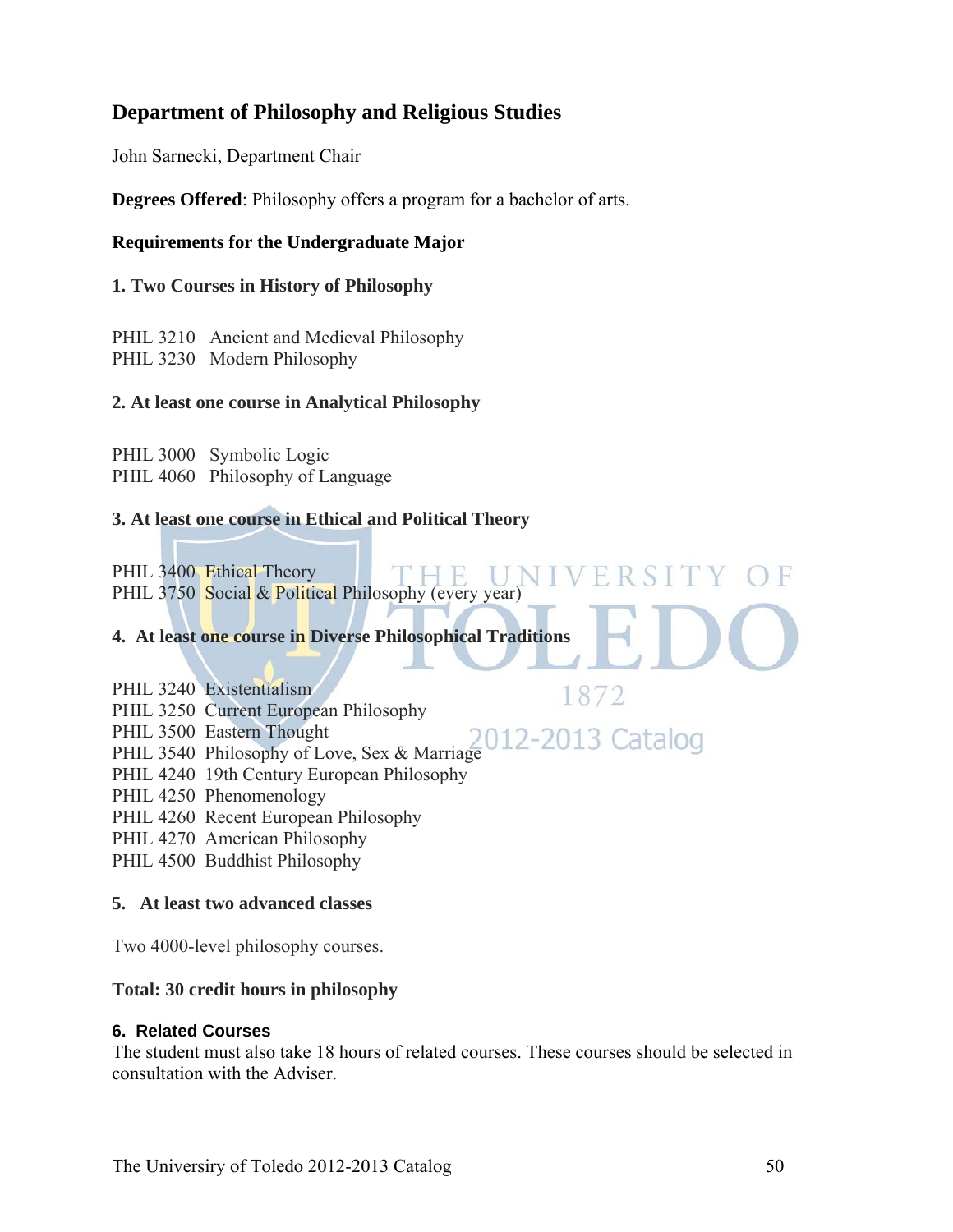# **Department of Philosophy and Religious Studies**

John Sarnecki, Department Chair

**Degrees Offered**: Philosophy offers a program for a bachelor of arts.

#### **Requirements for the Undergraduate Major**

#### **1. Two Courses in History of Philosophy**

PHIL 3210 Ancient and Medieval Philosophy PHIL 3230 Modern Philosophy

#### **2. At least one course in Analytical Philosophy**

PHIL 3000 Symbolic Logic PHIL 4060 Philosophy of Language

#### **3. At least one course in Ethical and Political Theory**

PHIL 3400 Ethical Theory UNIV PHIL 3750 Social & Political Philosophy (every year)

#### **4. At least one course in Diverse Philosophical Traditions**

PHIL 3240 Existentialism

PHIL 3250 Current European Philosophy

- PHIL 3500 Eastern Thought
- PHIL 3540 Philosophy of Love, Sex & Marriage
- PHIL 4240 19th Century European Philosophy
- PHIL 4250 Phenomenology
- PHIL 4260 Recent European Philosophy
- PHIL 4270 American Philosophy
- PHIL 4500 Buddhist Philosophy

#### **5. At least two advanced classes**

Two 4000-level philosophy courses.

#### **Total: 30 credit hours in philosophy**

#### **6. Related Courses**

The student must also take 18 hours of related courses. These courses should be selected in consultation with the Adviser.

F R

1872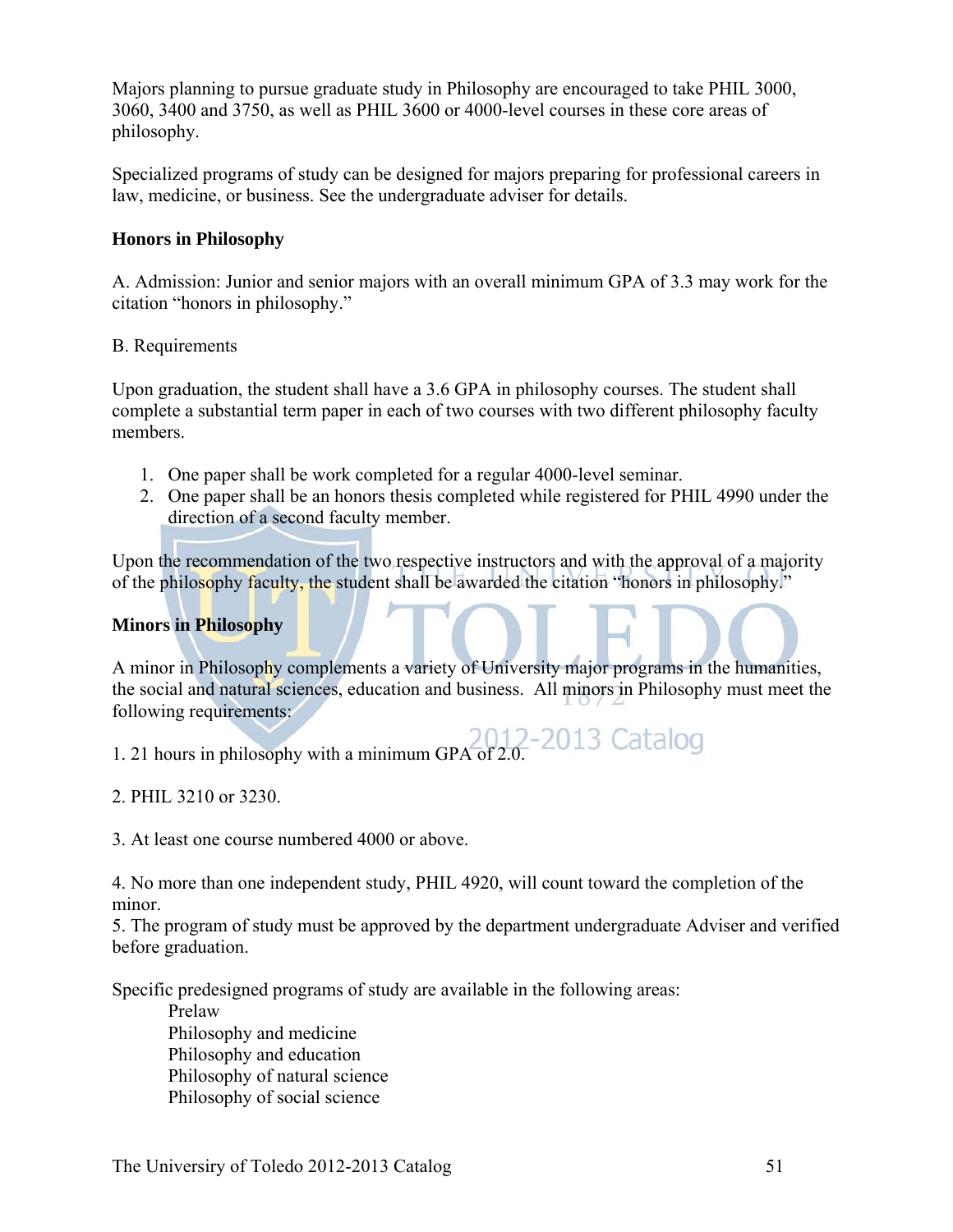Majors planning to pursue graduate study in Philosophy are encouraged to take PHIL 3000, 3060, 3400 and 3750, as well as PHIL 3600 or 4000-level courses in these core areas of philosophy.

Specialized programs of study can be designed for majors preparing for professional careers in law, medicine, or business. See the undergraduate adviser for details.

#### **Honors in Philosophy**

A. Admission: Junior and senior majors with an overall minimum GPA of 3.3 may work for the citation "honors in philosophy."

#### B. Requirements

Upon graduation, the student shall have a 3.6 GPA in philosophy courses. The student shall complete a substantial term paper in each of two courses with two different philosophy faculty members.

- 1. One paper shall be work completed for a regular 4000-level seminar.
- 2. One paper shall be an honors thesis completed while registered for PHIL 4990 under the direction of a second faculty member.

Upon the recommendation of the two respective instructors and with the approval of a majority of the philosophy faculty, the student shall be awarded the citation "honors in philosophy."

#### **Minors in Philosophy**

A minor in Philosophy complements a variety of University major programs in the humanities, the social and natural sciences, education and business. All minors in Philosophy must meet the following requirements:

1. 21 hours in philosophy with a minimum GPA of 2.0. Catalog

2. PHIL 3210 or 3230.

3. At least one course numbered 4000 or above.

4. No more than one independent study, PHIL 4920, will count toward the completion of the minor.

5. The program of study must be approved by the department undergraduate Adviser and verified before graduation.

Specific predesigned programs of study are available in the following areas:

 Prelaw Philosophy and medicine Philosophy and education Philosophy of natural science Philosophy of social science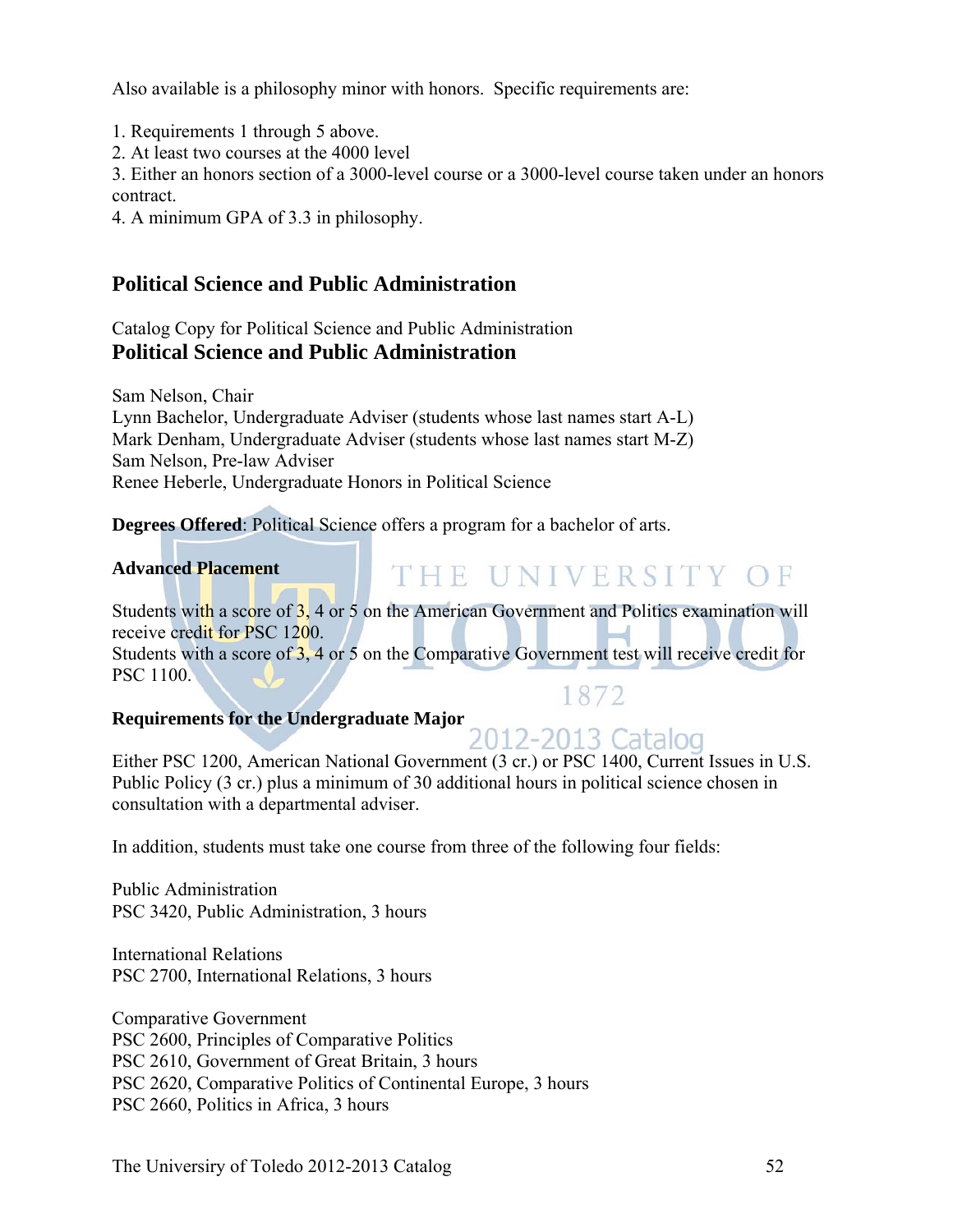Also available is a philosophy minor with honors. Specific requirements are:

1. Requirements 1 through 5 above.

2. At least two courses at the 4000 level

3. Either an honors section of a 3000-level course or a 3000-level course taken under an honors contract.

4. A minimum GPA of 3.3 in philosophy.

# **Political Science and Public Administration**

Catalog Copy for Political Science and Public Administration **Political Science and Public Administration** 

Sam Nelson, Chair Lynn Bachelor, Undergraduate Adviser (students whose last names start A-L) Mark Denham, Undergraduate Adviser (students whose last names start M-Z) Sam Nelson, Pre-law Adviser Renee Heberle, Undergraduate Honors in Political Science

**Degrees Offered**: Political Science offers a program for a bachelor of arts.

#### **Advanced Placement**

# THE UNIVERSITY OF

Students with a score of 3, 4 or 5 on the American Government and Politics examination will receive credit for PSC 1200. Students with a score of 3, 4 or 5 on the Comparative Government test will receive credit for PSC 1100. 1872

# **Requirements for the Undergraduate Major**

Either PSC 1200, American National Government (3 cr.) or PSC 1400, Current Issues in U.S. Public Policy (3 cr.) plus a minimum of 30 additional hours in political science chosen in consultation with a departmental adviser.

In addition, students must take one course from three of the following four fields:

Public Administration PSC 3420, Public Administration, 3 hours

International Relations PSC 2700, International Relations, 3 hours

Comparative Government PSC 2600, Principles of Comparative Politics PSC 2610, Government of Great Britain, 3 hours PSC 2620, Comparative Politics of Continental Europe, 3 hours PSC 2660, Politics in Africa, 3 hours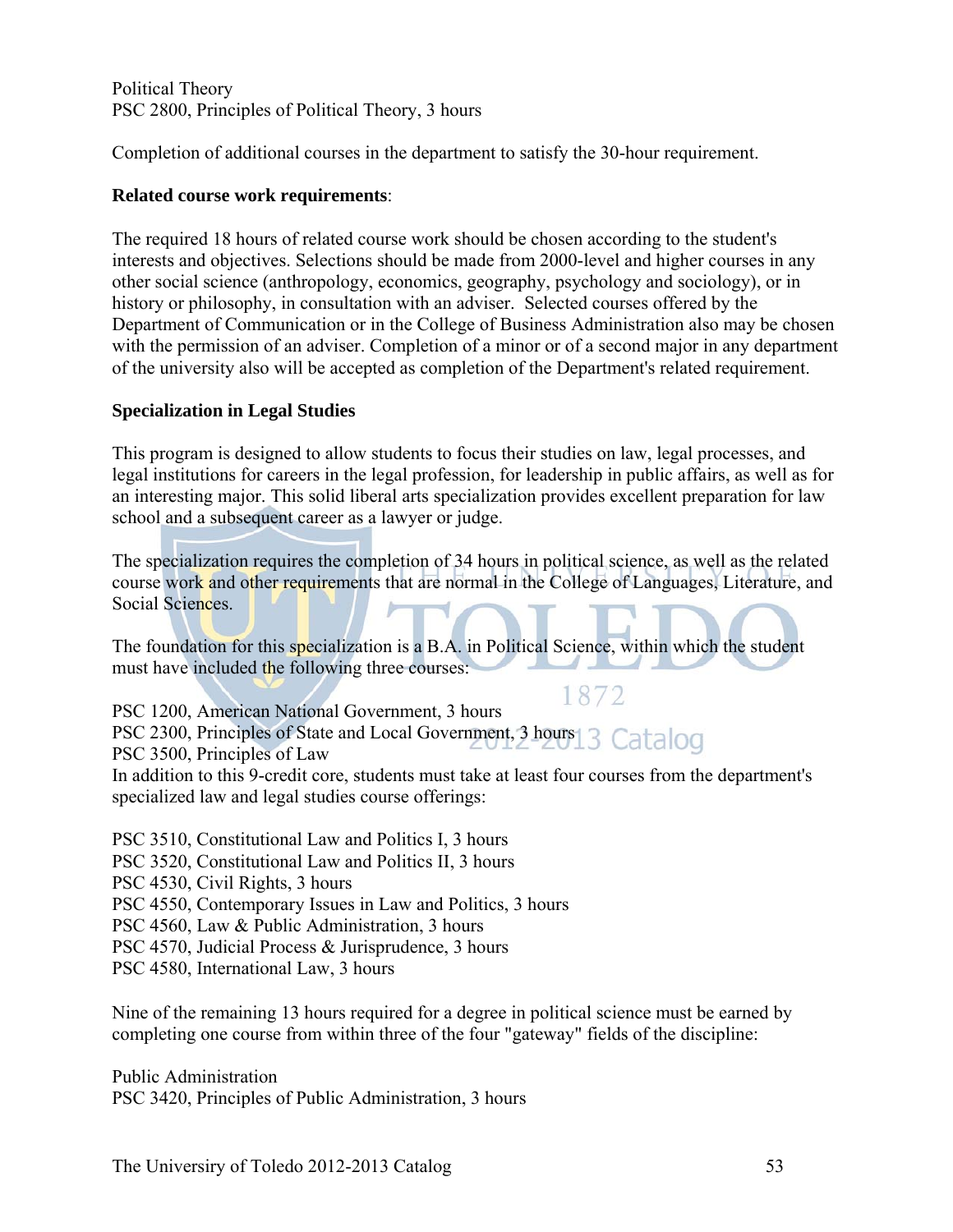Political Theory PSC 2800, Principles of Political Theory, 3 hours

Completion of additional courses in the department to satisfy the 30-hour requirement.

#### **Related course work requirements**:

The required 18 hours of related course work should be chosen according to the student's interests and objectives. Selections should be made from 2000-level and higher courses in any other social science (anthropology, economics, geography, psychology and sociology), or in history or philosophy, in consultation with an adviser. Selected courses offered by the Department of Communication or in the College of Business Administration also may be chosen with the permission of an adviser. Completion of a minor or of a second major in any department of the university also will be accepted as completion of the Department's related requirement.

#### **Specialization in Legal Studies**

This program is designed to allow students to focus their studies on law, legal processes, and legal institutions for careers in the legal profession, for leadership in public affairs, as well as for an interesting major. This solid liberal arts specialization provides excellent preparation for law school and a subsequent career as a lawyer or judge.

The specialization requires the completion of 34 hours in political science, as well as the related course work and other requirements that are normal in the College of Languages, Literature, and Social Sciences.

The foundation for this specialization is a B.A. in Political Science, within which the student must have included the following three courses:

1872 PSC 1200, American National Government, 3 hours PSC 2300, Principles of State and Local Government, 3 hours 3 Catalog PSC 3500, Principles of Law In addition to this 9-credit core, students must take at least four courses from the department's specialized law and legal studies course offerings:

PSC 3510, Constitutional Law and Politics I, 3 hours PSC 3520, Constitutional Law and Politics II, 3 hours PSC 4530, Civil Rights, 3 hours PSC 4550, Contemporary Issues in Law and Politics, 3 hours PSC 4560, Law & Public Administration, 3 hours PSC 4570, Judicial Process & Jurisprudence, 3 hours PSC 4580, International Law, 3 hours

Nine of the remaining 13 hours required for a degree in political science must be earned by completing one course from within three of the four "gateway" fields of the discipline:

Public Administration PSC 3420, Principles of Public Administration, 3 hours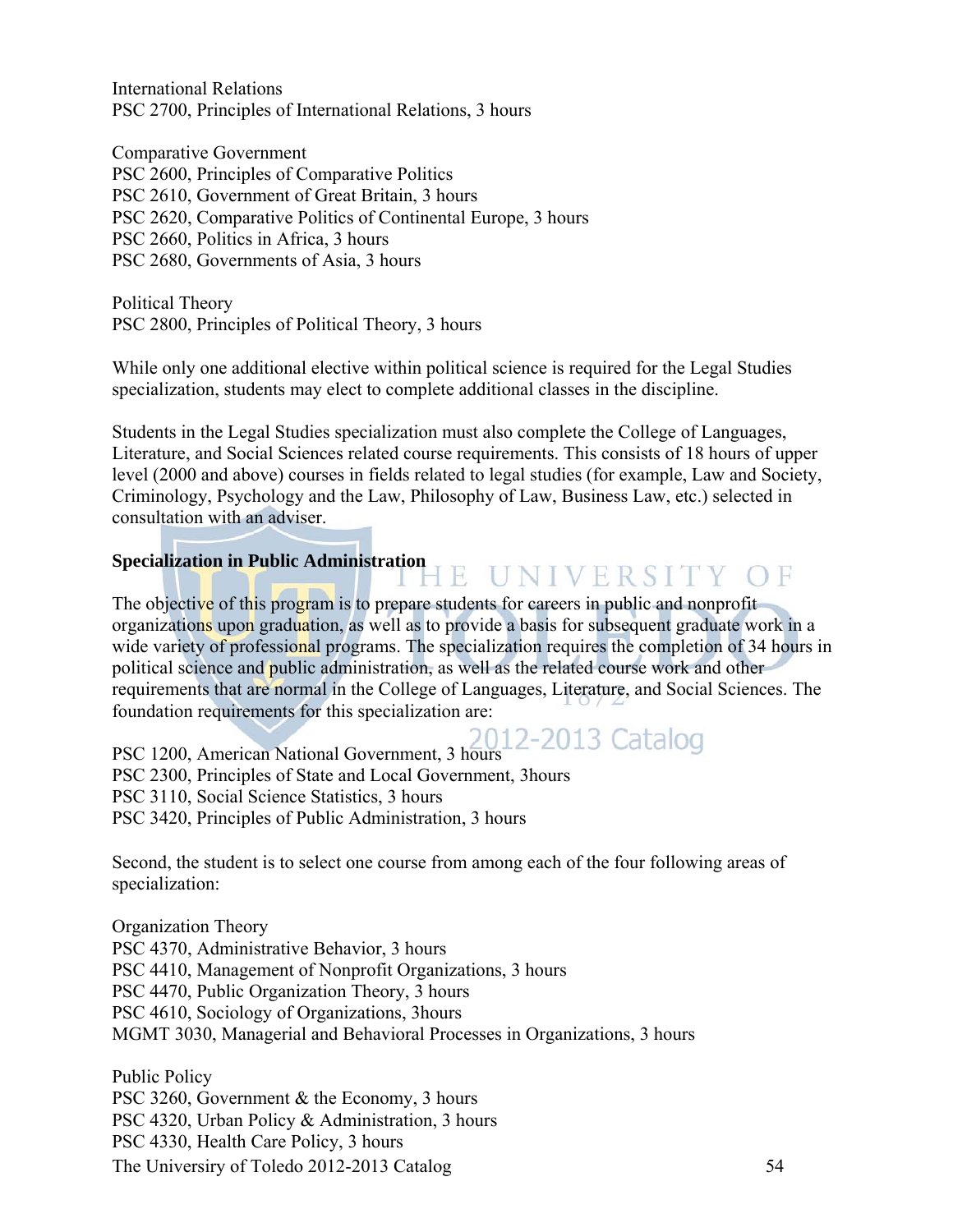International Relations PSC 2700, Principles of International Relations, 3 hours

Comparative Government PSC 2600, Principles of Comparative Politics PSC 2610, Government of Great Britain, 3 hours PSC 2620, Comparative Politics of Continental Europe, 3 hours PSC 2660, Politics in Africa, 3 hours PSC 2680, Governments of Asia, 3 hours

Political Theory PSC 2800, Principles of Political Theory, 3 hours

While only one additional elective within political science is required for the Legal Studies specialization, students may elect to complete additional classes in the discipline.

Students in the Legal Studies specialization must also complete the College of Languages, Literature, and Social Sciences related course requirements. This consists of 18 hours of upper level (2000 and above) courses in fields related to legal studies (for example, Law and Society, Criminology, Psychology and the Law, Philosophy of Law, Business Law, etc.) selected in consultation with an adviser.

#### **Specialization in Public Administration JE UNIVERSITY OF**

The objective of this program is to prepare students for careers in public and nonprofit organizations upon graduation, as well as to provide a basis for subsequent graduate work in a wide variety of professional programs. The specialization requires the completion of 34 hours in political science and public administration, as well as the related course work and other requirements that are normal in the College of Languages, Literature, and Social Sciences. The foundation requirements for this specialization are:

PSC 1200, American National Government, 3 hours<br>PSC 2200, Principal Catalogue PSC 2300, Principles of State and Local Government, 3hours PSC 3110, Social Science Statistics, 3 hours PSC 3420, Principles of Public Administration, 3 hours

Second, the student is to select one course from among each of the four following areas of specialization:

Organization Theory PSC 4370, Administrative Behavior, 3 hours PSC 4410, Management of Nonprofit Organizations, 3 hours PSC 4470, Public Organization Theory, 3 hours PSC 4610, Sociology of Organizations, 3hours MGMT 3030, Managerial and Behavioral Processes in Organizations, 3 hours

The Universiry of Toledo 2012-2013 Catalog 54 Public Policy PSC 3260, Government & the Economy, 3 hours PSC 4320, Urban Policy & Administration, 3 hours PSC 4330, Health Care Policy, 3 hours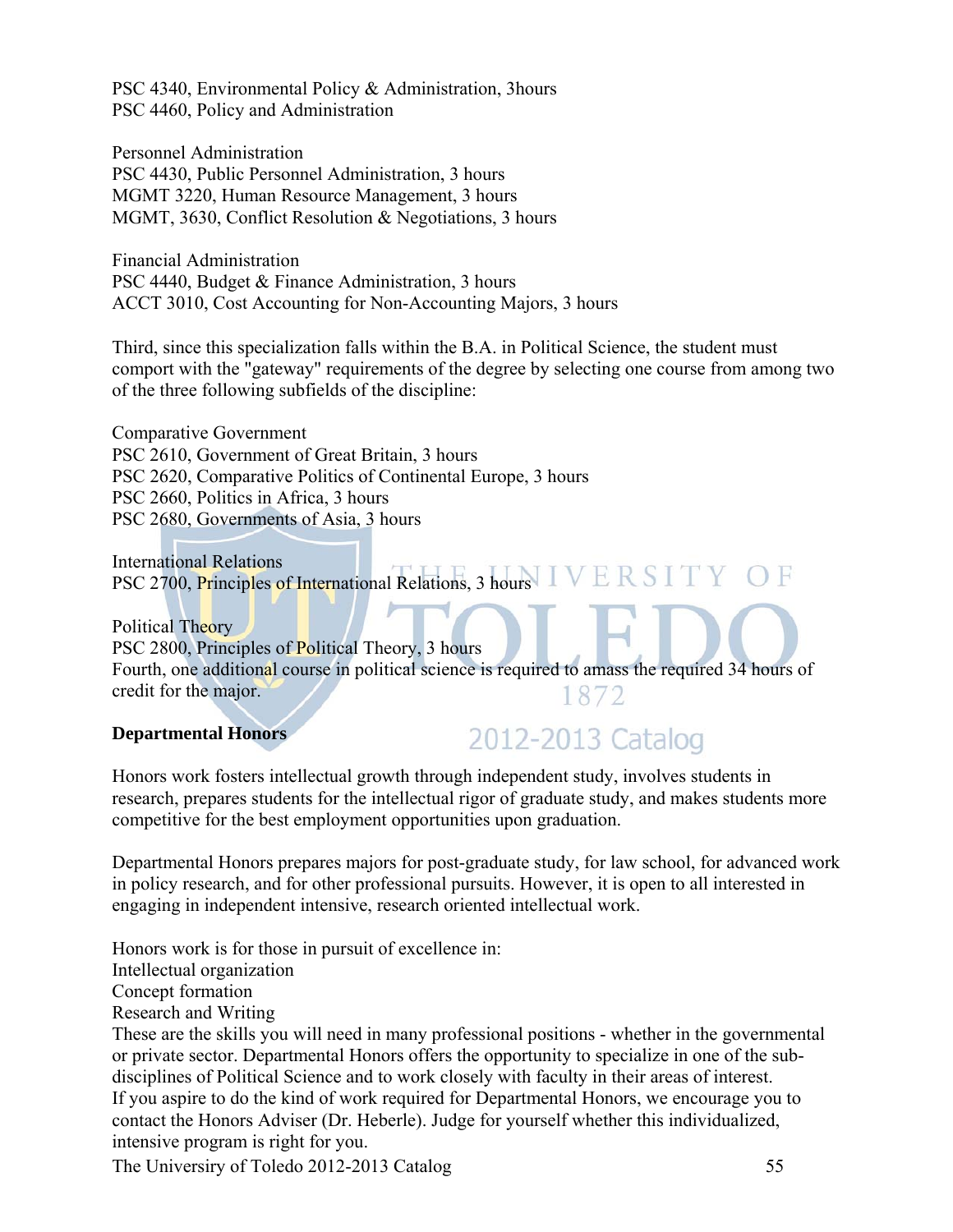PSC 4340, Environmental Policy & Administration, 3hours PSC 4460, Policy and Administration

Personnel Administration PSC 4430, Public Personnel Administration, 3 hours MGMT 3220, Human Resource Management, 3 hours MGMT, 3630, Conflict Resolution & Negotiations, 3 hours

Financial Administration PSC 4440, Budget & Finance Administration, 3 hours ACCT 3010, Cost Accounting for Non-Accounting Majors, 3 hours

Third, since this specialization falls within the B.A. in Political Science, the student must comport with the "gateway" requirements of the degree by selecting one course from among two of the three following subfields of the discipline:

Comparative Government PSC 2610, Government of Great Britain, 3 hours PSC 2620, Comparative Politics of Continental Europe, 3 hours PSC 2660, Politics in Africa, 3 hours PSC 2680, Governments of Asia, 3 hours

International Relations PSC 2700, Principles of International Relations, 3 hours IVERSITY OF

Political Theory PSC 2800, Principles of Political Theory, 3 hours Fourth, one additional course in political science is required to amass the required 34 hours of credit for the major. 1872

#### **Departmental Honors**

# 2012-2013 Catalog

Honors work fosters intellectual growth through independent study, involves students in research, prepares students for the intellectual rigor of graduate study, and makes students more competitive for the best employment opportunities upon graduation.

Departmental Honors prepares majors for post-graduate study, for law school, for advanced work in policy research, and for other professional pursuits. However, it is open to all interested in engaging in independent intensive, research oriented intellectual work.

Honors work is for those in pursuit of excellence in: Intellectual organization Concept formation

Research and Writing

These are the skills you will need in many professional positions - whether in the governmental or private sector. Departmental Honors offers the opportunity to specialize in one of the subdisciplines of Political Science and to work closely with faculty in their areas of interest. If you aspire to do the kind of work required for Departmental Honors, we encourage you to contact the Honors Adviser (Dr. Heberle). Judge for yourself whether this individualized, intensive program is right for you.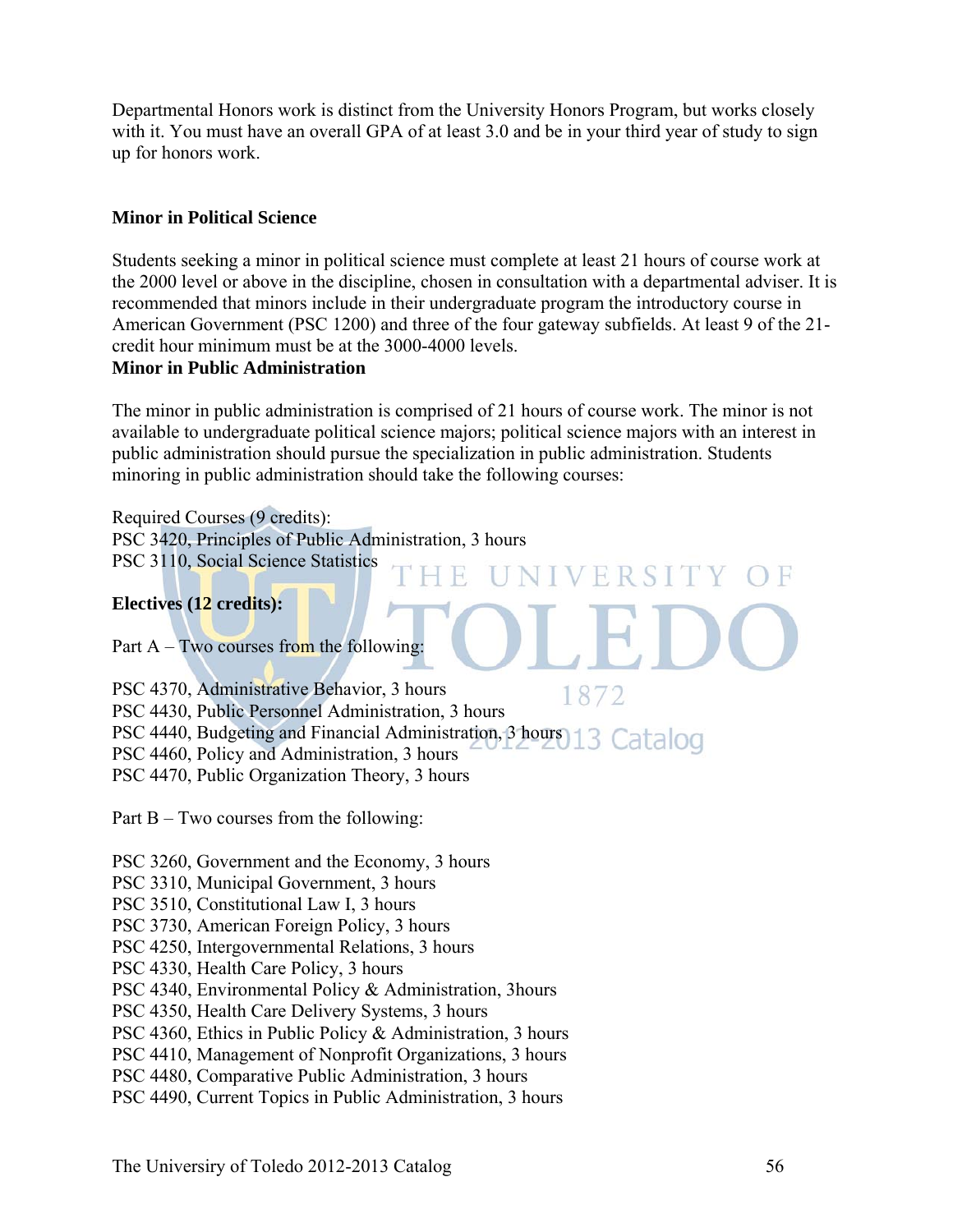Departmental Honors work is distinct from the University Honors Program, but works closely with it. You must have an overall GPA of at least 3.0 and be in your third year of study to sign up for honors work.

#### **Minor in Political Science**

Students seeking a minor in political science must complete at least 21 hours of course work at the 2000 level or above in the discipline, chosen in consultation with a departmental adviser. It is recommended that minors include in their undergraduate program the introductory course in American Government (PSC 1200) and three of the four gateway subfields. At least 9 of the 21 credit hour minimum must be at the 3000-4000 levels.

#### **Minor in Public Administration**

The minor in public administration is comprised of 21 hours of course work. The minor is not available to undergraduate political science majors; political science majors with an interest in public administration should pursue the specialization in public administration. Students minoring in public administration should take the following courses:

FRSI

Required Courses (9 credits): PSC 3420, Principles of Public Administration, 3 hours PSC 3110, Social Science Statistics

#### **Electives (12 credits):**

Part A – Two courses from the following:

PSC 4370, Administrative Behavior, 3 hours 1872 PSC 4430, Public Personnel Administration, 3 hours PSC 4440, Budgeting and Financial Administration, 3 hours 13 Catalog PSC 4460, Policy and Administration, 3 hours PSC 4470, Public Organization Theory, 3 hours

Part B – Two courses from the following:

PSC 3260, Government and the Economy, 3 hours

PSC 3310, Municipal Government, 3 hours

PSC 3510, Constitutional Law I, 3 hours

PSC 3730, American Foreign Policy, 3 hours

PSC 4250, Intergovernmental Relations, 3 hours

PSC 4330, Health Care Policy, 3 hours

PSC 4340, Environmental Policy & Administration, 3hours

PSC 4350, Health Care Delivery Systems, 3 hours

PSC 4360, Ethics in Public Policy & Administration, 3 hours

PSC 4410, Management of Nonprofit Organizations, 3 hours

PSC 4480, Comparative Public Administration, 3 hours

PSC 4490, Current Topics in Public Administration, 3 hours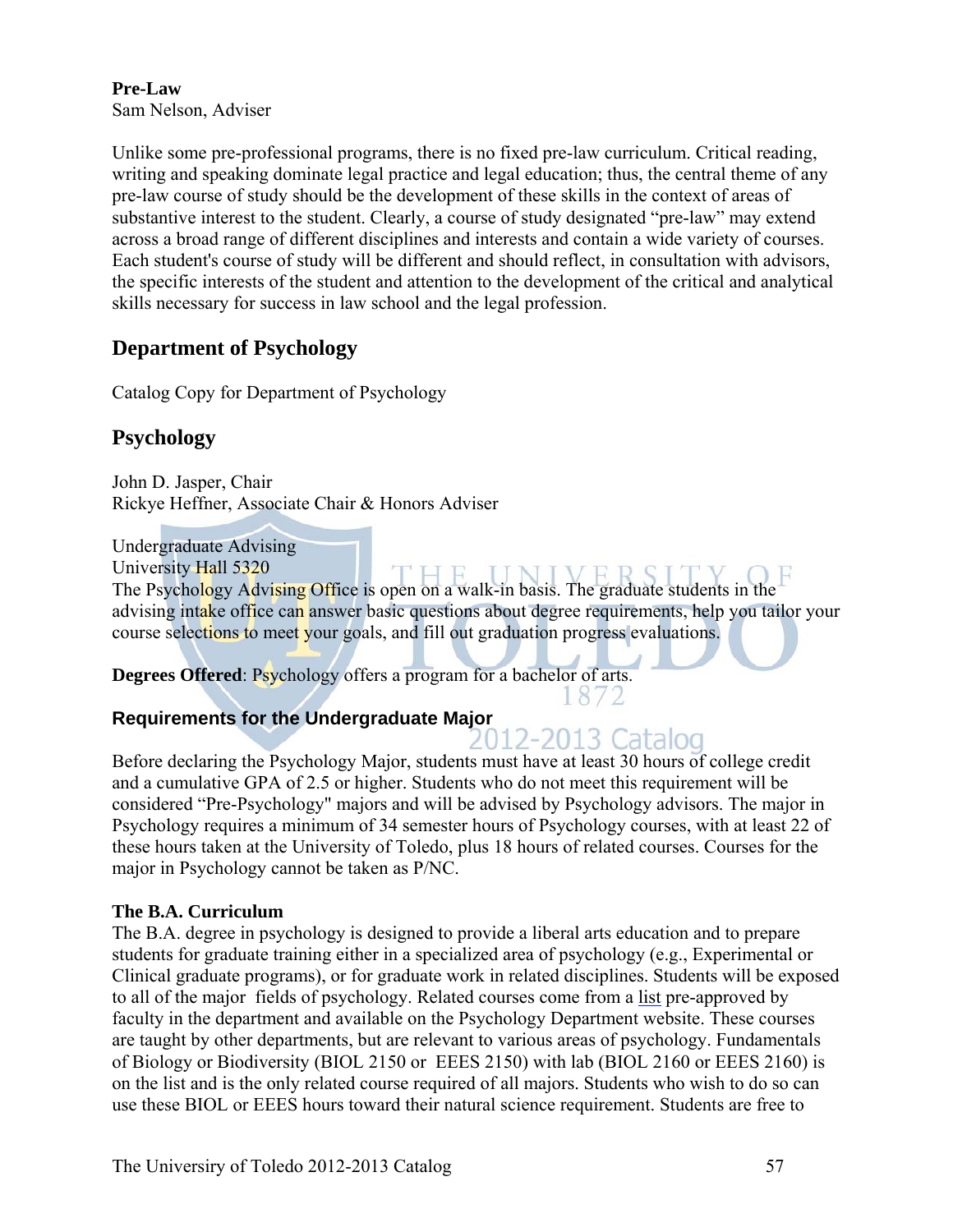#### **Pre-Law**  Sam Nelson, Adviser

Unlike some pre-professional programs, there is no fixed pre-law curriculum. Critical reading, writing and speaking dominate legal practice and legal education; thus, the central theme of any pre-law course of study should be the development of these skills in the context of areas of substantive interest to the student. Clearly, a course of study designated "pre-law" may extend across a broad range of different disciplines and interests and contain a wide variety of courses. Each student's course of study will be different and should reflect, in consultation with advisors, the specific interests of the student and attention to the development of the critical and analytical skills necessary for success in law school and the legal profession.

# **Department of Psychology**

Catalog Copy for Department of Psychology

# **Psychology**

John D. Jasper, Chair Rickye Heffner, Associate Chair & Honors Adviser

Undergraduate Advising

University Hall 5320

University Hall 5320<br>The Psychology Advising Office is open on a walk-in basis. The graduate students in the advising intake office can answer basic questions about degree requirements, help you tailor your course selections to meet your goals, and fill out graduation progress evaluations.

**Degrees Offered**: Psychology offers a program for a bachelor of arts.

#### **Requirements for the Undergraduate Major**

# 2012-2013 Catalog

1872

Before declaring the Psychology Major, students must have at least 30 hours of college credit and a cumulative GPA of 2.5 or higher. Students who do not meet this requirement will be considered "Pre-Psychology" majors and will be advised by Psychology advisors. The major in Psychology requires a minimum of 34 semester hours of Psychology courses, with at least 22 of these hours taken at the University of Toledo, plus 18 hours of related courses. Courses for the major in Psychology cannot be taken as P/NC.

#### **The B.A. Curriculum**

The B.A. degree in psychology is designed to provide a liberal arts education and to prepare students for graduate training either in a specialized area of psychology (e.g., Experimental or Clinical graduate programs), or for graduate work in related disciplines. Students will be exposed to all of the major fields of psychology. Related courses come from a list pre-approved by faculty in the department and available on the Psychology Department website. These courses are taught by other departments, but are relevant to various areas of psychology. Fundamentals of Biology or Biodiversity (BIOL 2150 or EEES 2150) with lab (BIOL 2160 or EEES 2160) is on the list and is the only related course required of all majors. Students who wish to do so can use these BIOL or EEES hours toward their natural science requirement. Students are free to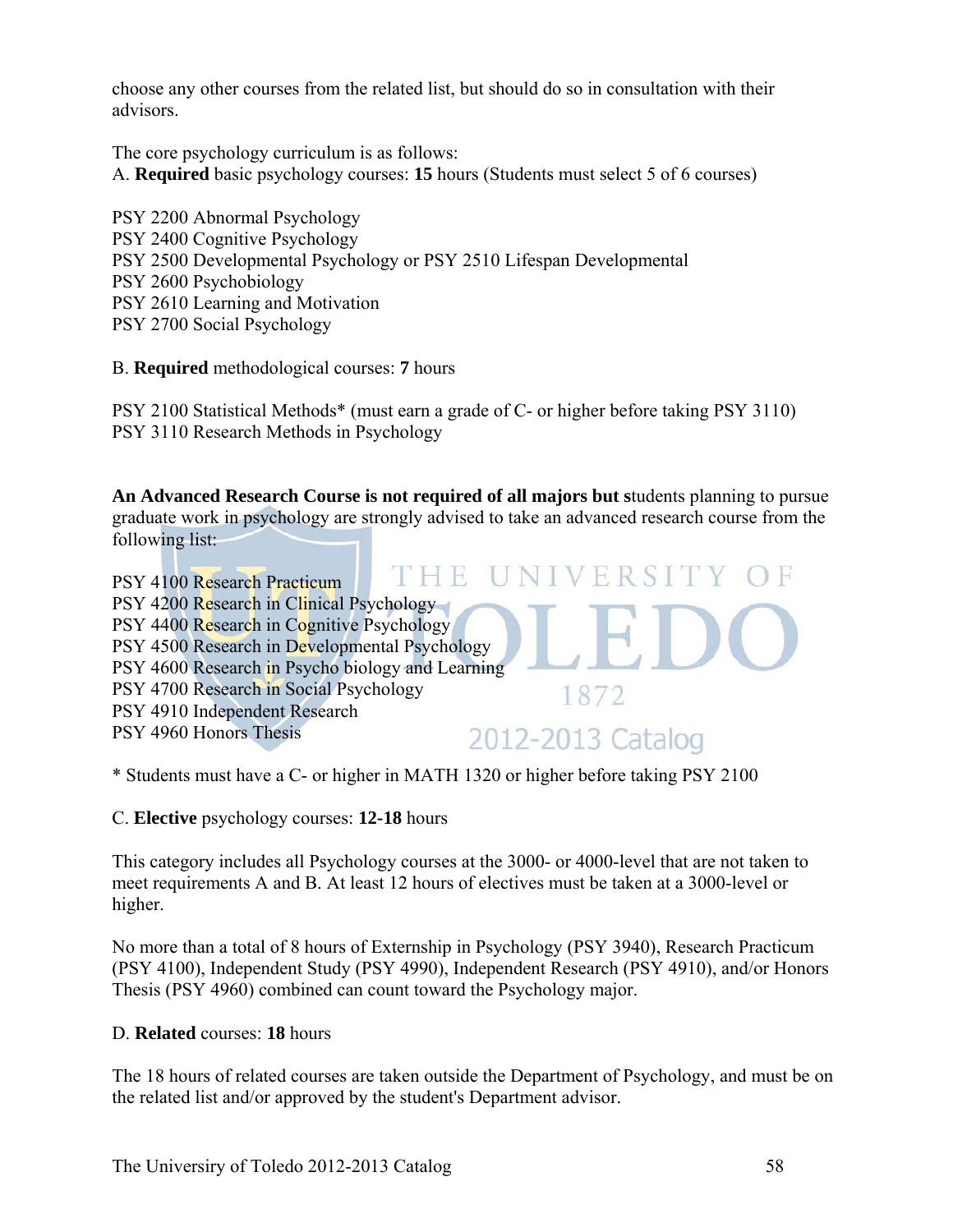choose any other courses from the related list, but should do so in consultation with their advisors.

The core psychology curriculum is as follows:

A. **Required** basic psychology courses: **15** hours (Students must select 5 of 6 courses)

PSY 2200 Abnormal Psychology PSY 2400 Cognitive Psychology PSY 2500 Developmental Psychology or PSY 2510 Lifespan Developmental PSY 2600 Psychobiology PSY 2610 Learning and Motivation PSY 2700 Social Psychology

B. **Required** methodological courses: **7** hours

PSY 2100 Statistical Methods\* (must earn a grade of C- or higher before taking PSY 3110) PSY 3110 Research Methods in Psychology

**An Advanced Research Course is not required of all majors but s**tudents planning to pursue graduate work in psychology are strongly advised to take an advanced research course from the following list:



\* Students must have a C- or higher in MATH 1320 or higher before taking PSY 2100

C. **Elective** psychology courses: **12-18** hours

This category includes all Psychology courses at the 3000- or 4000-level that are not taken to meet requirements A and B. At least 12 hours of electives must be taken at a 3000-level or higher.

No more than a total of 8 hours of Externship in Psychology (PSY 3940), Research Practicum (PSY 4100), Independent Study (PSY 4990), Independent Research (PSY 4910), and/or Honors Thesis (PSY 4960) combined can count toward the Psychology major.

#### D. **Related** courses: **18** hours

The 18 hours of related courses are taken outside the Department of Psychology, and must be on the related list and/or approved by the student's Department advisor.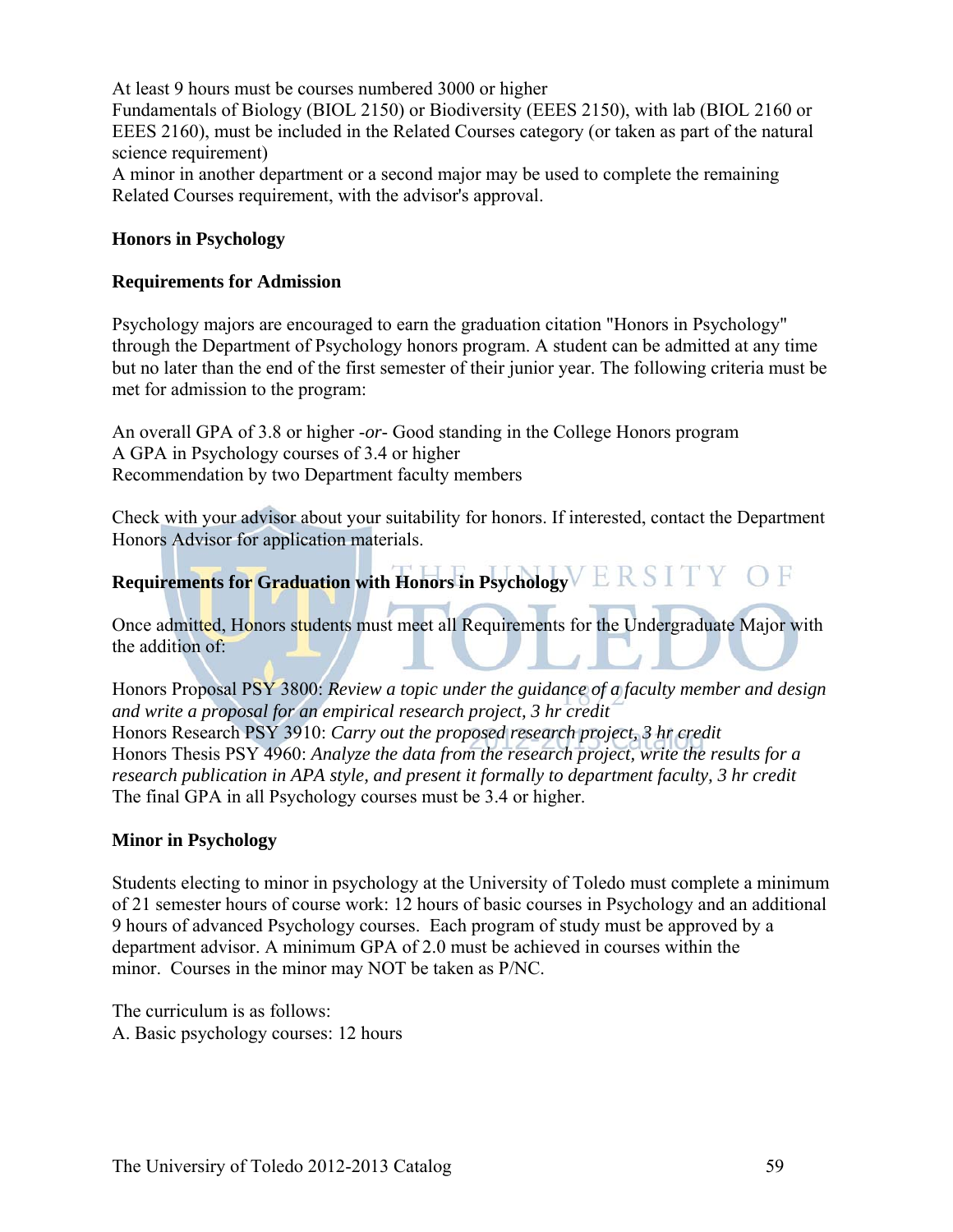At least 9 hours must be courses numbered 3000 or higher Fundamentals of Biology (BIOL 2150) or Biodiversity (EEES 2150), with lab (BIOL 2160 or EEES 2160), must be included in the Related Courses category (or taken as part of the natural science requirement) A minor in another department or a second major may be used to complete the remaining Related Courses requirement, with the advisor's approval.

#### **Honors in Psychology**

#### **Requirements for Admission**

Psychology majors are encouraged to earn the graduation citation "Honors in Psychology" through the Department of Psychology honors program. A student can be admitted at any time but no later than the end of the first semester of their junior year. The following criteria must be met for admission to the program:

An overall GPA of 3.8 or higher -*or*- Good standing in the College Honors program A GPA in Psychology courses of 3.4 or higher Recommendation by two Department faculty members

Check with your advisor about your suitability for honors. If interested, contact the Department Honors Advisor for application materials.

# **Requirements for Graduation with Honors in Psychology**

Once admitted, Honors students must meet all Requirements for the Undergraduate Major with the addition of:

Honors Proposal PSY 3800: *Review a topic under the guidance of a faculty member and design and write a proposal for an empirical research project, 3 hr credit* Honors Research PSY 3910: *Carry out the proposed research project, 3 hr credit* Honors Thesis PSY 4960: *Analyze the data from the research project, write the results for a research publication in APA style, and present it formally to department faculty, 3 hr credit* The final GPA in all Psychology courses must be 3.4 or higher.

#### **Minor in Psychology**

Students electing to minor in psychology at the University of Toledo must complete a minimum of 21 semester hours of course work: 12 hours of basic courses in Psychology and an additional 9 hours of advanced Psychology courses. Each program of study must be approved by a department advisor. A minimum GPA of 2.0 must be achieved in courses within the minor. Courses in the minor may NOT be taken as P/NC.

The curriculum is as follows: A. Basic psychology courses: 12 hours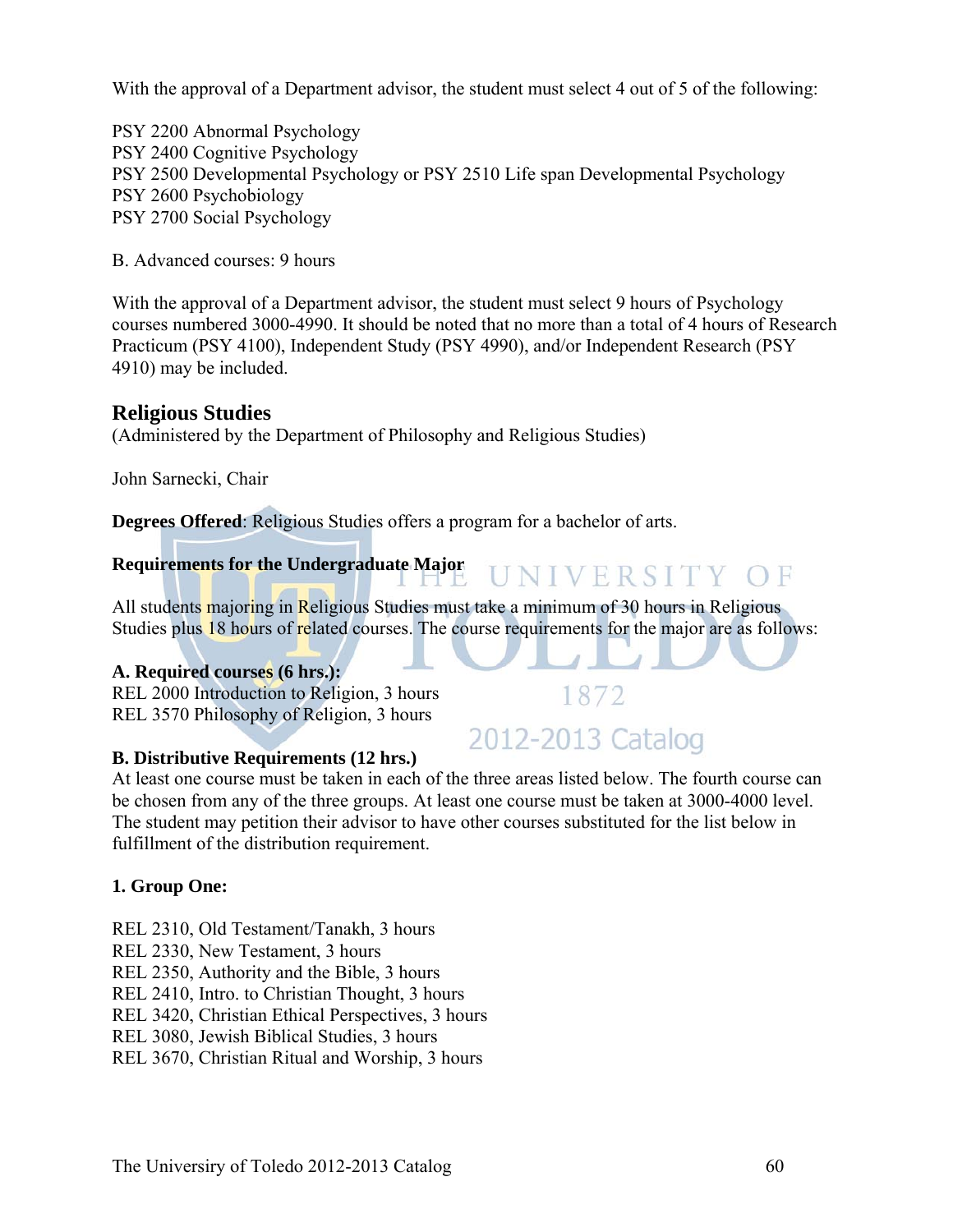With the approval of a Department advisor, the student must select 4 out of 5 of the following:

PSY 2200 Abnormal Psychology PSY 2400 Cognitive Psychology PSY 2500 Developmental Psychology or PSY 2510 Life span Developmental Psychology PSY 2600 Psychobiology PSY 2700 Social Psychology

B. Advanced courses: 9 hours

With the approval of a Department advisor, the student must select 9 hours of Psychology courses numbered 3000-4990. It should be noted that no more than a total of 4 hours of Research Practicum (PSY 4100), Independent Study (PSY 4990), and/or Independent Research (PSY 4910) may be included.

#### **Religious Studies**

(Administered by the Department of Philosophy and Religious Studies)

John Sarnecki, Chair

**Degrees Offered**: Religious Studies offers a program for a bachelor of arts.

## **Requirements for the Undergraduate Major**

All students majoring in Religious Studies must take a minimum of 30 hours in Religious Studies plus 18 hours of related courses. The course requirements for the major are as follows:

#### **A. Required courses (6 hrs.):**

REL 2000 Introduction to Religion, 3 hours REL 3570 Philosophy of Religion, 3 hours

#### **B. Distributive Requirements (12 hrs.)**

At least one course must be taken in each of the three areas listed below. The fourth course can be chosen from any of the three groups. At least one course must be taken at 3000-4000 level. The student may petition their advisor to have other courses substituted for the list below in fulfillment of the distribution requirement.

#### **1. Group One:**

- REL 2310, Old Testament/Tanakh, 3 hours
- REL 2330, New Testament, 3 hours
- REL 2350, Authority and the Bible, 3 hours
- REL 2410, Intro. to Christian Thought, 3 hours

REL 3420, Christian Ethical Perspectives, 3 hours

REL 3080, Jewish Biblical Studies, 3 hours

REL 3670, Christian Ritual and Worship, 3 hours

# 1872 2012-2013 Catalog

UNIVERSITY OF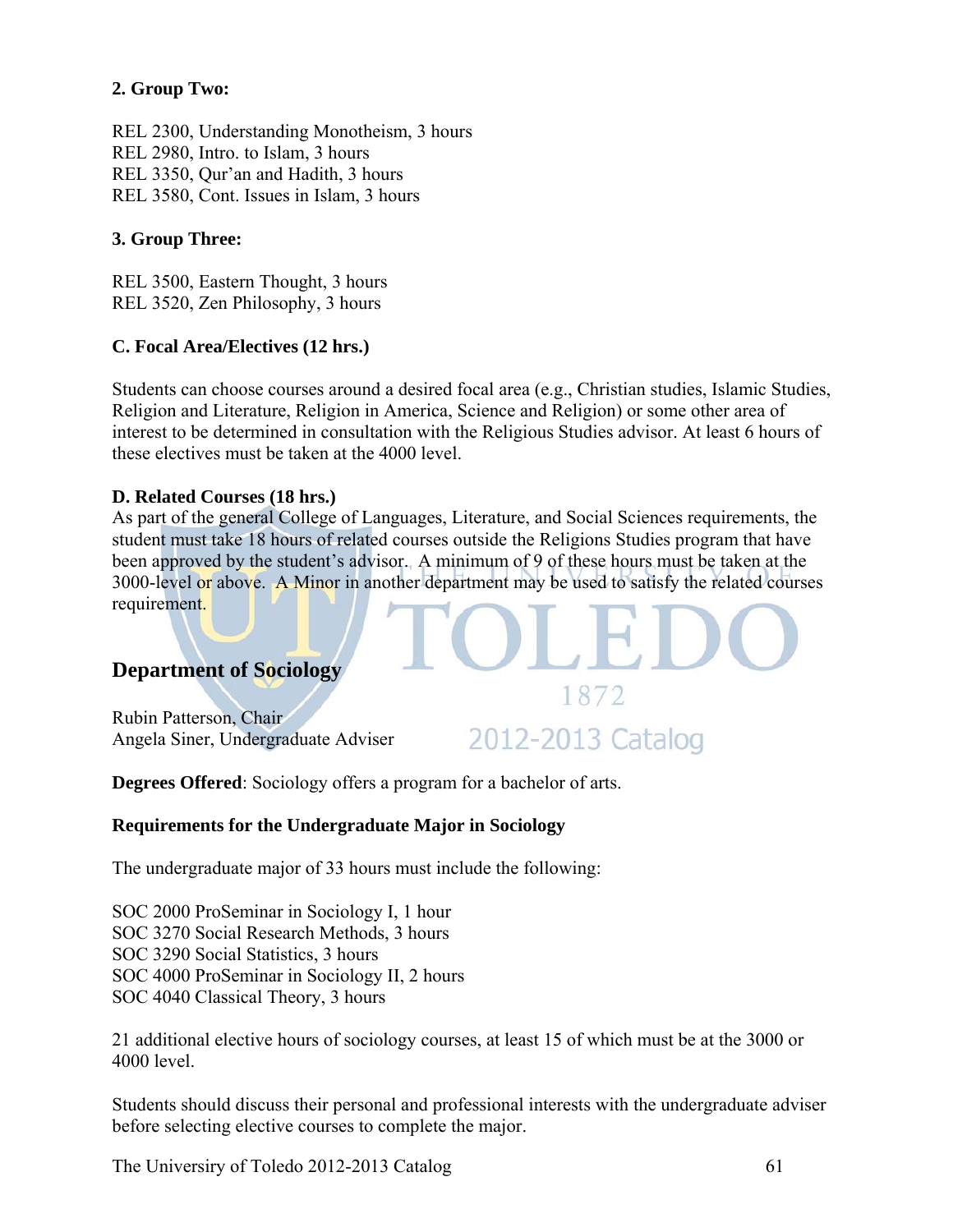#### **2. Group Two:**

REL 2300, Understanding Monotheism, 3 hours REL 2980, Intro. to Islam, 3 hours REL 3350, Qur'an and Hadith, 3 hours REL 3580, Cont. Issues in Islam, 3 hours

#### **3. Group Three:**

REL 3500, Eastern Thought, 3 hours REL 3520, Zen Philosophy, 3 hours

#### **C. Focal Area/Electives (12 hrs.)**

Students can choose courses around a desired focal area (e.g., Christian studies, Islamic Studies, Religion and Literature, Religion in America, Science and Religion) or some other area of interest to be determined in consultation with the Religious Studies advisor. At least 6 hours of these electives must be taken at the 4000 level.

#### **D. Related Courses (18 hrs.)**

As part of the general College of Languages, Literature, and Social Sciences requirements, the student must take 18 hours of related courses outside the Religions Studies program that have been approved by the student's advisor. A minimum of 9 of these hours must be taken at the 3000-level or above. A Minor in another department may be used to satisfy the related courses requirement.

# **Department of Sociology**

Rubin Patterson, Chair Angela Siner, Undergraduate Adviser

2012-2013 Catalog

1872

**Degrees Offered**: Sociology offers a program for a bachelor of arts.

#### **Requirements for the Undergraduate Major in Sociology**

The undergraduate major of 33 hours must include the following:

SOC 2000 ProSeminar in Sociology I, 1 hour SOC 3270 Social Research Methods, 3 hours SOC 3290 Social Statistics, 3 hours SOC 4000 ProSeminar in Sociology II, 2 hours SOC 4040 Classical Theory, 3 hours

21 additional elective hours of sociology courses, at least 15 of which must be at the 3000 or 4000 level.

Students should discuss their personal and professional interests with the undergraduate adviser before selecting elective courses to complete the major.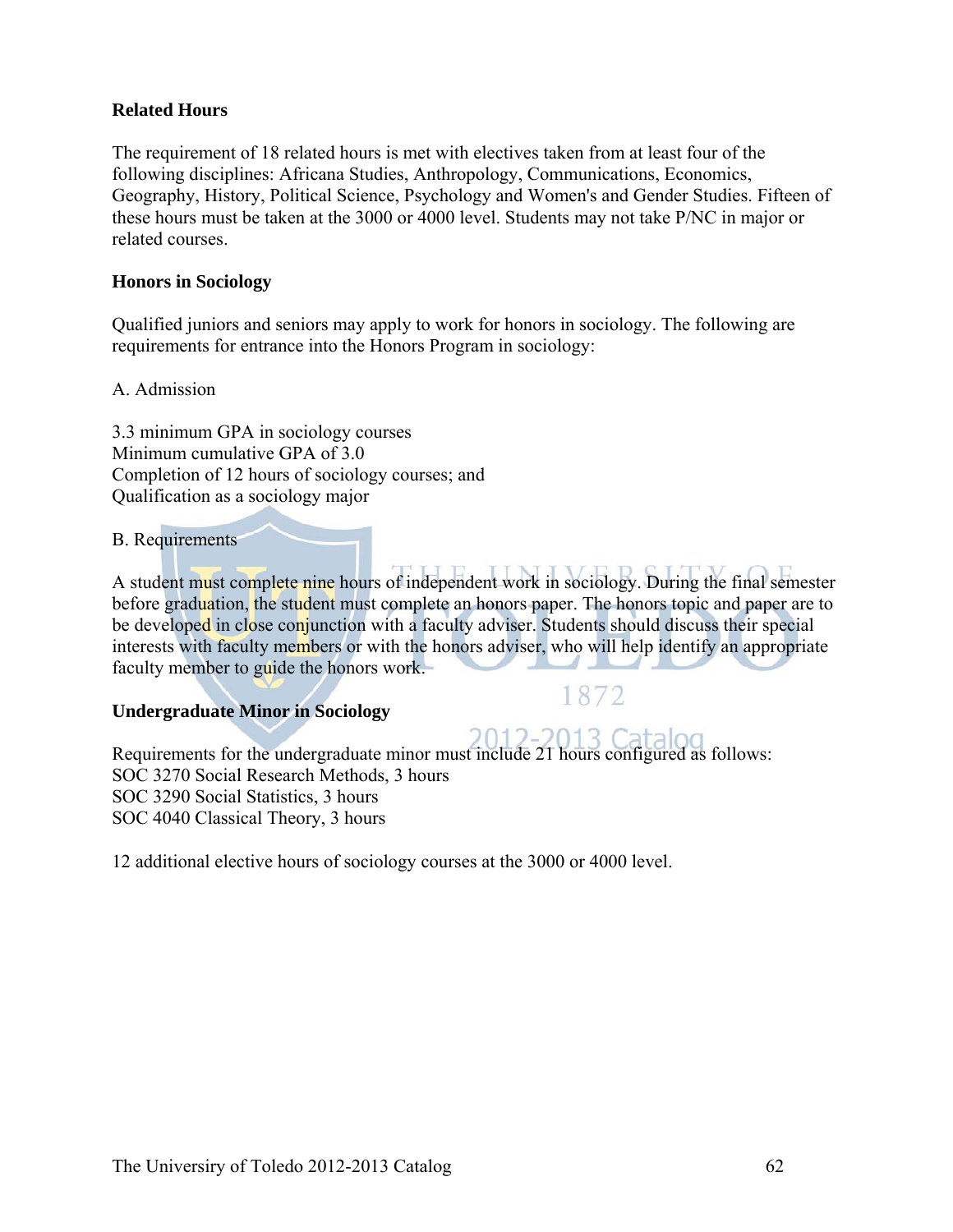#### **Related Hours**

The requirement of 18 related hours is met with electives taken from at least four of the following disciplines: Africana Studies, Anthropology, Communications, Economics, Geography, History, Political Science, Psychology and Women's and Gender Studies. Fifteen of these hours must be taken at the 3000 or 4000 level. Students may not take P/NC in major or related courses.

#### **Honors in Sociology**

Qualified juniors and seniors may apply to work for honors in sociology. The following are requirements for entrance into the Honors Program in sociology:

#### A. Admission

3.3 minimum GPA in sociology courses Minimum cumulative GPA of 3.0 Completion of 12 hours of sociology courses; and Qualification as a sociology major

#### B. Requirements

A student must complete nine hours of independent work in sociology. During the final semester before graduation, the student must complete an honors paper. The honors topic and paper are to be developed in close conjunction with a faculty adviser. Students should discuss their special interests with faculty members or with the honors adviser, who will help identify an appropriate faculty member to guide the honors work.

#### **Undergraduate Minor in Sociology**

1872

Requirements for the undergraduate minor must include 21 hours configured as follows: SOC 3270 Social Research Methods, 3 hours SOC 3290 Social Statistics, 3 hours SOC 4040 Classical Theory, 3 hours

12 additional elective hours of sociology courses at the 3000 or 4000 level.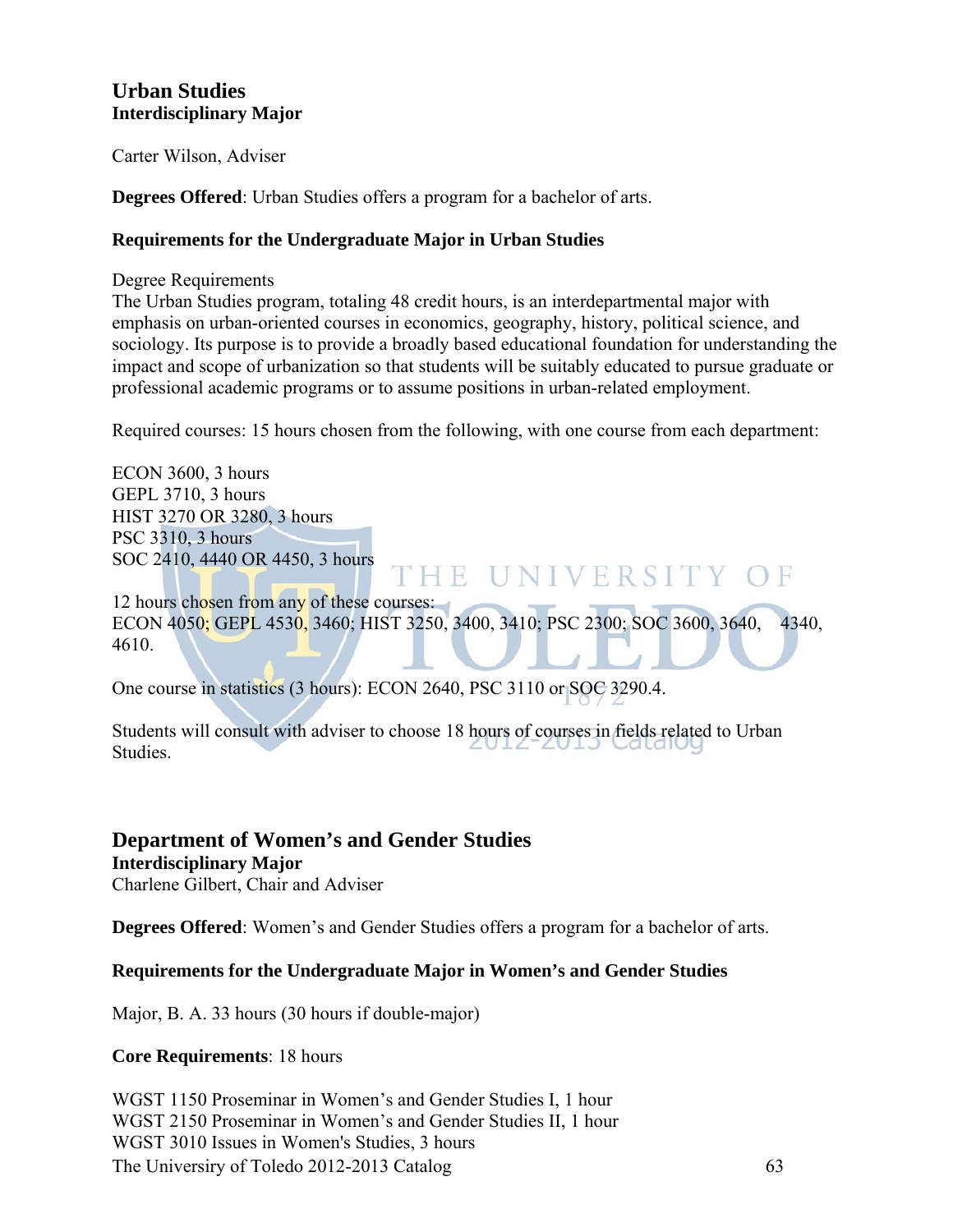#### **Urban Studies Interdisciplinary Major**

Carter Wilson, Adviser

**Degrees Offered**: Urban Studies offers a program for a bachelor of arts.

#### **Requirements for the Undergraduate Major in Urban Studies**

Degree Requirements

The Urban Studies program, totaling 48 credit hours, is an interdepartmental major with emphasis on urban-oriented courses in economics, geography, history, political science, and sociology. Its purpose is to provide a broadly based educational foundation for understanding the impact and scope of urbanization so that students will be suitably educated to pursue graduate or professional academic programs or to assume positions in urban-related employment.

Required courses: 15 hours chosen from the following, with one course from each department:

ECON 3600, 3 hours GEPL 3710, 3 hours HIST 3270 OR 3280, 3 hours PSC 3310, 3 hours SOC 2410, 4440 OR 4450, 3 hours

12 hours chosen from any of these courses: ECON 4050; GEPL 4530, 3460; HIST 3250, 3400, 3410; PSC 2300; SOC 3600, 3640, 4340, 4610.

HE UNIVERSITY OF

One course in statistics (3 hours): ECON 2640, PSC 3110 or SOC 3290.4.

Students will consult with adviser to choose 18 hours of courses in fields related to Urban Studies.

#### **Department of Women's and Gender Studies Interdisciplinary Major**

Charlene Gilbert, Chair and Adviser

**Degrees Offered**: Women's and Gender Studies offers a program for a bachelor of arts.

#### **Requirements for the Undergraduate Major in Women's and Gender Studies**

Major, B. A. 33 hours (30 hours if double-major)

#### **Core Requirements**: 18 hours

The Universiry of Toledo 2012-2013 Catalog 63 WGST 1150 Proseminar in Women's and Gender Studies I, 1 hour WGST 2150 Proseminar in Women's and Gender Studies II, 1 hour WGST 3010 Issues in Women's Studies, 3 hours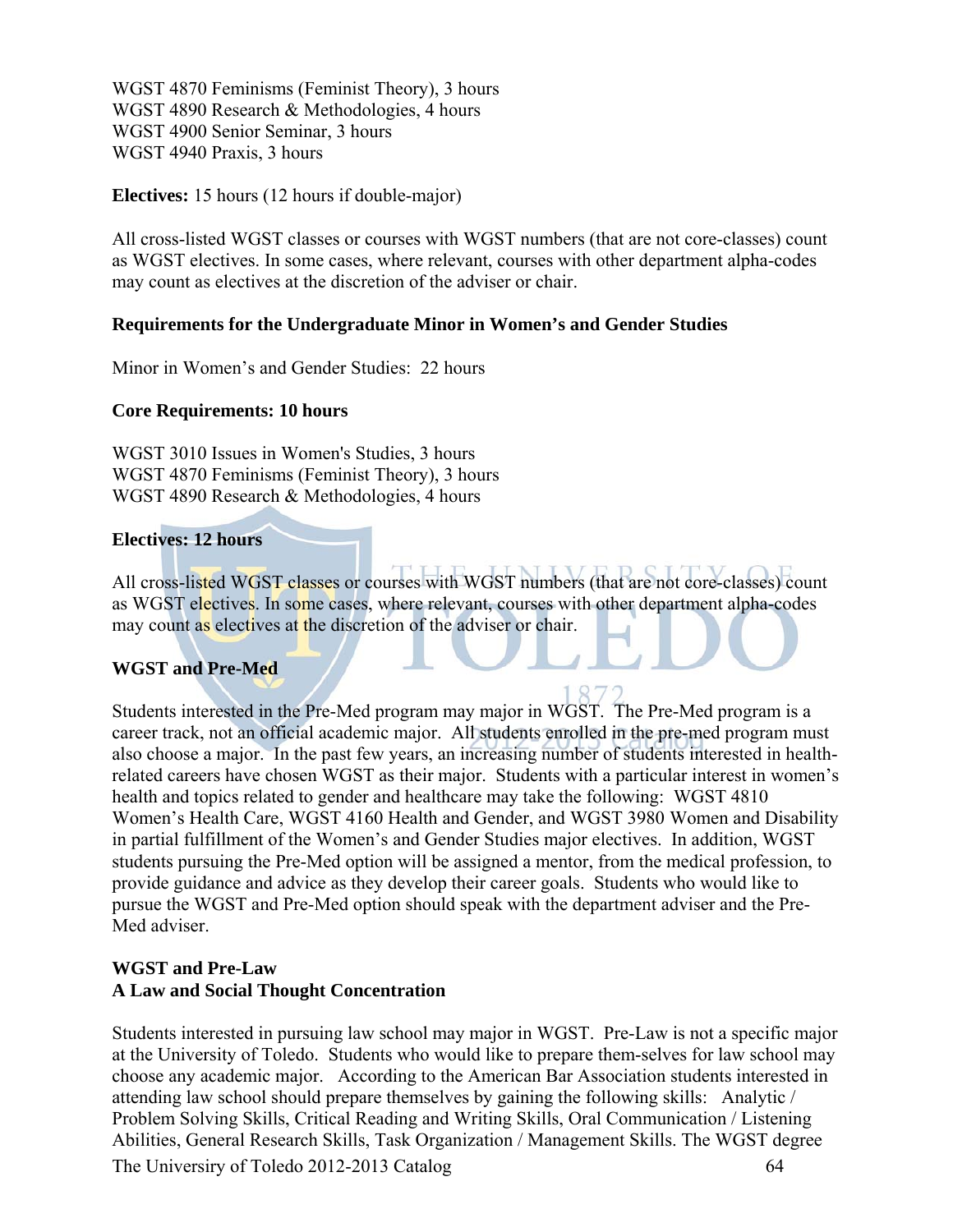WGST 4870 Feminisms (Feminist Theory), 3 hours WGST 4890 Research & Methodologies, 4 hours WGST 4900 Senior Seminar, 3 hours WGST 4940 Praxis, 3 hours

#### **Electives:** 15 hours (12 hours if double-major)

All cross-listed WGST classes or courses with WGST numbers (that are not core-classes) count as WGST electives. In some cases, where relevant, courses with other department alpha-codes may count as electives at the discretion of the adviser or chair.

#### **Requirements for the Undergraduate Minor in Women's and Gender Studies**

Minor in Women's and Gender Studies: 22 hours

#### **Core Requirements: 10 hours**

WGST 3010 Issues in Women's Studies, 3 hours WGST 4870 Feminisms (Feminist Theory), 3 hours WGST 4890 Research & Methodologies, 4 hours

#### **Electives: 12 hours**

All cross-listed WGST classes or courses with WGST numbers (that are not core-classes) count as WGST electives. In some cases, where relevant, courses with other department alpha-codes may count as electives at the discretion of the adviser or chair.

#### **WGST and Pre-Med**

Students interested in the Pre-Med program may major in WGST. The Pre-Med program is a career track, not an official academic major. All students enrolled in the pre-med program must also choose a major. In the past few years, an increasing number of students interested in healthrelated careers have chosen WGST as their major. Students with a particular interest in women's health and topics related to gender and healthcare may take the following: WGST 4810 Women's Health Care, WGST 4160 Health and Gender, and WGST 3980 Women and Disability in partial fulfillment of the Women's and Gender Studies major electives. In addition, WGST students pursuing the Pre-Med option will be assigned a mentor, from the medical profession, to provide guidance and advice as they develop their career goals. Students who would like to pursue the WGST and Pre-Med option should speak with the department adviser and the Pre-Med adviser.

#### **WGST and Pre-Law A Law and Social Thought Concentration**

The Universiry of Toledo 2012-2013 Catalog 64 Students interested in pursuing law school may major in WGST. Pre-Law is not a specific major at the University of Toledo. Students who would like to prepare them-selves for law school may choose any academic major. According to the American Bar Association students interested in attending law school should prepare themselves by gaining the following skills: Analytic / Problem Solving Skills, Critical Reading and Writing Skills, Oral Communication / Listening Abilities, General Research Skills, Task Organization / Management Skills. The WGST degree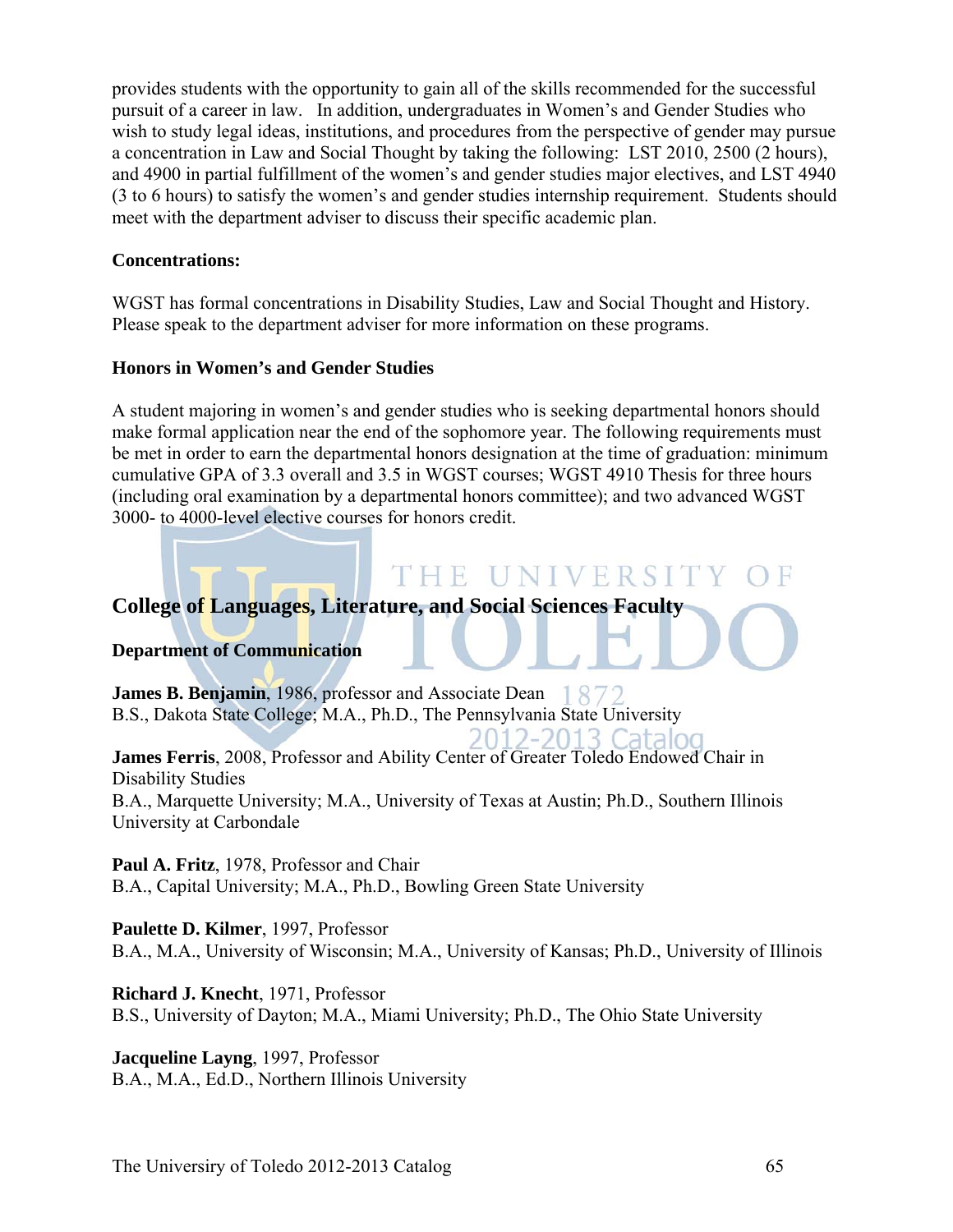provides students with the opportunity to gain all of the skills recommended for the successful pursuit of a career in law. In addition, undergraduates in Women's and Gender Studies who wish to study legal ideas, institutions, and procedures from the perspective of gender may pursue a concentration in Law and Social Thought by taking the following: LST 2010, 2500 (2 hours), and 4900 in partial fulfillment of the women's and gender studies major electives, and LST 4940 (3 to 6 hours) to satisfy the women's and gender studies internship requirement. Students should meet with the department adviser to discuss their specific academic plan.

#### **Concentrations:**

WGST has formal concentrations in Disability Studies, Law and Social Thought and History. Please speak to the department adviser for more information on these programs.

#### **Honors in Women's and Gender Studies**

A student majoring in women's and gender studies who is seeking departmental honors should make formal application near the end of the sophomore year. The following requirements must be met in order to earn the departmental honors designation at the time of graduation: minimum cumulative GPA of 3.3 overall and 3.5 in WGST courses; WGST 4910 Thesis for three hours (including oral examination by a departmental honors committee); and two advanced WGST 3000- to 4000-level elective courses for honors credit.

# THE UNIVERSIT **College of Languages, Literature, and Social Sciences Faculty**

#### **Department of Communication**

**James B. Benjamin**, 1986, professor and Associate Dean 1872 B.S., Dakota State College; M.A., Ph.D., The Pennsylvania State University

2012-2013 Catalog **James Ferris**, 2008, Professor and Ability Center of Greater Toledo Endowed Chair in Disability Studies

B.A., Marquette University; M.A., University of Texas at Austin; Ph.D., Southern Illinois University at Carbondale

**Paul A. Fritz**, 1978, Professor and Chair B.A., Capital University; M.A., Ph.D., Bowling Green State University

**Paulette D. Kilmer**, 1997, Professor B.A., M.A., University of Wisconsin; M.A., University of Kansas; Ph.D., University of Illinois

**Richard J. Knecht**, 1971, Professor B.S., University of Dayton; M.A., Miami University; Ph.D., The Ohio State University

**Jacqueline Layng**, 1997, Professor B.A., M.A., Ed.D., Northern Illinois University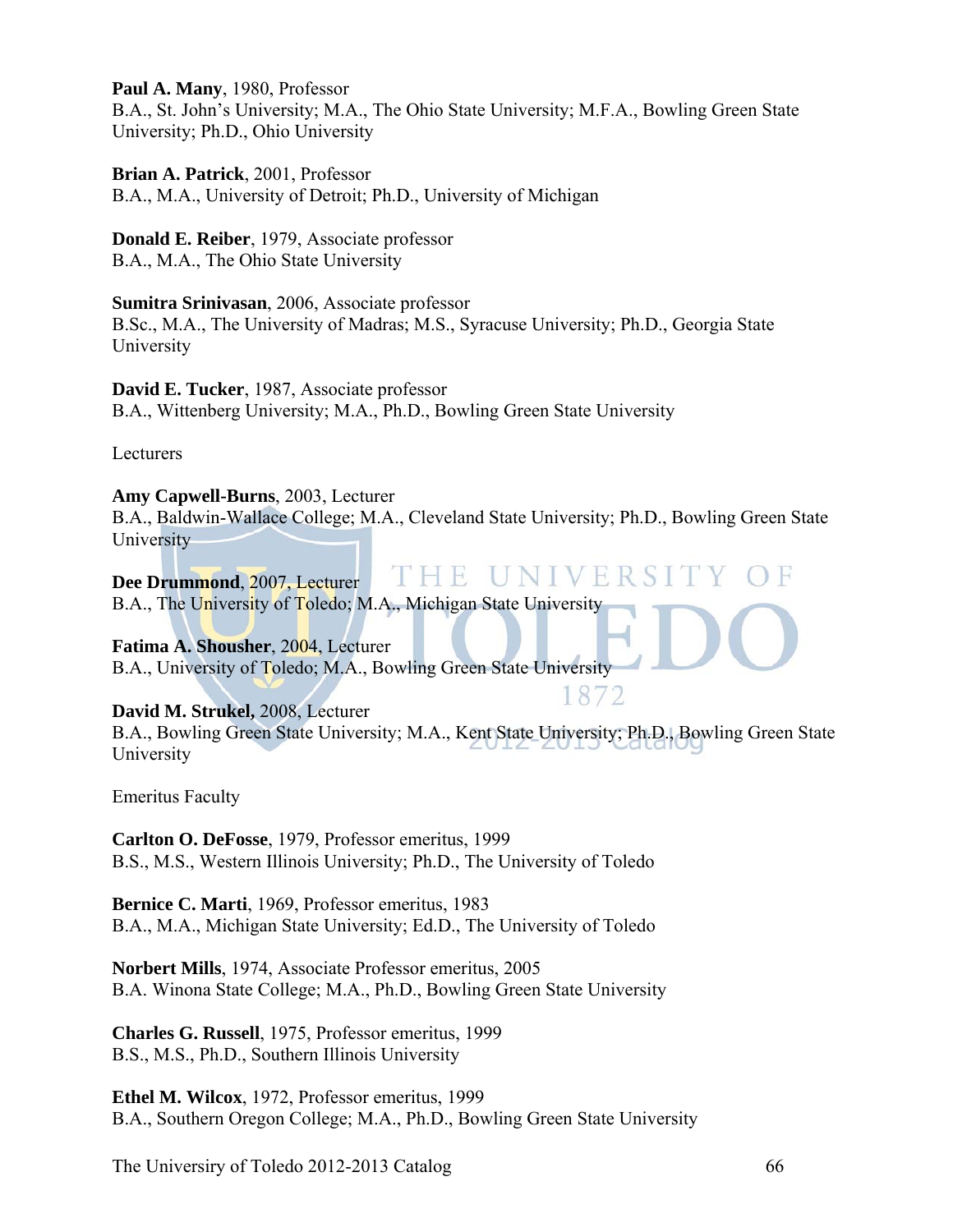**Paul A. Many**, 1980, Professor

B.A., St. John's University; M.A., The Ohio State University; M.F.A., Bowling Green State University; Ph.D., Ohio University

**Brian A. Patrick**, 2001, Professor B.A., M.A., University of Detroit; Ph.D., University of Michigan

**Donald E. Reiber**, 1979, Associate professor B.A., M.A., The Ohio State University

**Sumitra Srinivasan**, 2006, Associate professor B.Sc., M.A., The University of Madras; M.S., Syracuse University; Ph.D., Georgia State University

**David E. Tucker**, 1987, Associate professor B.A., Wittenberg University; M.A., Ph.D., Bowling Green State University

Lecturers

**Amy Capwell-Burns**, 2003, Lecturer B.A., Baldwin-Wallace College; M.A., Cleveland State University; Ph.D., Bowling Green State **University** 

THE UNIVER **Dee Drummond**, 2007, Lecturer B.A., The University of Toledo; M.A., Michigan State University

**Fatima A. Shousher**, 2004, Lecturer B.A., University of Toledo; M.A., Bowling Green State University

1872 **David M. Strukel,** 2008, Lecturer B.A., Bowling Green State University; M.A., Kent State University; Ph.D., Bowling Green State University

Emeritus Faculty

**Carlton O. DeFosse**, 1979, Professor emeritus, 1999 B.S., M.S., Western Illinois University; Ph.D., The University of Toledo

**Bernice C. Marti**, 1969, Professor emeritus, 1983 B.A., M.A., Michigan State University; Ed.D., The University of Toledo

**Norbert Mills**, 1974, Associate Professor emeritus, 2005 B.A. Winona State College; M.A., Ph.D., Bowling Green State University

**Charles G. Russell**, 1975, Professor emeritus, 1999 B.S., M.S., Ph.D., Southern Illinois University

**Ethel M. Wilcox**, 1972, Professor emeritus, 1999 B.A., Southern Oregon College; M.A., Ph.D., Bowling Green State University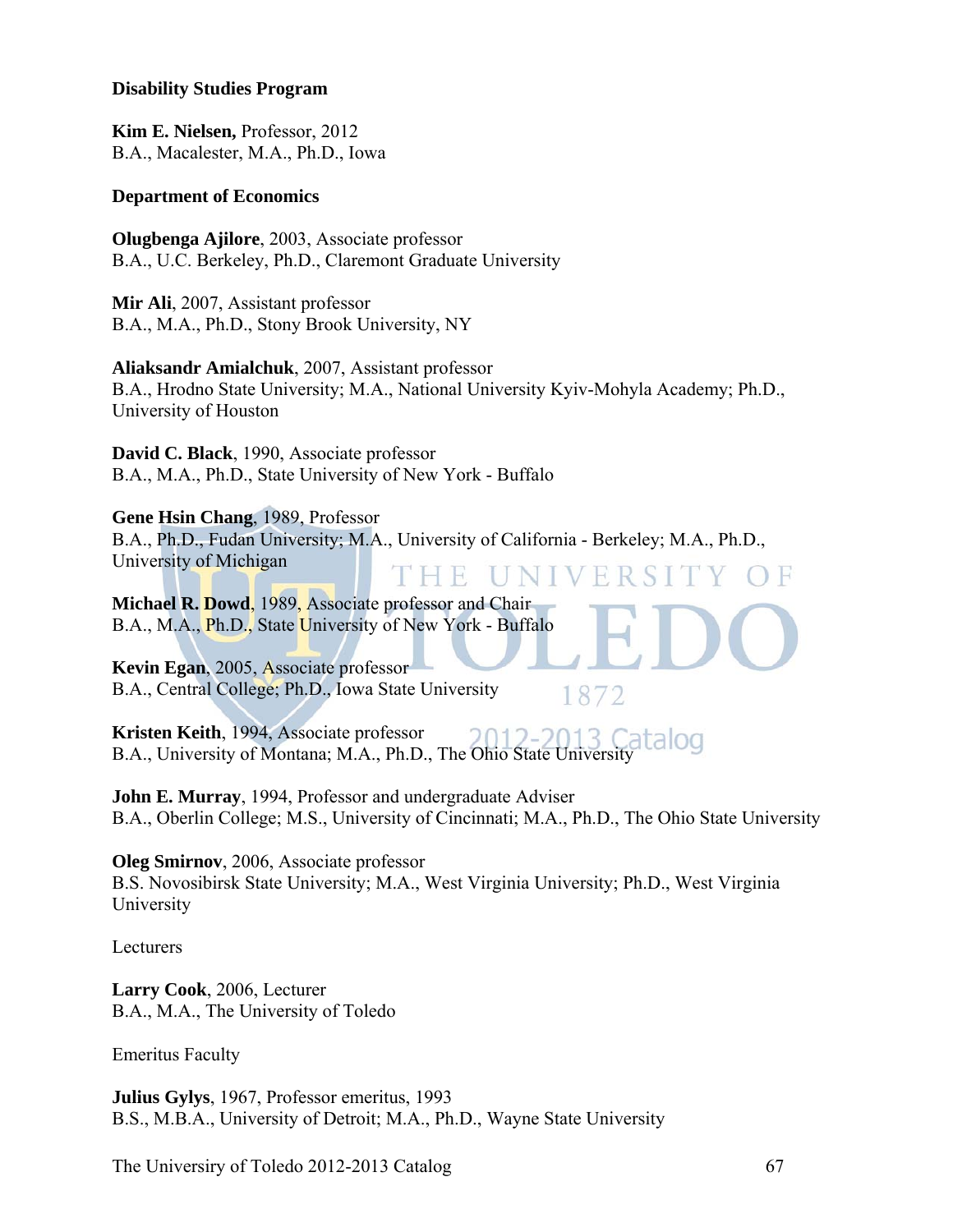#### **Disability Studies Program**

**Kim E. Nielsen,** Professor, 2012 B.A., Macalester, M.A., Ph.D., Iowa

#### **Department of Economics**

**Olugbenga Ajilore**, 2003, Associate professor B.A., U.C. Berkeley, Ph.D., Claremont Graduate University

**Mir Ali**, 2007, Assistant professor B.A., M.A., Ph.D., Stony Brook University, NY

**Aliaksandr Amialchuk**, 2007, Assistant professor B.A., Hrodno State University; M.A., National University Kyiv-Mohyla Academy; Ph.D., University of Houston

**David C. Black**, 1990, Associate professor B.A., M.A., Ph.D., State University of New York - Buffalo

**Gene Hsin Chang**, 1989, Professor

B.A., Ph.D., Fudan University; M.A., University of California - Berkeley; M.A., Ph.D., University of Michigan THE UNIV

**Michael R. Dowd**, 1989, Associate professor and Chair B.A., M.A., Ph.D., State University of New York - Buffalo

**Kevin Egan**, 2005, Associate professor B.A., Central College; Ph.D., Iowa State University

**Kristen Keith**, 1994, Associate professor B.A., University of Montana; M.A., Ph.D., The Ohio State University

**John E. Murray**, 1994, Professor and undergraduate Adviser B.A., Oberlin College; M.S., University of Cincinnati; M.A., Ph.D., The Ohio State University

1872

**Oleg Smirnov**, 2006, Associate professor B.S. Novosibirsk State University; M.A., West Virginia University; Ph.D., West Virginia University

Lecturers

**Larry Cook**, 2006, Lecturer B.A., M.A., The University of Toledo

Emeritus Faculty

**Julius Gylys**, 1967, Professor emeritus, 1993 B.S., M.B.A., University of Detroit; M.A., Ph.D., Wayne State University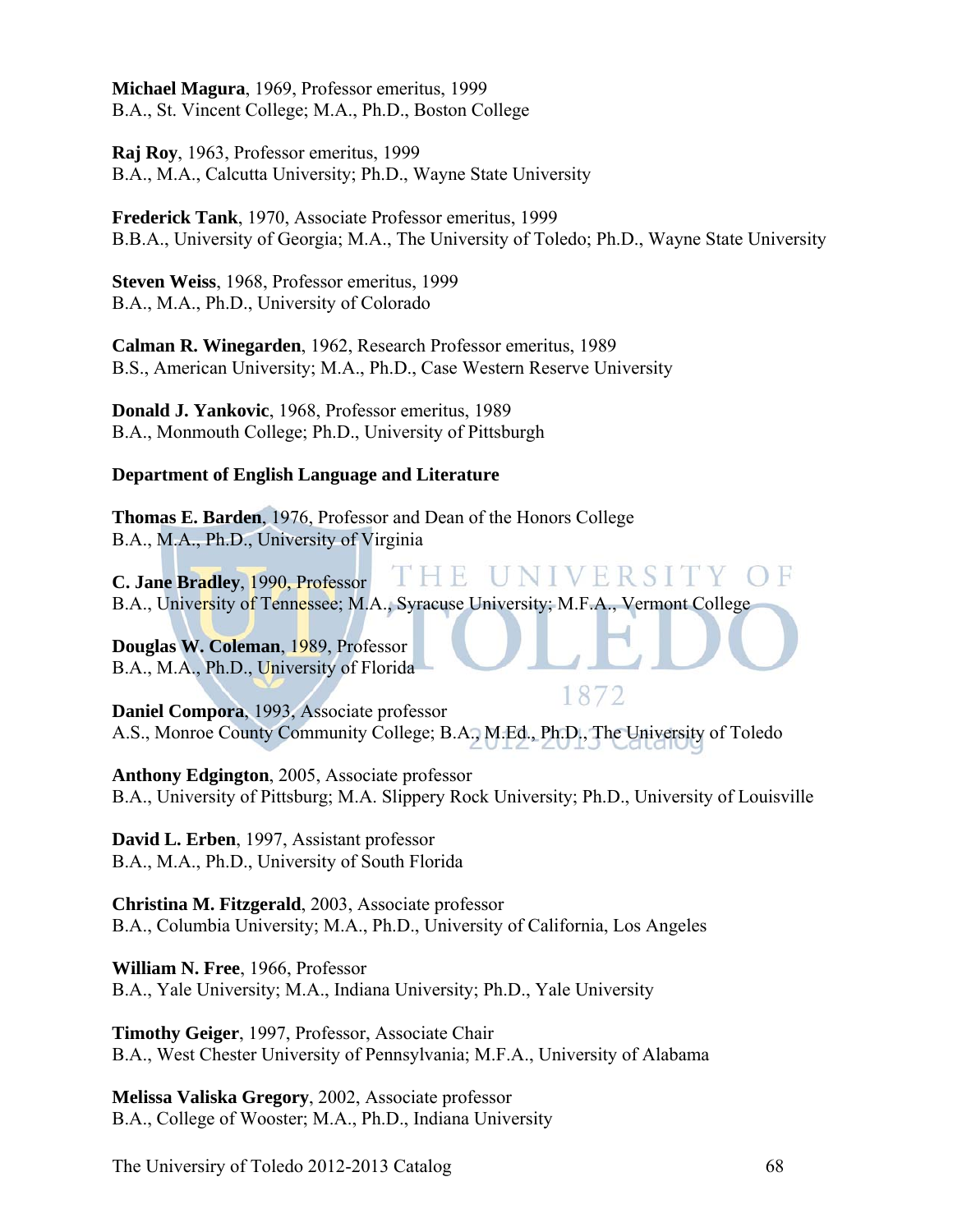**Michael Magura**, 1969, Professor emeritus, 1999 B.A., St. Vincent College; M.A., Ph.D., Boston College

**Raj Roy**, 1963, Professor emeritus, 1999 B.A., M.A., Calcutta University; Ph.D., Wayne State University

**Frederick Tank**, 1970, Associate Professor emeritus, 1999 B.B.A., University of Georgia; M.A., The University of Toledo; Ph.D., Wayne State University

**Steven Weiss**, 1968, Professor emeritus, 1999 B.A., M.A., Ph.D., University of Colorado

**Calman R. Winegarden**, 1962, Research Professor emeritus, 1989 B.S., American University; M.A., Ph.D., Case Western Reserve University

**Donald J. Yankovic**, 1968, Professor emeritus, 1989 B.A., Monmouth College; Ph.D., University of Pittsburgh

#### **Department of English Language and Literature**

**Thomas E. Barden**, 1976, Professor and Dean of the Honors College B.A., M.A., Ph.D., University of Virginia

THE - IU NIV ERST **C. Jane Bradley**, 1990, Professor B.A., University of Tennessee; M.A., Syracuse University; M.F.A., Vermont College

**Douglas W. Coleman**, 1989, Professor B.A., M.A., Ph.D., University of Florida

1872 **Daniel Compora**, 1993, Associate professor A.S., Monroe County Community College; B.A., M.Ed., Ph.D., The University of Toledo

**Anthony Edgington**, 2005, Associate professor B.A., University of Pittsburg; M.A. Slippery Rock University; Ph.D., University of Louisville

**David L. Erben**, 1997, Assistant professor B.A., M.A., Ph.D., University of South Florida

**Christina M. Fitzgerald**, 2003, Associate professor B.A., Columbia University; M.A., Ph.D., University of California, Los Angeles

**William N. Free**, 1966, Professor B.A., Yale University; M.A., Indiana University; Ph.D., Yale University

**Timothy Geiger**, 1997, Professor, Associate Chair B.A., West Chester University of Pennsylvania; M.F.A., University of Alabama

**Melissa Valiska Gregory**, 2002, Associate professor B.A., College of Wooster; M.A., Ph.D., Indiana University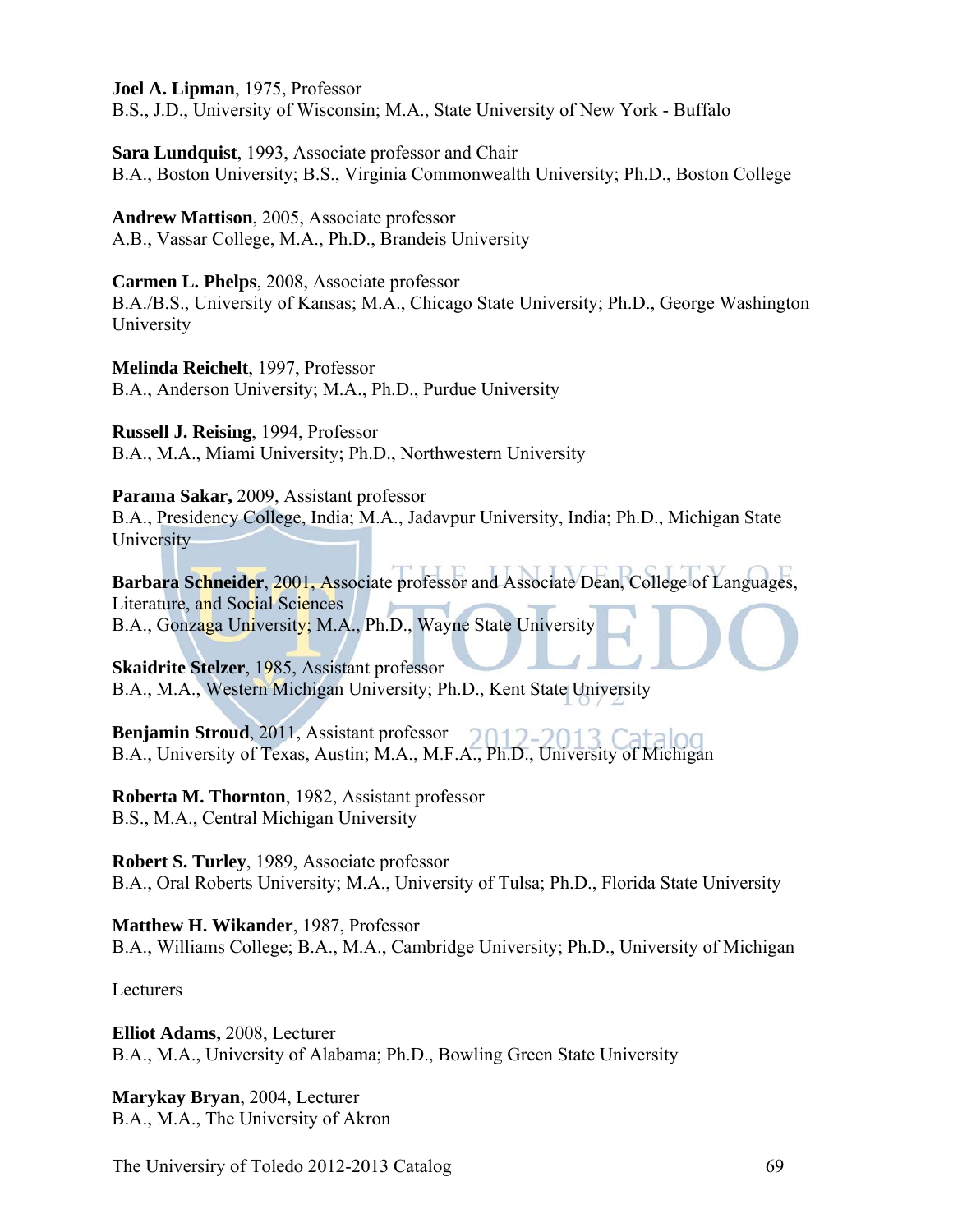**Joel A. Lipman**, 1975, Professor

B.S., J.D., University of Wisconsin; M.A., State University of New York - Buffalo

**Sara Lundquist**, 1993, Associate professor and Chair B.A., Boston University; B.S., Virginia Commonwealth University; Ph.D., Boston College

**Andrew Mattison**, 2005, Associate professor A.B., Vassar College, M.A., Ph.D., Brandeis University

**Carmen L. Phelps**, 2008, Associate professor B.A./B.S., University of Kansas; M.A., Chicago State University; Ph.D., George Washington University

**Melinda Reichelt**, 1997, Professor B.A., Anderson University; M.A., Ph.D., Purdue University

**Russell J. Reising**, 1994, Professor B.A., M.A., Miami University; Ph.D., Northwestern University

**Parama Sakar,** 2009, Assistant professor

B.A., Presidency College, India; M.A., Jadavpur University, India; Ph.D., Michigan State **University** 

**Barbara Schneider**, 2001, Associate professor and Associate Dean, College of Languages, Literature, and Social Sciences B.A., Gonzaga University; M.A., Ph.D., Wayne State University

**Skaidrite Stelzer**, 1985, Assistant professor B.A., M.A., Western Michigan University; Ph.D., Kent State University

**Benjamin Stroud**, 2011, Assistant professor B.A., University of Texas, Austin; M.A., M.F.A., Ph.D., University of Michigan

**Roberta M. Thornton**, 1982, Assistant professor B.S., M.A., Central Michigan University

**Robert S. Turley**, 1989, Associate professor B.A., Oral Roberts University; M.A., University of Tulsa; Ph.D., Florida State University

**Matthew H. Wikander**, 1987, Professor B.A., Williams College; B.A., M.A., Cambridge University; Ph.D., University of Michigan

Lecturers

**Elliot Adams,** 2008, Lecturer B.A., M.A., University of Alabama; Ph.D., Bowling Green State University

**Marykay Bryan**, 2004, Lecturer B.A., M.A., The University of Akron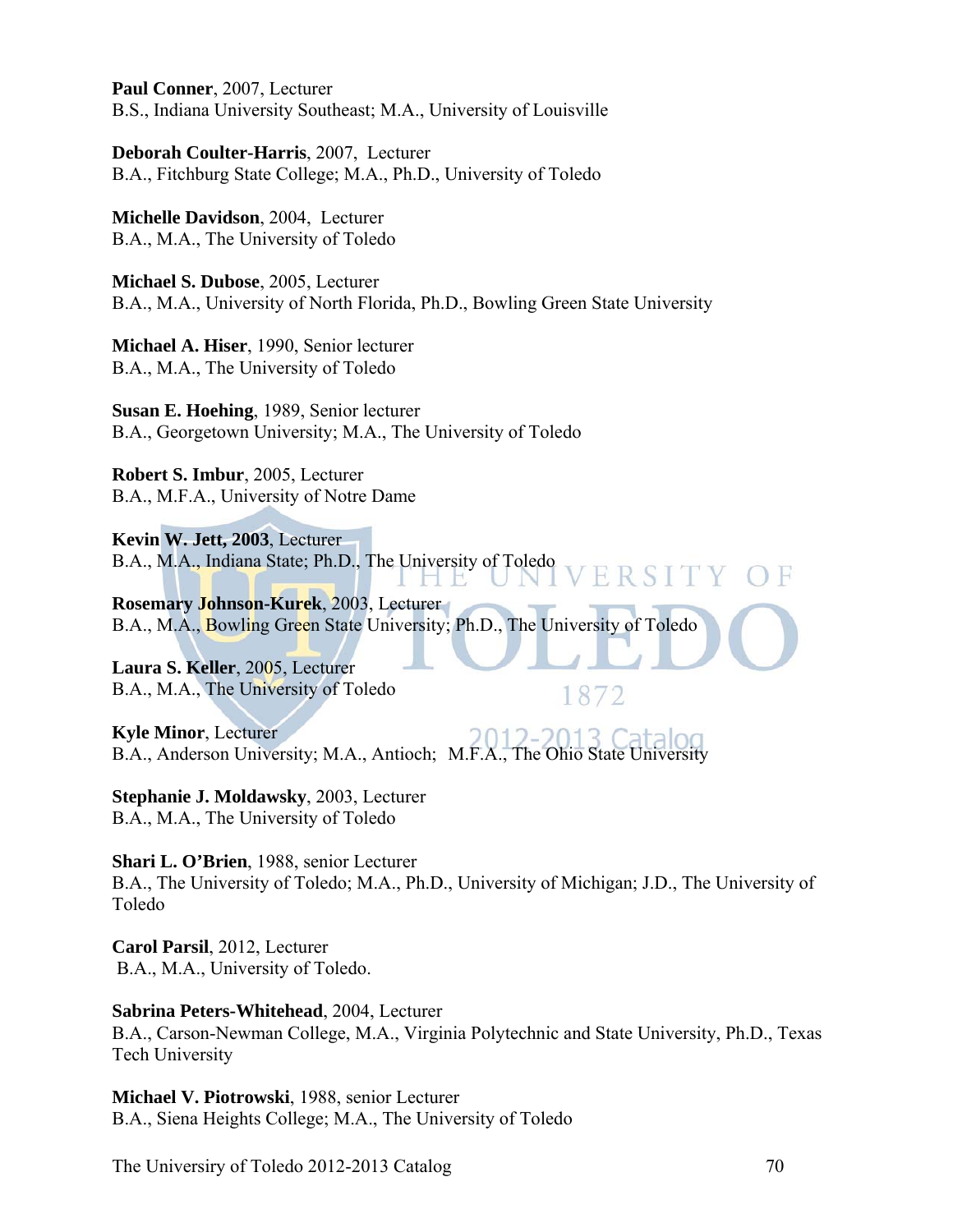**Paul Conner**, 2007, Lecturer B.S., Indiana University Southeast; M.A., University of Louisville

**Deborah Coulter-Harris**, 2007, Lecturer B.A., Fitchburg State College; M.A., Ph.D., University of Toledo

**Michelle Davidson**, 2004, Lecturer B.A., M.A., The University of Toledo

**Michael S. Dubose**, 2005, Lecturer B.A., M.A., University of North Florida, Ph.D., Bowling Green State University

**Michael A. Hiser**, 1990, Senior lecturer B.A., M.A., The University of Toledo

**Susan E. Hoehing**, 1989, Senior lecturer B.A., Georgetown University; M.A., The University of Toledo

**Robert S. Imbur**, 2005, Lecturer B.A., M.F.A., University of Notre Dame

**Kevin W. Jett, 2003**, Lecturer B.A., M.A., Indiana State; Ph.D., The University of Toledo Н. HB.

**Rosemary Johnson-Kurek**, 2003, Lecturer B.A., M.A., Bowling Green State University; Ph.D., The University of Toledo

**Laura S. Keller**, 2005, Lecturer B.A., M.A., The University of Toledo

**Kyle Minor**, Lecturer B.A., Anderson University; M.A., Antioch; M.F.A., The Ohio State University

**Stephanie J. Moldawsky**, 2003, Lecturer B.A., M.A., The University of Toledo

**Shari L. O'Brien**, 1988, senior Lecturer B.A., The University of Toledo; M.A., Ph.D., University of Michigan; J.D., The University of Toledo

1872

**Carol Parsil**, 2012, Lecturer B.A., M.A., University of Toledo.

**Sabrina Peters-Whitehead**, 2004, Lecturer B.A., Carson-Newman College, M.A., Virginia Polytechnic and State University, Ph.D., Texas Tech University

**Michael V. Piotrowski**, 1988, senior Lecturer B.A., Siena Heights College; M.A., The University of Toledo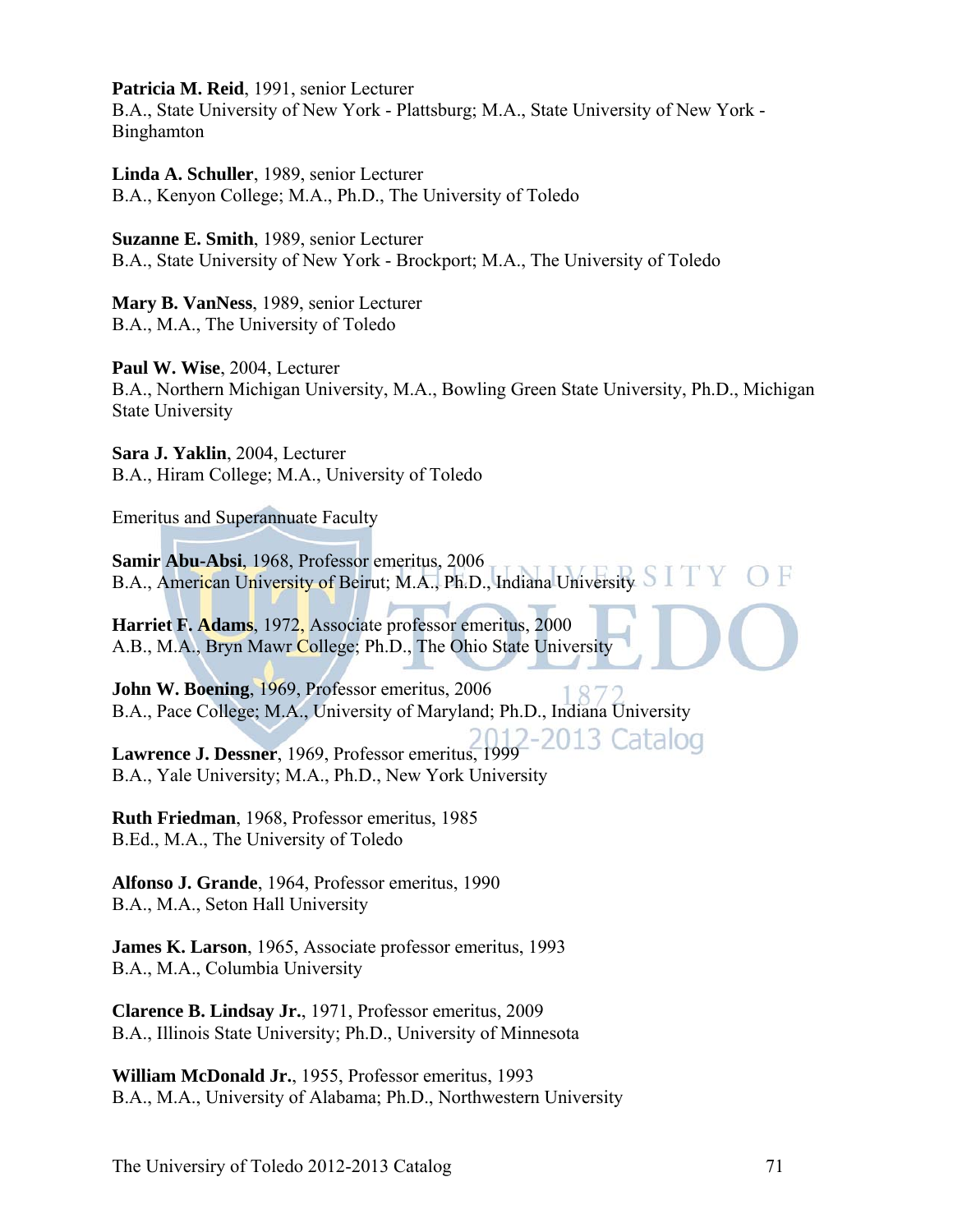**Patricia M. Reid**, 1991, senior Lecturer

B.A., State University of New York - Plattsburg; M.A., State University of New York - Binghamton

**Linda A. Schuller**, 1989, senior Lecturer B.A., Kenyon College; M.A., Ph.D., The University of Toledo

**Suzanne E. Smith**, 1989, senior Lecturer B.A., State University of New York - Brockport; M.A., The University of Toledo

**Mary B. VanNess**, 1989, senior Lecturer B.A., M.A., The University of Toledo

**Paul W. Wise**, 2004, Lecturer B.A., Northern Michigan University, M.A., Bowling Green State University, Ph.D., Michigan State University

**Sara J. Yaklin**, 2004, Lecturer B.A., Hiram College; M.A., University of Toledo

Emeritus and Superannuate Faculty

**Samir Abu-Absi**, 1968, Professor emeritus, 2006 B.A., American University of Beirut; M.A., Ph.D., Indiana University

**Harriet F. Adams**, 1972, Associate professor emeritus, 2000 A.B., M.A., Bryn Mawr College; Ph.D., The Ohio State University

**John W. Boening**, 1969, Professor emeritus, 2006 B.A., Pace College; M.A., University of Maryland; Ph.D., Indiana University

**Lawrence J. Dessner**, 1969, Professor emeritus, 1999

B.A., Yale University; M.A., Ph.D., New York University

**Ruth Friedman**, 1968, Professor emeritus, 1985 B.Ed., M.A., The University of Toledo

**Alfonso J. Grande**, 1964, Professor emeritus, 1990 B.A., M.A., Seton Hall University

**James K. Larson**, 1965, Associate professor emeritus, 1993 B.A., M.A., Columbia University

**Clarence B. Lindsay Jr.**, 1971, Professor emeritus, 2009 B.A., Illinois State University; Ph.D., University of Minnesota

**William McDonald Jr.**, 1955, Professor emeritus, 1993 B.A., M.A., University of Alabama; Ph.D., Northwestern University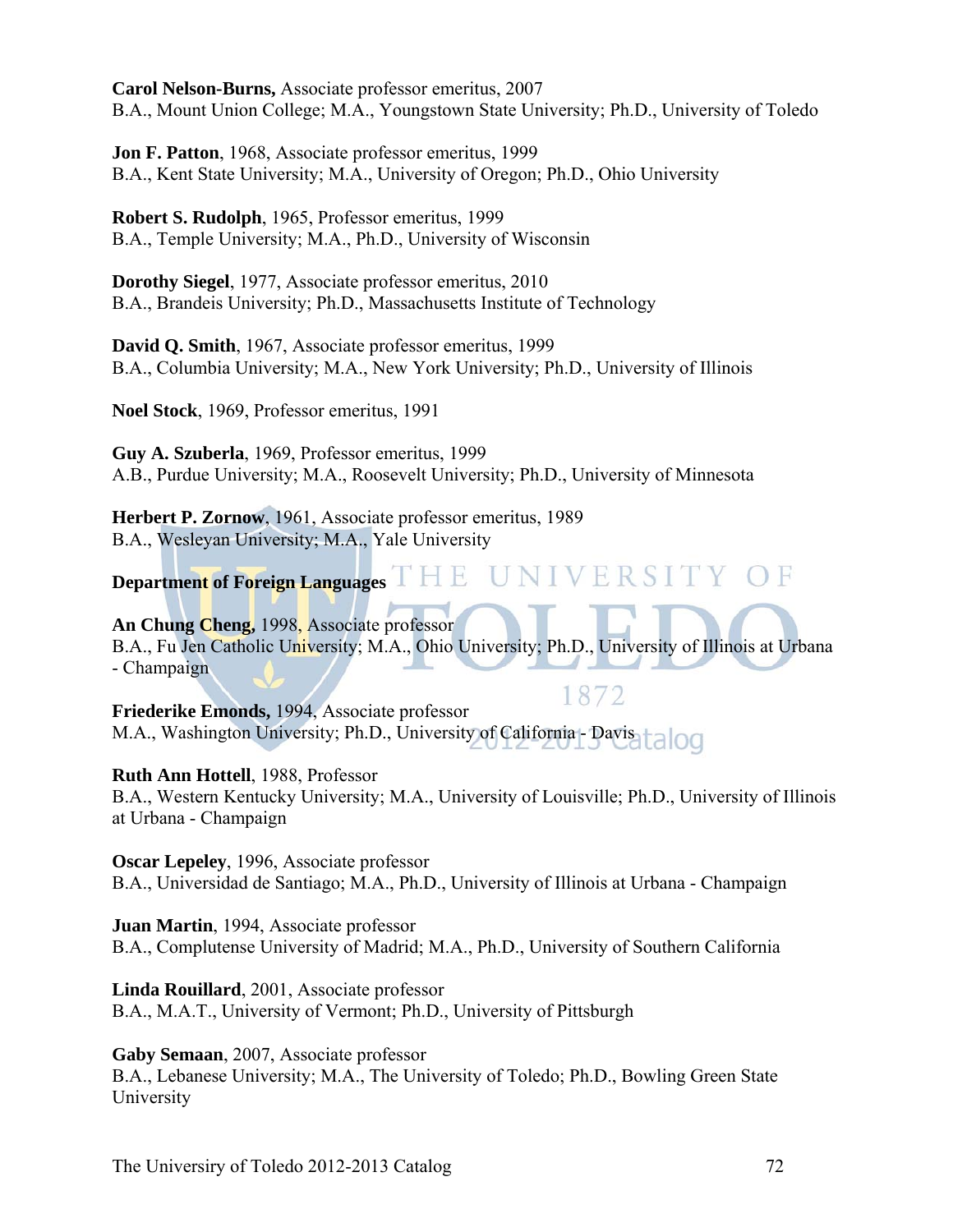**Carol Nelson-Burns,** Associate professor emeritus, 2007 B.A., Mount Union College; M.A., Youngstown State University; Ph.D., University of Toledo

**Jon F. Patton**, 1968, Associate professor emeritus, 1999 B.A., Kent State University; M.A., University of Oregon; Ph.D., Ohio University

**Robert S. Rudolph**, 1965, Professor emeritus, 1999 B.A., Temple University; M.A., Ph.D., University of Wisconsin

**Dorothy Siegel**, 1977, Associate professor emeritus, 2010 B.A., Brandeis University; Ph.D., Massachusetts Institute of Technology

**David Q. Smith**, 1967, Associate professor emeritus, 1999 B.A., Columbia University; M.A., New York University; Ph.D., University of Illinois

**Noel Stock**, 1969, Professor emeritus, 1991

**Guy A. Szuberla**, 1969, Professor emeritus, 1999 A.B., Purdue University; M.A., Roosevelt University; Ph.D., University of Minnesota

**Herbert P. Zornow**, 1961, Associate professor emeritus, 1989 B.A., Wesleyan University; M.A., Yale University

**Department of Foreign Languages**  ERSITY OF V

**An Chung Cheng,** 1998, Associate professor B.A., Fu Jen Catholic University; M.A., Ohio University; Ph.D., University of Illinois at Urbana - Champaign

1872 **Friederike Emonds,** 1994, Associate professor M.A., Washington University; Ph.D., University of California - Davis

**Ruth Ann Hottell**, 1988, Professor

B.A., Western Kentucky University; M.A., University of Louisville; Ph.D., University of Illinois at Urbana - Champaign

**Oscar Lepeley**, 1996, Associate professor B.A., Universidad de Santiago; M.A., Ph.D., University of Illinois at Urbana - Champaign

**Juan Martin**, 1994, Associate professor B.A., Complutense University of Madrid; M.A., Ph.D., University of Southern California

**Linda Rouillard**, 2001, Associate professor B.A., M.A.T., University of Vermont; Ph.D., University of Pittsburgh

**Gaby Semaan**, 2007, Associate professor B.A., Lebanese University; M.A., The University of Toledo; Ph.D., Bowling Green State University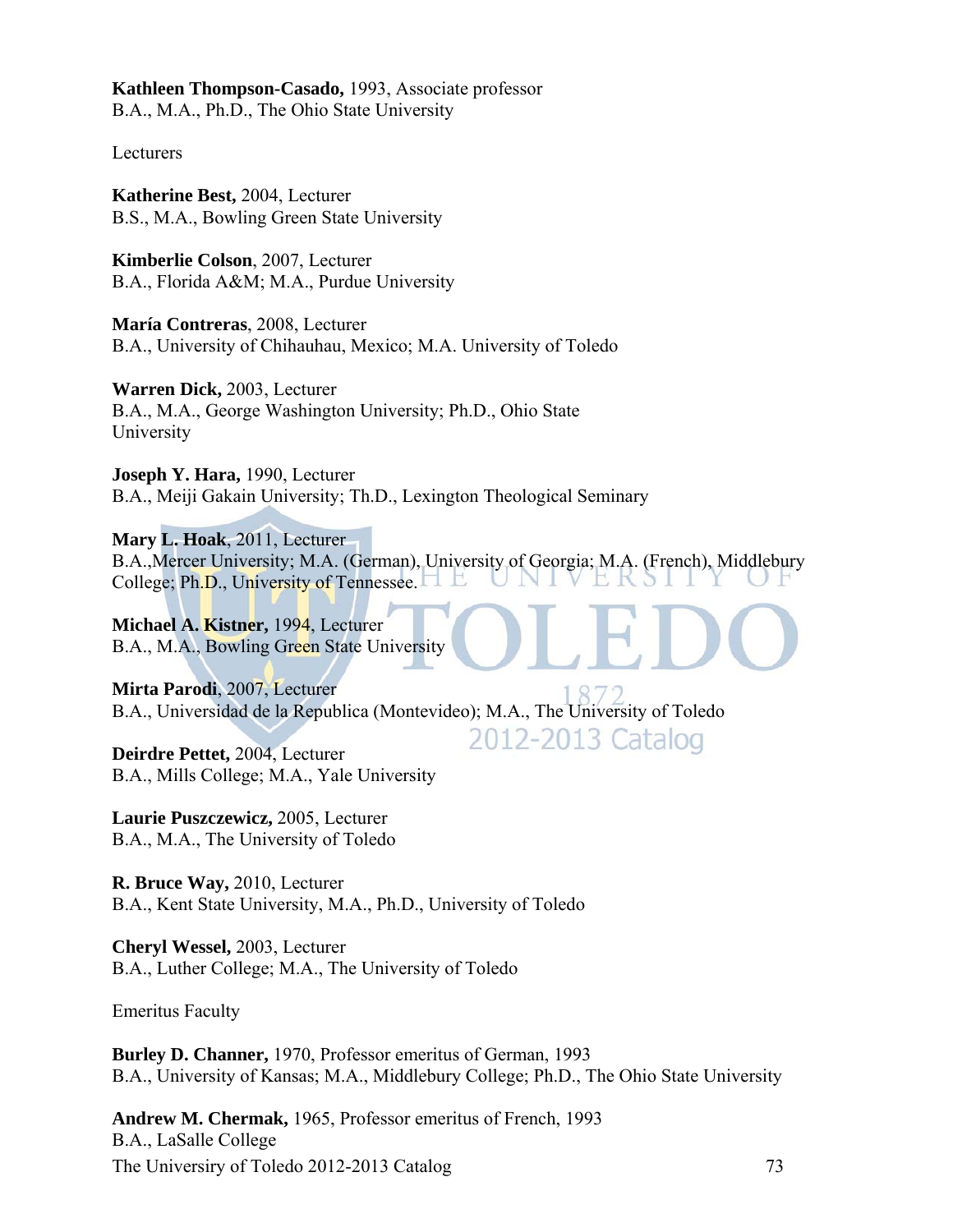**Kathleen Thompson-Casado,** 1993, Associate professor B.A., M.A., Ph.D., The Ohio State University

Lecturers

**Katherine Best,** 2004, Lecturer B.S., M.A., Bowling Green State University

**Kimberlie Colson**, 2007, Lecturer B.A., Florida A&M; M.A., Purdue University

**María Contreras**, 2008, Lecturer B.A., University of Chihauhau, Mexico; M.A. University of Toledo

**Warren Dick,** 2003, Lecturer B.A., M.A., George Washington University; Ph.D., Ohio State University

**Joseph Y. Hara,** 1990, Lecturer B.A., Meiji Gakain University; Th.D., Lexington Theological Seminary

**Mary L. Hoak**, 2011, Lecturer B.A.,Mercer University; M.A. (German), University of Georgia; M.A. (French), Middlebury College; Ph.D., University of Tennessee.

2012-2013 Catalog

**Michael A. Kistner,** 1994, Lecturer B.A., M.A., Bowling Green State University

**Mirta Parodi**, 2007, Lecturer B.A., Universidad de la Republica (Montevideo); M.A., The University of Toledo

**Deirdre Pettet,** 2004, Lecturer B.A., Mills College; M.A., Yale University

**Laurie Puszczewicz,** 2005, Lecturer B.A., M.A., The University of Toledo

**R. Bruce Way,** 2010, Lecturer B.A., Kent State University, M.A., Ph.D., University of Toledo

**Cheryl Wessel,** 2003, Lecturer B.A., Luther College; M.A., The University of Toledo

Emeritus Faculty

**Burley D. Channer,** 1970, Professor emeritus of German, 1993 B.A., University of Kansas; M.A., Middlebury College; Ph.D., The Ohio State University

The Universiry of Toledo 2012-2013 Catalog 73 **Andrew M. Chermak,** 1965, Professor emeritus of French, 1993 B.A., LaSalle College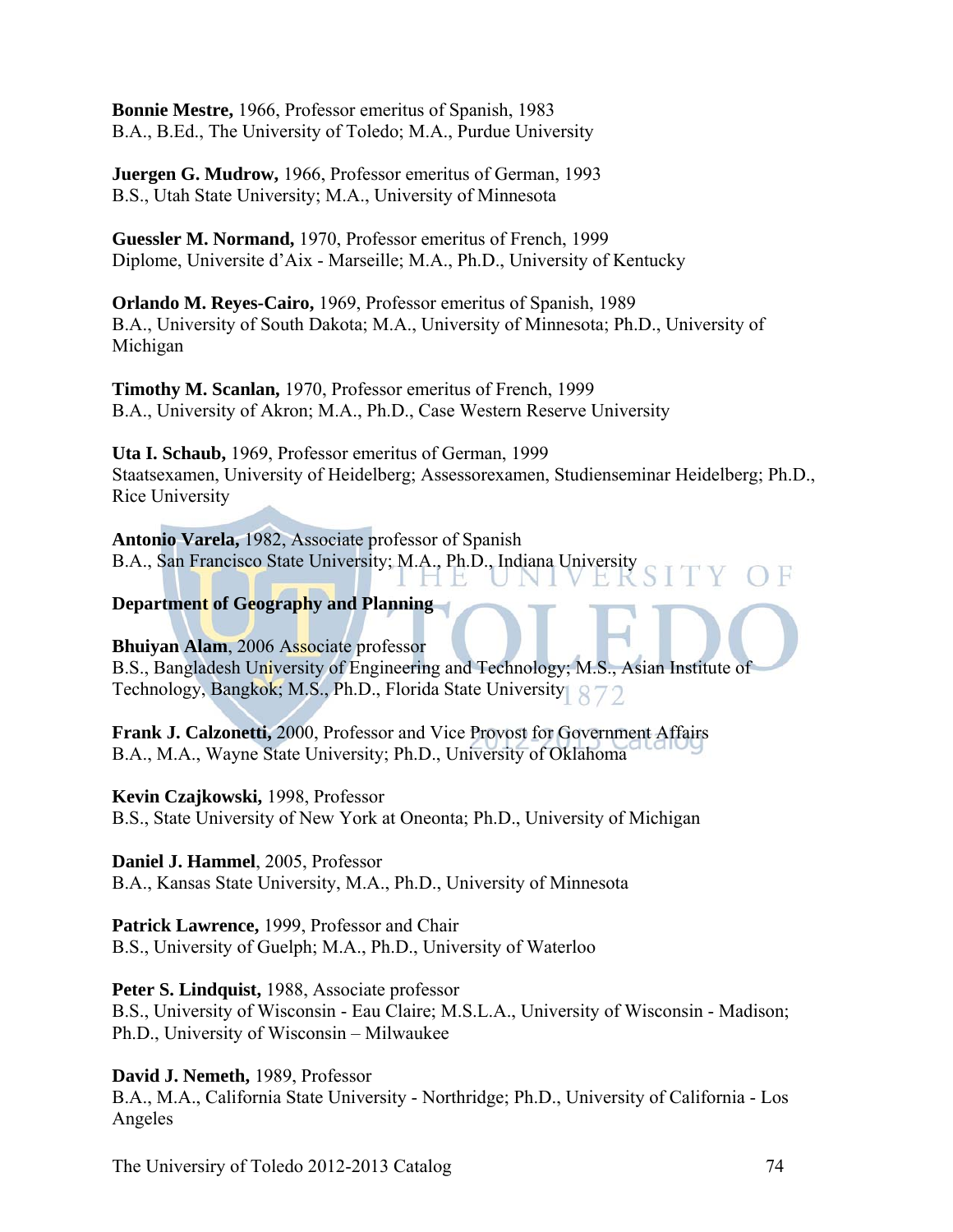**Bonnie Mestre,** 1966, Professor emeritus of Spanish, 1983 B.A., B.Ed., The University of Toledo; M.A., Purdue University

**Juergen G. Mudrow,** 1966, Professor emeritus of German, 1993 B.S., Utah State University; M.A., University of Minnesota

**Guessler M. Normand,** 1970, Professor emeritus of French, 1999 Diplome, Universite d'Aix - Marseille; M.A., Ph.D., University of Kentucky

**Orlando M. Reyes-Cairo,** 1969, Professor emeritus of Spanish, 1989 B.A., University of South Dakota; M.A., University of Minnesota; Ph.D., University of Michigan

**Timothy M. Scanlan,** 1970, Professor emeritus of French, 1999 B.A., University of Akron; M.A., Ph.D., Case Western Reserve University

**Uta I. Schaub,** 1969, Professor emeritus of German, 1999 Staatsexamen, University of Heidelberg; Assessorexamen, Studienseminar Heidelberg; Ph.D., Rice University

**Antonio Varela,** 1982, Associate professor of Spanish B.A., San Francisco State University; M.A., Ph.D., Indiana University H E

### **Department of Geography and Planning**

**Bhuiyan Alam**, 2006 Associate professor B.S., Bangladesh University of Engineering and Technology; M.S., Asian Institute of Technology, Bangkok; M.S., Ph.D., Florida State University

**Frank J. Calzonetti,** 2000, Professor and Vice Provost for Government Affairs B.A., M.A., Wayne State University; Ph.D., University of Oklahoma

**Kevin Czajkowski,** 1998, Professor B.S., State University of New York at Oneonta; Ph.D., University of Michigan

**Daniel J. Hammel**, 2005, Professor B.A., Kansas State University, M.A., Ph.D., University of Minnesota

**Patrick Lawrence,** 1999, Professor and Chair B.S., University of Guelph; M.A., Ph.D., University of Waterloo

**Peter S. Lindquist,** 1988, Associate professor B.S., University of Wisconsin - Eau Claire; M.S.L.A., University of Wisconsin - Madison; Ph.D., University of Wisconsin – Milwaukee

**David J. Nemeth,** 1989, Professor

B.A., M.A., California State University - Northridge; Ph.D., University of California - Los Angeles

The University of Toledo 2012-2013 Catalog 74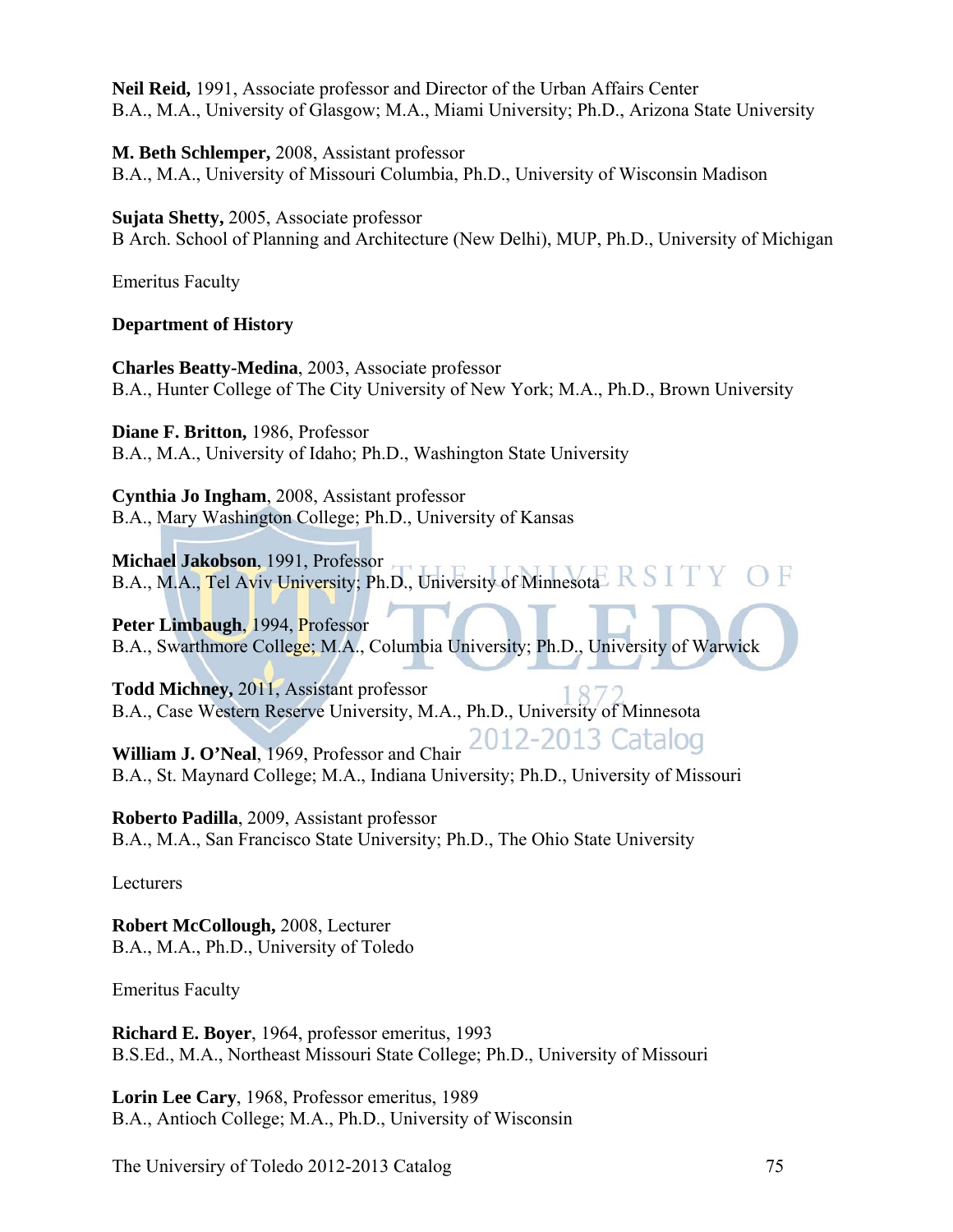**Neil Reid,** 1991, Associate professor and Director of the Urban Affairs Center B.A., M.A., University of Glasgow; M.A., Miami University; Ph.D., Arizona State University

**M. Beth Schlemper,** 2008, Assistant professor B.A., M.A., University of Missouri Columbia, Ph.D., University of Wisconsin Madison

## **Sujata Shetty,** 2005, Associate professor

B Arch. School of Planning and Architecture (New Delhi), MUP, Ph.D., University of Michigan

Emeritus Faculty

# **Department of History**

**Charles Beatty-Medina**, 2003, Associate professor B.A., Hunter College of The City University of New York; M.A., Ph.D., Brown University

**Diane F. Britton,** 1986, Professor B.A., M.A., University of Idaho; Ph.D., Washington State University

**Cynthia Jo Ingham**, 2008, Assistant professor B.A., Mary Washington College; Ph.D., University of Kansas

**Michael Jakobson**, 1991, Professor B.A., M.A., Tel Aviv University; Ph.D., University of Minnesota

Peter Limbaugh, 1994, Professor B.A., Swarthmore College; M.A., Columbia University; Ph.D., University of Warwick

**Todd Michney,** 2011, Assistant professor B.A., Case Western Reserve University, M.A., Ph.D., University of Minnesota

William J. O'Neal, 1969, Professor and Chair 2012-2013 Catalog B.A., St. Maynard College; M.A., Indiana University; Ph.D., University of Missouri

**Roberto Padilla**, 2009, Assistant professor B.A., M.A., San Francisco State University; Ph.D., The Ohio State University

Lecturers

**Robert McCollough,** 2008, Lecturer B.A., M.A., Ph.D., University of Toledo

Emeritus Faculty

**Richard E. Boyer**, 1964, professor emeritus, 1993 B.S.Ed., M.A., Northeast Missouri State College; Ph.D., University of Missouri

**Lorin Lee Cary**, 1968, Professor emeritus, 1989 B.A., Antioch College; M.A., Ph.D., University of Wisconsin

The University of Toledo 2012-2013 Catalog 75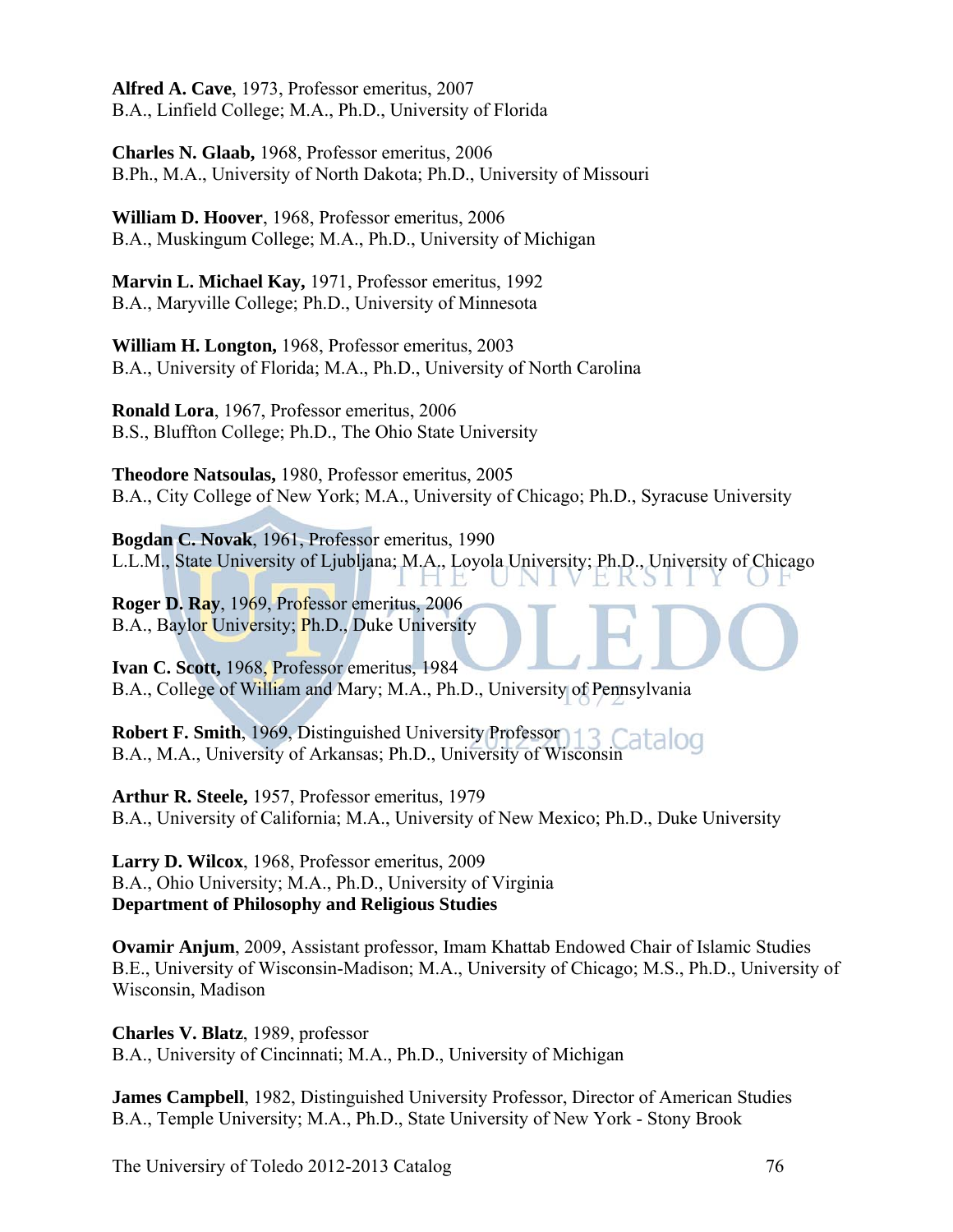**Alfred A. Cave**, 1973, Professor emeritus, 2007 B.A., Linfield College; M.A., Ph.D., University of Florida

**Charles N. Glaab,** 1968, Professor emeritus, 2006 B.Ph., M.A., University of North Dakota; Ph.D., University of Missouri

**William D. Hoover**, 1968, Professor emeritus, 2006 B.A., Muskingum College; M.A., Ph.D., University of Michigan

**Marvin L. Michael Kay,** 1971, Professor emeritus, 1992 B.A., Maryville College; Ph.D., University of Minnesota

**William H. Longton,** 1968, Professor emeritus, 2003 B.A., University of Florida; M.A., Ph.D., University of North Carolina

**Ronald Lora**, 1967, Professor emeritus, 2006 B.S., Bluffton College; Ph.D., The Ohio State University

**Theodore Natsoulas,** 1980, Professor emeritus, 2005 B.A., City College of New York; M.A., University of Chicago; Ph.D., Syracuse University

**Bogdan C. Novak**, 1961, Professor emeritus, 1990 L.L.M., State University of Ljubljana; M.A., Loyola University; Ph.D., University of Chicago

**Roger D. Ray**, 1969, Professor emeritus, 2006 B.A., Baylor University; Ph.D., Duke University

**Ivan C. Scott,** 1968, Professor emeritus, 1984 B.A., College of William and Mary; M.A., Ph.D., University of Pennsylvania

Robert F. Smith, 1969, Distinguished University Professor) 13 Catalog B.A., M.A., University of Arkansas; Ph.D., University of Wisconsin

**Arthur R. Steele,** 1957, Professor emeritus, 1979 B.A., University of California; M.A., University of New Mexico; Ph.D., Duke University

**Larry D. Wilcox**, 1968, Professor emeritus, 2009 B.A., Ohio University; M.A., Ph.D., University of Virginia **Department of Philosophy and Religious Studies** 

**Ovamir Anjum**, 2009, Assistant professor, Imam Khattab Endowed Chair of Islamic Studies B.E., University of Wisconsin-Madison; M.A., University of Chicago; M.S., Ph.D., University of Wisconsin, Madison

**Charles V. Blatz**, 1989, professor B.A., University of Cincinnati; M.A., Ph.D., University of Michigan

**James Campbell**, 1982, Distinguished University Professor, Director of American Studies B.A., Temple University; M.A., Ph.D., State University of New York - Stony Brook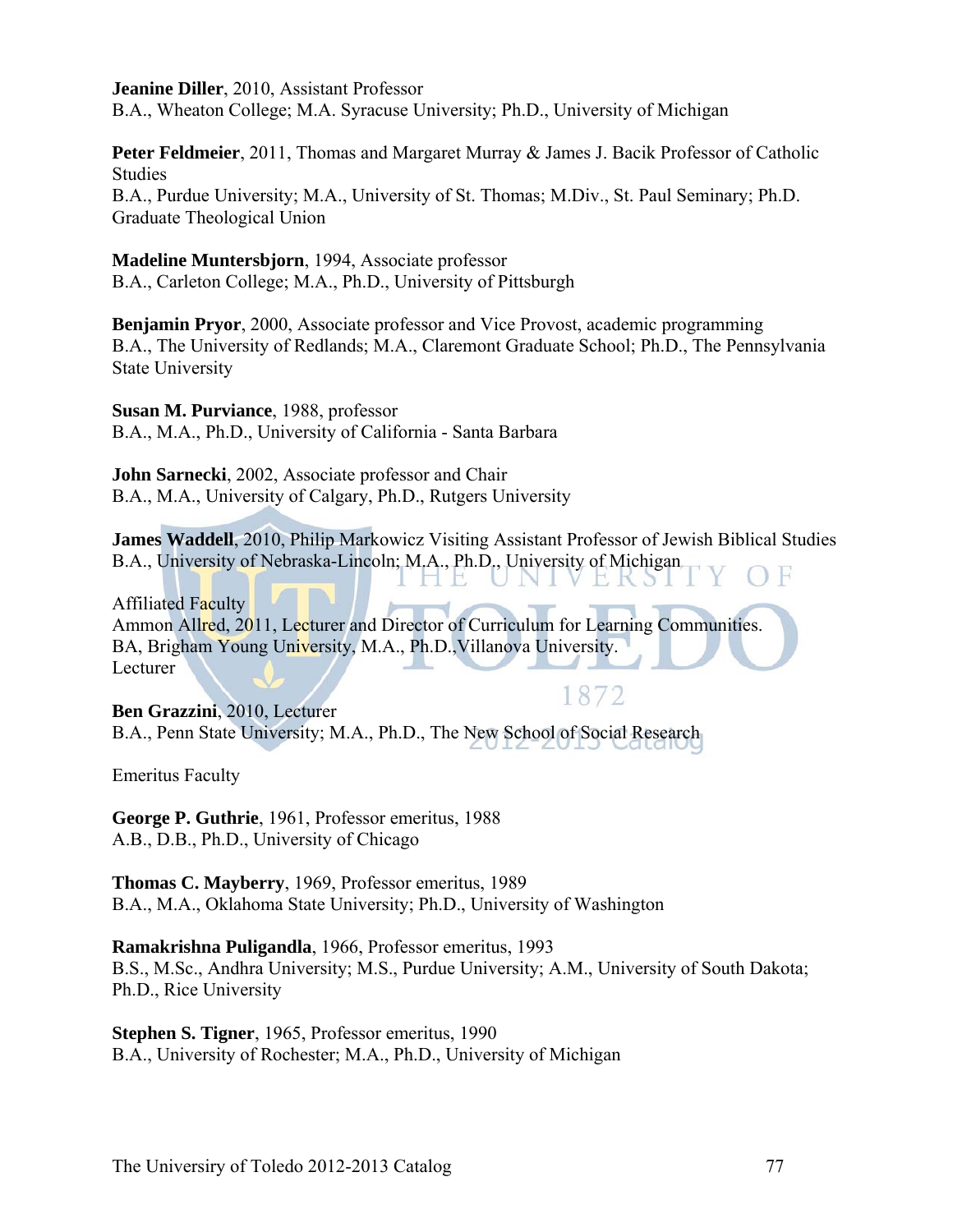#### **Jeanine Diller**, 2010, Assistant Professor

B.A., Wheaton College; M.A. Syracuse University; Ph.D., University of Michigan

**Peter Feldmeier**, 2011, Thomas and Margaret Murray & James J. Bacik Professor of Catholic Studies

B.A., Purdue University; M.A., University of St. Thomas; M.Div., St. Paul Seminary; Ph.D. Graduate Theological Union

**Madeline Muntersbjorn**, 1994, Associate professor B.A., Carleton College; M.A., Ph.D., University of Pittsburgh

**Benjamin Pryor**, 2000, Associate professor and Vice Provost, academic programming B.A., The University of Redlands; M.A., Claremont Graduate School; Ph.D., The Pennsylvania State University

**Susan M. Purviance**, 1988, professor B.A., M.A., Ph.D., University of California - Santa Barbara

**John Sarnecki**, 2002, Associate professor and Chair B.A., M.A., University of Calgary, Ph.D., Rutgers University

**James Waddell**, 2010, Philip Markowicz Visiting Assistant Professor of Jewish Biblical Studies B.A., University of Nebraska-Lincoln; M.A., Ph.D., University of Michigan

EKSII

Affiliated Faculty

Ammon Allred, 2011, Lecturer and Director of Curriculum for Learning Communities. BA, Brigham Young University, M.A., Ph.D.,Villanova University. Lecturer

IHE

1872 **Ben Grazzini**, 2010, Lecturer B.A., Penn State University; M.A., Ph.D., The New School of Social Research

Emeritus Faculty

**George P. Guthrie**, 1961, Professor emeritus, 1988 A.B., D.B., Ph.D., University of Chicago

**Thomas C. Mayberry**, 1969, Professor emeritus, 1989 B.A., M.A., Oklahoma State University; Ph.D., University of Washington

**Ramakrishna Puligandla**, 1966, Professor emeritus, 1993 B.S., M.Sc., Andhra University; M.S., Purdue University; A.M., University of South Dakota; Ph.D., Rice University

**Stephen S. Tigner**, 1965, Professor emeritus, 1990 B.A., University of Rochester; M.A., Ph.D., University of Michigan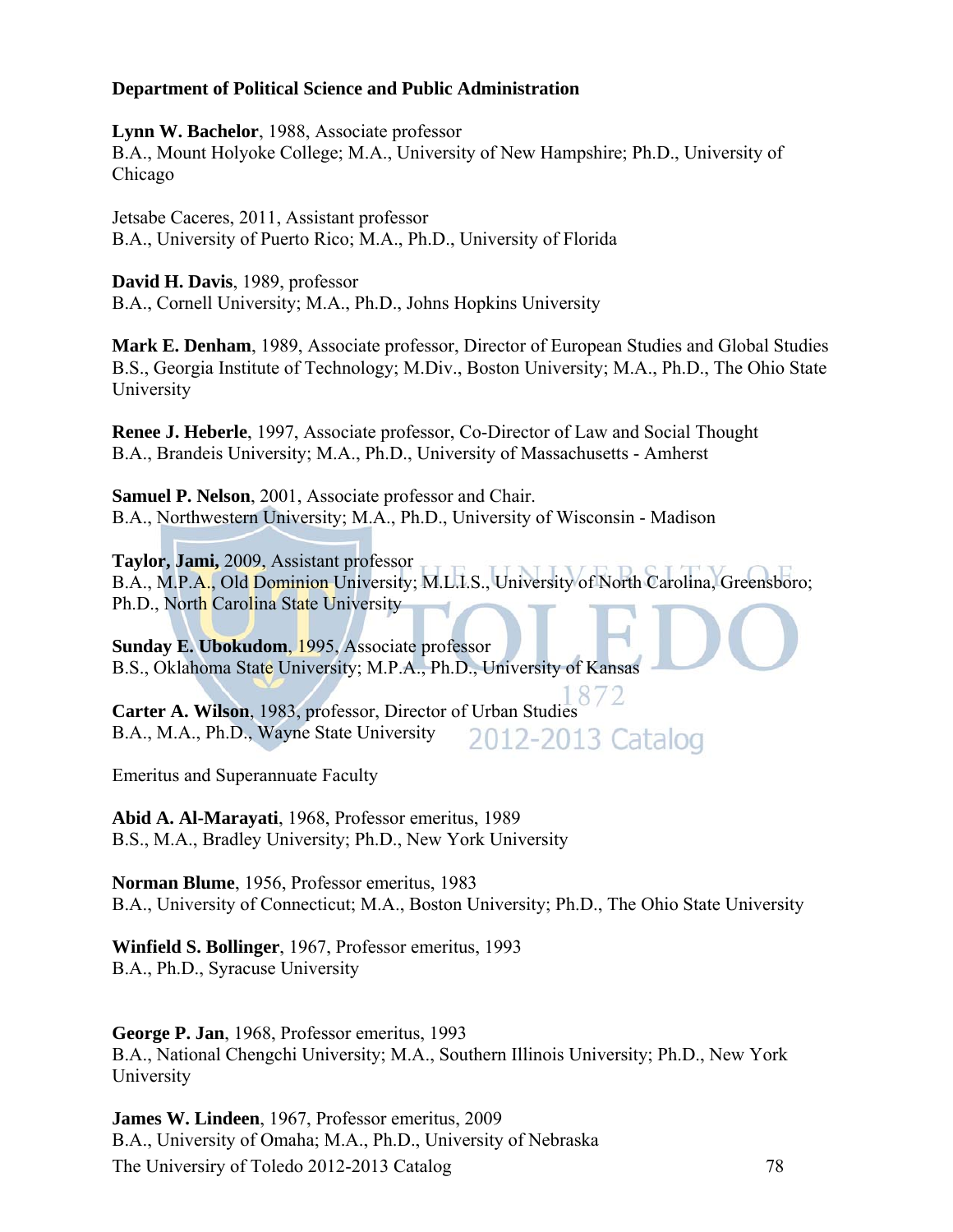### **Department of Political Science and Public Administration**

**Lynn W. Bachelor**, 1988, Associate professor B.A., Mount Holyoke College; M.A., University of New Hampshire; Ph.D., University of Chicago

Jetsabe Caceres, 2011, Assistant professor B.A., University of Puerto Rico; M.A., Ph.D., University of Florida

**David H. Davis**, 1989, professor B.A., Cornell University; M.A., Ph.D., Johns Hopkins University

**Mark E. Denham**, 1989, Associate professor, Director of European Studies and Global Studies B.S., Georgia Institute of Technology; M.Div., Boston University; M.A., Ph.D., The Ohio State University

**Renee J. Heberle**, 1997, Associate professor, Co-Director of Law and Social Thought B.A., Brandeis University; M.A., Ph.D., University of Massachusetts - Amherst

**Samuel P. Nelson**, 2001, Associate professor and Chair. B.A., Northwestern University; M.A., Ph.D., University of Wisconsin - Madison

**Taylor, Jami,** 2009, Assistant professor B.A., M.P.A., Old Dominion University; M.L.I.S., University of North Carolina, Greensboro; Ph.D., North Carolina State University

**Sunday E. Ubokudom**, 1995, Associate professor B.S., Oklahoma State University; M.P.A., Ph.D., University of Kansas

**Carter A. Wilson**, 1983, professor, Director of Urban Studies B.A., M.A., Ph.D., Wayne State University 2012-2013 Catalog

Emeritus and Superannuate Faculty

**Abid A. Al-Marayati**, 1968, Professor emeritus, 1989 B.S., M.A., Bradley University; Ph.D., New York University

**Norman Blume**, 1956, Professor emeritus, 1983 B.A., University of Connecticut; M.A., Boston University; Ph.D., The Ohio State University

**Winfield S. Bollinger**, 1967, Professor emeritus, 1993 B.A., Ph.D., Syracuse University

**George P. Jan**, 1968, Professor emeritus, 1993 B.A., National Chengchi University; M.A., Southern Illinois University; Ph.D., New York University

The Universiry of Toledo 2012-2013 Catalog 78 **James W. Lindeen**, 1967, Professor emeritus, 2009 B.A., University of Omaha; M.A., Ph.D., University of Nebraska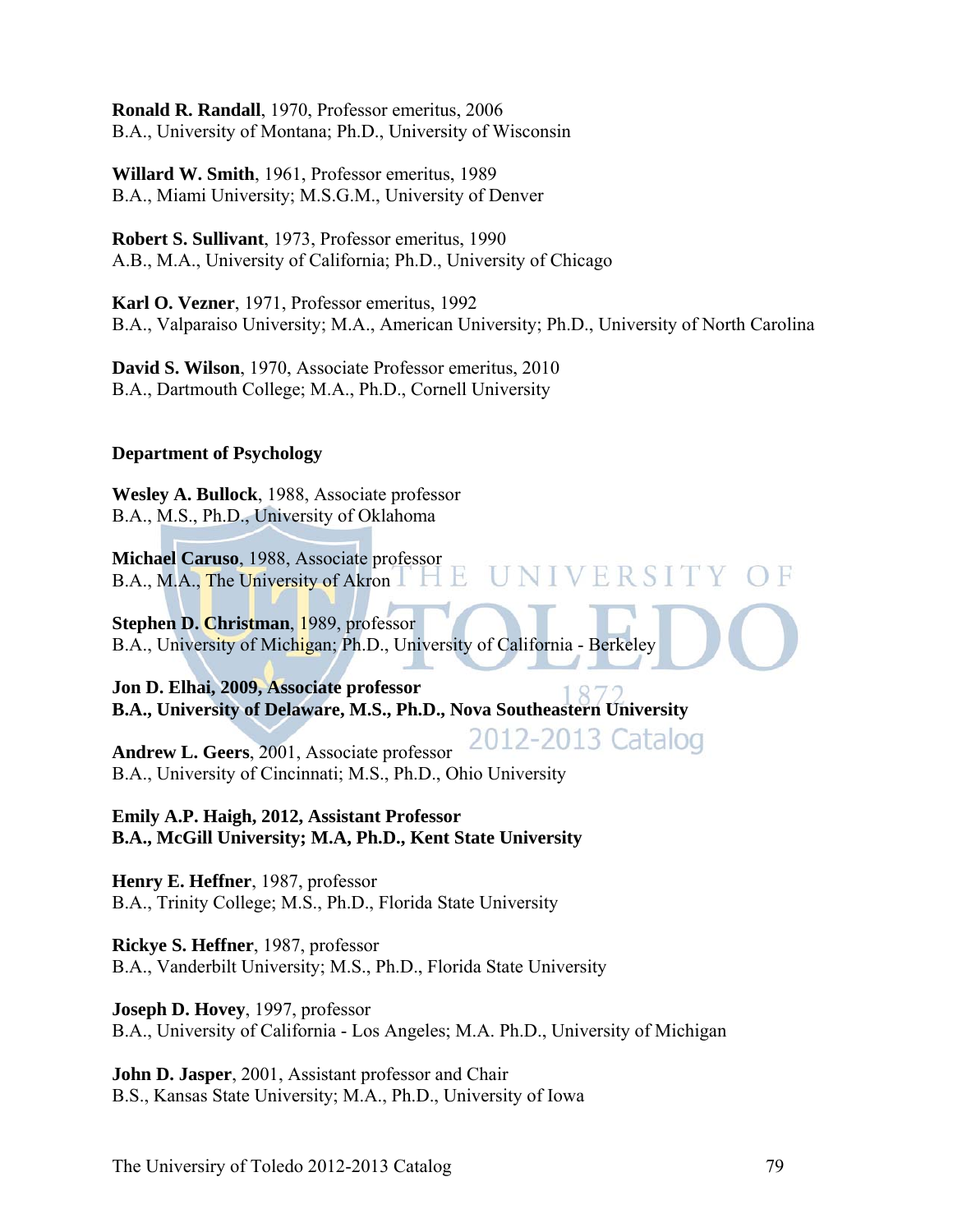**Ronald R. Randall**, 1970, Professor emeritus, 2006 B.A., University of Montana; Ph.D., University of Wisconsin

**Willard W. Smith**, 1961, Professor emeritus, 1989 B.A., Miami University; M.S.G.M., University of Denver

**Robert S. Sullivant**, 1973, Professor emeritus, 1990 A.B., M.A., University of California; Ph.D., University of Chicago

**Karl O. Vezner**, 1971, Professor emeritus, 1992 B.A., Valparaiso University; M.A., American University; Ph.D., University of North Carolina

**David S. Wilson**, 1970, Associate Professor emeritus, 2010 B.A., Dartmouth College; M.A., Ph.D., Cornell University

# **Department of Psychology**

**Wesley A. Bullock**, 1988, Associate professor B.A., M.S., Ph.D., University of Oklahoma

**Michael Caruso**, 1988, Associate professor VERSI H, B.A., M.A., The University of Akron L.

**Stephen D. Christman**, 1989, professor B.A., University of Michigan; Ph.D., University of California - Berkeley

**Jon D. Elhai, 2009, Associate professor B.A., University of Delaware, M.S., Ph.D., Nova Southeastern University** 

2012-2013 Catalog **Andrew L. Geers**, 2001, Associate professor B.A., University of Cincinnati; M.S., Ph.D., Ohio University

**Emily A.P. Haigh, 2012, Assistant Professor B.A., McGill University; M.A, Ph.D., Kent State University** 

**Henry E. Heffner**, 1987, professor B.A., Trinity College; M.S., Ph.D., Florida State University

**Rickye S. Heffner**, 1987, professor B.A., Vanderbilt University; M.S., Ph.D., Florida State University

**Joseph D. Hovey**, 1997, professor B.A., University of California - Los Angeles; M.A. Ph.D., University of Michigan

**John D. Jasper**, 2001, Assistant professor and Chair B.S., Kansas State University; M.A., Ph.D., University of Iowa

The University of Toledo 2012-2013 Catalog 79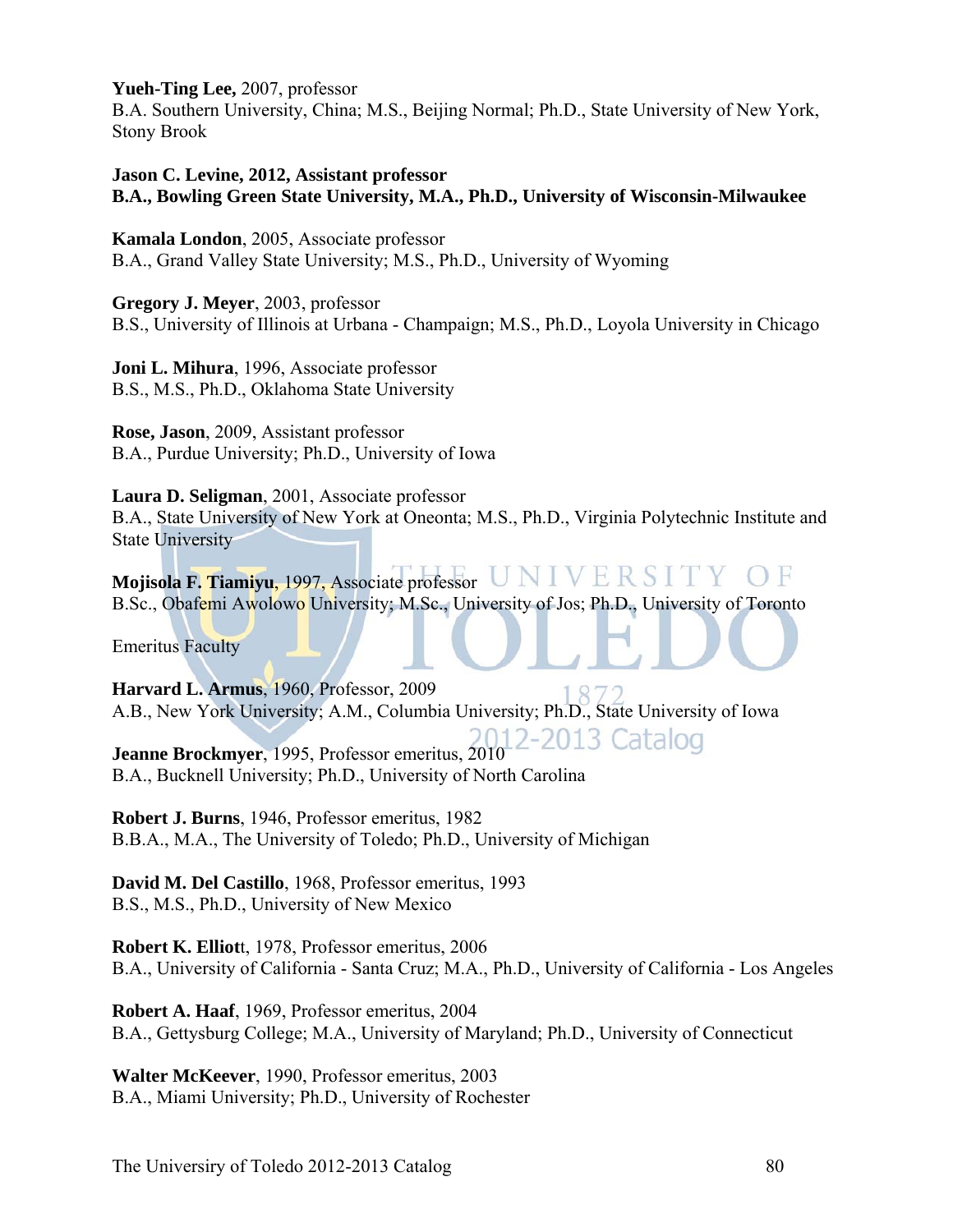**Yueh-Ting Lee,** 2007, professor

B.A. Southern University, China; M.S., Beijing Normal; Ph.D., State University of New York, Stony Brook

### **Jason C. Levine, 2012, Assistant professor B.A., Bowling Green State University, M.A., Ph.D., University of Wisconsin-Milwaukee**

**Kamala London**, 2005, Associate professor B.A., Grand Valley State University; M.S., Ph.D., University of Wyoming

**Gregory J. Meyer**, 2003, professor B.S., University of Illinois at Urbana - Champaign; M.S., Ph.D., Loyola University in Chicago

**Joni L. Mihura**, 1996, Associate professor B.S., M.S., Ph.D., Oklahoma State University

**Rose, Jason**, 2009, Assistant professor B.A., Purdue University; Ph.D., University of Iowa

**Laura D. Seligman**, 2001, Associate professor B.A., State University of New York at Oneonta; M.S., Ph.D., Virginia Polytechnic Institute and State University

**Mojisola F. Tiamiyu**, 1997, Associate professor B.Sc., Obafemi Awolowo University; M.Sc., University of Jos; Ph.D., University of Toronto

Emeritus Faculty

**Harvard L. Armus**, 1960, Professor, 2009 A.B., New York University; A.M., Columbia University; Ph.D., State University of Iowa

**Jeanne Brockmyer**, 1995, Professor emeritus, 2010<sup>12-2013</sup> Catalog B.A., Bucknell University; Ph.D., University of North Carolina

**Robert J. Burns**, 1946, Professor emeritus, 1982 B.B.A., M.A., The University of Toledo; Ph.D., University of Michigan

**David M. Del Castillo**, 1968, Professor emeritus, 1993 B.S., M.S., Ph.D., University of New Mexico

**Robert K. Elliot**t, 1978, Professor emeritus, 2006 B.A., University of California - Santa Cruz; M.A., Ph.D., University of California - Los Angeles

**Robert A. Haaf**, 1969, Professor emeritus, 2004 B.A., Gettysburg College; M.A., University of Maryland; Ph.D., University of Connecticut

**Walter McKeever**, 1990, Professor emeritus, 2003 B.A., Miami University; Ph.D., University of Rochester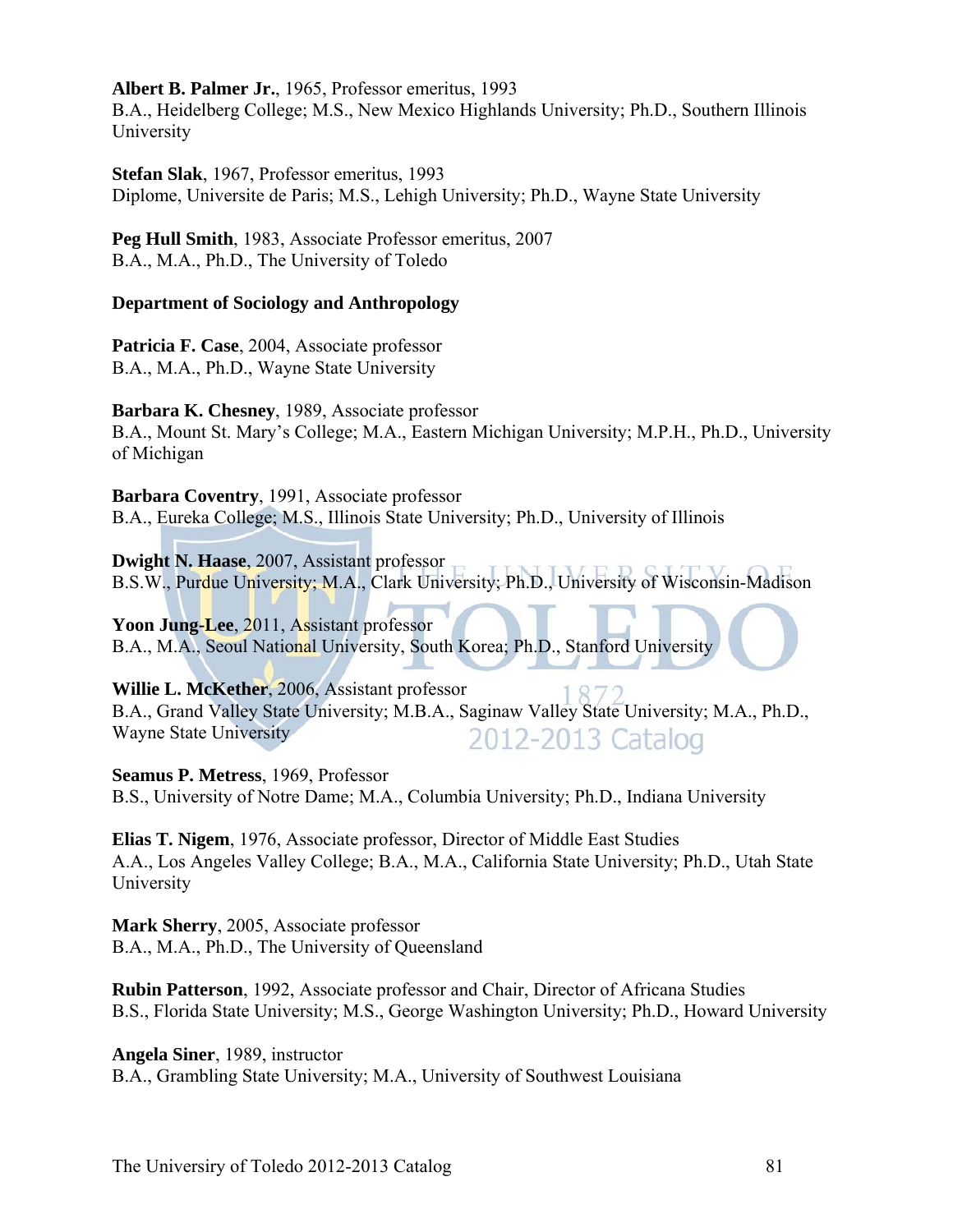#### **Albert B. Palmer Jr.**, 1965, Professor emeritus, 1993

B.A., Heidelberg College; M.S., New Mexico Highlands University; Ph.D., Southern Illinois University

**Stefan Slak**, 1967, Professor emeritus, 1993 Diplome, Universite de Paris; M.S., Lehigh University; Ph.D., Wayne State University

**Peg Hull Smith**, 1983, Associate Professor emeritus, 2007 B.A., M.A., Ph.D., The University of Toledo

#### **Department of Sociology and Anthropology**

**Patricia F. Case**, 2004, Associate professor B.A., M.A., Ph.D., Wayne State University

**Barbara K. Chesney**, 1989, Associate professor

B.A., Mount St. Mary's College; M.A., Eastern Michigan University; M.P.H., Ph.D., University of Michigan

**Barbara Coventry**, 1991, Associate professor B.A., Eureka College; M.S., Illinois State University; Ph.D., University of Illinois

**Dwight N. Haase**, 2007, Assistant professor B.S.W., Purdue University; M.A., Clark University; Ph.D., University of Wisconsin-Madison

**Yoon Jung-Lee**, 2011, Assistant professor B.A., M.A., Seoul National University, South Korea; Ph.D., Stanford University

**Willie L. McKether**, 2006, Assistant professor B.A., Grand Valley State University; M.B.A., Saginaw Valley State University; M.A., Ph.D., Wayne State University 2012-2013 Catalog

**Seamus P. Metress**, 1969, Professor B.S., University of Notre Dame; M.A., Columbia University; Ph.D., Indiana University

**Elias T. Nigem**, 1976, Associate professor, Director of Middle East Studies A.A., Los Angeles Valley College; B.A., M.A., California State University; Ph.D., Utah State University

**Mark Sherry**, 2005, Associate professor B.A., M.A., Ph.D., The University of Queensland

**Rubin Patterson**, 1992, Associate professor and Chair, Director of Africana Studies B.S., Florida State University; M.S., George Washington University; Ph.D., Howard University

**Angela Siner**, 1989, instructor B.A., Grambling State University; M.A., University of Southwest Louisiana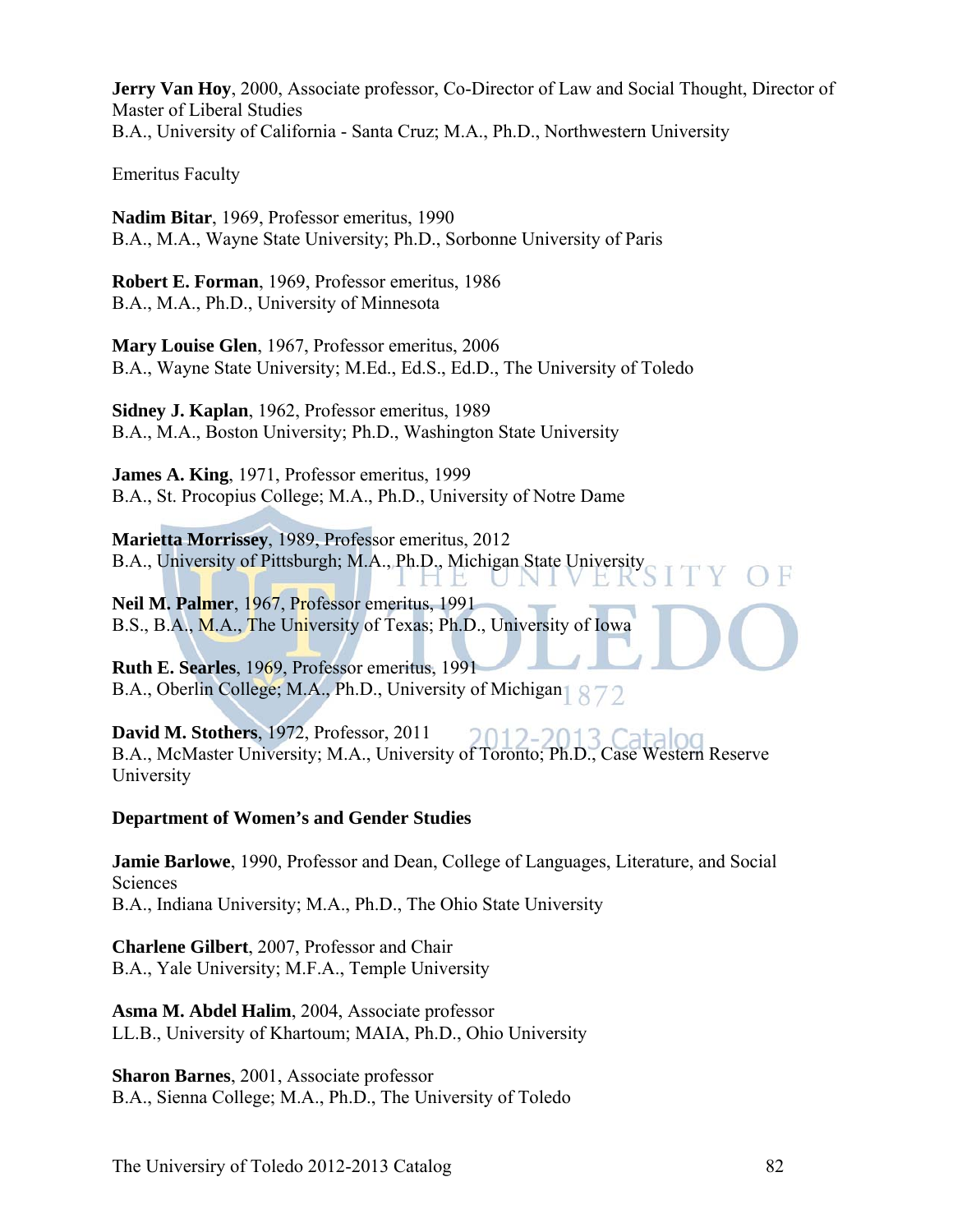**Jerry Van Hoy**, 2000, Associate professor, Co-Director of Law and Social Thought, Director of Master of Liberal Studies B.A., University of California - Santa Cruz; M.A., Ph.D., Northwestern University

Emeritus Faculty

**Nadim Bitar**, 1969, Professor emeritus, 1990 B.A., M.A., Wayne State University; Ph.D., Sorbonne University of Paris

**Robert E. Forman**, 1969, Professor emeritus, 1986 B.A., M.A., Ph.D., University of Minnesota

**Mary Louise Glen**, 1967, Professor emeritus, 2006 B.A., Wayne State University; M.Ed., Ed.S., Ed.D., The University of Toledo

**Sidney J. Kaplan**, 1962, Professor emeritus, 1989 B.A., M.A., Boston University; Ph.D., Washington State University

**James A. King**, 1971, Professor emeritus, 1999 B.A., St. Procopius College; M.A., Ph.D., University of Notre Dame

**Marietta Morrissey**, 1989, Professor emeritus, 2012 B.A., University of Pittsburgh; M.A., Ph.D., Michigan State University UNI E K

**Neil M. Palmer**, 1967, Professor emeritus, 1991 B.S., B.A., M.A., The University of Texas; Ph.D., University of Iowa

**Ruth E. Searles**, 1969, Professor emeritus, 1991 B.A., Oberlin College; M.A., Ph.D., University of Michigan

**David M. Stothers**, 1972, Professor, 2011 B.A., McMaster University; M.A., University of Toronto; Ph.D., Case Western Reserve University

**Department of Women's and Gender Studies** 

**Jamie Barlowe**, 1990, Professor and Dean, College of Languages, Literature, and Social **Sciences** B.A., Indiana University; M.A., Ph.D., The Ohio State University

**Charlene Gilbert**, 2007, Professor and Chair B.A., Yale University; M.F.A., Temple University

**Asma M. Abdel Halim**, 2004, Associate professor LL.B., University of Khartoum; MAIA, Ph.D., Ohio University

**Sharon Barnes**, 2001, Associate professor B.A., Sienna College; M.A., Ph.D., The University of Toledo